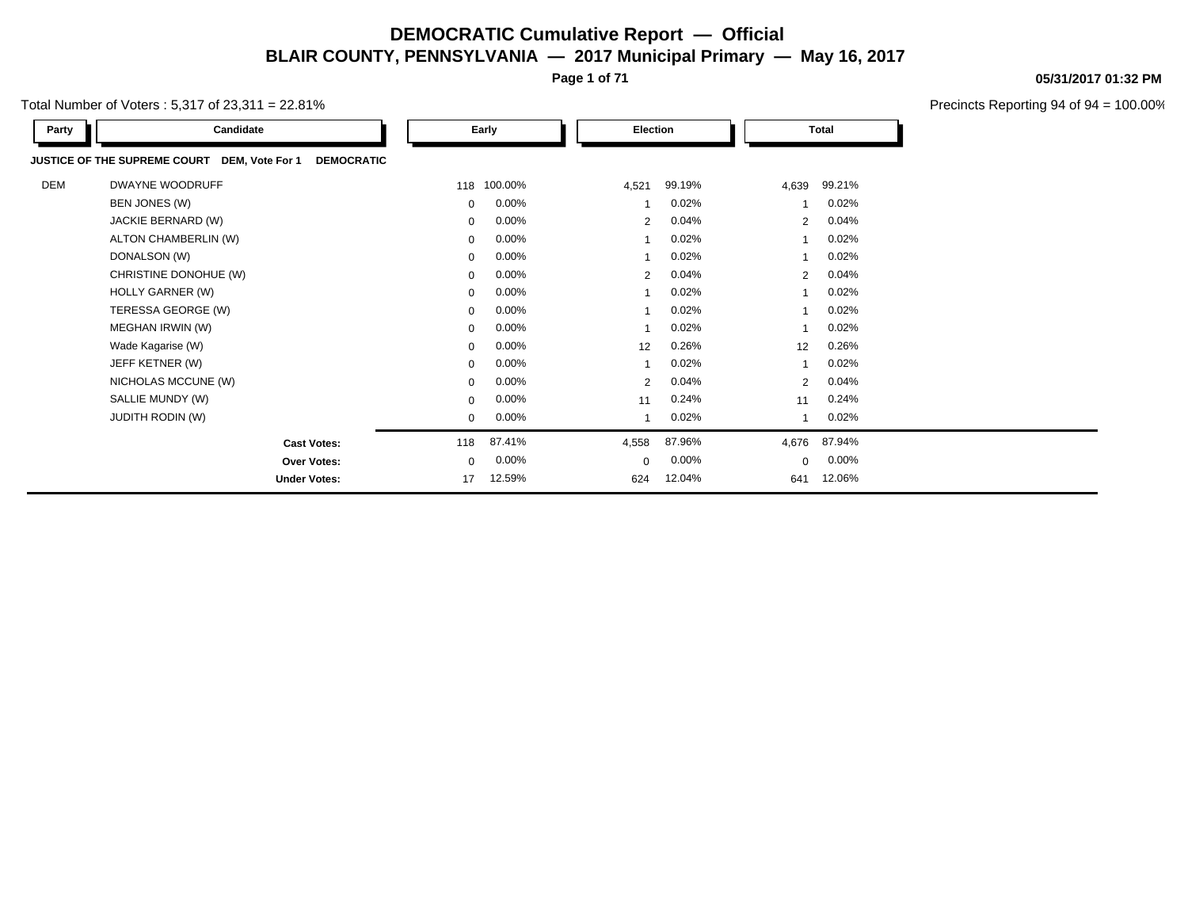**Page 1 of 71**

Total Number of Voters : 5,317 of 23,311 = 22.81%

| Party | Candidate                                                                   |             | Early       |             | Election |          |                | <b>Total</b> |
|-------|-----------------------------------------------------------------------------|-------------|-------------|-------------|----------|----------|----------------|--------------|
|       | <b>DEMOCRATIC</b><br><b>JUSTICE OF THE SUPREME COURT</b><br>DEM, Vote For 1 |             |             |             |          |          |                |              |
| DEM   | DWAYNE WOODRUFF                                                             |             | 118 100.00% | 4,521       | 99.19%   |          | 4,639          | 99.21%       |
|       | BEN JONES (W)                                                               | $\mathbf 0$ | $0.00\%$    |             |          | 0.02%    |                | 0.02%        |
|       | JACKIE BERNARD (W)                                                          | 0           | 0.00%       |             | 2        | 0.04%    | $\overline{2}$ | 0.04%        |
|       | ALTON CHAMBERLIN (W)                                                        | 0           | 0.00%       |             |          | 0.02%    |                | 0.02%        |
|       | DONALSON (W)                                                                | 0           | 0.00%       |             |          | 0.02%    |                | 0.02%        |
|       | CHRISTINE DONOHUE (W)                                                       | 0           | 0.00%       |             | 2        | 0.04%    | 2              | 0.04%        |
|       | HOLLY GARNER (W)                                                            | $\mathbf 0$ | 0.00%       |             |          | 0.02%    |                | 0.02%        |
|       | TERESSA GEORGE (W)                                                          | 0           | 0.00%       |             |          | 0.02%    |                | 0.02%        |
|       | MEGHAN IRWIN (W)                                                            | 0           | 0.00%       |             |          | 0.02%    |                | 0.02%        |
|       | Wade Kagarise (W)                                                           | $\mathbf 0$ | 0.00%       | 12          |          | 0.26%    | 12             | 0.26%        |
|       | JEFF KETNER (W)                                                             | 0           | 0.00%       |             |          | 0.02%    |                | 0.02%        |
|       | NICHOLAS MCCUNE (W)                                                         | 0           | 0.00%       |             | 2        | 0.04%    | 2              | 0.04%        |
|       | SALLIE MUNDY (W)                                                            | 0           | 0.00%       | 11          |          | 0.24%    | 11             | 0.24%        |
|       | <b>JUDITH RODIN (W)</b>                                                     | 0           | $0.00\%$    |             |          | 0.02%    |                | 0.02%        |
|       | <b>Cast Votes:</b>                                                          | 118         | 87.41%      | 4,558       | 87.96%   |          | 4,676          | 87.94%       |
|       | <b>Over Votes:</b>                                                          | 0           | $0.00\%$    | $\mathbf 0$ |          | $0.00\%$ | $\Omega$       | $0.00\%$     |
|       | <b>Under Votes:</b>                                                         | 17          | 12.59%      | 624         | 12.04%   |          | 641            | 12.06%       |

#### **05/31/2017 01:32 PM**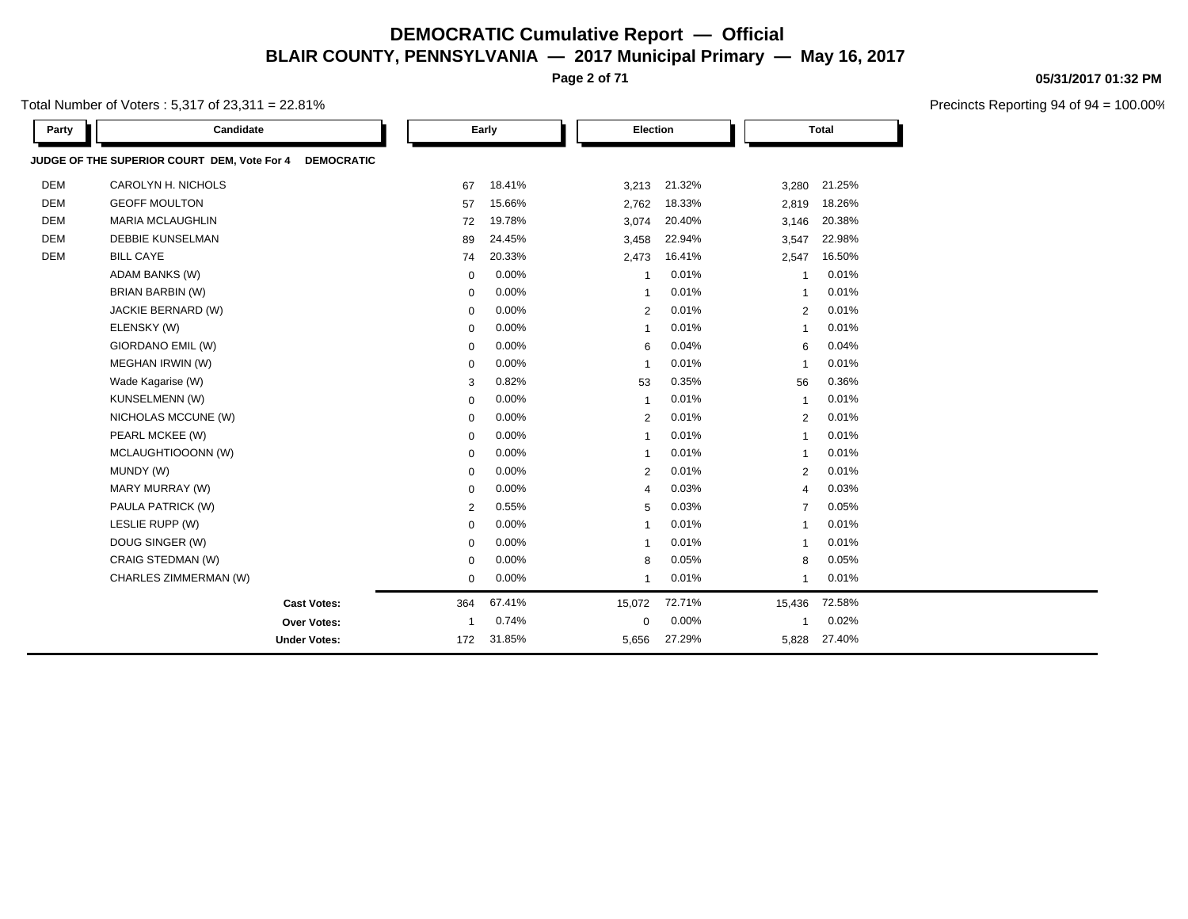**Page 2 of 71**

Total Number of Voters : 5,317 of 23,311 = 22.81%

| Party      | Candidate                                                        |                | Early    | Election       |        |                | <b>Total</b> |  |
|------------|------------------------------------------------------------------|----------------|----------|----------------|--------|----------------|--------------|--|
|            | JUDGE OF THE SUPERIOR COURT DEM, Vote For 4<br><b>DEMOCRATIC</b> |                |          |                |        |                |              |  |
| <b>DEM</b> | CAROLYN H. NICHOLS                                               | 67             | 18.41%   | 3,213          | 21.32% | 3,280          | 21.25%       |  |
| <b>DEM</b> | <b>GEOFF MOULTON</b>                                             | 57             | 15.66%   | 2,762          | 18.33% | 2,819          | 18.26%       |  |
| <b>DEM</b> | <b>MARIA MCLAUGHLIN</b>                                          | 72             | 19.78%   | 3,074          | 20.40% | 3,146          | 20.38%       |  |
| <b>DEM</b> | <b>DEBBIE KUNSELMAN</b>                                          | 89             | 24.45%   | 3,458          | 22.94% | 3,547          | 22.98%       |  |
| <b>DEM</b> | <b>BILL CAYE</b>                                                 | 74             | 20.33%   | 2,473          | 16.41% | 2,547          | 16.50%       |  |
|            | <b>ADAM BANKS (W)</b>                                            | $\mathbf 0$    | 0.00%    | $\mathbf{1}$   | 0.01%  | $\mathbf{1}$   | 0.01%        |  |
|            | <b>BRIAN BARBIN (W)</b>                                          | $\mathbf 0$    | 0.00%    | $\overline{1}$ | 0.01%  | $\overline{1}$ | 0.01%        |  |
|            | JACKIE BERNARD (W)                                               | 0              | 0.00%    | 2              | 0.01%  | $\overline{2}$ | 0.01%        |  |
|            | ELENSKY (W)                                                      | $\mathbf 0$    | 0.00%    | $\mathbf{1}$   | 0.01%  | $\overline{1}$ | 0.01%        |  |
|            | GIORDANO EMIL (W)                                                | $\mathbf 0$    | 0.00%    | 6              | 0.04%  | 6              | 0.04%        |  |
|            | MEGHAN IRWIN (W)                                                 | $\mathbf 0$    | 0.00%    | $\overline{1}$ | 0.01%  | $\overline{1}$ | 0.01%        |  |
|            | Wade Kagarise (W)                                                | 3              | 0.82%    | 53             | 0.35%  | 56             | 0.36%        |  |
|            | KUNSELMENN (W)                                                   | $\mathbf 0$    | 0.00%    | $\mathbf{1}$   | 0.01%  | $\mathbf{1}$   | 0.01%        |  |
|            | NICHOLAS MCCUNE (W)                                              | $\mathbf 0$    | 0.00%    | $\overline{2}$ | 0.01%  | $\overline{2}$ | 0.01%        |  |
|            | PEARL MCKEE (W)                                                  | $\mathbf 0$    | 0.00%    | $\overline{1}$ | 0.01%  | $\overline{1}$ | 0.01%        |  |
|            | MCLAUGHTIOOONN (W)                                               | $\mathbf 0$    | $0.00\%$ | $\overline{1}$ | 0.01%  | $\overline{1}$ | 0.01%        |  |
|            | MUNDY (W)                                                        | 0              | 0.00%    | 2              | 0.01%  | $\overline{2}$ | 0.01%        |  |
|            | MARY MURRAY (W)                                                  | $\mathbf 0$    | 0.00%    | $\overline{4}$ | 0.03%  | $\overline{4}$ | 0.03%        |  |
|            | PAULA PATRICK (W)                                                | $\overline{2}$ | 0.55%    | 5              | 0.03%  | $\overline{7}$ | 0.05%        |  |
|            | LESLIE RUPP (W)                                                  | $\mathbf 0$    | 0.00%    | $\overline{1}$ | 0.01%  | $\overline{1}$ | 0.01%        |  |
|            | DOUG SINGER (W)                                                  | $\mathbf 0$    | 0.00%    | $\overline{1}$ | 0.01%  | $\mathbf{1}$   | 0.01%        |  |
|            | CRAIG STEDMAN (W)                                                | $\mathbf 0$    | 0.00%    | 8              | 0.05%  | 8              | 0.05%        |  |
|            | CHARLES ZIMMERMAN (W)                                            | $\mathbf 0$    | 0.00%    | $\overline{1}$ | 0.01%  | 1              | 0.01%        |  |
|            | <b>Cast Votes:</b>                                               | 364            | 67.41%   | 15,072         | 72.71% | 15,436         | 72.58%       |  |
|            | <b>Over Votes:</b>                                               | -1             | 0.74%    | $\mathbf 0$    | 0.00%  | 1              | 0.02%        |  |
|            | <b>Under Votes:</b>                                              | 172            | 31.85%   | 5,656          | 27.29% | 5,828          | 27.40%       |  |

**05/31/2017 01:32 PM**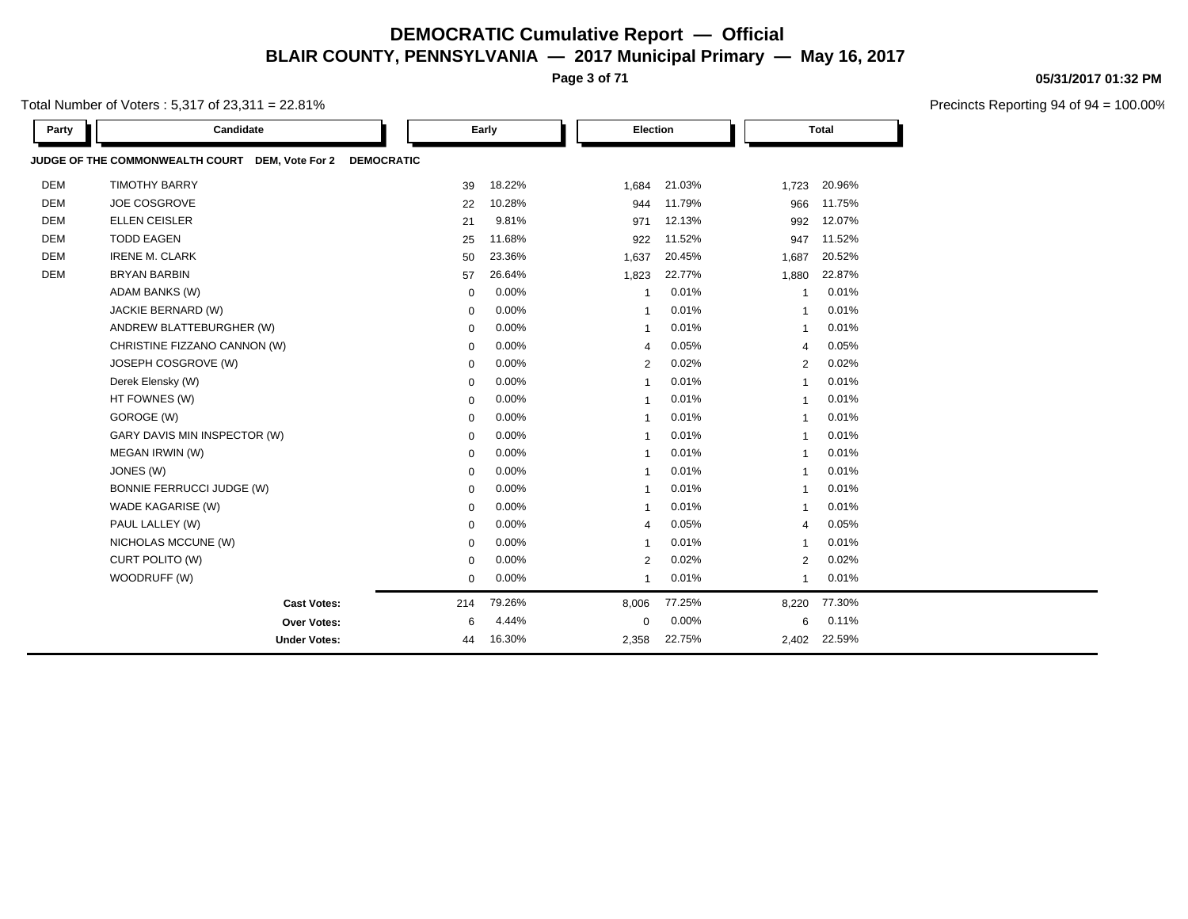**Page 3 of 71**

Total Number of Voters : 5,317 of 23,311 = 22.81%

| Party      | Candidate                                                            |             | Early    | Election       |        |                | <b>Total</b> |  |
|------------|----------------------------------------------------------------------|-------------|----------|----------------|--------|----------------|--------------|--|
|            | JUDGE OF THE COMMONWEALTH COURT DEM, Vote For 2<br><b>DEMOCRATIC</b> |             |          |                |        |                |              |  |
| <b>DEM</b> | <b>TIMOTHY BARRY</b>                                                 | 39          | 18.22%   | 1,684          | 21.03% | 1,723          | 20.96%       |  |
| <b>DEM</b> | JOE COSGROVE                                                         | 22          | 10.28%   | 944            | 11.79% | 966            | 11.75%       |  |
| <b>DEM</b> | <b>ELLEN CEISLER</b>                                                 | 21          | 9.81%    | 971            | 12.13% | 992            | 12.07%       |  |
| <b>DEM</b> | <b>TODD EAGEN</b>                                                    | 25          | 11.68%   | 922            | 11.52% | 947            | 11.52%       |  |
| <b>DEM</b> | <b>IRENE M. CLARK</b>                                                | 50          | 23.36%   | 1,637          | 20.45% | 1,687          | 20.52%       |  |
| <b>DEM</b> | <b>BRYAN BARBIN</b>                                                  | 57          | 26.64%   | 1,823          | 22.77% | 1,880          | 22.87%       |  |
|            | <b>ADAM BANKS (W)</b>                                                | 0           | 0.00%    | $\mathbf{1}$   | 0.01%  | $\overline{1}$ | 0.01%        |  |
|            | JACKIE BERNARD (W)                                                   | 0           | 0.00%    | $\mathbf{1}$   | 0.01%  | $\overline{1}$ | 0.01%        |  |
|            | ANDREW BLATTEBURGHER (W)                                             | $\mathbf 0$ | 0.00%    | $\overline{1}$ | 0.01%  | $\overline{1}$ | 0.01%        |  |
|            | CHRISTINE FIZZANO CANNON (W)                                         | $\mathbf 0$ | 0.00%    | $\overline{4}$ | 0.05%  | $\overline{4}$ | 0.05%        |  |
|            | JOSEPH COSGROVE (W)                                                  | $\mathbf 0$ | 0.00%    | $\overline{2}$ | 0.02%  | 2              | 0.02%        |  |
|            | Derek Elensky (W)                                                    | $\mathbf 0$ | 0.00%    | $\overline{1}$ | 0.01%  | $\mathbf{1}$   | 0.01%        |  |
|            | HT FOWNES (W)                                                        | $\mathbf 0$ | 0.00%    | $\mathbf 1$    | 0.01%  | -1             | 0.01%        |  |
|            | GOROGE (W)                                                           | $\mathbf 0$ | 0.00%    | $\overline{1}$ | 0.01%  | $\overline{1}$ | 0.01%        |  |
|            | GARY DAVIS MIN INSPECTOR (W)                                         | $\mathbf 0$ | 0.00%    | $\overline{1}$ | 0.01%  | $\overline{1}$ | 0.01%        |  |
|            | MEGAN IRWIN (W)                                                      | $\mathbf 0$ | 0.00%    | $\overline{1}$ | 0.01%  | $\overline{1}$ | 0.01%        |  |
|            | JONES (W)                                                            | $\mathbf 0$ | 0.00%    | $\mathbf{1}$   | 0.01%  | $\overline{1}$ | 0.01%        |  |
|            | <b>BONNIE FERRUCCI JUDGE (W)</b>                                     | $\mathbf 0$ | 0.00%    | $\overline{1}$ | 0.01%  | $\overline{1}$ | 0.01%        |  |
|            | WADE KAGARISE (W)                                                    | $\mathbf 0$ | $0.00\%$ | $\mathbf 1$    | 0.01%  | -1             | 0.01%        |  |
|            | PAUL LALLEY (W)                                                      | $\mathbf 0$ | 0.00%    | $\overline{4}$ | 0.05%  | $\overline{4}$ | 0.05%        |  |
|            | NICHOLAS MCCUNE (W)                                                  | $\mathbf 0$ | 0.00%    | $\overline{1}$ | 0.01%  | $\overline{1}$ | 0.01%        |  |
|            | CURT POLITO (W)                                                      | $\mathbf 0$ | 0.00%    | $\overline{2}$ | 0.02%  | $\overline{2}$ | 0.02%        |  |
|            | WOODRUFF (W)                                                         | $\mathbf 0$ | 0.00%    | $\overline{1}$ | 0.01%  | 1              | 0.01%        |  |
|            | <b>Cast Votes:</b>                                                   | 214         | 79.26%   | 8,006          | 77.25% | 8,220          | 77.30%       |  |
|            | Over Votes:                                                          | 6           | 4.44%    | 0              | 0.00%  | 6              | 0.11%        |  |
|            | <b>Under Votes:</b>                                                  | 44          | 16.30%   | 2,358          | 22.75% | 2,402          | 22.59%       |  |

#### **05/31/2017 01:32 PM**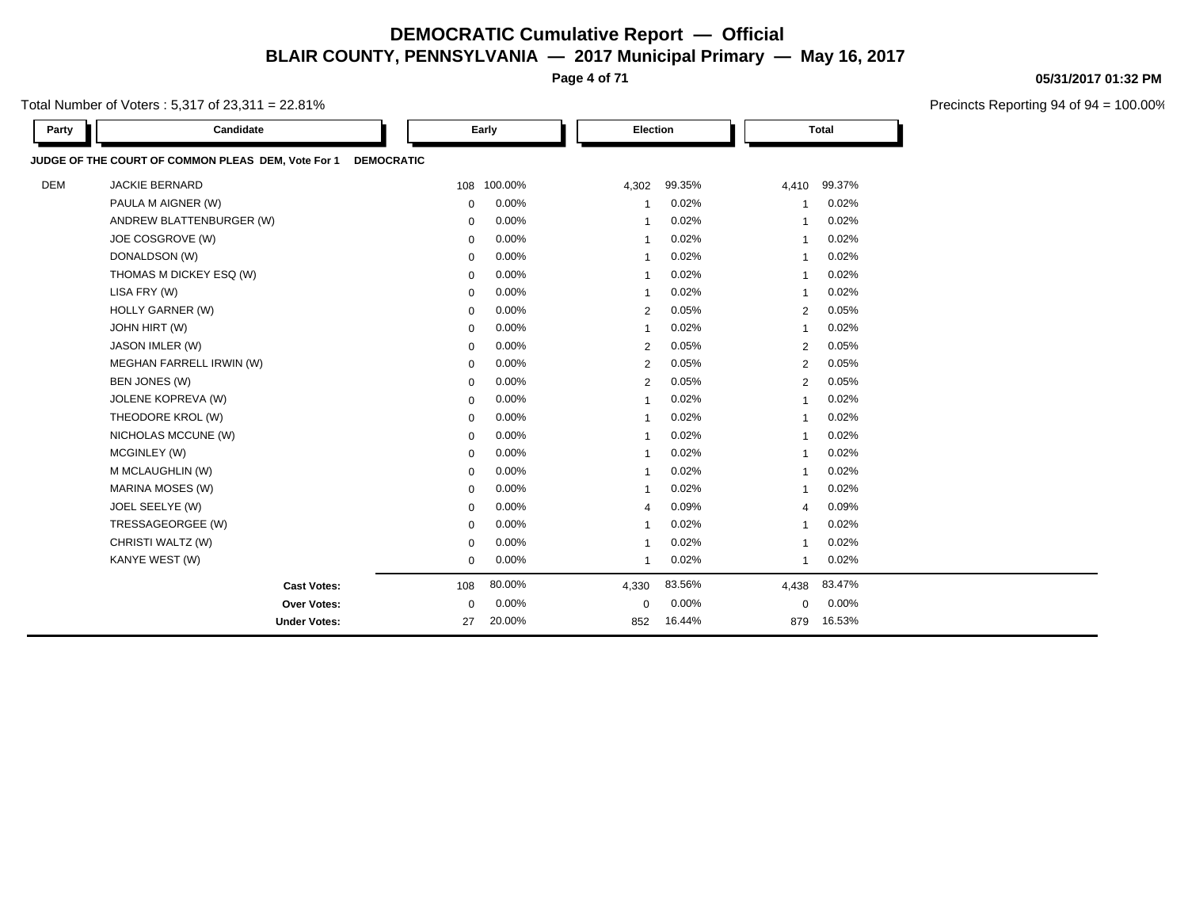**Page 4 of 71**

Total Number of Voters : 5,317 of 23,311 = 22.81%

| Party      | Candidate                                          |                   | Early       | Election                |        |                         | <b>Total</b> |  |
|------------|----------------------------------------------------|-------------------|-------------|-------------------------|--------|-------------------------|--------------|--|
|            | JUDGE OF THE COURT OF COMMON PLEAS DEM, Vote For 1 | <b>DEMOCRATIC</b> |             |                         |        |                         |              |  |
| <b>DEM</b> | <b>JACKIE BERNARD</b>                              |                   | 108 100.00% | 4,302                   | 99.35% | 4,410                   | 99.37%       |  |
|            | PAULA M AIGNER (W)                                 | $\mathbf 0$       | 0.00%       | -1                      | 0.02%  |                         | 0.02%        |  |
|            | ANDREW BLATTENBURGER (W)                           | $\mathbf 0$       | 0.00%       | $\overline{\mathbf{1}}$ | 0.02%  | $\overline{1}$          | 0.02%        |  |
|            | JOE COSGROVE (W)                                   | $\mathbf 0$       | 0.00%       | $\overline{\mathbf{1}}$ | 0.02%  | $\overline{1}$          | 0.02%        |  |
|            | DONALDSON (W)                                      | $\mathbf 0$       | 0.00%       | $\overline{1}$          | 0.02%  | $\mathbf{1}$            | 0.02%        |  |
|            | THOMAS M DICKEY ESQ (W)                            | $\mathbf 0$       | 0.00%       | $\mathbf{1}$            | 0.02%  | $\overline{1}$          | 0.02%        |  |
|            | LISA FRY (W)                                       | $\mathbf 0$       | 0.00%       | $\overline{\mathbf{1}}$ | 0.02%  | -1                      | 0.02%        |  |
|            | <b>HOLLY GARNER (W)</b>                            | $\mathbf 0$       | 0.00%       | $\overline{2}$          | 0.05%  | $\overline{2}$          | 0.05%        |  |
|            | <b>JOHN HIRT (W)</b>                               | $\mathbf 0$       | 0.00%       | -1                      | 0.02%  | $\overline{1}$          | 0.02%        |  |
|            | JASON IMLER (W)                                    | 0                 | 0.00%       | 2                       | 0.05%  | $\overline{2}$          | 0.05%        |  |
|            | MEGHAN FARRELL IRWIN (W)                           | $\mathbf 0$       | 0.00%       | $\overline{2}$          | 0.05%  | 2                       | 0.05%        |  |
|            | BEN JONES (W)                                      | $\mathbf 0$       | 0.00%       | $\overline{2}$          | 0.05%  | $\overline{2}$          | 0.05%        |  |
|            | <b>JOLENE KOPREVA (W)</b>                          | 0                 | $0.00\%$    | $\overline{1}$          | 0.02%  | $\overline{1}$          | 0.02%        |  |
|            | THEODORE KROL (W)                                  | $\mathbf 0$       | 0.00%       | $\overline{\mathbf{1}}$ | 0.02%  | $\overline{1}$          | 0.02%        |  |
|            | NICHOLAS MCCUNE (W)                                | $\mathbf 0$       | $0.00\%$    | $\overline{\mathbf{1}}$ | 0.02%  | $\overline{\mathbf{1}}$ | 0.02%        |  |
|            | MCGINLEY (W)                                       | $\mathbf 0$       | 0.00%       | $\mathbf{1}$            | 0.02%  | $\mathbf{1}$            | 0.02%        |  |
|            | M MCLAUGHLIN (W)                                   | $\mathbf 0$       | $0.00\%$    | $\overline{1}$          | 0.02%  | $\overline{\mathbf{1}}$ | 0.02%        |  |
|            | MARINA MOSES (W)                                   | $\mathbf 0$       | 0.00%       | $\overline{1}$          | 0.02%  | $\overline{1}$          | 0.02%        |  |
|            | JOEL SEELYE (W)                                    | $\mathbf 0$       | 0.00%       | $\overline{4}$          | 0.09%  | $\overline{4}$          | 0.09%        |  |
|            | TRESSAGEORGEE (W)                                  | $\mathbf 0$       | $0.00\%$    | $\overline{\mathbf{1}}$ | 0.02%  | $\overline{1}$          | 0.02%        |  |
|            | CHRISTI WALTZ (W)                                  | $\mathbf 0$       | 0.00%       |                         | 0.02%  |                         | 0.02%        |  |
|            | KANYE WEST (W)                                     | 0                 | 0.00%       | -1                      | 0.02%  |                         | 0.02%        |  |
|            | <b>Cast Votes:</b>                                 | 108               | 80.00%      | 4,330                   | 83.56% | 4,438                   | 83.47%       |  |
|            | <b>Over Votes:</b>                                 | 0                 | 0.00%       | 0                       | 0.00%  | 0                       | 0.00%        |  |
|            | <b>Under Votes:</b>                                | 27                | 20.00%      | 852                     | 16.44% | 879                     | 16.53%       |  |

**05/31/2017 01:32 PM**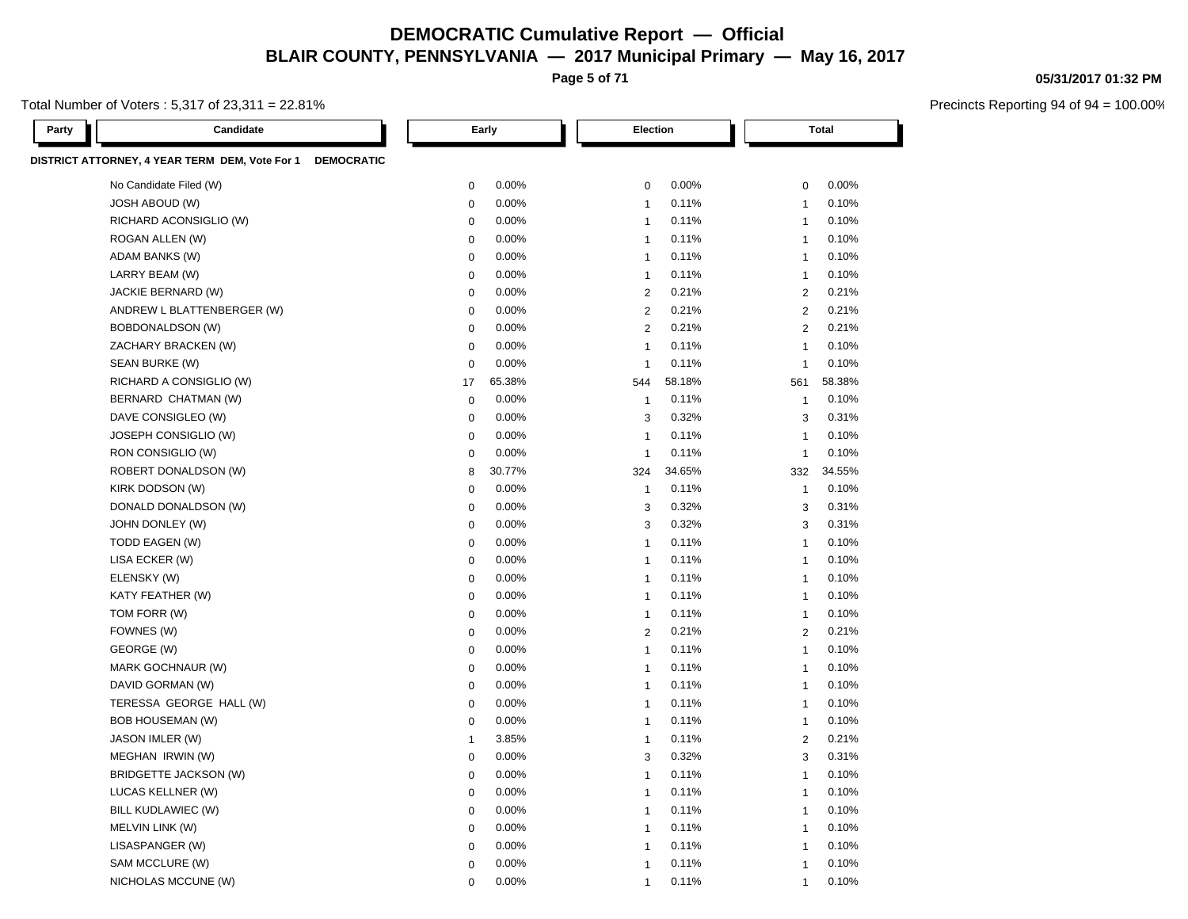**Page 5 of 71**

#### Total Number of Voters : 5,317 of 23,311 = 22.81%

Precincts Reporting 94 of 94 = 100.00%

| Party | Candidate                                                           |                | Early  | Election       |        |                | <b>Total</b> |
|-------|---------------------------------------------------------------------|----------------|--------|----------------|--------|----------------|--------------|
|       | DISTRICT ATTORNEY, 4 YEAR TERM DEM, Vote For 1<br><b>DEMOCRATIC</b> |                |        |                |        |                |              |
|       | No Candidate Filed (W)                                              | 0              | 0.00%  | $\mathbf 0$    | 0.00%  | $\mathbf 0$    | $0.00\%$     |
|       | JOSH ABOUD (W)                                                      | 0              | 0.00%  | $\mathbf{1}$   | 0.11%  | -1             | 0.10%        |
|       | RICHARD ACONSIGLIO (W)                                              | $\mathbf 0$    | 0.00%  | $\mathbf{1}$   | 0.11%  | 1              | 0.10%        |
|       | ROGAN ALLEN (W)                                                     | $\mathbf 0$    | 0.00%  | $\mathbf{1}$   | 0.11%  | -1             | 0.10%        |
|       | ADAM BANKS (W)                                                      | $\mathbf 0$    | 0.00%  | $\mathbf{1}$   | 0.11%  | -1             | 0.10%        |
|       | LARRY BEAM (W)                                                      | $\mathbf 0$    | 0.00%  | $\mathbf{1}$   | 0.11%  | -1             | 0.10%        |
|       | JACKIE BERNARD (W)                                                  | 0              | 0.00%  | $\overline{2}$ | 0.21%  | $\overline{2}$ | 0.21%        |
|       | ANDREW L BLATTENBERGER (W)                                          | $\mathbf 0$    | 0.00%  | 2              | 0.21%  | $\overline{2}$ | 0.21%        |
|       | BOBDONALDSON (W)                                                    | $\mathbf 0$    | 0.00%  | $\overline{2}$ | 0.21%  | $\overline{2}$ | 0.21%        |
|       | ZACHARY BRACKEN (W)                                                 | 0              | 0.00%  | $\mathbf{1}$   | 0.11%  | 1              | 0.10%        |
|       | SEAN BURKE (W)                                                      | $\mathbf 0$    | 0.00%  | -1             | 0.11%  | $\overline{1}$ | 0.10%        |
|       | RICHARD A CONSIGLIO (W)                                             | 17             | 65.38% | 544            | 58.18% | 561            | 58.38%       |
|       | BERNARD CHATMAN (W)                                                 | 0              | 0.00%  | $\mathbf{1}$   | 0.11%  | -1             | 0.10%        |
|       | DAVE CONSIGLEO (W)                                                  | $\mathbf 0$    | 0.00%  | 3              | 0.32%  | 3              | 0.31%        |
|       | JOSEPH CONSIGLIO (W)                                                | 0              | 0.00%  | -1             | 0.11%  | -1             | 0.10%        |
|       | RON CONSIGLIO (W)                                                   | $\mathbf 0$    | 0.00%  | $\overline{1}$ | 0.11%  | $\overline{1}$ | 0.10%        |
|       | ROBERT DONALDSON (W)                                                | 8              | 30.77% | 324            | 34.65% | 332            | 34.55%       |
|       | KIRK DODSON (W)                                                     | 0              | 0.00%  | -1             | 0.11%  | -1             | 0.10%        |
|       | DONALD DONALDSON (W)                                                | $\mathbf 0$    | 0.00%  | 3              | 0.32%  | 3              | 0.31%        |
|       | JOHN DONLEY (W)                                                     | 0              | 0.00%  | 3              | 0.32%  | 3              | 0.31%        |
|       | TODD EAGEN (W)                                                      | $\mathbf 0$    | 0.00%  | $\mathbf{1}$   | 0.11%  | -1             | 0.10%        |
|       | LISA ECKER (W)                                                      | $\mathbf 0$    | 0.00%  | $\mathbf{1}$   | 0.11%  | -1             | 0.10%        |
|       | ELENSKY (W)                                                         | 0              | 0.00%  | $\mathbf{1}$   | 0.11%  | -1             | 0.10%        |
|       | KATY FEATHER (W)                                                    | $\mathbf 0$    | 0.00%  | $\mathbf{1}$   | 0.11%  | -1             | 0.10%        |
|       | TOM FORR (W)                                                        | $\mathbf 0$    | 0.00%  | $\mathbf{1}$   | 0.11%  | -1             | 0.10%        |
|       | FOWNES (W)                                                          | 0              | 0.00%  | $\overline{2}$ | 0.21%  | 2              | 0.21%        |
|       | GEORGE (W)                                                          | $\mathbf 0$    | 0.00%  | $\mathbf{1}$   | 0.11%  | -1             | 0.10%        |
|       | MARK GOCHNAUR (W)                                                   | 0              | 0.00%  | $\mathbf{1}$   | 0.11%  | -1             | 0.10%        |
|       | DAVID GORMAN (W)                                                    | $\mathbf 0$    | 0.00%  | $\mathbf{1}$   | 0.11%  | -1             | 0.10%        |
|       | TERESSA GEORGE HALL (W)                                             | $\mathbf 0$    | 0.00%  | $\mathbf{1}$   | 0.11%  | -1             | 0.10%        |
|       | <b>BOB HOUSEMAN (W)</b>                                             | 0              | 0.00%  | $\mathbf{1}$   | 0.11%  | -1             | 0.10%        |
|       | JASON IMLER (W)                                                     | $\overline{1}$ | 3.85%  | $\mathbf{1}$   | 0.11%  | 2              | 0.21%        |
|       | MEGHAN IRWIN (W)                                                    | $\mathbf 0$    | 0.00%  | 3              | 0.32%  | 3              | 0.31%        |
|       | BRIDGETTE JACKSON (W)                                               | $\mathbf 0$    | 0.00%  | $\mathbf{1}$   | 0.11%  | -1             | 0.10%        |

LUCAS KELLNER (W) 0 0.00% 1 0.11% 1 0.10% BILL KUDLAWIEC (W) 0 0.00% 1 0.11% 1 0.10%

SAM MCCLURE (W) 0 0.00% 1 0.11% 1 0.10% NICHOLAS MCCUNE (W) 0 0.00% 1 0.11% 1 0.10%

MELVIN LINK (W) 0 0.00% 1 0.11% 1 0.10% LISASPANGER (W) 0 0.00% 1 0.11% 1 0.10%

#### **05/31/2017 01:32 PM**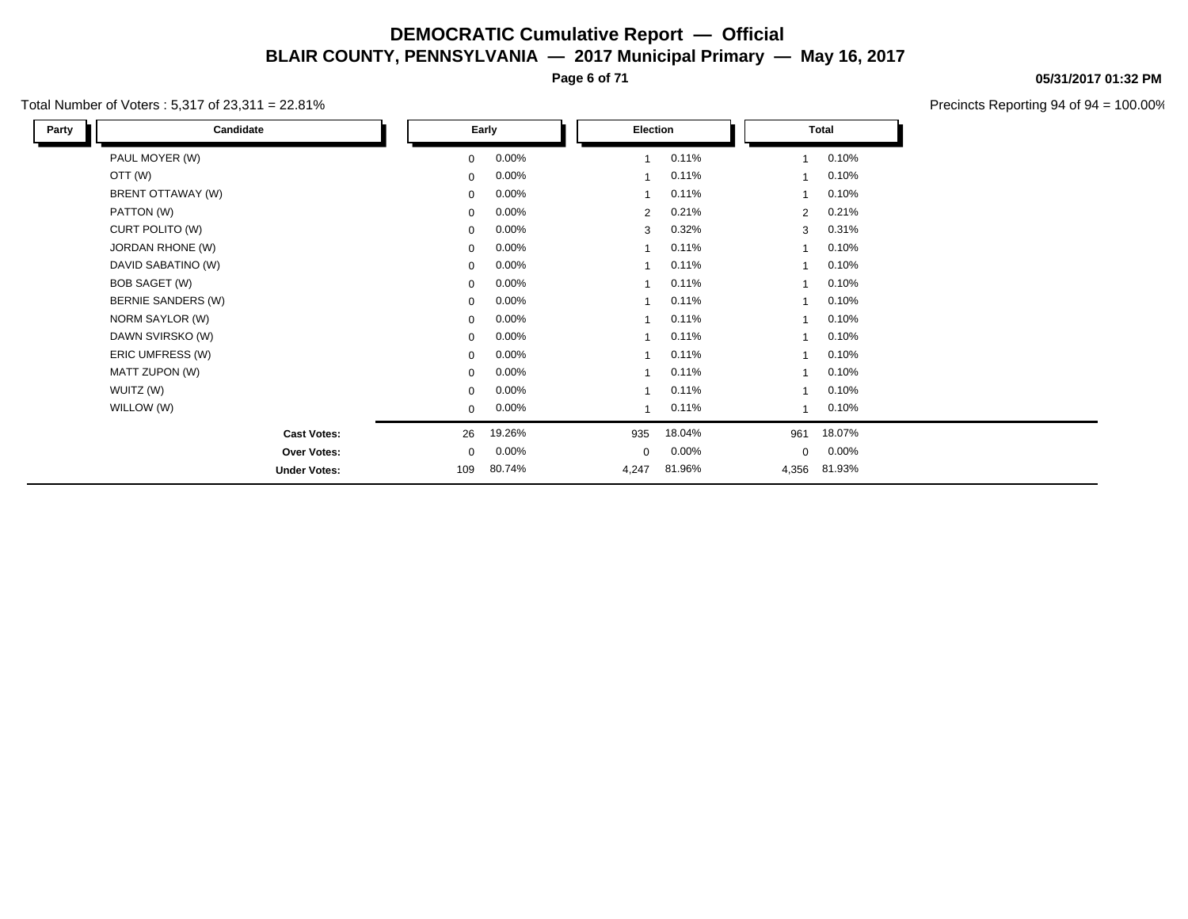**Page 6 of 71**

#### Total Number of Voters : 5,317 of 23,311 = 22.81%

**05/31/2017 01:32 PM**

| Candidate<br>Party        |             | Early    | Election    |        |                | <b>Total</b> |  |
|---------------------------|-------------|----------|-------------|--------|----------------|--------------|--|
| PAUL MOYER (W)            | $\mathbf 0$ | $0.00\%$ |             | 0.11%  |                | 0.10%        |  |
| OTT (W)                   | $\mathbf 0$ | $0.00\%$ |             | 0.11%  |                | 0.10%        |  |
| BRENT OTTAWAY (W)         | $\mathbf 0$ | $0.00\%$ |             | 0.11%  |                | 0.10%        |  |
| PATTON (W)                | $\mathbf 0$ | $0.00\%$ | 2           | 0.21%  | $\overline{2}$ | 0.21%        |  |
| CURT POLITO (W)           | $\mathbf 0$ | $0.00\%$ | 3           | 0.32%  | 3              | 0.31%        |  |
| JORDAN RHONE (W)          | $\mathbf 0$ | $0.00\%$ |             | 0.11%  |                | 0.10%        |  |
| DAVID SABATINO (W)        | $\mathbf 0$ | $0.00\%$ |             | 0.11%  | 1              | 0.10%        |  |
| <b>BOB SAGET (W)</b>      | $\mathbf 0$ | $0.00\%$ |             | 0.11%  |                | 0.10%        |  |
| <b>BERNIE SANDERS (W)</b> | $\mathbf 0$ | $0.00\%$ |             | 0.11%  |                | 0.10%        |  |
| NORM SAYLOR (W)           | $\mathbf 0$ | $0.00\%$ |             | 0.11%  |                | 0.10%        |  |
| DAWN SVIRSKO (W)          | $\Omega$    | $0.00\%$ |             | 0.11%  |                | 0.10%        |  |
| ERIC UMFRESS (W)          | $\mathbf 0$ | $0.00\%$ |             | 0.11%  |                | 0.10%        |  |
| MATT ZUPON (W)            | $\mathbf 0$ | $0.00\%$ |             | 0.11%  |                | 0.10%        |  |
| WUITZ (W)                 | $\mathbf 0$ | $0.00\%$ |             | 0.11%  |                | 0.10%        |  |
| WILLOW (W)                | $\mathbf 0$ | $0.00\%$ |             | 0.11%  |                | 0.10%        |  |
| <b>Cast Votes:</b>        | 26          | 19.26%   | 935         | 18.04% | 961            | 18.07%       |  |
| Over Votes:               | $\mathbf 0$ | $0.00\%$ | $\mathbf 0$ | 0.00%  | 0              | 0.00%        |  |
| <b>Under Votes:</b>       | 109         | 80.74%   | 4,247       | 81.96% | 4,356          | 81.93%       |  |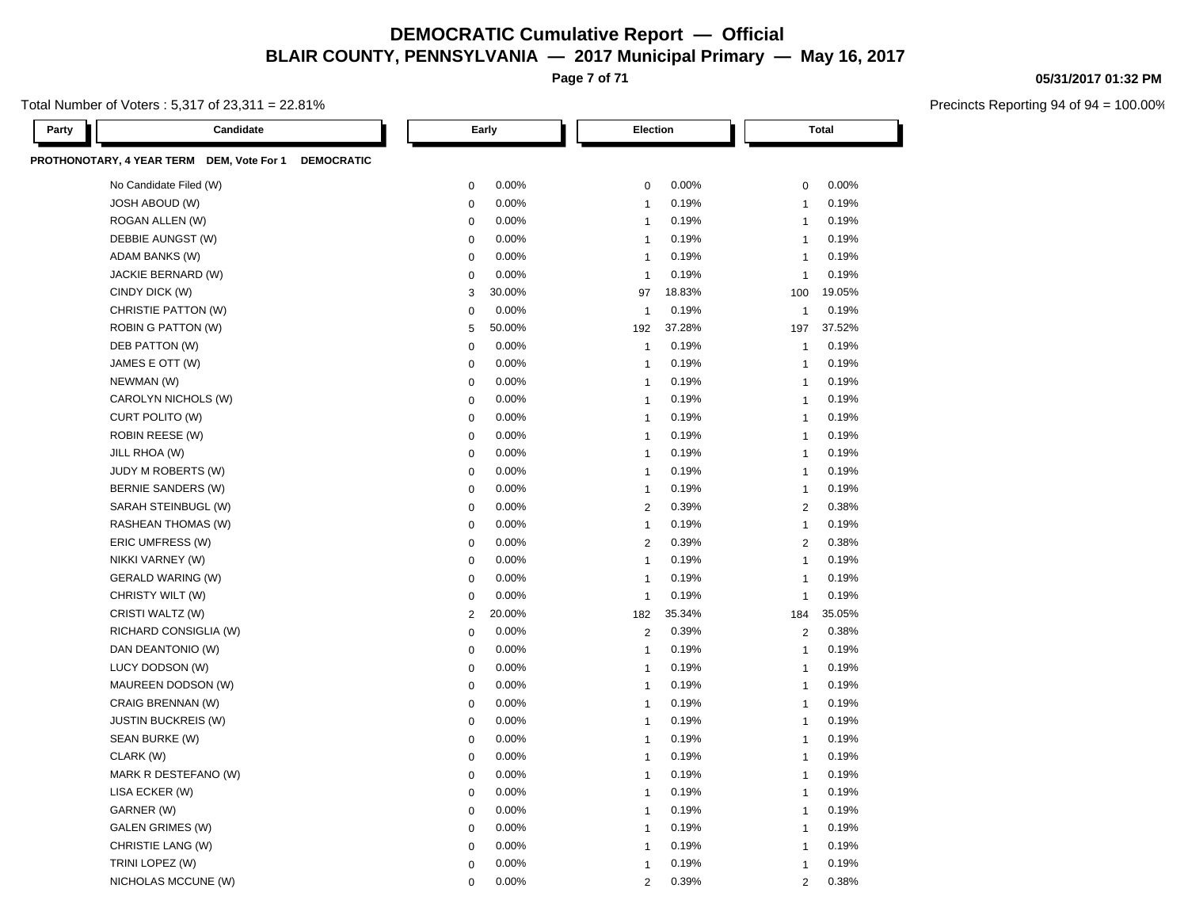**Page 7 of 71**

Total Number of Voters : 5,317 of 23,311 = 22.81%

| Party | Candidate                                                      |                  | Early  | Election       |        |                | <b>Total</b> |
|-------|----------------------------------------------------------------|------------------|--------|----------------|--------|----------------|--------------|
|       | PROTHONOTARY, 4 YEAR TERM DEM, Vote For 1<br><b>DEMOCRATIC</b> |                  |        |                |        |                |              |
|       | No Candidate Filed (W)                                         | $\mathbf 0$      | 0.00%  | $\mathbf 0$    | 0.00%  | $\mathbf 0$    | 0.00%        |
|       | JOSH ABOUD (W)                                                 | $\mathbf 0$      | 0.00%  | $\overline{1}$ | 0.19%  | $\mathbf{1}$   | 0.19%        |
|       | ROGAN ALLEN (W)                                                | $\mathbf 0$      | 0.00%  | $\mathbf{1}$   | 0.19%  | $\mathbf{1}$   | 0.19%        |
|       | DEBBIE AUNGST (W)                                              | $\Omega$         | 0.00%  | $\overline{1}$ | 0.19%  | $\mathbf{1}$   | 0.19%        |
|       | ADAM BANKS (W)                                                 | $\boldsymbol{0}$ | 0.00%  | $\overline{1}$ | 0.19%  | $\mathbf{1}$   | 0.19%        |
|       | JACKIE BERNARD (W)                                             | $\mathbf 0$      | 0.00%  | $\mathbf{1}$   | 0.19%  | $\mathbf{1}$   | 0.19%        |
|       | CINDY DICK (W)                                                 | 3                | 30.00% | 97             | 18.83% | 100            | 19.05%       |
|       | CHRISTIE PATTON (W)                                            | $\mathbf 0$      | 0.00%  | $\overline{1}$ | 0.19%  | $\mathbf{1}$   | 0.19%        |
|       | ROBIN G PATTON (W)                                             | 5                | 50.00% | 192            | 37.28% | 197            | 37.52%       |
|       | DEB PATTON (W)                                                 | $\mathbf 0$      | 0.00%  | $\overline{1}$ | 0.19%  | $\overline{1}$ | 0.19%        |
|       | JAMES E OTT (W)                                                | $\mathbf 0$      | 0.00%  | $\overline{1}$ | 0.19%  | $\mathbf{1}$   | 0.19%        |
|       | NEWMAN (W)                                                     | $\mathbf 0$      | 0.00%  | $\overline{1}$ | 0.19%  | $\mathbf{1}$   | 0.19%        |
|       | CAROLYN NICHOLS (W)                                            | $\mathbf 0$      | 0.00%  | $\overline{1}$ | 0.19%  | $\overline{1}$ | 0.19%        |
|       | CURT POLITO (W)                                                | $\mathbf 0$      | 0.00%  | $\overline{1}$ | 0.19%  | $\overline{1}$ | 0.19%        |
|       | <b>ROBIN REESE (W)</b>                                         | $\mathbf 0$      | 0.00%  | $\overline{1}$ | 0.19%  | $\overline{1}$ | 0.19%        |
|       | JILL RHOA (W)                                                  | $\mathbf 0$      | 0.00%  | $\overline{1}$ | 0.19%  | $\overline{1}$ | 0.19%        |
|       | JUDY M ROBERTS (W)                                             | $\mathbf 0$      | 0.00%  | $\overline{1}$ | 0.19%  | $\overline{1}$ | 0.19%        |
|       | BERNIE SANDERS (W)                                             | $\mathbf 0$      | 0.00%  | $\overline{1}$ | 0.19%  | $\overline{1}$ | 0.19%        |
|       | SARAH STEINBUGL (W)                                            | $\mathbf 0$      | 0.00%  | $\overline{2}$ | 0.39%  | $\mathbf{2}$   | 0.38%        |
|       | RASHEAN THOMAS (W)                                             | $\mathbf 0$      | 0.00%  | $\mathbf{1}$   | 0.19%  | $\mathbf{1}$   | 0.19%        |
|       | ERIC UMFRESS (W)                                               | $\mathbf 0$      | 0.00%  | $\overline{c}$ | 0.39%  | $\overline{2}$ | 0.38%        |
|       | NIKKI VARNEY (W)                                               | $\boldsymbol{0}$ | 0.00%  | $\mathbf{1}$   | 0.19%  | $\overline{1}$ | 0.19%        |
|       | <b>GERALD WARING (W)</b>                                       | $\pmb{0}$        | 0.00%  | $\mathbf{1}$   | 0.19%  | $\mathbf{1}$   | 0.19%        |
|       | CHRISTY WILT (W)                                               | $\overline{0}$   | 0.00%  | $\overline{1}$ | 0.19%  | $\overline{1}$ | 0.19%        |
|       | CRISTI WALTZ (W)                                               | $\overline{2}$   | 20.00% | 182            | 35.34% | 184            | 35.05%       |
|       | RICHARD CONSIGLIA (W)                                          | $\mathbf 0$      | 0.00%  | $\overline{2}$ | 0.39%  | 2              | 0.38%        |
|       | DAN DEANTONIO (W)                                              | $\mathbf 0$      | 0.00%  | $\mathbf{1}$   | 0.19%  | $\overline{1}$ | 0.19%        |
|       | LUCY DODSON (W)                                                | $\mathbf 0$      | 0.00%  | $\overline{1}$ | 0.19%  | $\overline{1}$ | 0.19%        |
|       | MAUREEN DODSON (W)                                             | $\mathbf 0$      | 0.00%  | $\overline{1}$ | 0.19%  | $\mathbf{1}$   | 0.19%        |
|       | CRAIG BRENNAN (W)                                              | $\mathbf 0$      | 0.00%  | $\mathbf{1}$   | 0.19%  | $\overline{1}$ | 0.19%        |
|       | <b>JUSTIN BUCKREIS (W)</b>                                     | $\mathbf 0$      | 0.00%  | $\overline{1}$ | 0.19%  | $\overline{1}$ | 0.19%        |
|       | SEAN BURKE (W)                                                 | $\mathbf 0$      | 0.00%  | $\overline{1}$ | 0.19%  | $\overline{1}$ | 0.19%        |
|       | CLARK (W)                                                      | $\mathbf 0$      | 0.00%  | $\overline{1}$ | 0.19%  | $\mathbf{1}$   | 0.19%        |
|       | MARK R DESTEFANO (W)                                           | $\mathbf 0$      | 0.00%  | $\overline{1}$ | 0.19%  | $\overline{1}$ | 0.19%        |
|       | LISA ECKER (W)                                                 | $\mathbf 0$      | 0.00%  | $\overline{1}$ | 0.19%  | $\overline{1}$ | 0.19%        |
|       | GARNER (W)                                                     | $\mathbf 0$      | 0.00%  | $\overline{1}$ | 0.19%  | $\overline{1}$ | 0.19%        |
|       | <b>GALEN GRIMES (W)</b>                                        | $\pmb{0}$        | 0.00%  | $\overline{1}$ | 0.19%  | $\overline{1}$ | 0.19%        |
|       | CHRISTIE LANG (W)                                              | $\Omega$         | 0.00%  | $\overline{1}$ | 0.19%  | $\mathbf{1}$   | 0.19%        |
|       | TRINI LOPEZ (W)                                                | $\overline{0}$   | 0.00%  | $\overline{1}$ | 0.19%  | $\overline{1}$ | 0.19%        |
|       | NICHOLAS MCCUNE (W)                                            | $\Omega$         | 0.00%  | $\overline{2}$ | 0.39%  | $\overline{2}$ | 0.38%        |

#### **05/31/2017 01:32 PM**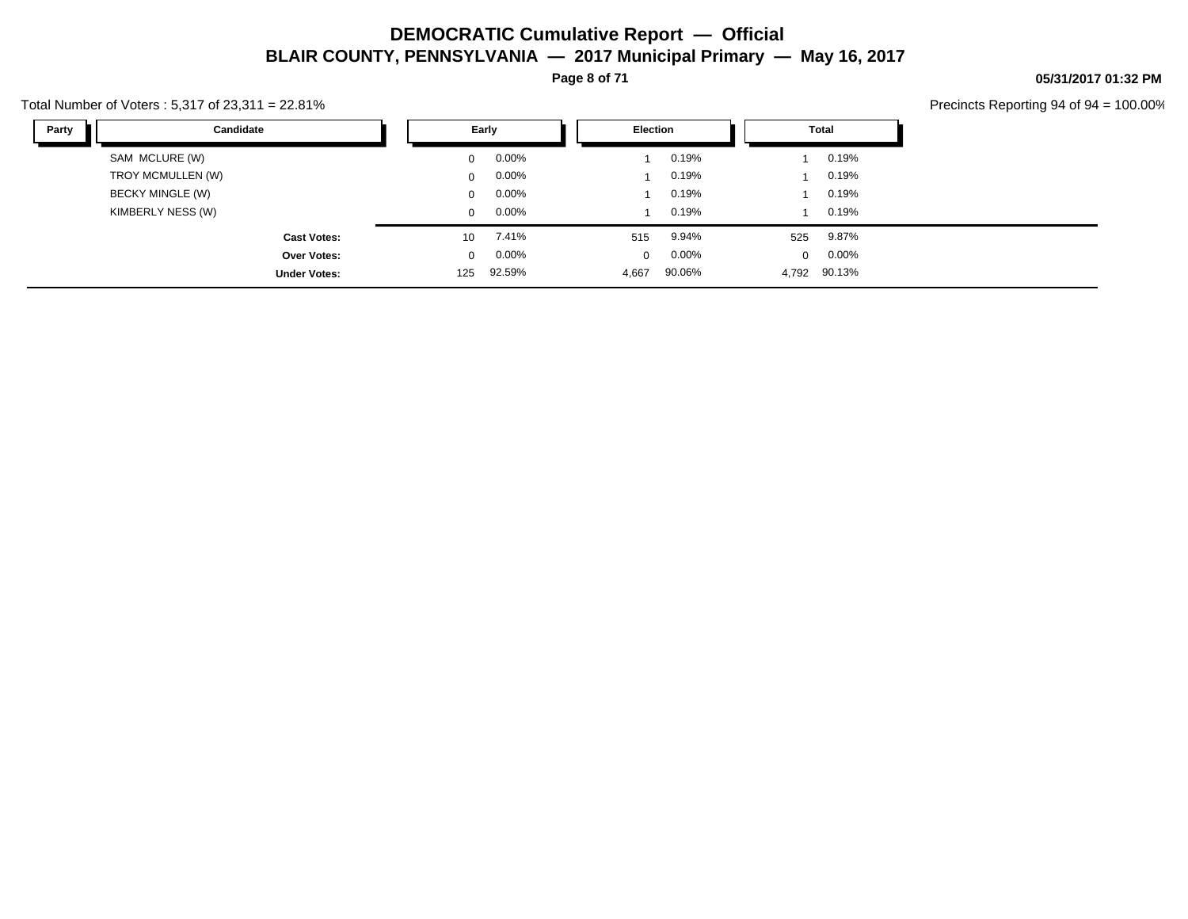**Page 8 of 71**

#### Total Number of Voters : 5,317 of 23,311 = 22.81%

Precincts Reporting 94 of 94 = 100.00%

**05/31/2017 01:32 PM**

| Party<br>Candidate      |                 | Early    | Election |          |              | Total    |  |
|-------------------------|-----------------|----------|----------|----------|--------------|----------|--|
| SAM MCLURE (W)          | $\mathbf{0}$    | $0.00\%$ |          | 0.19%    |              | 0.19%    |  |
| TROY MCMULLEN (W)       | $\mathbf{0}$    | $0.00\%$ |          | 0.19%    |              | 0.19%    |  |
| <b>BECKY MINGLE (W)</b> | $\mathbf{0}$    | $0.00\%$ |          | 0.19%    |              | 0.19%    |  |
| KIMBERLY NESS (W)       | $\Omega$        | $0.00\%$ |          | 0.19%    |              | 0.19%    |  |
| <b>Cast Votes:</b>      | 10 <sup>°</sup> | 7.41%    | 515      | 9.94%    | 525          | 9.87%    |  |
| Over Votes:             | $\mathbf{0}$    | $0.00\%$ | $\Omega$ | $0.00\%$ | $\mathbf{0}$ | $0.00\%$ |  |
| <b>Under Votes:</b>     | 125             | 92.59%   | 4,667    | 90.06%   | 4,792        | 90.13%   |  |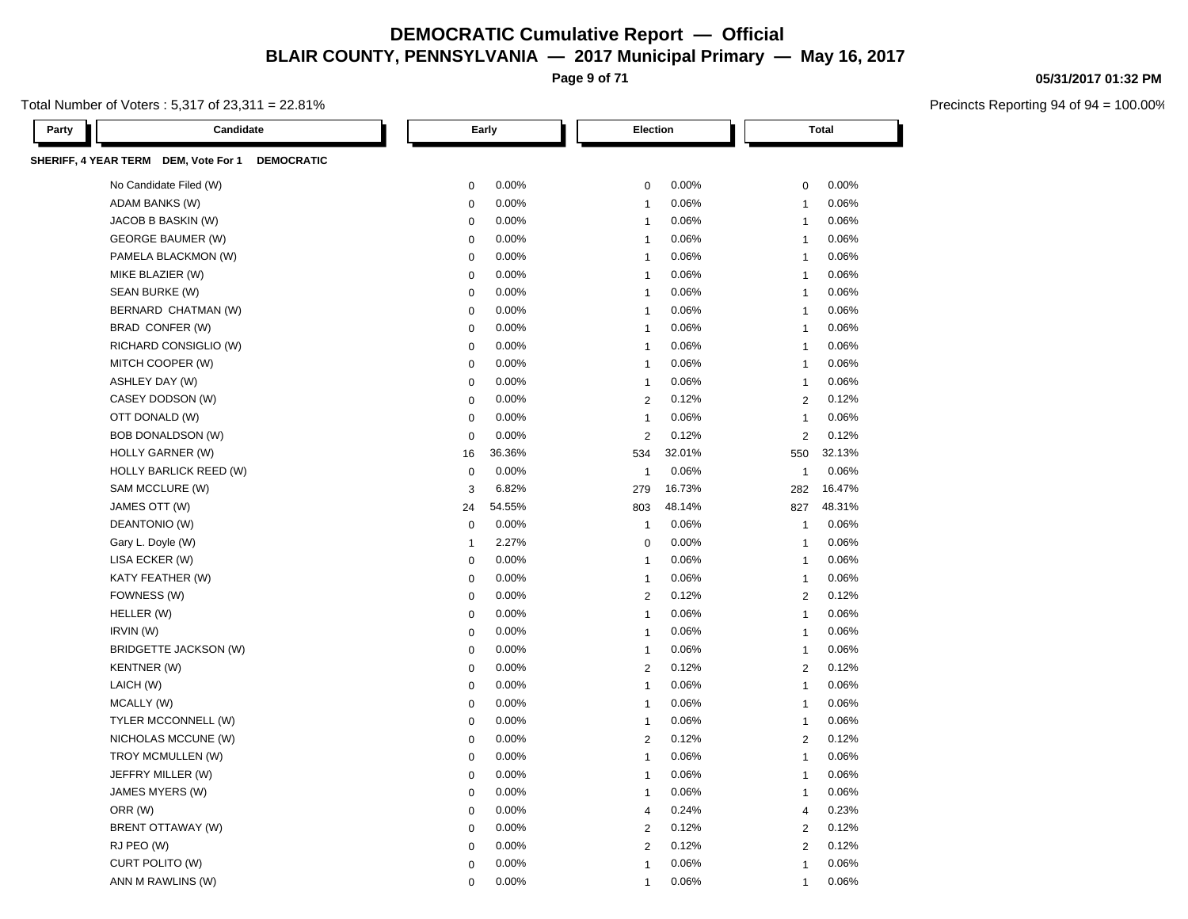**Page 9 of 71**

#### Total Number of Voters : 5,317 of 23,311 = 22.81%

Precincts Reporting 94 of 94 = 100.00%

**05/31/2017 01:32 PM**

| Candidate<br>Party                              |                | Early  | Election       |        |                         | <b>Total</b> |  |
|-------------------------------------------------|----------------|--------|----------------|--------|-------------------------|--------------|--|
| SHERIFF, 4 YEAR TERM DEM, Vote For 1 DEMOCRATIC |                |        |                |        |                         |              |  |
| No Candidate Filed (W)                          | $\pmb{0}$      | 0.00%  | $\mathbf 0$    | 0.00%  | 0                       | 0.00%        |  |
| ADAM BANKS (W)                                  | $\mathbf 0$    | 0.00%  | $\overline{1}$ | 0.06%  | $\overline{1}$          | 0.06%        |  |
| JACOB B BASKIN (W)                              | 0              | 0.00%  | 1              | 0.06%  | $\overline{1}$          | 0.06%        |  |
| <b>GEORGE BAUMER (W)</b>                        | 0              | 0.00%  | 1              | 0.06%  | 1                       | 0.06%        |  |
| PAMELA BLACKMON (W)                             | $\mathbf 0$    | 0.00%  | 1              | 0.06%  | 1                       | 0.06%        |  |
| MIKE BLAZIER (W)                                | $\mathbf 0$    | 0.00%  | 1              | 0.06%  | $\overline{\mathbf{1}}$ | 0.06%        |  |
| SEAN BURKE (W)                                  | $\mathbf 0$    | 0.00%  | 1              | 0.06%  | $\overline{\mathbf{1}}$ | 0.06%        |  |
| BERNARD CHATMAN (W)                             | $\mathbf 0$    | 0.00%  | 1              | 0.06%  | 1                       | 0.06%        |  |
| BRAD CONFER (W)                                 | $\mathbf 0$    | 0.00%  | $\overline{1}$ | 0.06%  | $\overline{1}$          | 0.06%        |  |
| RICHARD CONSIGLIO (W)                           | $\mathbf 0$    | 0.00%  | 1              | 0.06%  | $\overline{1}$          | 0.06%        |  |
| MITCH COOPER (W)                                | $\mathbf 0$    | 0.00%  | $\overline{1}$ | 0.06%  | $\overline{1}$          | 0.06%        |  |
| ASHLEY DAY (W)                                  | 0              | 0.00%  | $\overline{1}$ | 0.06%  | $\mathbf{1}$            | 0.06%        |  |
| CASEY DODSON (W)                                | $\mathbf 0$    | 0.00%  | $\overline{2}$ | 0.12%  | $\overline{2}$          | 0.12%        |  |
| OTT DONALD (W)                                  | $\mathbf 0$    | 0.00%  | $\overline{1}$ | 0.06%  | $\overline{1}$          | 0.06%        |  |
| <b>BOB DONALDSON (W)</b>                        | $\mathbf 0$    | 0.00%  | $\overline{2}$ | 0.12%  | $\overline{2}$          | 0.12%        |  |
| HOLLY GARNER (W)                                | 16             | 36.36% | 534            | 32.01% | 550                     | 32.13%       |  |
| <b>HOLLY BARLICK REED (W)</b>                   | $\mathbf 0$    | 0.00%  | $\overline{1}$ | 0.06%  | $\overline{1}$          | 0.06%        |  |
| SAM MCCLURE (W)                                 | 3              | 6.82%  | 279            | 16.73% | 282                     | 16.47%       |  |
| JAMES OTT (W)                                   | 24             | 54.55% | 803            | 48.14% | 827                     | 48.31%       |  |
| DEANTONIO (W)                                   | $\mathbf 0$    | 0.00%  | $\overline{1}$ | 0.06%  | $\overline{1}$          | 0.06%        |  |
| Gary L. Doyle (W)                               | $\overline{1}$ | 2.27%  | $\mathbf 0$    | 0.00%  | $\overline{1}$          | 0.06%        |  |
| LISA ECKER (W)                                  | $\mathbf 0$    | 0.00%  | $\overline{1}$ | 0.06%  | $\overline{1}$          | 0.06%        |  |
| KATY FEATHER (W)                                | $\pmb{0}$      | 0.00%  | $\overline{1}$ | 0.06%  | $\overline{1}$          | 0.06%        |  |
| FOWNESS (W)                                     | $\mathbf 0$    | 0.00%  | $\overline{2}$ | 0.12%  | 2                       | 0.12%        |  |
| HELLER (W)                                      | $\mathbf 0$    | 0.00%  | $\overline{1}$ | 0.06%  | $\overline{1}$          | 0.06%        |  |
| IRVIN (W)                                       | $\mathbf 0$    | 0.00%  | $\overline{1}$ | 0.06%  | $\overline{1}$          | 0.06%        |  |
| BRIDGETTE JACKSON (W)                           | $\pmb{0}$      | 0.00%  | $\overline{1}$ | 0.06%  | $\overline{1}$          | 0.06%        |  |
| KENTNER (W)                                     | $\mathbf 0$    | 0.00%  | $\sqrt{2}$     | 0.12%  | $\overline{c}$          | 0.12%        |  |
| LAICH (W)                                       | $\mathbf 0$    | 0.00%  | 1              | 0.06%  | $\overline{1}$          | 0.06%        |  |
| MCALLY (W)                                      | 0              | 0.00%  | $\mathbf{1}$   | 0.06%  | $\mathbf{1}$            | 0.06%        |  |
| TYLER MCCONNELL (W)                             | $\mathbf 0$    | 0.00%  | 1              | 0.06%  | $\overline{1}$          | 0.06%        |  |
| NICHOLAS MCCUNE (W)                             | $\mathbf 0$    | 0.00%  | $\sqrt{2}$     | 0.12%  | $\overline{c}$          | 0.12%        |  |
| TROY MCMULLEN (W)                               | $\mathbf 0$    | 0.00%  | $\overline{1}$ | 0.06%  | $\overline{\mathbf{1}}$ | 0.06%        |  |
| JEFFRY MILLER (W)                               | $\pmb{0}$      | 0.00%  | $\overline{1}$ | 0.06%  | $\overline{1}$          | 0.06%        |  |
| JAMES MYERS (W)                                 | $\mathbf 0$    | 0.00%  | $\overline{1}$ | 0.06%  | $\overline{1}$          | 0.06%        |  |
| ORR (W)                                         | $\mathbf 0$    | 0.00%  | 4              | 0.24%  | 4                       | 0.23%        |  |
| BRENT OTTAWAY (W)                               | $\mathbf 0$    | 0.00%  | $\overline{2}$ | 0.12%  | $\overline{2}$          | 0.12%        |  |
| RJ PEO (W)                                      | 0              | 0.00%  | $\overline{2}$ | 0.12%  | $\overline{2}$          | 0.12%        |  |
| CURT POLITO (W)                                 | 0              | 0.00%  | $\overline{1}$ | 0.06%  | $\overline{1}$          | 0.06%        |  |
| ANN M RAWLINS (W)                               | $\Omega$       | 0.00%  | 1              | 0.06%  | 1                       | 0.06%        |  |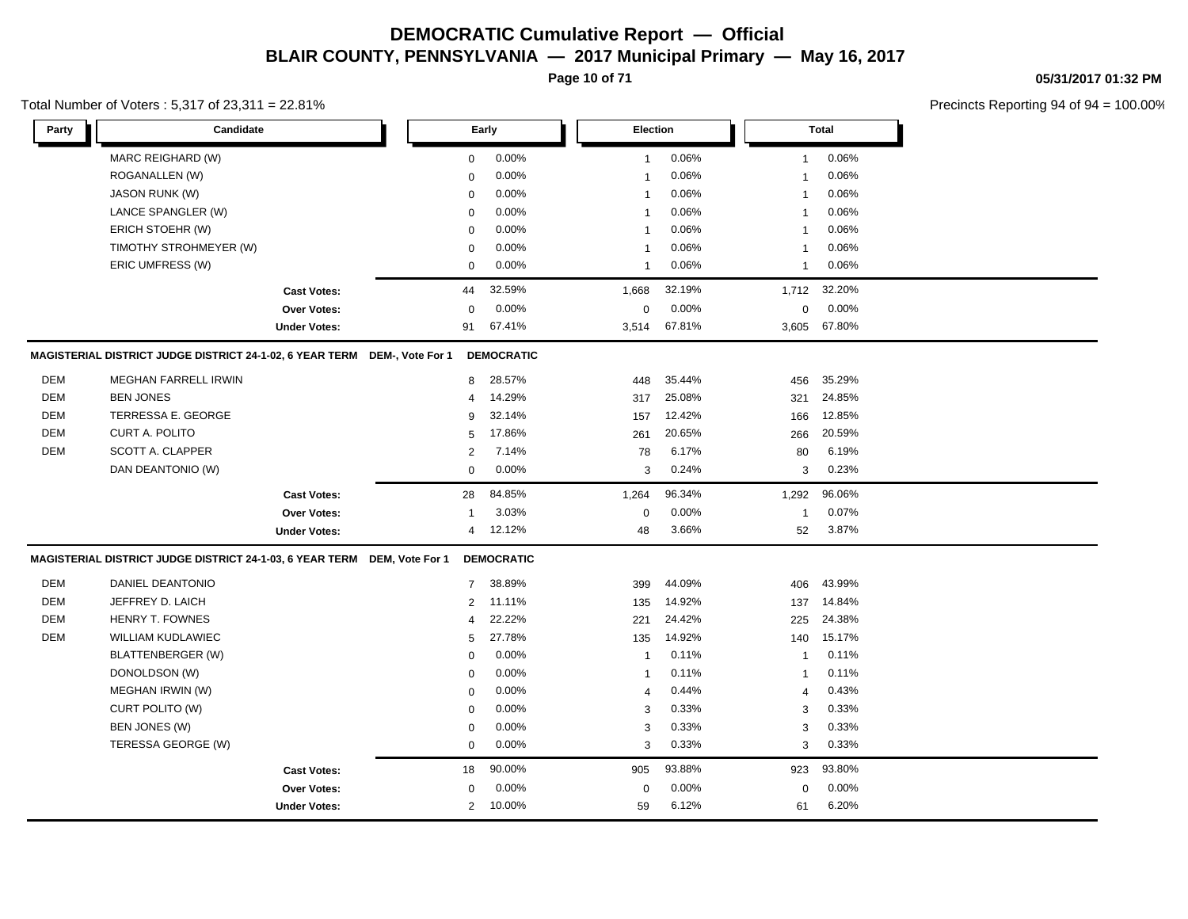**Page 10 of 71**

#### Total Number of Voters : 5,317 of 23,311 = 22.81%

**05/31/2017 01:32 PM**

| Party      | Candidate                                                                 |                     |                | Early             | Election       |        |              | Total  |  |
|------------|---------------------------------------------------------------------------|---------------------|----------------|-------------------|----------------|--------|--------------|--------|--|
|            | MARC REIGHARD (W)                                                         |                     | 0              | 0.00%             | $\mathbf{1}$   | 0.06%  | $\mathbf{1}$ | 0.06%  |  |
|            | ROGANALLEN (W)                                                            |                     | $\mathbf 0$    | 0.00%             | $\mathbf{1}$   | 0.06%  | $\mathbf{1}$ | 0.06%  |  |
|            | <b>JASON RUNK (W)</b>                                                     |                     | $\mathbf 0$    | 0.00%             | $\overline{1}$ | 0.06%  | $\mathbf{1}$ | 0.06%  |  |
|            | LANCE SPANGLER (W)                                                        |                     | $\mathbf 0$    | 0.00%             | $\mathbf{1}$   | 0.06%  | $\mathbf{1}$ | 0.06%  |  |
|            | ERICH STOEHR (W)                                                          |                     | $\mathbf 0$    | 0.00%             | $\mathbf{1}$   | 0.06%  | $\mathbf{1}$ | 0.06%  |  |
|            | TIMOTHY STROHMEYER (W)                                                    |                     | 0              | 0.00%             | $\overline{1}$ | 0.06%  | $\mathbf{1}$ | 0.06%  |  |
|            | ERIC UMFRESS (W)                                                          |                     | $\mathbf 0$    | 0.00%             | $\mathbf{1}$   | 0.06%  | $\mathbf{1}$ | 0.06%  |  |
|            |                                                                           | <b>Cast Votes:</b>  | 44             | 32.59%            | 1,668          | 32.19% | 1,712        | 32.20% |  |
|            |                                                                           | <b>Over Votes:</b>  | $\Omega$       | 0.00%             | $\mathbf 0$    | 0.00%  | 0            | 0.00%  |  |
|            |                                                                           | <b>Under Votes:</b> | 91             | 67.41%            | 3,514          | 67.81% | 3,605        | 67.80% |  |
|            | MAGISTERIAL DISTRICT JUDGE DISTRICT 24-1-02, 6 YEAR TERM DEM-, Vote For 1 |                     |                | <b>DEMOCRATIC</b> |                |        |              |        |  |
| <b>DEM</b> | <b>MEGHAN FARRELL IRWIN</b>                                               |                     | 8              | 28.57%            | 448            | 35.44% | 456          | 35.29% |  |
| <b>DEM</b> | <b>BEN JONES</b>                                                          |                     | $\overline{4}$ | 14.29%            | 317            | 25.08% | 321          | 24.85% |  |
| <b>DEM</b> | TERRESSA E. GEORGE                                                        |                     | 9              | 32.14%            | 157            | 12.42% | 166          | 12.85% |  |
| <b>DEM</b> | CURT A. POLITO                                                            |                     | 5              | 17.86%            | 261            | 20.65% | 266          | 20.59% |  |
| <b>DEM</b> | SCOTT A. CLAPPER                                                          |                     | $\overline{2}$ | 7.14%             | 78             | 6.17%  | 80           | 6.19%  |  |
|            | DAN DEANTONIO (W)                                                         |                     | $\mathsf 0$    | 0.00%             | 3              | 0.24%  | 3            | 0.23%  |  |
|            |                                                                           | <b>Cast Votes:</b>  | 28             | 84.85%            | 1,264          | 96.34% | 1,292        | 96.06% |  |
|            |                                                                           | Over Votes:         | $\overline{1}$ | 3.03%             | $\mathbf 0$    | 0.00%  | $\mathbf{1}$ | 0.07%  |  |
|            |                                                                           | <b>Under Votes:</b> | 4              | 12.12%            | 48             | 3.66%  | 52           | 3.87%  |  |
|            | MAGISTERIAL DISTRICT JUDGE DISTRICT 24-1-03, 6 YEAR TERM DEM, Vote For 1  |                     |                | <b>DEMOCRATIC</b> |                |        |              |        |  |
| <b>DEM</b> | <b>DANIEL DEANTONIO</b>                                                   |                     | $\overline{7}$ | 38.89%            | 399            | 44.09% | 406          | 43.99% |  |
| <b>DEM</b> | JEFFREY D. LAICH                                                          |                     | $\overline{2}$ | 11.11%            | 135            | 14.92% | 137          | 14.84% |  |
| <b>DEM</b> | HENRY T. FOWNES                                                           |                     | $\overline{4}$ | 22.22%            | 221            | 24.42% | 225          | 24.38% |  |
| <b>DEM</b> | <b>WILLIAM KUDLAWIEC</b>                                                  |                     | 5              | 27.78%            | 135            | 14.92% | 140          | 15.17% |  |
|            | <b>BLATTENBERGER (W)</b>                                                  |                     | $\Omega$       | 0.00%             | $\overline{1}$ | 0.11%  | $\mathbf{1}$ | 0.11%  |  |
|            | DONOLDSON (W)                                                             |                     | $\mathbf 0$    | 0.00%             | $\mathbf{1}$   | 0.11%  | $\mathbf{1}$ | 0.11%  |  |
|            | MEGHAN IRWIN (W)                                                          |                     | 0              | 0.00%             | 4              | 0.44%  | 4            | 0.43%  |  |
|            | CURT POLITO (W)                                                           |                     | $\mathbf 0$    | 0.00%             | 3              | 0.33%  | 3            | 0.33%  |  |
|            | BEN JONES (W)                                                             |                     | $\mathbf 0$    | 0.00%             | 3              | 0.33%  | 3            | 0.33%  |  |
|            | TERESSA GEORGE (W)                                                        |                     | $\mathbf 0$    | 0.00%             | 3              | 0.33%  | 3            | 0.33%  |  |
|            |                                                                           | <b>Cast Votes:</b>  | 18             | 90.00%            | 905            | 93.88% | 923          | 93.80% |  |
|            |                                                                           | Over Votes:         | 0              | 0.00%             | $\mathbf 0$    | 0.00%  | 0            | 0.00%  |  |
|            |                                                                           | <b>Under Votes:</b> | $\overline{2}$ | 10.00%            | 59             | 6.12%  | 61           | 6.20%  |  |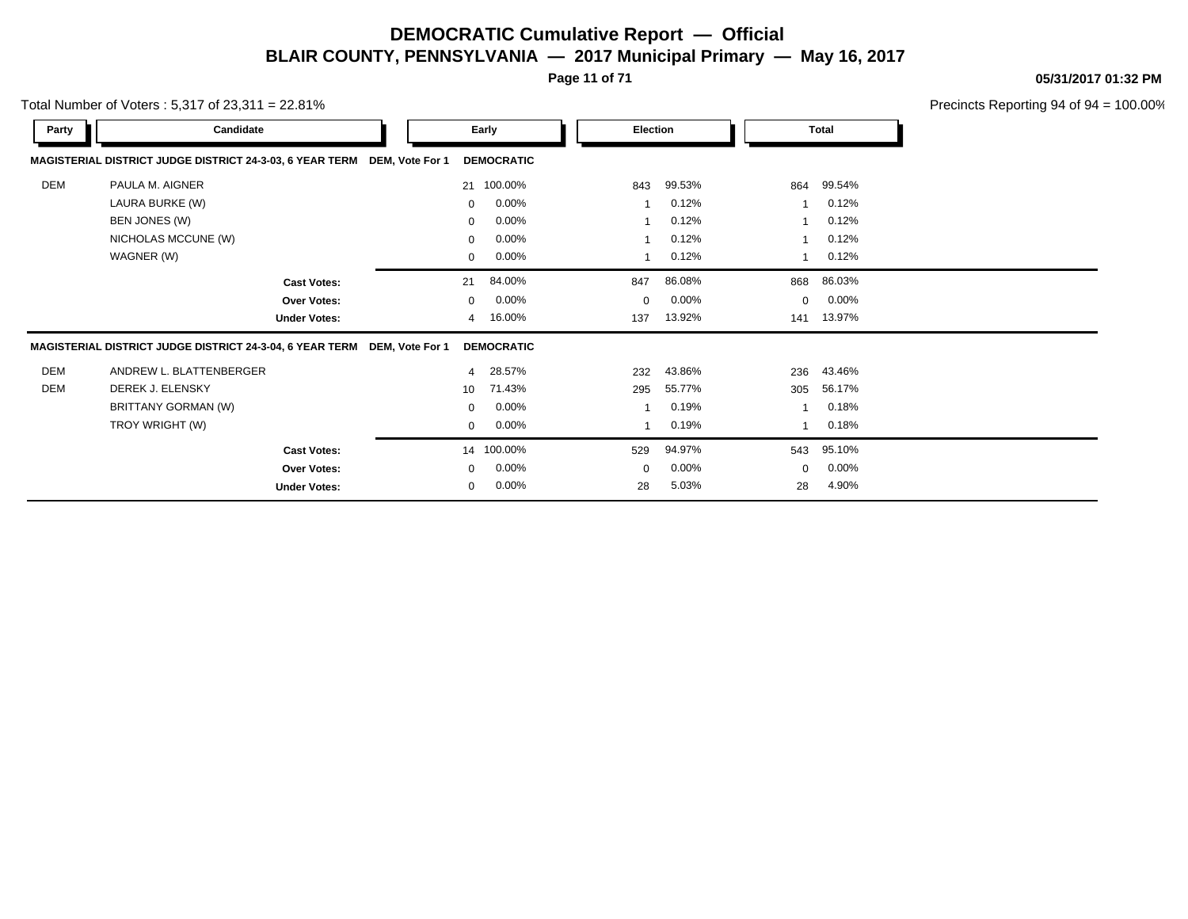**Page 11 of 71**

**05/31/2017 01:32 PM**

|            | Total Number of Voters: $5,317$ of $23,311 = 22.81\%$                    |    |                      |             |          |             |              | Precincts Reporting 94 of 94 |
|------------|--------------------------------------------------------------------------|----|----------------------|-------------|----------|-------------|--------------|------------------------------|
| Party      | Candidate                                                                |    | Early                | Election    |          |             | <b>Total</b> |                              |
|            | MAGISTERIAL DISTRICT JUDGE DISTRICT 24-3-03, 6 YEAR TERM DEM, Vote For 1 |    | <b>DEMOCRATIC</b>    |             |          |             |              |                              |
| DEM        | PAULA M. AIGNER                                                          |    | 21 100.00%           | 843         | 99.53%   | 864         | 99.54%       |                              |
|            | LAURA BURKE (W)                                                          |    | 0.00%<br>$\mathbf 0$ |             | 0.12%    |             | 0.12%        |                              |
|            | BEN JONES (W)                                                            |    | 0.00%<br>$\mathbf 0$ |             | 0.12%    |             | 0.12%        |                              |
|            | NICHOLAS MCCUNE (W)                                                      |    | 0.00%<br>$\mathbf 0$ |             | 0.12%    |             | 0.12%        |                              |
|            | WAGNER (W)                                                               |    | $0.00\%$<br>0        |             | 0.12%    |             | 0.12%        |                              |
|            | <b>Cast Votes:</b>                                                       | 21 | 84.00%               | 847         | 86.08%   | 868         | 86.03%       |                              |
|            | Over Votes:                                                              |    | 0.00%<br>$\Omega$    | $\mathbf 0$ | 0.00%    | 0           | 0.00%        |                              |
|            | <b>Under Votes:</b>                                                      |    | 16.00%<br>4          | 137         | 13.92%   | 141         | 13.97%       |                              |
|            | MAGISTERIAL DISTRICT JUDGE DISTRICT 24-3-04, 6 YEAR TERM DEM, Vote For 1 |    | <b>DEMOCRATIC</b>    |             |          |             |              |                              |
| <b>DEM</b> | ANDREW L. BLATTENBERGER                                                  |    | 28.57%<br>4          | 232         | 43.86%   | 236         | 43.46%       |                              |
| DEM        | DEREK J. ELENSKY                                                         | 10 | 71.43%               | 295         | 55.77%   | 305         | 56.17%       |                              |
|            | BRITTANY GORMAN (W)                                                      |    | 0.00%<br>0           |             | 0.19%    |             | 0.18%        |                              |
|            | TROY WRIGHT (W)                                                          |    | 0<br>$0.00\%$        |             | 0.19%    |             | 0.18%        |                              |
|            | <b>Cast Votes:</b>                                                       |    | 100.00%<br>14        | 529         | 94.97%   | 543         | 95.10%       |                              |
|            | <b>Over Votes:</b>                                                       |    | 0.00%<br>$\mathbf 0$ | $\mathbf 0$ | $0.00\%$ | $\mathbf 0$ | 0.00%        |                              |
|            | <b>Under Votes:</b>                                                      |    | 0.00%<br>0           | 28          | 5.03%    | 28          | 4.90%        |                              |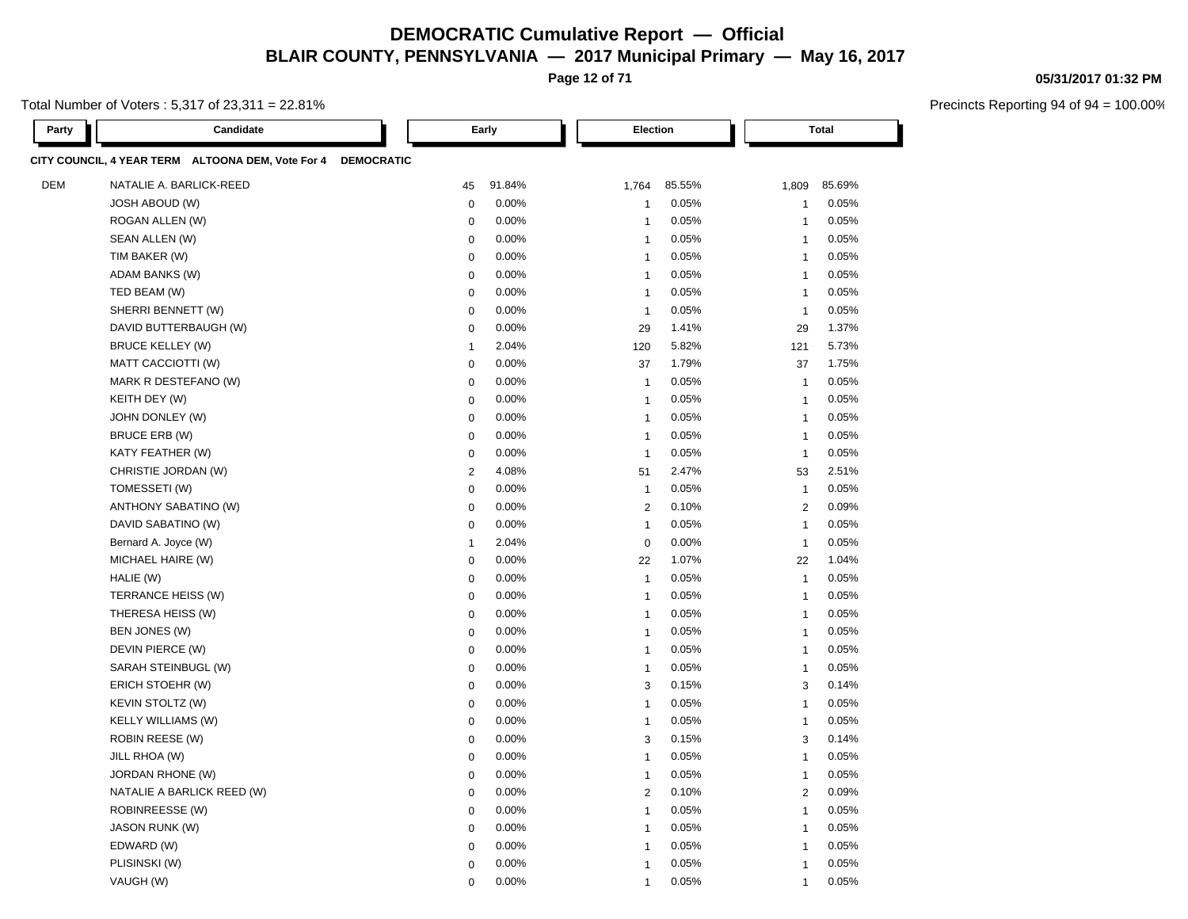**Page 12 of 71**

Total Number of Voters : 5,317 of 23,311 = 22.81%

| Party      | Candidate                                                    | Early            |        |                | Election       |        |                | <b>Total</b> |  |  |
|------------|--------------------------------------------------------------|------------------|--------|----------------|----------------|--------|----------------|--------------|--|--|
|            | CITY COUNCIL, 4 YEAR TERM ALTOONA DEM, Vote For 4 DEMOCRATIC |                  |        |                |                |        |                |              |  |  |
| <b>DEM</b> | NATALIE A. BARLICK-REED                                      | 45               | 91.84% | 1,764          |                | 85.55% | 1,809          | 85.69%       |  |  |
|            | <b>JOSH ABOUD (W)</b>                                        | $\mathbf 0$      | 0.00%  | $\overline{1}$ |                | 0.05%  | $\overline{1}$ | 0.05%        |  |  |
|            | ROGAN ALLEN (W)                                              | $\mathbf 0$      | 0.00%  | $\overline{1}$ |                | 0.05%  | $\overline{1}$ | 0.05%        |  |  |
|            | SEAN ALLEN (W)                                               | $\mathbf 0$      | 0.00%  | $\overline{1}$ |                | 0.05%  | 1              | 0.05%        |  |  |
|            | TIM BAKER (W)                                                | $\mathbf 0$      | 0.00%  | $\overline{1}$ |                | 0.05%  | $\overline{1}$ | 0.05%        |  |  |
|            | ADAM BANKS (W)                                               | $\mathbf 0$      | 0.00%  |                | $\mathbf{1}$   | 0.05%  | $\overline{1}$ | 0.05%        |  |  |
|            | TED BEAM (W)                                                 | $\mathbf 0$      | 0.00%  |                | $\mathbf{1}$   | 0.05%  | $\overline{1}$ | 0.05%        |  |  |
|            | SHERRI BENNETT (W)                                           | $\pmb{0}$        | 0.00%  |                | $\mathbf{1}$   | 0.05%  | $\overline{1}$ | 0.05%        |  |  |
|            | DAVID BUTTERBAUGH (W)                                        | $\boldsymbol{0}$ | 0.00%  | 29             |                | 1.41%  | 29             | 1.37%        |  |  |
|            | <b>BRUCE KELLEY (W)</b>                                      | $\mathbf{1}$     | 2.04%  | 120            |                | 5.82%  | 121            | 5.73%        |  |  |
|            | MATT CACCIOTTI (W)                                           | $\pmb{0}$        | 0.00%  | 37             |                | 1.79%  | 37             | 1.75%        |  |  |
|            | MARK R DESTEFANO (W)                                         | $\mathbf 0$      | 0.00%  |                | $\overline{1}$ | 0.05%  | $\overline{1}$ | 0.05%        |  |  |
|            | KEITH DEY (W)                                                | $\mathbf 0$      | 0.00%  | $\overline{1}$ |                | 0.05%  | $\overline{1}$ | 0.05%        |  |  |
|            | JOHN DONLEY (W)                                              | $\mathbf 0$      | 0.00%  |                | $\overline{1}$ | 0.05%  | $\overline{1}$ | 0.05%        |  |  |
|            | BRUCE ERB (W)                                                | $\mathbf 0$      | 0.00%  | $\overline{1}$ |                | 0.05%  | $\overline{1}$ | 0.05%        |  |  |
|            | KATY FEATHER (W)                                             | $\mathbf 0$      | 0.00%  | $\overline{1}$ |                | 0.05%  | $\overline{1}$ | 0.05%        |  |  |
|            | CHRISTIE JORDAN (W)                                          | $\overline{2}$   | 4.08%  | 51             |                | 2.47%  | 53             | 2.51%        |  |  |
|            | TOMESSETI (W)                                                | $\mathbf 0$      | 0.00%  |                | $\overline{1}$ | 0.05%  | $\overline{1}$ | 0.05%        |  |  |
|            | ANTHONY SABATINO (W)                                         | $\Omega$         | 0.00%  |                | $\overline{2}$ | 0.10%  | 2              | 0.09%        |  |  |
|            | DAVID SABATINO (W)                                           | $\mathbf 0$      | 0.00%  |                | $\mathbf{1}$   | 0.05%  | $\overline{1}$ | 0.05%        |  |  |
|            | Bernard A. Joyce (W)                                         | $\mathbf{1}$     | 2.04%  |                | $\mathbf 0$    | 0.00%  | $\overline{1}$ | 0.05%        |  |  |
|            | MICHAEL HAIRE (W)                                            | $\mathbf 0$      | 0.00%  | 22             |                | 1.07%  | 22             | 1.04%        |  |  |
|            | HALIE (W)                                                    | $\mathbf 0$      | 0.00%  |                | $\mathbf{1}$   | 0.05%  | $\mathbf{1}$   | 0.05%        |  |  |
|            | TERRANCE HEISS (W)                                           | $\mathbf 0$      | 0.00%  | $\overline{1}$ |                | 0.05%  | $\mathbf{1}$   | 0.05%        |  |  |
|            | THERESA HEISS (W)                                            | $\mathbf 0$      | 0.00%  |                | $\overline{1}$ | 0.05%  | $\mathbf{1}$   | 0.05%        |  |  |
|            | BEN JONES (W)                                                | $\mathbf 0$      | 0.00%  |                | $\mathbf{1}$   | 0.05%  | $\overline{1}$ | 0.05%        |  |  |
|            | DEVIN PIERCE (W)                                             | $\mathbf 0$      | 0.00%  |                | $\overline{1}$ | 0.05%  | $\overline{1}$ | 0.05%        |  |  |
|            | SARAH STEINBUGL (W)                                          | $\mathbf 0$      | 0.00%  | $\overline{1}$ |                | 0.05%  | $\mathbf{1}$   | 0.05%        |  |  |
|            | ERICH STOEHR (W)                                             | $\mathbf 0$      | 0.00%  |                | 3              | 0.15%  | 3              | 0.14%        |  |  |
|            | KEVIN STOLTZ (W)                                             | $\mathbf 0$      | 0.00%  |                | $\mathbf{1}$   | 0.05%  | $\mathbf{1}$   | 0.05%        |  |  |
|            | <b>KELLY WILLIAMS (W)</b>                                    | $\pmb{0}$        | 0.00%  |                | $\mathbf{1}$   | 0.05%  | $\overline{1}$ | 0.05%        |  |  |
|            | ROBIN REESE (W)                                              | $\boldsymbol{0}$ | 0.00%  |                | 3              | 0.15%  | 3              | 0.14%        |  |  |
|            | JILL RHOA (W)                                                | $\pmb{0}$        | 0.00%  |                | $\overline{1}$ | 0.05%  | $\overline{1}$ | 0.05%        |  |  |
|            | <b>JORDAN RHONE (W)</b>                                      | $\Omega$         | 0.00%  | $\overline{1}$ |                | 0.05%  | $\overline{1}$ | 0.05%        |  |  |
|            | NATALIE A BARLICK REED (W)                                   | $\mathbf 0$      | 0.00%  |                | $\overline{2}$ | 0.10%  | 2              | 0.09%        |  |  |
|            | ROBINREESSE (W)                                              | $\mathbf 0$      | 0.00%  | $\overline{1}$ |                | 0.05%  | $\mathbf{1}$   | 0.05%        |  |  |
|            | <b>JASON RUNK (W)</b>                                        | $\mathbf 0$      | 0.00%  |                | $\overline{1}$ | 0.05%  | $\overline{1}$ | 0.05%        |  |  |
|            | EDWARD (W)                                                   | $\Omega$         | 0.00%  | $\overline{1}$ |                | 0.05%  | $\overline{1}$ | 0.05%        |  |  |
|            | PLISINSKI (W)                                                | $\Omega$         | 0.00%  | $\overline{1}$ |                | 0.05%  | $\overline{1}$ | 0.05%        |  |  |
|            | VAUGH (W)                                                    | $\Omega$         | 0.00%  | $\overline{1}$ |                | 0.05%  | $\overline{1}$ | 0.05%        |  |  |

#### **05/31/2017 01:32 PM**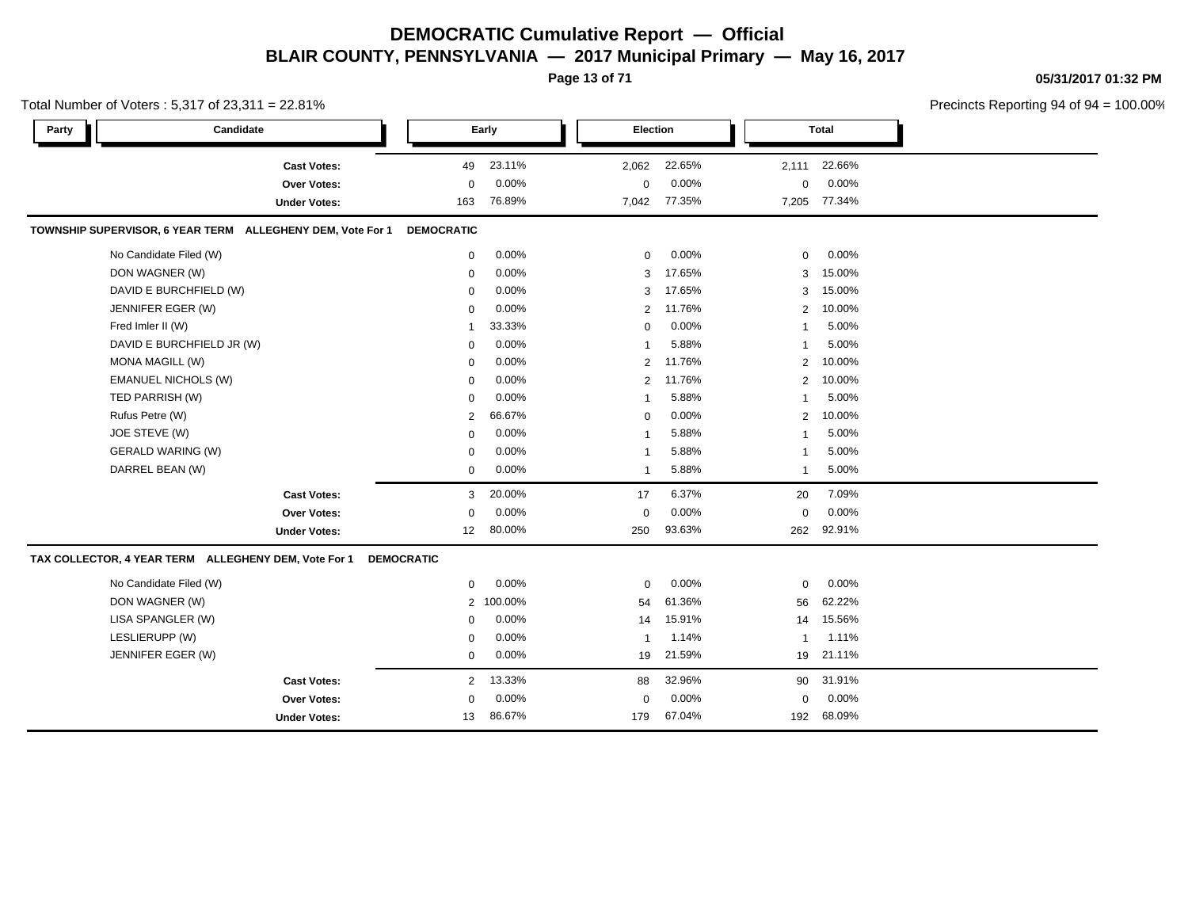**Page 13 of 71**

**05/31/2017 01:32 PM**

|       | Total Number of Voters: 5,317 of 23,311 = 22.81%           |                     |                   |          |                |          |                |              | Precincts Reporting 94 of 94 = 100.00% |
|-------|------------------------------------------------------------|---------------------|-------------------|----------|----------------|----------|----------------|--------------|----------------------------------------|
| Party | Candidate                                                  |                     |                   | Early    | Election       |          |                | <b>Total</b> |                                        |
|       |                                                            | <b>Cast Votes:</b>  | 49                | 23.11%   | 2,062          | 22.65%   | 2,111          | 22.66%       |                                        |
|       |                                                            | Over Votes:         | $\mathbf 0$       | 0.00%    | $\Omega$       | 0.00%    | 0              | 0.00%        |                                        |
|       |                                                            | <b>Under Votes:</b> | 163               | 76.89%   | 7,042          | 77.35%   | 7,205          | 77.34%       |                                        |
|       | TOWNSHIP SUPERVISOR, 6 YEAR TERM ALLEGHENY DEM, Vote For 1 |                     | <b>DEMOCRATIC</b> |          |                |          |                |              |                                        |
|       | No Candidate Filed (W)                                     |                     | $\mathbf 0$       | 0.00%    | $\mathbf 0$    | $0.00\%$ | 0              | 0.00%        |                                        |
|       | DON WAGNER (W)                                             |                     | $\mathbf 0$       | 0.00%    | 3              | 17.65%   | 3              | 15.00%       |                                        |
|       | DAVID E BURCHFIELD (W)                                     |                     | $\Omega$          | 0.00%    | 3              | 17.65%   | 3              | 15.00%       |                                        |
|       | JENNIFER EGER (W)                                          |                     | $\Omega$          | 0.00%    | $\overline{2}$ | 11.76%   | 2              | 10.00%       |                                        |
|       | Fred Imler II (W)                                          |                     | $\mathbf{1}$      | 33.33%   | 0              | 0.00%    | 1              | 5.00%        |                                        |
|       | DAVID E BURCHFIELD JR (W)                                  |                     | $\mathbf 0$       | 0.00%    | $\overline{1}$ | 5.88%    | 1              | 5.00%        |                                        |
|       | MONA MAGILL (W)                                            |                     | $\Omega$          | 0.00%    | $\overline{2}$ | 11.76%   | $\overline{2}$ | 10.00%       |                                        |
|       | <b>EMANUEL NICHOLS (W)</b>                                 |                     | $\mathbf 0$       | 0.00%    | $\overline{2}$ | 11.76%   | $\overline{2}$ | 10.00%       |                                        |
|       | TED PARRISH (W)                                            |                     | $\mathbf 0$       | 0.00%    | -1             | 5.88%    | 1              | 5.00%        |                                        |
|       | Rufus Petre (W)                                            |                     | $\overline{2}$    | 66.67%   | 0              | 0.00%    | $\overline{2}$ | 10.00%       |                                        |
|       | JOE STEVE (W)                                              |                     | $\Omega$          | 0.00%    | -1             | 5.88%    | 1              | 5.00%        |                                        |
|       | <b>GERALD WARING (W)</b>                                   |                     | $\mathbf 0$       | $0.00\%$ | -1             | 5.88%    | 1              | 5.00%        |                                        |
|       | DARREL BEAN (W)                                            |                     | $\mathbf 0$       | 0.00%    | $\overline{1}$ | 5.88%    | 1              | 5.00%        |                                        |
|       |                                                            | <b>Cast Votes:</b>  | 3                 | 20.00%   | 17             | 6.37%    | 20             | 7.09%        |                                        |
|       |                                                            | Over Votes:         | $\mathbf 0$       | 0.00%    | $\mathbf 0$    | 0.00%    | 0              | 0.00%        |                                        |
|       |                                                            | <b>Under Votes:</b> | 12 <sup>2</sup>   | 80.00%   | 250            | 93.63%   | 262            | 92.91%       |                                        |
|       | TAX COLLECTOR, 4 YEAR TERM ALLEGHENY DEM, Vote For 1       |                     | <b>DEMOCRATIC</b> |          |                |          |                |              |                                        |
|       | No Candidate Filed (W)                                     |                     | $\mathbf 0$       | 0.00%    | $\mathbf 0$    | 0.00%    | 0              | 0.00%        |                                        |
|       | DON WAGNER (W)                                             |                     | $\overline{2}$    | 100.00%  | 54             | 61.36%   | 56             | 62.22%       |                                        |
|       | LISA SPANGLER (W)                                          |                     | $\mathbf 0$       | 0.00%    | 14             | 15.91%   |                | 14 15.56%    |                                        |
|       | LESLIERUPP (W)                                             |                     | $\mathbf 0$       | 0.00%    | $\mathbf{1}$   | 1.14%    | $\mathbf{1}$   | 1.11%        |                                        |
|       | JENNIFER EGER (W)                                          |                     | 0                 | 0.00%    | 19             | 21.59%   |                | 19 21.11%    |                                        |
|       |                                                            | <b>Cast Votes:</b>  | 2                 | 13.33%   | 88             | 32.96%   | 90             | 31.91%       |                                        |
|       |                                                            | Over Votes:         | $\mathbf 0$       | 0.00%    | $\Omega$       | 0.00%    | 0              | 0.00%        |                                        |
|       |                                                            | <b>Under Votes:</b> | 13                | 86.67%   | 179            | 67.04%   | 192            | 68.09%       |                                        |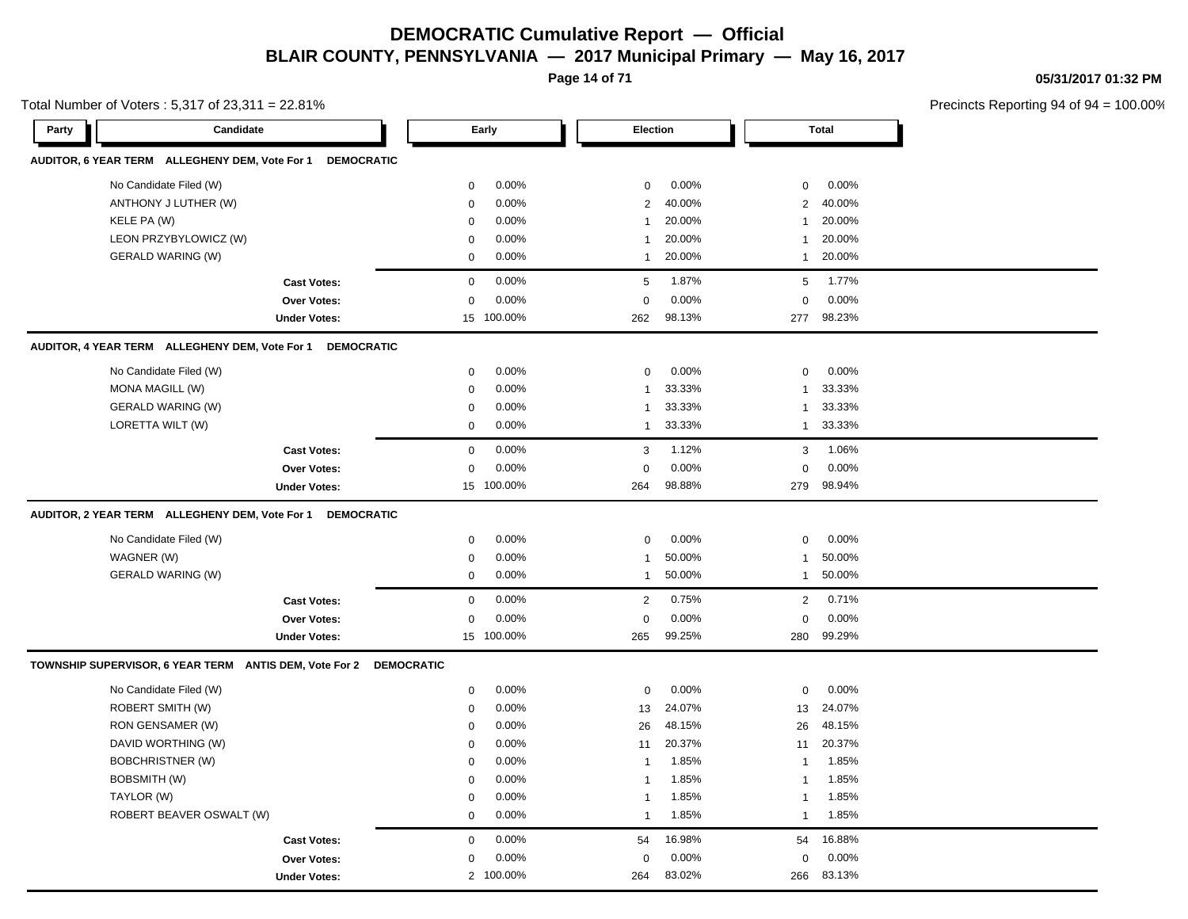**Page 14 of 71**

**05/31/2017 01:32 PM**

|       | Total Number of Voters: 5,317 of 23,311 = 22.81%          |                     |                   |            |                |        |              |              | Precincts Reporting 94 of 94 |
|-------|-----------------------------------------------------------|---------------------|-------------------|------------|----------------|--------|--------------|--------------|------------------------------|
| Party | Candidate                                                 |                     |                   | Early      | Election       |        |              | <b>Total</b> |                              |
|       | AUDITOR, 6 YEAR TERM ALLEGHENY DEM, Vote For 1 DEMOCRATIC |                     |                   |            |                |        |              |              |                              |
|       | No Candidate Filed (W)                                    |                     | $\mathbf 0$       | 0.00%      | $\mathbf 0$    | 0.00%  | $\mathbf 0$  | 0.00%        |                              |
|       | ANTHONY J LUTHER (W)                                      |                     | $\mathbf 0$       | 0.00%      | 2              | 40.00% | 2            | 40.00%       |                              |
|       | KELE PA (W)                                               |                     | $\mathbf 0$       | 0.00%      | $\mathbf{1}$   | 20.00% | $\mathbf{1}$ | 20.00%       |                              |
|       | LEON PRZYBYLOWICZ (W)                                     |                     | $\mathbf 0$       | 0.00%      | $\overline{1}$ | 20.00% | $\mathbf{1}$ | 20.00%       |                              |
|       | <b>GERALD WARING (W)</b>                                  |                     | $\mathbf 0$       | 0.00%      | $\mathbf{1}$   | 20.00% | $\mathbf{1}$ | 20.00%       |                              |
|       |                                                           | <b>Cast Votes:</b>  | $\mathbf 0$       | 0.00%      | 5              | 1.87%  | 5            | 1.77%        |                              |
|       |                                                           | Over Votes:         | $\mathbf 0$       | 0.00%      | $\mathbf 0$    | 0.00%  | $\mathbf 0$  | 0.00%        |                              |
|       |                                                           | <b>Under Votes:</b> |                   | 15 100.00% | 262            | 98.13% | 277          | 98.23%       |                              |
|       | AUDITOR, 4 YEAR TERM ALLEGHENY DEM, Vote For 1 DEMOCRATIC |                     |                   |            |                |        |              |              |                              |
|       | No Candidate Filed (W)                                    |                     | $\mathbf 0$       | 0.00%      | $\mathbf 0$    | 0.00%  | $\mathbf 0$  | 0.00%        |                              |
|       | MONA MAGILL (W)                                           |                     | 0                 | 0.00%      | -1             | 33.33% | 1            | 33.33%       |                              |
|       | <b>GERALD WARING (W)</b>                                  |                     | $\mathbf 0$       | 0.00%      | $\mathbf{1}$   | 33.33% | 1            | 33.33%       |                              |
|       | LORETTA WILT (W)                                          |                     | 0                 | 0.00%      | $\mathbf{1}$   | 33.33% | $\mathbf{1}$ | 33.33%       |                              |
|       |                                                           | <b>Cast Votes:</b>  | $\mathbf 0$       | 0.00%      | 3              | 1.12%  | 3            | 1.06%        |                              |
|       |                                                           | Over Votes:         | $\mathbf 0$       | 0.00%      | $\mathbf 0$    | 0.00%  | $\Omega$     | 0.00%        |                              |
|       |                                                           | <b>Under Votes:</b> |                   | 15 100.00% | 264            | 98.88% | 279          | 98.94%       |                              |
|       | AUDITOR, 2 YEAR TERM ALLEGHENY DEM, Vote For 1 DEMOCRATIC |                     |                   |            |                |        |              |              |                              |
|       | No Candidate Filed (W)                                    |                     | $\mathbf 0$       | 0.00%      | $\mathbf 0$    | 0.00%  | $\mathbf 0$  | 0.00%        |                              |
|       | WAGNER (W)                                                |                     | $\mathbf 0$       | 0.00%      | $\mathbf{1}$   | 50.00% | -1           | 50.00%       |                              |
|       | <b>GERALD WARING (W)</b>                                  |                     | $\mathbf 0$       | 0.00%      | $\mathbf{1}$   | 50.00% | $\mathbf{1}$ | 50.00%       |                              |
|       |                                                           | <b>Cast Votes:</b>  | $\mathbf 0$       | 0.00%      | 2              | 0.75%  | 2            | 0.71%        |                              |
|       |                                                           | <b>Over Votes:</b>  | $\mathbf 0$       | 0.00%      | $\mathbf 0$    | 0.00%  | $\mathbf 0$  | 0.00%        |                              |
|       |                                                           | <b>Under Votes:</b> |                   | 15 100.00% | 265            | 99.25% | 280          | 99.29%       |                              |
|       | TOWNSHIP SUPERVISOR, 6 YEAR TERM ANTIS DEM, Vote For 2    |                     | <b>DEMOCRATIC</b> |            |                |        |              |              |                              |
|       | No Candidate Filed (W)                                    |                     | 0                 | 0.00%      | 0              | 0.00%  | 0            | 0.00%        |                              |
|       | ROBERT SMITH (W)                                          |                     | $\mathbf 0$       | 0.00%      | 13             | 24.07% | 13           | 24.07%       |                              |
|       | RON GENSAMER (W)                                          |                     | 0                 | 0.00%      | 26             | 48.15% | 26           | 48.15%       |                              |
|       | DAVID WORTHING (W)                                        |                     | $\mathbf 0$       | 0.00%      | 11             | 20.37% | 11           | 20.37%       |                              |
|       | <b>BOBCHRISTNER (W)</b>                                   |                     | $\mathbf 0$       | 0.00%      | $\mathbf{1}$   | 1.85%  | $\mathbf{1}$ | 1.85%        |                              |
|       | BOBSMITH (W)                                              |                     | 0                 | 0.00%      | -1             | 1.85%  | $\mathbf 1$  | 1.85%        |                              |
|       | TAYLOR (W)                                                |                     | $\mathbf 0$       | 0.00%      | $\mathbf{1}$   | 1.85%  | $\mathbf{1}$ | 1.85%        |                              |
|       | ROBERT BEAVER OSWALT (W)                                  |                     | $\mathbf 0$       | 0.00%      | $\overline{1}$ | 1.85%  | $\mathbf{1}$ | 1.85%        |                              |
|       |                                                           | <b>Cast Votes:</b>  | $\mathbf 0$       | 0.00%      | 54             | 16.98% | 54           | 16.88%       |                              |
|       |                                                           | Over Votes:         | 0                 | 0.00%      | $\mathbf 0$    | 0.00%  | 0            | 0.00%        |                              |
|       |                                                           | <b>Under Votes:</b> | $\overline{2}$    | 100.00%    | 264            | 83.02% | 266          | 83.13%       |                              |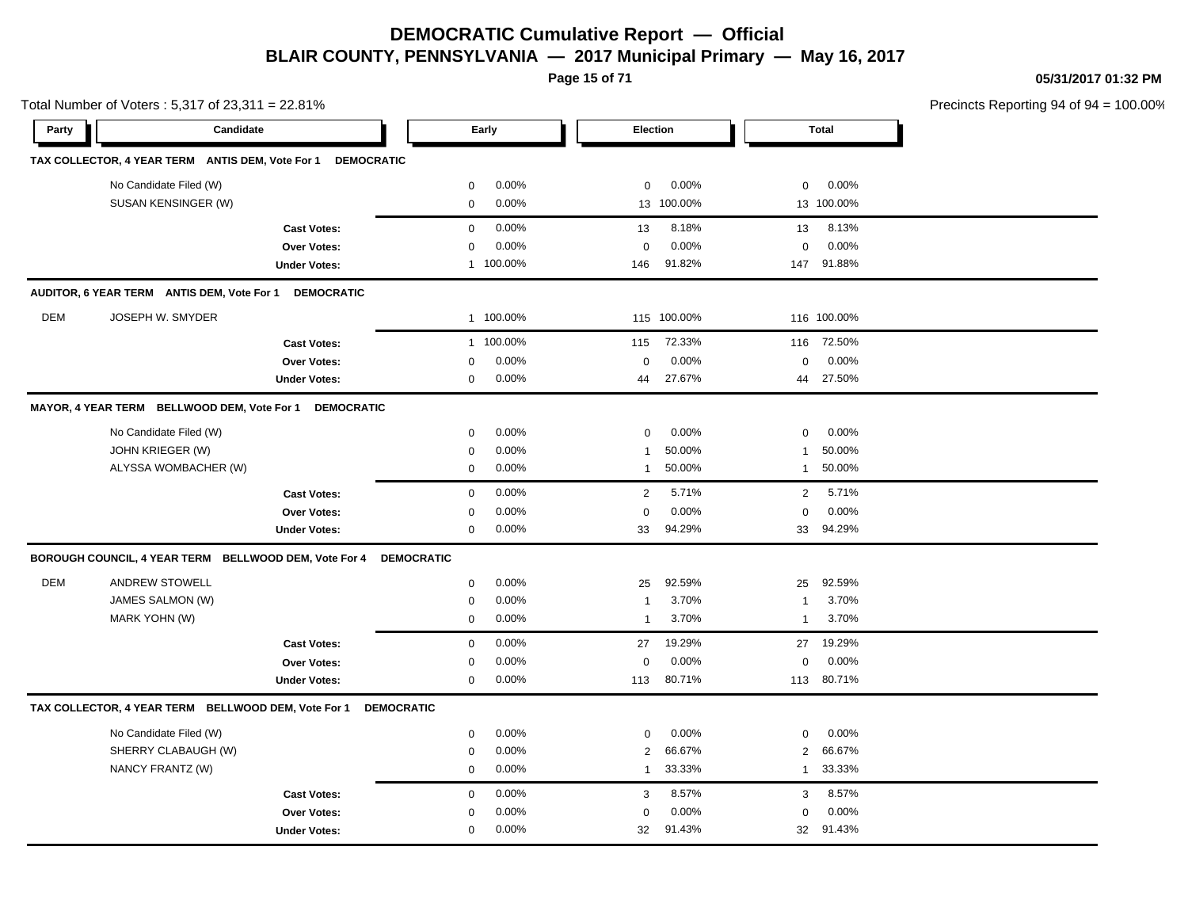**Page 15 of 71**

**05/31/2017 01:32 PM**

|            | Total Number of Voters: 5,317 of 23,311 = 22.81%      |                     |             |           |                |             |                | Precincts Reporting 94 of 94 |  |
|------------|-------------------------------------------------------|---------------------|-------------|-----------|----------------|-------------|----------------|------------------------------|--|
| Party      | Candidate                                             |                     |             | Early     |                | Election    |                | <b>Total</b>                 |  |
|            | TAX COLLECTOR, 4 YEAR TERM ANTIS DEM, Vote For 1      | <b>DEMOCRATIC</b>   |             |           |                |             |                |                              |  |
|            | No Candidate Filed (W)                                |                     | 0           | 0.00%     | $\mathbf 0$    | 0.00%       | $\mathbf 0$    | 0.00%                        |  |
|            | SUSAN KENSINGER (W)                                   |                     | $\mathbf 0$ | 0.00%     |                | 13 100.00%  |                | 13 100.00%                   |  |
|            |                                                       | <b>Cast Votes:</b>  | $\mathbf 0$ | 0.00%     | 13             | 8.18%       | 13             | 8.13%                        |  |
|            |                                                       | Over Votes:         | $\mathbf 0$ | 0.00%     | 0              | 0.00%       | $\mathbf 0$    | 0.00%                        |  |
|            |                                                       | <b>Under Votes:</b> |             | 1 100.00% | 146            | 91.82%      |                | 147 91.88%                   |  |
|            | AUDITOR, 6 YEAR TERM ANTIS DEM, Vote For 1            | <b>DEMOCRATIC</b>   |             |           |                |             |                |                              |  |
| <b>DEM</b> | JOSEPH W. SMYDER                                      |                     |             | 1 100.00% |                | 115 100.00% |                | 116 100.00%                  |  |
|            |                                                       | <b>Cast Votes:</b>  |             | 1 100.00% | 115            | 72.33%      | 116            | 72.50%                       |  |
|            |                                                       | Over Votes:         | $\mathbf 0$ | 0.00%     | 0              | 0.00%       | $\pmb{0}$      | 0.00%                        |  |
|            |                                                       | <b>Under Votes:</b> | $\mathbf 0$ | 0.00%     | 44             | 27.67%      |                | 44 27.50%                    |  |
|            | MAYOR, 4 YEAR TERM BELLWOOD DEM, Vote For 1           | <b>DEMOCRATIC</b>   |             |           |                |             |                |                              |  |
|            | No Candidate Filed (W)                                |                     | $\mathbf 0$ | 0.00%     | $\mathbf 0$    | 0.00%       | $\mathbf 0$    | 0.00%                        |  |
|            | JOHN KRIEGER (W)                                      |                     | $\mathbf 0$ | 0.00%     | $\mathbf{1}$   | 50.00%      | 1              | 50.00%                       |  |
|            | ALYSSA WOMBACHER (W)                                  |                     | $\mathbf 0$ | 0.00%     | $\mathbf{1}$   | 50.00%      | $\mathbf{1}$   | 50.00%                       |  |
|            |                                                       | <b>Cast Votes:</b>  | $\mathbf 0$ | 0.00%     | $\overline{2}$ | 5.71%       | $\overline{2}$ | 5.71%                        |  |
|            |                                                       | Over Votes:         | $\mathbf 0$ | 0.00%     | $\mathsf 0$    | 0.00%       | $\mathbf 0$    | 0.00%                        |  |
|            |                                                       | <b>Under Votes:</b> | $\mathbf 0$ | 0.00%     | 33             | 94.29%      |                | 33 94.29%                    |  |
|            | BOROUGH COUNCIL, 4 YEAR TERM BELLWOOD DEM, Vote For 4 | <b>DEMOCRATIC</b>   |             |           |                |             |                |                              |  |
| <b>DEM</b> | <b>ANDREW STOWELL</b>                                 |                     | $\mathbf 0$ | 0.00%     | 25             | 92.59%      | 25             | 92.59%                       |  |
|            | <b>JAMES SALMON (W)</b>                               |                     | $\mathbf 0$ | 0.00%     | -1             | 3.70%       | 1              | 3.70%                        |  |
|            | MARK YOHN (W)                                         |                     | $\mathbf 0$ | $0.00\%$  | $\mathbf{1}$   | 3.70%       | $\mathbf{1}$   | 3.70%                        |  |
|            |                                                       | <b>Cast Votes:</b>  | $\mathbf 0$ | 0.00%     | 27             | 19.29%      | 27             | 19.29%                       |  |
|            |                                                       | <b>Over Votes:</b>  | $\mathbf 0$ | 0.00%     | $\mathbf 0$    | 0.00%       | $\mathbf 0$    | 0.00%                        |  |
|            |                                                       | <b>Under Votes:</b> | $\mathbf 0$ | 0.00%     | 113            | 80.71%      | 113            | 80.71%                       |  |
|            | TAX COLLECTOR, 4 YEAR TERM BELLWOOD DEM, Vote For 1   | <b>DEMOCRATIC</b>   |             |           |                |             |                |                              |  |
|            | No Candidate Filed (W)                                |                     | $\mathbf 0$ | 0.00%     | $\mathbf 0$    | 0.00%       | $\mathbf 0$    | 0.00%                        |  |
|            | SHERRY CLABAUGH (W)                                   |                     | $\mathbf 0$ | $0.00\%$  | $\overline{2}$ | 66.67%      | $\overline{2}$ | 66.67%                       |  |
|            | NANCY FRANTZ (W)                                      |                     | $\mathbf 0$ | 0.00%     | $\mathbf{1}$   | 33.33%      | $\mathbf{1}$   | 33.33%                       |  |
|            |                                                       | <b>Cast Votes:</b>  | $\mathbf 0$ | 0.00%     | 3              | 8.57%       | 3              | 8.57%                        |  |
|            |                                                       | <b>Over Votes:</b>  | 0           | 0.00%     | $\mathbf 0$    | 0.00%       | $\mathbf 0$    | 0.00%                        |  |
|            |                                                       | <b>Under Votes:</b> | $\mathbf 0$ | 0.00%     | 32             | 91.43%      |                | 32 91.43%                    |  |
|            |                                                       |                     |             |           |                |             |                |                              |  |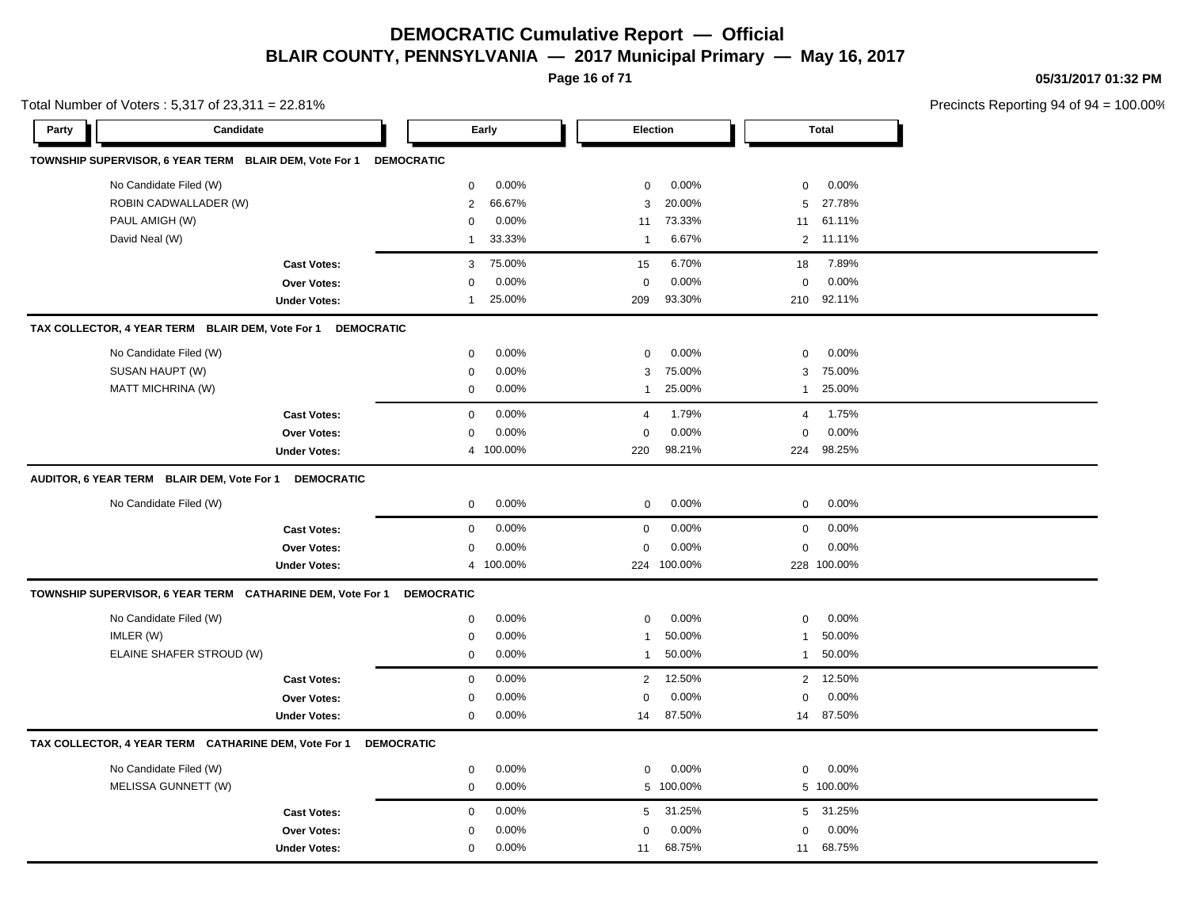**Page 16 of 71**

**05/31/2017 01:32 PM**

|       | Total Number of Voters: 5,317 of 23,311 = 22.81%           |                     |                   |           |                |             |                |              | Precincts Reporting 94 of 9 |
|-------|------------------------------------------------------------|---------------------|-------------------|-----------|----------------|-------------|----------------|--------------|-----------------------------|
| Party | Candidate                                                  |                     |                   | Early     | Election       |             |                | <b>Total</b> |                             |
|       | TOWNSHIP SUPERVISOR, 6 YEAR TERM BLAIR DEM, Vote For 1     |                     | <b>DEMOCRATIC</b> |           |                |             |                |              |                             |
|       | No Candidate Filed (W)                                     |                     | 0                 | 0.00%     | $\mathbf 0$    | 0.00%       | $\mathbf 0$    | 0.00%        |                             |
|       | ROBIN CADWALLADER (W)                                      |                     | $\overline{2}$    | 66.67%    | 3              | 20.00%      | 5              | 27.78%       |                             |
|       | PAUL AMIGH (W)                                             |                     | $\mathbf 0$       | 0.00%     | 11             | 73.33%      | 11             | 61.11%       |                             |
|       | David Neal (W)                                             |                     | $\overline{1}$    | 33.33%    | $\overline{1}$ | 6.67%       | $\overline{2}$ | 11.11%       |                             |
|       |                                                            | <b>Cast Votes:</b>  | 3                 | 75.00%    | 15             | 6.70%       | 18             | 7.89%        |                             |
|       |                                                            | Over Votes:         | $\Omega$          | 0.00%     | $\mathbf 0$    | 0.00%       | $\mathbf 0$    | 0.00%        |                             |
|       |                                                            | <b>Under Votes:</b> | $\mathbf{1}$      | 25.00%    | 209            | 93.30%      | 210            | 92.11%       |                             |
|       | TAX COLLECTOR, 4 YEAR TERM BLAIR DEM, Vote For 1           | <b>DEMOCRATIC</b>   |                   |           |                |             |                |              |                             |
|       | No Candidate Filed (W)                                     |                     | $\mathbf 0$       | 0.00%     | $\mathbf 0$    | 0.00%       | $\mathbf 0$    | 0.00%        |                             |
|       | SUSAN HAUPT (W)                                            |                     | $\mathbf 0$       | 0.00%     | 3              | 75.00%      | 3              | 75.00%       |                             |
|       | <b>MATT MICHRINA (W)</b>                                   |                     | $\mathbf 0$       | 0.00%     | $\overline{1}$ | 25.00%      | 1              | 25.00%       |                             |
|       |                                                            | <b>Cast Votes:</b>  | $\mathbf 0$       | 0.00%     | $\overline{4}$ | 1.79%       | $\overline{4}$ | 1.75%        |                             |
|       |                                                            | Over Votes:         | 0                 | 0.00%     | $\mathbf 0$    | 0.00%       | $\mathbf 0$    | 0.00%        |                             |
|       |                                                            | <b>Under Votes:</b> | $\overline{4}$    | 100.00%   | 220            | 98.21%      | 224            | 98.25%       |                             |
|       | AUDITOR, 6 YEAR TERM BLAIR DEM, Vote For 1                 | <b>DEMOCRATIC</b>   |                   |           |                |             |                |              |                             |
|       | No Candidate Filed (W)                                     |                     | $\mathbf 0$       | 0.00%     | $\mathbf 0$    | 0.00%       | 0              | 0.00%        |                             |
|       |                                                            | <b>Cast Votes:</b>  | $\mathbf 0$       | 0.00%     | 0              | 0.00%       | 0              | 0.00%        |                             |
|       |                                                            | Over Votes:         | $\mathbf 0$       | 0.00%     | $\Omega$       | 0.00%       | $\mathbf 0$    | 0.00%        |                             |
|       |                                                            | <b>Under Votes:</b> |                   | 4 100.00% |                | 224 100.00% |                | 228 100.00%  |                             |
|       | TOWNSHIP SUPERVISOR, 6 YEAR TERM CATHARINE DEM, Vote For 1 |                     | <b>DEMOCRATIC</b> |           |                |             |                |              |                             |
|       | No Candidate Filed (W)                                     |                     | $\mathbf 0$       | 0.00%     | $\mathbf 0$    | 0.00%       | $\mathbf 0$    | 0.00%        |                             |
|       | IMLER (W)                                                  |                     | $\mathbf 0$       | 0.00%     | $\overline{1}$ | 50.00%      | $\mathbf{1}$   | 50.00%       |                             |
|       | ELAINE SHAFER STROUD (W)                                   |                     | $\mathbf 0$       | 0.00%     | $\overline{1}$ | 50.00%      | $\mathbf{1}$   | 50.00%       |                             |
|       |                                                            | <b>Cast Votes:</b>  | $\mathbf 0$       | 0.00%     | 2              | 12.50%      |                | 2 12.50%     |                             |
|       |                                                            | Over Votes:         | 0                 | 0.00%     | $\mathbf 0$    | 0.00%       | $\mathbf 0$    | 0.00%        |                             |
|       |                                                            | <b>Under Votes:</b> | $\mathbf 0$       | 0.00%     | 14             | 87.50%      | 14             | 87.50%       |                             |
|       | TAX COLLECTOR, 4 YEAR TERM CATHARINE DEM, Vote For 1       |                     | <b>DEMOCRATIC</b> |           |                |             |                |              |                             |
|       | No Candidate Filed (W)                                     |                     | $\mathbf 0$       | 0.00%     | $\mathbf 0$    | 0.00%       | $\mathbf 0$    | 0.00%        |                             |
|       | MELISSA GUNNETT (W)                                        |                     | $\mathbf 0$       | 0.00%     |                | 5 100.00%   |                | 5 100.00%    |                             |
|       |                                                            | <b>Cast Votes:</b>  | $\mathbf 0$       | 0.00%     | 5              | 31.25%      |                | 5 31.25%     |                             |
|       |                                                            | Over Votes:         | $\mathbf 0$       | 0.00%     | $\Omega$       | 0.00%       | $\Omega$       | 0.00%        |                             |
|       |                                                            | <b>Under Votes:</b> | 0                 | 0.00%     | 11             | 68.75%      | 11             | 68.75%       |                             |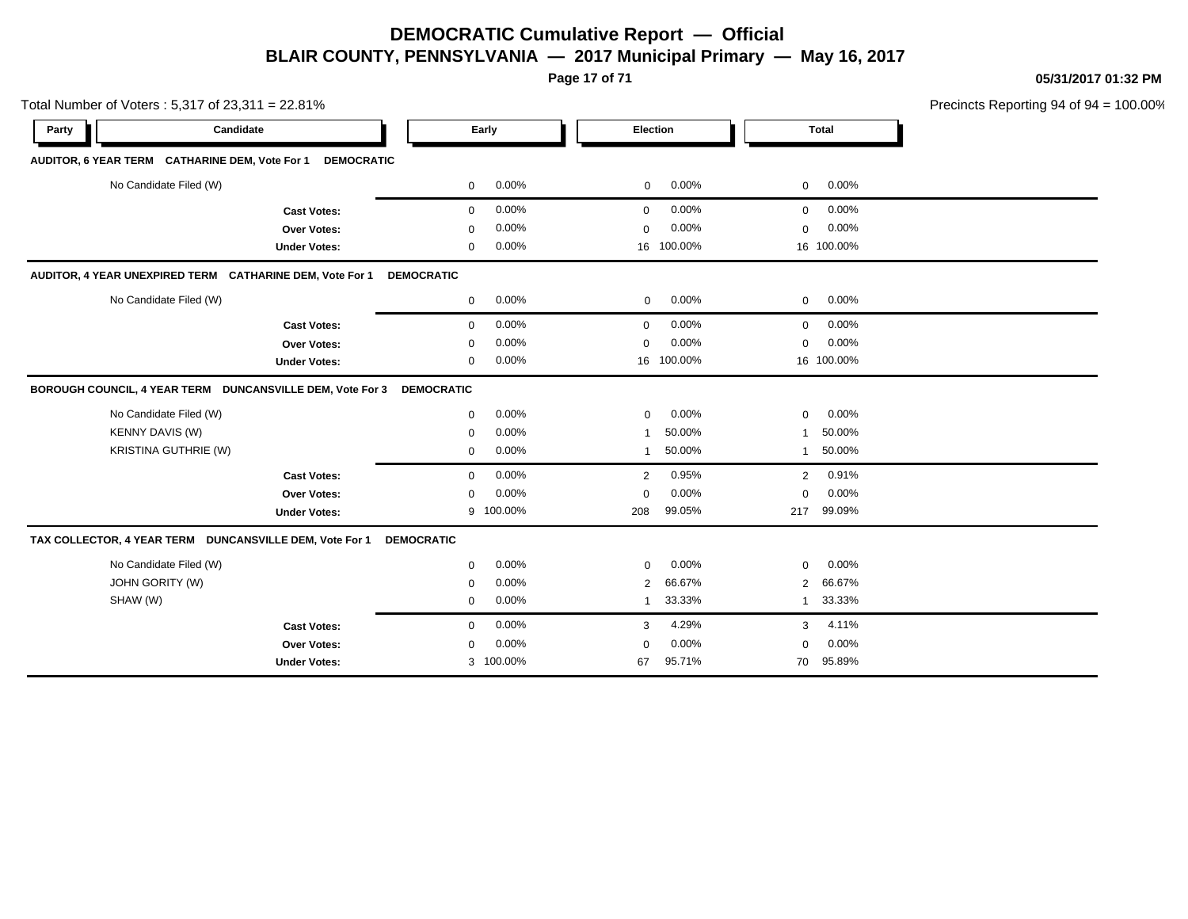**Page 17 of 71**

**05/31/2017 01:32 PM**

| Precincts Reporting 94 of $94 = 100.00\%$ |
|-------------------------------------------|

| Total Number of Voters: 5,317 of 23,311 = 22.81%          |                     |                   |          |                |                 |                | Precincts Reporting 94 of 94 |  |
|-----------------------------------------------------------|---------------------|-------------------|----------|----------------|-----------------|----------------|------------------------------|--|
| Candidate<br>Party                                        |                     |                   | Early    |                | <b>Election</b> |                | <b>Total</b>                 |  |
| AUDITOR, 6 YEAR TERM CATHARINE DEM, Vote For 1            | <b>DEMOCRATIC</b>   |                   |          |                |                 |                |                              |  |
| No Candidate Filed (W)                                    |                     | 0                 | 0.00%    | 0              | 0.00%           | 0              | 0.00%                        |  |
|                                                           | <b>Cast Votes:</b>  | $\mathbf 0$       | 0.00%    | $\mathbf 0$    | 0.00%           | 0              | 0.00%                        |  |
|                                                           | Over Votes:         | $\mathbf 0$       | 0.00%    | 0              | 0.00%           | 0              | 0.00%                        |  |
|                                                           | <b>Under Votes:</b> | $\mathbf 0$       | 0.00%    | 16             | 100.00%         |                | 16 100.00%                   |  |
| AUDITOR, 4 YEAR UNEXPIRED TERM CATHARINE DEM, Vote For 1  |                     | <b>DEMOCRATIC</b> |          |                |                 |                |                              |  |
| No Candidate Filed (W)                                    |                     | $\mathbf 0$       | 0.00%    | $\mathbf 0$    | 0.00%           | 0              | 0.00%                        |  |
|                                                           | <b>Cast Votes:</b>  | $\mathbf 0$       | 0.00%    | $\mathbf 0$    | 0.00%           | $\mathbf 0$    | 0.00%                        |  |
|                                                           | Over Votes:         | $\mathbf 0$       | 0.00%    | 0              | 0.00%           | $\mathbf 0$    | 0.00%                        |  |
|                                                           | <b>Under Votes:</b> | $\mathbf 0$       | 0.00%    | 16             | 100.00%         |                | 16 100.00%                   |  |
| BOROUGH COUNCIL, 4 YEAR TERM DUNCANSVILLE DEM, Vote For 3 |                     | <b>DEMOCRATIC</b> |          |                |                 |                |                              |  |
| No Candidate Filed (W)                                    |                     | $\mathbf 0$       | $0.00\%$ | $\mathbf 0$    | 0.00%           | $\mathbf 0$    | 0.00%                        |  |
| KENNY DAVIS (W)                                           |                     | $\mathbf 0$       | 0.00%    | 1              | 50.00%          | 1              | 50.00%                       |  |
| <b>KRISTINA GUTHRIE (W)</b>                               |                     | 0                 | 0.00%    | 1              | 50.00%          | 1              | 50.00%                       |  |
|                                                           | <b>Cast Votes:</b>  | $\mathbf 0$       | 0.00%    | 2              | 0.95%           | $\overline{2}$ | 0.91%                        |  |
|                                                           | Over Votes:         | $\Omega$          | 0.00%    | $\Omega$       | 0.00%           | $\mathbf 0$    | 0.00%                        |  |
|                                                           | <b>Under Votes:</b> | 9                 | 100.00%  | 208            | 99.05%          | 217            | 99.09%                       |  |
| TAX COLLECTOR, 4 YEAR TERM DUNCANSVILLE DEM, Vote For 1   |                     | <b>DEMOCRATIC</b> |          |                |                 |                |                              |  |
| No Candidate Filed (W)                                    |                     | $\mathbf 0$       | 0.00%    | $\mathbf 0$    | 0.00%           | 0              | 0.00%                        |  |
| <b>JOHN GORITY (W)</b>                                    |                     | $\mathbf 0$       | 0.00%    | $\overline{2}$ | 66.67%          | 2              | 66.67%                       |  |
| SHAW (W)                                                  |                     | 0                 | 0.00%    | $\mathbf{1}$   | 33.33%          | $\mathbf{1}$   | 33.33%                       |  |
|                                                           | <b>Cast Votes:</b>  | $\mathbf 0$       | 0.00%    | 3              | 4.29%           | 3              | 4.11%                        |  |
|                                                           | Over Votes:         | $\Omega$          | 0.00%    | $\Omega$       | 0.00%           | $\mathbf 0$    | 0.00%                        |  |
|                                                           | <b>Under Votes:</b> | 3                 | 100.00%  | 67             | 95.71%          | 70             | 95.89%                       |  |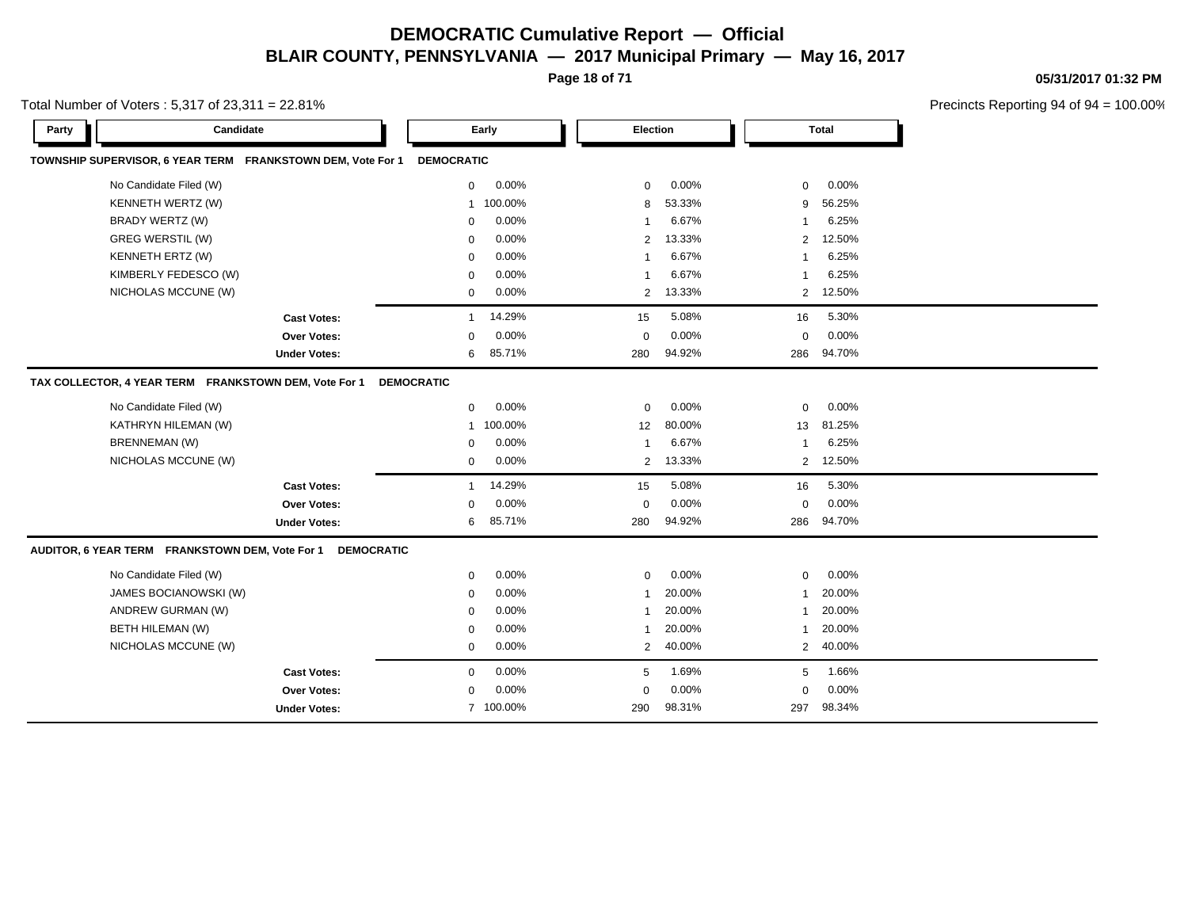**Page 18 of 71**

**05/31/2017 01:32 PM**

| Total Number of Voters : 5,317 of 23,311 = 22.81% |  |
|---------------------------------------------------|--|
|---------------------------------------------------|--|

| Candidate<br>Party                                                   | Early                   | Election                 | <b>Total</b>             |  |
|----------------------------------------------------------------------|-------------------------|--------------------------|--------------------------|--|
| TOWNSHIP SUPERVISOR, 6 YEAR TERM FRANKSTOWN DEM, Vote For 1          | <b>DEMOCRATIC</b>       |                          |                          |  |
| No Candidate Filed (W)                                               | 0.00%<br>$\mathbf 0$    | 0.00%<br>$\mathbf 0$     | 0.00%<br>$\mathbf 0$     |  |
| KENNETH WERTZ (W)                                                    | 100.00%<br>$\mathbf{1}$ | 53.33%<br>8              | 56.25%<br>9              |  |
| BRADY WERTZ (W)                                                      | 0.00%<br>0              | 6.67%<br>$\mathbf{1}$    | 6.25%<br>$\mathbf 1$     |  |
| <b>GREG WERSTIL (W)</b>                                              | 0.00%<br>$\mathbf 0$    | 13.33%<br>2              | 12.50%<br>2              |  |
| <b>KENNETH ERTZ (W)</b>                                              | 0.00%<br>$\mathbf 0$    | 6.67%<br>-1              | 6.25%                    |  |
| KIMBERLY FEDESCO (W)                                                 | 0.00%<br>0              | 6.67%<br>-1              | 6.25%                    |  |
| NICHOLAS MCCUNE (W)                                                  | 0.00%<br>$\mathbf 0$    | 13.33%<br>$\overline{2}$ | 2 12.50%                 |  |
| <b>Cast Votes:</b>                                                   | 14.29%<br>$\mathbf{1}$  | 5.08%<br>15              | 5.30%<br>16              |  |
| <b>Over Votes:</b>                                                   | 0.00%<br>$\mathbf 0$    | 0.00%<br>$\mathbf 0$     | 0.00%<br>$\mathbf 0$     |  |
| <b>Under Votes:</b>                                                  | 85.71%<br>6             | 94.92%<br>280            | 94.70%<br>286            |  |
| TAX COLLECTOR, 4 YEAR TERM FRANKSTOWN DEM, Vote For 1                | <b>DEMOCRATIC</b>       |                          |                          |  |
| No Candidate Filed (W)                                               | 0.00%<br>$\mathbf 0$    | 0.00%<br>$\mathbf 0$     | $\mathbf 0$<br>0.00%     |  |
| KATHRYN HILEMAN (W)                                                  | 100.00%<br>$\mathbf{1}$ | 80.00%<br>12             | 81.25%<br>13             |  |
| <b>BRENNEMAN (W)</b>                                                 | 0.00%<br>$\mathbf 0$    | 6.67%<br>$\mathbf{1}$    | 6.25%<br>-1              |  |
| NICHOLAS MCCUNE (W)                                                  | 0.00%<br>$\mathbf{0}$   | 13.33%<br>$\overline{2}$ | 12.50%<br>$\overline{2}$ |  |
| <b>Cast Votes:</b>                                                   | 14.29%<br>$\mathbf{1}$  | 5.08%<br>15              | 5.30%<br>16              |  |
| <b>Over Votes:</b>                                                   | 0.00%<br>0              | 0.00%<br>0               | 0.00%<br>0               |  |
| <b>Under Votes:</b>                                                  | 85.71%<br>6             | 94.92%<br>280            | 94.70%<br>286            |  |
| AUDITOR, 6 YEAR TERM FRANKSTOWN DEM, Vote For 1<br><b>DEMOCRATIC</b> |                         |                          |                          |  |
| No Candidate Filed (W)                                               | 0.00%<br>$\mathbf 0$    | 0.00%<br>$\mathbf 0$     | 0.00%<br>$\mathbf 0$     |  |
| JAMES BOCIANOWSKI (W)                                                | 0.00%<br>$\mathbf 0$    | 20.00%<br>$\mathbf{1}$   | 20.00%<br>$\mathbf 1$    |  |
| ANDREW GURMAN (W)                                                    | 0.00%<br>0              | 20.00%<br>$\mathbf{1}$   | 20.00%<br>$\mathbf 1$    |  |
| BETH HILEMAN (W)                                                     | 0.00%<br>$\mathbf 0$    | 20.00%<br>-1             | 20.00%<br>-1             |  |
| NICHOLAS MCCUNE (W)                                                  | 0.00%<br>0              | 2<br>40.00%              | 40.00%<br>$\overline{2}$ |  |
| <b>Cast Votes:</b>                                                   | 0.00%<br>0              | 1.69%<br>5               | 1.66%<br>5               |  |
| <b>Over Votes:</b>                                                   | 0.00%<br>$\Omega$       | 0.00%<br>$\Omega$        | 0.00%<br>$\Omega$        |  |
| <b>Under Votes:</b>                                                  | 7 100.00%               | 290<br>98.31%            | 98.34%<br>297            |  |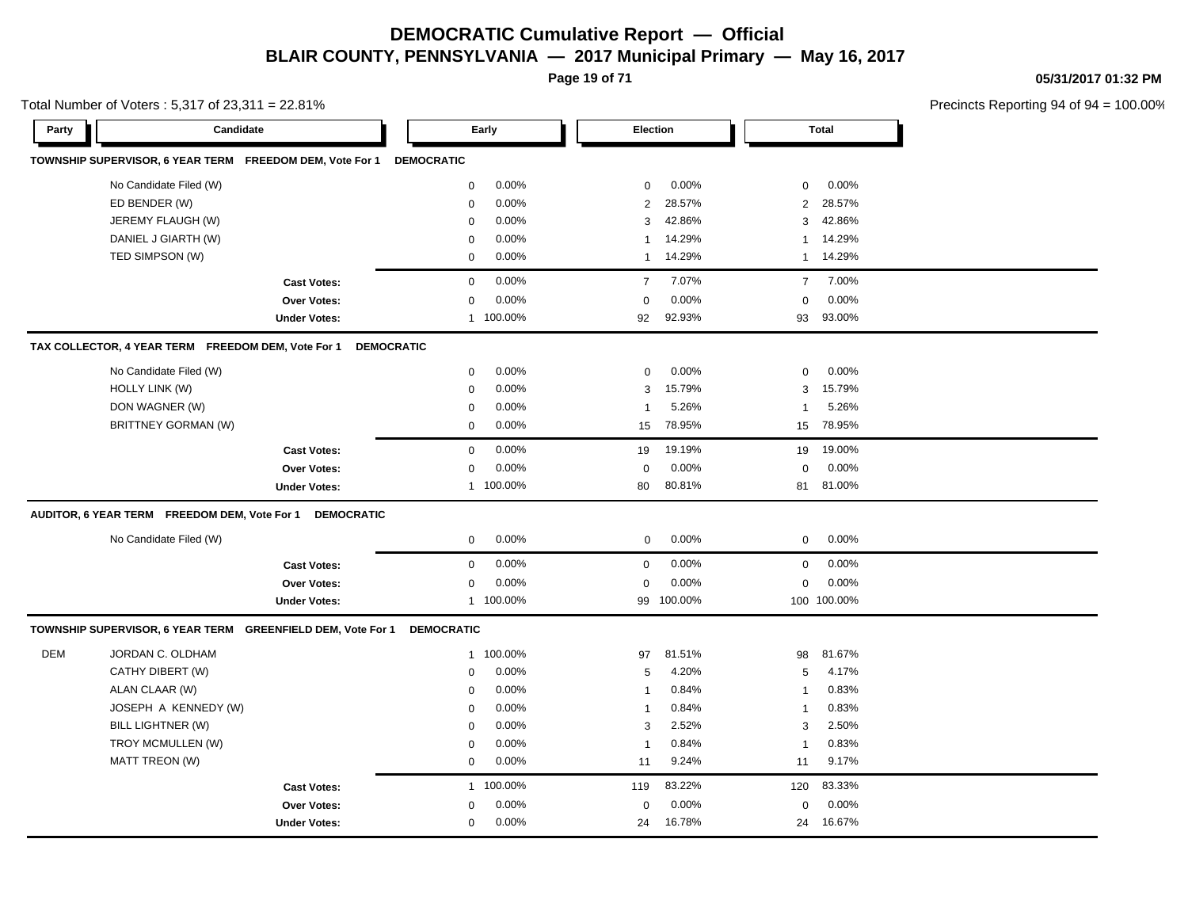**Page 19 of 71**

**05/31/2017 01:32 PM**

|            | Total Number of Voters: 5,317 of 23,311 = 22.81%            |                     |                   |           |                         |            |                |              | Precincts Reporting 94 of 9 |
|------------|-------------------------------------------------------------|---------------------|-------------------|-----------|-------------------------|------------|----------------|--------------|-----------------------------|
| Party      | Candidate                                                   |                     |                   | Early     |                         | Election   |                | <b>Total</b> |                             |
|            | TOWNSHIP SUPERVISOR, 6 YEAR TERM FREEDOM DEM, Vote For 1    |                     | <b>DEMOCRATIC</b> |           |                         |            |                |              |                             |
|            | No Candidate Filed (W)                                      |                     | 0                 | 0.00%     | $\mathbf 0$             | 0.00%      | 0              | 0.00%        |                             |
|            | ED BENDER (W)                                               |                     | 0                 | 0.00%     | $\overline{2}$          | 28.57%     | 2              | 28.57%       |                             |
|            | JEREMY FLAUGH (W)                                           |                     | $\pmb{0}$         | 0.00%     | 3                       | 42.86%     | 3              | 42.86%       |                             |
|            | DANIEL J GIARTH (W)                                         |                     | $\mathbf 0$       | 0.00%     | $\overline{1}$          | 14.29%     | $\mathbf{1}$   | 14.29%       |                             |
|            | TED SIMPSON (W)                                             |                     | $\mathbf 0$       | 0.00%     | $\mathbf{1}$            | 14.29%     |                | 1 14.29%     |                             |
|            |                                                             | <b>Cast Votes:</b>  | $\mathbf 0$       | 0.00%     | $\overline{7}$          | 7.07%      | $\overline{7}$ | 7.00%        |                             |
|            |                                                             | Over Votes:         | $\Omega$          | 0.00%     | $\Omega$                | 0.00%      | $\mathbf 0$    | 0.00%        |                             |
|            |                                                             | <b>Under Votes:</b> |                   | 1 100.00% | 92                      | 92.93%     | 93             | 93.00%       |                             |
|            | TAX COLLECTOR, 4 YEAR TERM FREEDOM DEM, Vote For 1          | <b>DEMOCRATIC</b>   |                   |           |                         |            |                |              |                             |
|            | No Candidate Filed (W)                                      |                     | $\mathbf 0$       | 0.00%     | $\mathbf 0$             | 0.00%      | $\mathbf 0$    | 0.00%        |                             |
|            | <b>HOLLY LINK (W)</b>                                       |                     | $\mathbf 0$       | 0.00%     | 3                       | 15.79%     | 3              | 15.79%       |                             |
|            | DON WAGNER (W)                                              |                     | 0                 | 0.00%     | $\overline{\mathbf{1}}$ | 5.26%      | -1             | 5.26%        |                             |
|            | <b>BRITTNEY GORMAN (W)</b>                                  |                     | 0                 | 0.00%     | 15                      | 78.95%     | 15             | 78.95%       |                             |
|            |                                                             | <b>Cast Votes:</b>  | $\mathbf 0$       | 0.00%     | 19                      | 19.19%     | 19             | 19.00%       |                             |
|            |                                                             | Over Votes:         | $\Omega$          | 0.00%     | $\Omega$                | 0.00%      | $\mathbf 0$    | 0.00%        |                             |
|            |                                                             | <b>Under Votes:</b> |                   | 1 100.00% | 80                      | 80.81%     | 81             | 81.00%       |                             |
|            | AUDITOR, 6 YEAR TERM FREEDOM DEM, Vote For 1                | <b>DEMOCRATIC</b>   |                   |           |                         |            |                |              |                             |
|            | No Candidate Filed (W)                                      |                     | $\mathbf 0$       | 0.00%     | $\mathbf 0$             | 0.00%      | $\mathbf 0$    | 0.00%        |                             |
|            |                                                             | <b>Cast Votes:</b>  | $\mathbf 0$       | 0.00%     | $\mathbf 0$             | 0.00%      | $\mathbf 0$    | 0.00%        |                             |
|            |                                                             | Over Votes:         | 0                 | 0.00%     | $\Omega$                | 0.00%      | $\mathbf 0$    | 0.00%        |                             |
|            |                                                             | <b>Under Votes:</b> |                   | 1 100.00% |                         | 99 100.00% |                | 100 100.00%  |                             |
|            | TOWNSHIP SUPERVISOR, 6 YEAR TERM GREENFIELD DEM, Vote For 1 |                     | <b>DEMOCRATIC</b> |           |                         |            |                |              |                             |
| <b>DEM</b> | JORDAN C. OLDHAM                                            |                     | 1                 | 100.00%   | 97                      | 81.51%     | 98             | 81.67%       |                             |
|            | CATHY DIBERT (W)                                            |                     | 0                 | 0.00%     | $\sqrt{5}$              | 4.20%      | 5              | 4.17%        |                             |
|            | ALAN CLAAR (W)                                              |                     | $\mathbf 0$       | 0.00%     | $\overline{\mathbf{1}}$ | 0.84%      | $\overline{1}$ | 0.83%        |                             |
|            | JOSEPH A KENNEDY (W)                                        |                     | 0                 | 0.00%     | $\overline{1}$          | 0.84%      | $\overline{1}$ | 0.83%        |                             |
|            | BILL LIGHTNER (W)                                           |                     | $\mathbf 0$       | 0.00%     | 3                       | 2.52%      | 3              | 2.50%        |                             |
|            | TROY MCMULLEN (W)                                           |                     | $\mathbf 0$       | 0.00%     | $\overline{1}$          | 0.84%      | $\mathbf{1}$   | 0.83%        |                             |
|            | MATT TREON (W)                                              |                     | $\mathbf 0$       | 0.00%     | 11                      | 9.24%      | 11             | 9.17%        |                             |
|            |                                                             | <b>Cast Votes:</b>  | $\mathbf{1}$      | 100.00%   | 119                     | 83.22%     | 120            | 83.33%       |                             |
|            |                                                             | Over Votes:         | $\mathbf 0$       | 0.00%     | 0                       | 0.00%      | 0              | 0.00%        |                             |
|            |                                                             | <b>Under Votes:</b> | 0                 | 0.00%     | 24                      | 16.78%     | 24             | 16.67%       |                             |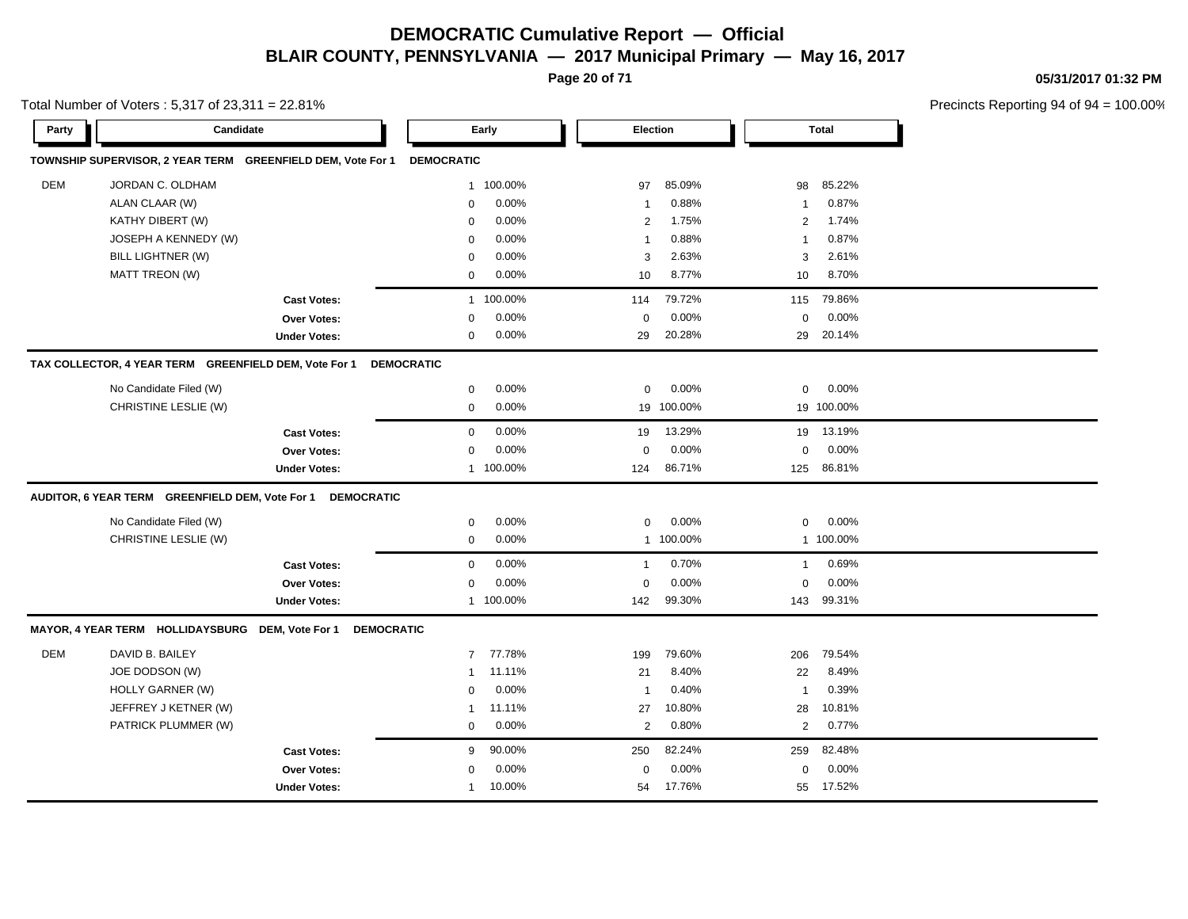**Page 20 of 71**

**05/31/2017 01:32 PM**

Precincts Reporting 94 of 94 = 100.00%

|            | $10$ at intermed of voters . 5,517 or 25,511 = 22.61%       |                     |                   |           |                |                 |                |              | Preditions Reporting 34 Or s |
|------------|-------------------------------------------------------------|---------------------|-------------------|-----------|----------------|-----------------|----------------|--------------|------------------------------|
| Party      | Candidate                                                   |                     |                   | Early     |                | <b>Election</b> |                | <b>Total</b> |                              |
|            | TOWNSHIP SUPERVISOR, 2 YEAR TERM GREENFIELD DEM, Vote For 1 |                     | <b>DEMOCRATIC</b> |           |                |                 |                |              |                              |
| <b>DEM</b> | JORDAN C. OLDHAM                                            |                     | $\mathbf{1}$      | 100.00%   | 97             | 85.09%          | 98             | 85.22%       |                              |
|            | ALAN CLAAR (W)                                              |                     | $\mathbf 0$       | 0.00%     | $\overline{1}$ | 0.88%           | -1             | 0.87%        |                              |
|            | KATHY DIBERT (W)                                            |                     | $\mathbf 0$       | 0.00%     | $\overline{2}$ | 1.75%           | 2              | 1.74%        |                              |
|            | JOSEPH A KENNEDY (W)                                        |                     | $\mathbf 0$       | 0.00%     | -1             | 0.88%           | -1             | 0.87%        |                              |
|            | BILL LIGHTNER (W)                                           |                     | $\mathbf 0$       | 0.00%     | 3              | 2.63%           | 3              | 2.61%        |                              |
|            | MATT TREON (W)                                              |                     | $\mathbf 0$       | 0.00%     | 10             | 8.77%           | 10             | 8.70%        |                              |
|            |                                                             | <b>Cast Votes:</b>  | $\mathbf{1}$      | 100.00%   | 114            | 79.72%          | 115            | 79.86%       |                              |
|            |                                                             | Over Votes:         | $\mathbf 0$       | 0.00%     | $\mathbf 0$    | 0.00%           | $\mathbf 0$    | 0.00%        |                              |
|            |                                                             | <b>Under Votes:</b> | 0                 | $0.00\%$  | 29             | 20.28%          | 29             | 20.14%       |                              |
|            | TAX COLLECTOR, 4 YEAR TERM GREENFIELD DEM, Vote For 1       |                     | <b>DEMOCRATIC</b> |           |                |                 |                |              |                              |
|            | No Candidate Filed (W)                                      |                     | $\mathbf 0$       | 0.00%     | 0              | 0.00%           | $\mathbf 0$    | 0.00%        |                              |
|            | CHRISTINE LESLIE (W)                                        |                     | $\mathbf 0$       | 0.00%     | 19             | 100.00%         |                | 19 100.00%   |                              |
|            |                                                             | <b>Cast Votes:</b>  | $\mathbf 0$       | 0.00%     | 19             | 13.29%          | 19             | 13.19%       |                              |
|            |                                                             | Over Votes:         | $\mathbf 0$       | 0.00%     | $\mathbf 0$    | 0.00%           | $\mathbf 0$    | 0.00%        |                              |
|            |                                                             | <b>Under Votes:</b> |                   | 1 100.00% | 124            | 86.71%          | 125            | 86.81%       |                              |
|            | AUDITOR, 6 YEAR TERM GREENFIELD DEM, Vote For 1 DEMOCRATIC  |                     |                   |           |                |                 |                |              |                              |
|            | No Candidate Filed (W)                                      |                     | 0                 | 0.00%     | 0              | 0.00%           | $\mathbf 0$    | 0.00%        |                              |
|            | CHRISTINE LESLIE (W)                                        |                     | $\mathbf 0$       | 0.00%     |                | 1 100.00%       |                | 1 100.00%    |                              |
|            |                                                             | <b>Cast Votes:</b>  | $\mathbf 0$       | 0.00%     | $\overline{1}$ | 0.70%           | $\mathbf{1}$   | 0.69%        |                              |
|            |                                                             | <b>Over Votes:</b>  | $\mathbf 0$       | 0.00%     | $\mathbf 0$    | 0.00%           | $\Omega$       | 0.00%        |                              |
|            |                                                             | <b>Under Votes:</b> |                   | 1 100.00% | 142            | 99.30%          | 143            | 99.31%       |                              |
|            | MAYOR, 4 YEAR TERM HOLLIDAYSBURG DEM, Vote For 1            | <b>DEMOCRATIC</b>   |                   |           |                |                 |                |              |                              |
| <b>DEM</b> | DAVID B. BAILEY                                             |                     | $\overline{7}$    | 77.78%    | 199            | 79.60%          | 206            | 79.54%       |                              |
|            | JOE DODSON (W)                                              |                     | 1                 | 11.11%    | 21             | 8.40%           | 22             | 8.49%        |                              |
|            | HOLLY GARNER (W)                                            |                     | $\mathbf 0$       | 0.00%     | $\overline{1}$ | 0.40%           | $\mathbf{1}$   | 0.39%        |                              |
|            | JEFFREY J KETNER (W)                                        |                     | 1                 | 11.11%    | 27             | 10.80%          | 28             | 10.81%       |                              |
|            | PATRICK PLUMMER (W)                                         |                     | $\mathbf 0$       | 0.00%     | 2              | 0.80%           | $\overline{2}$ | 0.77%        |                              |
|            |                                                             | <b>Cast Votes:</b>  | 9                 | 90.00%    | 250            | 82.24%          | 259            | 82.48%       |                              |
|            |                                                             | Over Votes:         | $\mathbf 0$       | 0.00%     | $\mathbf 0$    | 0.00%           | $\mathbf 0$    | 0.00%        |                              |
|            |                                                             | <b>Under Votes:</b> | $\mathbf{1}$      | 10.00%    | 54             | 17.76%          | 55             | 17.52%       |                              |
|            |                                                             |                     |                   |           |                |                 |                |              |                              |

Total Number of Voters  $\cdot$  5,317 of 23,311 = 22.81%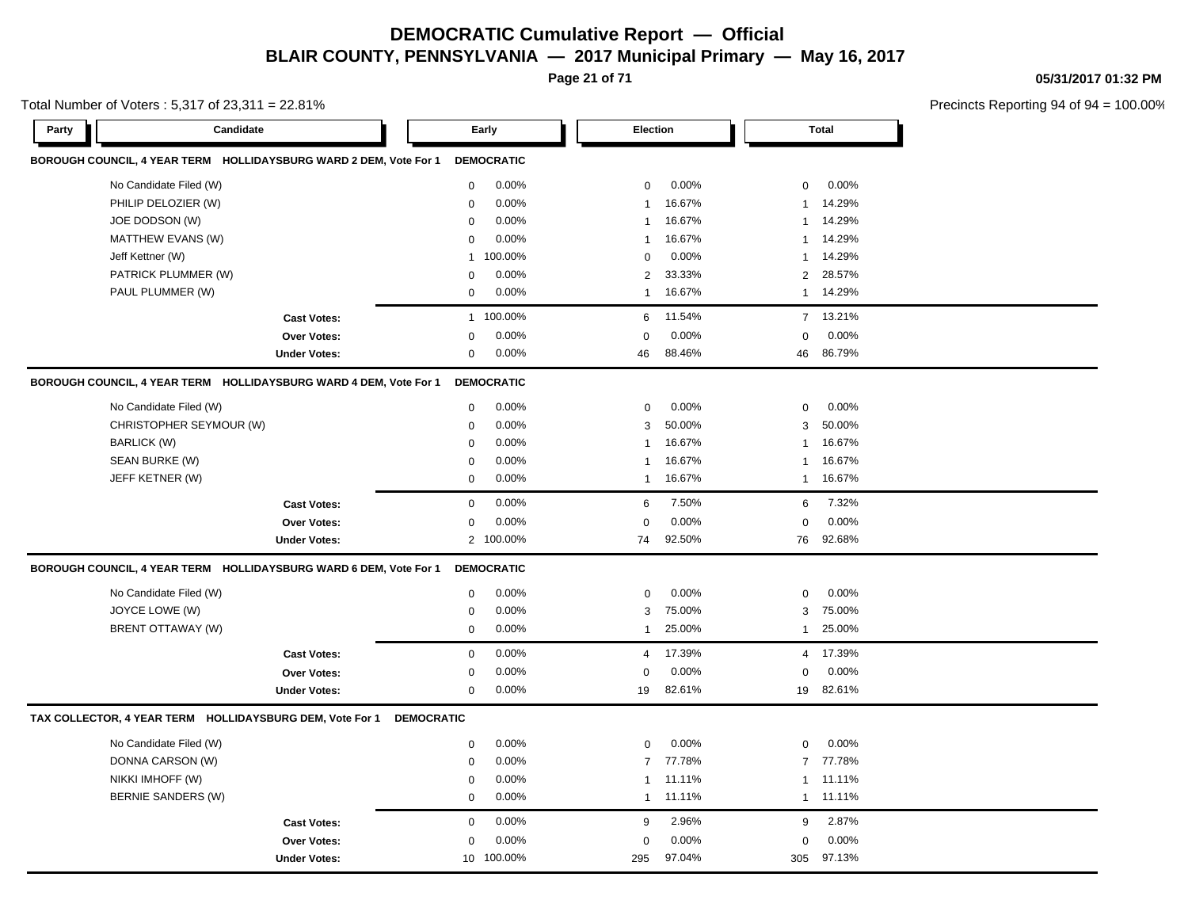**Page 21 of 71**

**05/31/2017 01:32 PM**

| Total Number of Voters : 5,317 of 23,311 = 22.81% |  |
|---------------------------------------------------|--|
|---------------------------------------------------|--|

| BOROUGH COUNCIL, 4 YEAR TERM HOLLIDAYSBURG WARD 2 DEM, Vote For 1<br><b>DEMOCRATIC</b><br>No Candidate Filed (W)<br>0.00%<br>0.00%<br>0<br>0.00%<br>$\mathbf 0$<br>$\mathbf 0$<br>PHILIP DELOZIER (W)<br>0.00%<br>16.67%<br>14.29%<br>$\mathbf 0$<br>1<br>-1<br>JOE DODSON (W)<br>0.00%<br>16.67%<br>14.29%<br>$\mathbf 0$<br>1<br>-1<br>MATTHEW EVANS (W)<br>0.00%<br>16.67%<br>14.29%<br>$\mathbf 0$<br>$\mathbf{1}$<br>$\mathbf{1}$<br>0.00%<br>Jeff Kettner (W)<br>100.00%<br>$\mathbf 0$<br>14.29%<br>$\mathbf{1}$<br>$\mathbf{1}$<br>PATRICK PLUMMER (W)<br>0.00%<br>2<br>33.33%<br>2<br>28.57%<br>$\mathbf 0$<br>PAUL PLUMMER (W)<br>0.00%<br>14.29%<br>16.67%<br>$\mathbf 0$<br>$\mathbf{1}$<br>$\mathbf{1}$<br>100.00%<br>11.54%<br>7 13.21%<br><b>Cast Votes:</b><br>$\mathbf{1}$<br>6<br>0.00%<br>0.00%<br>0.00%<br>$\mathbf 0$<br>$\mathbf 0$<br>0<br>Over Votes:<br>0.00%<br>88.46%<br>86.79%<br><b>Under Votes:</b><br>$\mathbf 0$<br>46<br>46<br>BOROUGH COUNCIL, 4 YEAR TERM HOLLIDAYSBURG WARD 4 DEM, Vote For 1<br><b>DEMOCRATIC</b><br>0.00%<br>0.00%<br>0.00%<br>No Candidate Filed (W)<br>$\mathbf 0$<br>$\mathbf 0$<br>$\mathbf 0$<br>50.00%<br>CHRISTOPHER SEYMOUR (W)<br>0.00%<br>3<br>50.00%<br>$\mathbf 0$<br>3<br>0.00%<br>16.67%<br>16.67%<br><b>BARLICK (W)</b><br>$\mathbf 0$<br>$\mathbf{1}$<br>$\mathbf{1}$<br>SEAN BURKE (W)<br>0.00%<br>16.67%<br>16.67%<br>$\mathbf 0$<br>$\mathbf{1}$<br>$\mathbf{1}$<br>JEFF KETNER (W)<br>0.00%<br>16.67%<br>16.67%<br>$\mathbf 0$<br>$\mathbf{1}$<br>$\mathbf{1}$<br>$\mathbf{0}$<br>0.00%<br>6<br>7.50%<br>7.32%<br>6<br><b>Cast Votes:</b><br>0.00%<br>0.00%<br>0<br>0.00%<br>$\mathbf 0$<br>Over Votes:<br>$\mathbf 0$<br>92.50%<br>92.68%<br>2 100.00%<br>76<br><b>Under Votes:</b><br>74<br>BOROUGH COUNCIL, 4 YEAR TERM HOLLIDAYSBURG WARD 6 DEM, Vote For 1<br><b>DEMOCRATIC</b><br>No Candidate Filed (W)<br>$\mathbf 0$<br>0.00%<br>$\mathsf 0$<br>0.00%<br>$\mathsf 0$<br>0.00%<br>JOYCE LOWE (W)<br>0.00%<br>75.00%<br>75.00%<br>$\mathbf 0$<br>3<br>3<br><b>BRENT OTTAWAY (W)</b><br>0.00%<br>25.00%<br>25.00%<br>$\mathbf 0$<br>$\mathbf{1}$<br>1<br>$\mathbf 0$<br>0.00%<br>17.39%<br>4 17.39%<br><b>Cast Votes:</b><br>$\overline{4}$<br>0.00%<br>0.00%<br>0.00%<br>$\mathbf 0$<br>0<br>0<br>Over Votes:<br>0.00%<br>82.61%<br>82.61%<br><b>Under Votes:</b><br>$\mathbf 0$<br>19<br>19<br>TAX COLLECTOR, 4 YEAR TERM HOLLIDAYSBURG DEM, Vote For 1<br><b>DEMOCRATIC</b><br>No Candidate Filed (W)<br>$\mathsf 0$<br>0.00%<br>$\mathbf 0$<br>0.00%<br>0<br>0.00%<br>DONNA CARSON (W)<br>0.00%<br>77.78%<br>77.78%<br>$\overline{7}$<br>$\overline{7}$<br>0<br>NIKKI IMHOFF (W)<br>0.00%<br>11.11%<br>11.11%<br>$\mathbf 0$<br>$\mathbf{1}$<br>-1<br>BERNIE SANDERS (W)<br>0.00%<br>11.11%<br>11.11%<br>$\mathbf 0$<br>$\mathbf{1}$<br>$\mathbf{1}$<br>0.00%<br>2.96%<br>2.87%<br>$\mathbf 0$<br>9<br>9<br><b>Cast Votes:</b><br>0.00%<br>0.00%<br>0.00%<br>$\mathbf 0$<br>$\mathbf 0$<br>0<br><b>Over Votes:</b><br>100.00%<br>97.04%<br>97.13%<br><b>Under Votes:</b><br>10<br>295<br>305 | Candidate<br>Party | Early | Election |  | <b>Total</b> |  |
|----------------------------------------------------------------------------------------------------------------------------------------------------------------------------------------------------------------------------------------------------------------------------------------------------------------------------------------------------------------------------------------------------------------------------------------------------------------------------------------------------------------------------------------------------------------------------------------------------------------------------------------------------------------------------------------------------------------------------------------------------------------------------------------------------------------------------------------------------------------------------------------------------------------------------------------------------------------------------------------------------------------------------------------------------------------------------------------------------------------------------------------------------------------------------------------------------------------------------------------------------------------------------------------------------------------------------------------------------------------------------------------------------------------------------------------------------------------------------------------------------------------------------------------------------------------------------------------------------------------------------------------------------------------------------------------------------------------------------------------------------------------------------------------------------------------------------------------------------------------------------------------------------------------------------------------------------------------------------------------------------------------------------------------------------------------------------------------------------------------------------------------------------------------------------------------------------------------------------------------------------------------------------------------------------------------------------------------------------------------------------------------------------------------------------------------------------------------------------------------------------------------------------------------------------------------------------------------------------------------------------------------------------------------------------------------------------------------------------------------------------------------------------------------------------------------------------------------------------------------------------------------------------------------------------------------------------------------------------------------------------------------------------------------------------------------------------------|--------------------|-------|----------|--|--------------|--|
|                                                                                                                                                                                                                                                                                                                                                                                                                                                                                                                                                                                                                                                                                                                                                                                                                                                                                                                                                                                                                                                                                                                                                                                                                                                                                                                                                                                                                                                                                                                                                                                                                                                                                                                                                                                                                                                                                                                                                                                                                                                                                                                                                                                                                                                                                                                                                                                                                                                                                                                                                                                                                                                                                                                                                                                                                                                                                                                                                                                                                                                                                  |                    |       |          |  |              |  |
|                                                                                                                                                                                                                                                                                                                                                                                                                                                                                                                                                                                                                                                                                                                                                                                                                                                                                                                                                                                                                                                                                                                                                                                                                                                                                                                                                                                                                                                                                                                                                                                                                                                                                                                                                                                                                                                                                                                                                                                                                                                                                                                                                                                                                                                                                                                                                                                                                                                                                                                                                                                                                                                                                                                                                                                                                                                                                                                                                                                                                                                                                  |                    |       |          |  |              |  |
|                                                                                                                                                                                                                                                                                                                                                                                                                                                                                                                                                                                                                                                                                                                                                                                                                                                                                                                                                                                                                                                                                                                                                                                                                                                                                                                                                                                                                                                                                                                                                                                                                                                                                                                                                                                                                                                                                                                                                                                                                                                                                                                                                                                                                                                                                                                                                                                                                                                                                                                                                                                                                                                                                                                                                                                                                                                                                                                                                                                                                                                                                  |                    |       |          |  |              |  |
|                                                                                                                                                                                                                                                                                                                                                                                                                                                                                                                                                                                                                                                                                                                                                                                                                                                                                                                                                                                                                                                                                                                                                                                                                                                                                                                                                                                                                                                                                                                                                                                                                                                                                                                                                                                                                                                                                                                                                                                                                                                                                                                                                                                                                                                                                                                                                                                                                                                                                                                                                                                                                                                                                                                                                                                                                                                                                                                                                                                                                                                                                  |                    |       |          |  |              |  |
|                                                                                                                                                                                                                                                                                                                                                                                                                                                                                                                                                                                                                                                                                                                                                                                                                                                                                                                                                                                                                                                                                                                                                                                                                                                                                                                                                                                                                                                                                                                                                                                                                                                                                                                                                                                                                                                                                                                                                                                                                                                                                                                                                                                                                                                                                                                                                                                                                                                                                                                                                                                                                                                                                                                                                                                                                                                                                                                                                                                                                                                                                  |                    |       |          |  |              |  |
|                                                                                                                                                                                                                                                                                                                                                                                                                                                                                                                                                                                                                                                                                                                                                                                                                                                                                                                                                                                                                                                                                                                                                                                                                                                                                                                                                                                                                                                                                                                                                                                                                                                                                                                                                                                                                                                                                                                                                                                                                                                                                                                                                                                                                                                                                                                                                                                                                                                                                                                                                                                                                                                                                                                                                                                                                                                                                                                                                                                                                                                                                  |                    |       |          |  |              |  |
|                                                                                                                                                                                                                                                                                                                                                                                                                                                                                                                                                                                                                                                                                                                                                                                                                                                                                                                                                                                                                                                                                                                                                                                                                                                                                                                                                                                                                                                                                                                                                                                                                                                                                                                                                                                                                                                                                                                                                                                                                                                                                                                                                                                                                                                                                                                                                                                                                                                                                                                                                                                                                                                                                                                                                                                                                                                                                                                                                                                                                                                                                  |                    |       |          |  |              |  |
|                                                                                                                                                                                                                                                                                                                                                                                                                                                                                                                                                                                                                                                                                                                                                                                                                                                                                                                                                                                                                                                                                                                                                                                                                                                                                                                                                                                                                                                                                                                                                                                                                                                                                                                                                                                                                                                                                                                                                                                                                                                                                                                                                                                                                                                                                                                                                                                                                                                                                                                                                                                                                                                                                                                                                                                                                                                                                                                                                                                                                                                                                  |                    |       |          |  |              |  |
|                                                                                                                                                                                                                                                                                                                                                                                                                                                                                                                                                                                                                                                                                                                                                                                                                                                                                                                                                                                                                                                                                                                                                                                                                                                                                                                                                                                                                                                                                                                                                                                                                                                                                                                                                                                                                                                                                                                                                                                                                                                                                                                                                                                                                                                                                                                                                                                                                                                                                                                                                                                                                                                                                                                                                                                                                                                                                                                                                                                                                                                                                  |                    |       |          |  |              |  |
|                                                                                                                                                                                                                                                                                                                                                                                                                                                                                                                                                                                                                                                                                                                                                                                                                                                                                                                                                                                                                                                                                                                                                                                                                                                                                                                                                                                                                                                                                                                                                                                                                                                                                                                                                                                                                                                                                                                                                                                                                                                                                                                                                                                                                                                                                                                                                                                                                                                                                                                                                                                                                                                                                                                                                                                                                                                                                                                                                                                                                                                                                  |                    |       |          |  |              |  |
|                                                                                                                                                                                                                                                                                                                                                                                                                                                                                                                                                                                                                                                                                                                                                                                                                                                                                                                                                                                                                                                                                                                                                                                                                                                                                                                                                                                                                                                                                                                                                                                                                                                                                                                                                                                                                                                                                                                                                                                                                                                                                                                                                                                                                                                                                                                                                                                                                                                                                                                                                                                                                                                                                                                                                                                                                                                                                                                                                                                                                                                                                  |                    |       |          |  |              |  |
|                                                                                                                                                                                                                                                                                                                                                                                                                                                                                                                                                                                                                                                                                                                                                                                                                                                                                                                                                                                                                                                                                                                                                                                                                                                                                                                                                                                                                                                                                                                                                                                                                                                                                                                                                                                                                                                                                                                                                                                                                                                                                                                                                                                                                                                                                                                                                                                                                                                                                                                                                                                                                                                                                                                                                                                                                                                                                                                                                                                                                                                                                  |                    |       |          |  |              |  |
|                                                                                                                                                                                                                                                                                                                                                                                                                                                                                                                                                                                                                                                                                                                                                                                                                                                                                                                                                                                                                                                                                                                                                                                                                                                                                                                                                                                                                                                                                                                                                                                                                                                                                                                                                                                                                                                                                                                                                                                                                                                                                                                                                                                                                                                                                                                                                                                                                                                                                                                                                                                                                                                                                                                                                                                                                                                                                                                                                                                                                                                                                  |                    |       |          |  |              |  |
|                                                                                                                                                                                                                                                                                                                                                                                                                                                                                                                                                                                                                                                                                                                                                                                                                                                                                                                                                                                                                                                                                                                                                                                                                                                                                                                                                                                                                                                                                                                                                                                                                                                                                                                                                                                                                                                                                                                                                                                                                                                                                                                                                                                                                                                                                                                                                                                                                                                                                                                                                                                                                                                                                                                                                                                                                                                                                                                                                                                                                                                                                  |                    |       |          |  |              |  |
|                                                                                                                                                                                                                                                                                                                                                                                                                                                                                                                                                                                                                                                                                                                                                                                                                                                                                                                                                                                                                                                                                                                                                                                                                                                                                                                                                                                                                                                                                                                                                                                                                                                                                                                                                                                                                                                                                                                                                                                                                                                                                                                                                                                                                                                                                                                                                                                                                                                                                                                                                                                                                                                                                                                                                                                                                                                                                                                                                                                                                                                                                  |                    |       |          |  |              |  |
|                                                                                                                                                                                                                                                                                                                                                                                                                                                                                                                                                                                                                                                                                                                                                                                                                                                                                                                                                                                                                                                                                                                                                                                                                                                                                                                                                                                                                                                                                                                                                                                                                                                                                                                                                                                                                                                                                                                                                                                                                                                                                                                                                                                                                                                                                                                                                                                                                                                                                                                                                                                                                                                                                                                                                                                                                                                                                                                                                                                                                                                                                  |                    |       |          |  |              |  |
|                                                                                                                                                                                                                                                                                                                                                                                                                                                                                                                                                                                                                                                                                                                                                                                                                                                                                                                                                                                                                                                                                                                                                                                                                                                                                                                                                                                                                                                                                                                                                                                                                                                                                                                                                                                                                                                                                                                                                                                                                                                                                                                                                                                                                                                                                                                                                                                                                                                                                                                                                                                                                                                                                                                                                                                                                                                                                                                                                                                                                                                                                  |                    |       |          |  |              |  |
|                                                                                                                                                                                                                                                                                                                                                                                                                                                                                                                                                                                                                                                                                                                                                                                                                                                                                                                                                                                                                                                                                                                                                                                                                                                                                                                                                                                                                                                                                                                                                                                                                                                                                                                                                                                                                                                                                                                                                                                                                                                                                                                                                                                                                                                                                                                                                                                                                                                                                                                                                                                                                                                                                                                                                                                                                                                                                                                                                                                                                                                                                  |                    |       |          |  |              |  |
|                                                                                                                                                                                                                                                                                                                                                                                                                                                                                                                                                                                                                                                                                                                                                                                                                                                                                                                                                                                                                                                                                                                                                                                                                                                                                                                                                                                                                                                                                                                                                                                                                                                                                                                                                                                                                                                                                                                                                                                                                                                                                                                                                                                                                                                                                                                                                                                                                                                                                                                                                                                                                                                                                                                                                                                                                                                                                                                                                                                                                                                                                  |                    |       |          |  |              |  |
|                                                                                                                                                                                                                                                                                                                                                                                                                                                                                                                                                                                                                                                                                                                                                                                                                                                                                                                                                                                                                                                                                                                                                                                                                                                                                                                                                                                                                                                                                                                                                                                                                                                                                                                                                                                                                                                                                                                                                                                                                                                                                                                                                                                                                                                                                                                                                                                                                                                                                                                                                                                                                                                                                                                                                                                                                                                                                                                                                                                                                                                                                  |                    |       |          |  |              |  |
|                                                                                                                                                                                                                                                                                                                                                                                                                                                                                                                                                                                                                                                                                                                                                                                                                                                                                                                                                                                                                                                                                                                                                                                                                                                                                                                                                                                                                                                                                                                                                                                                                                                                                                                                                                                                                                                                                                                                                                                                                                                                                                                                                                                                                                                                                                                                                                                                                                                                                                                                                                                                                                                                                                                                                                                                                                                                                                                                                                                                                                                                                  |                    |       |          |  |              |  |
|                                                                                                                                                                                                                                                                                                                                                                                                                                                                                                                                                                                                                                                                                                                                                                                                                                                                                                                                                                                                                                                                                                                                                                                                                                                                                                                                                                                                                                                                                                                                                                                                                                                                                                                                                                                                                                                                                                                                                                                                                                                                                                                                                                                                                                                                                                                                                                                                                                                                                                                                                                                                                                                                                                                                                                                                                                                                                                                                                                                                                                                                                  |                    |       |          |  |              |  |
|                                                                                                                                                                                                                                                                                                                                                                                                                                                                                                                                                                                                                                                                                                                                                                                                                                                                                                                                                                                                                                                                                                                                                                                                                                                                                                                                                                                                                                                                                                                                                                                                                                                                                                                                                                                                                                                                                                                                                                                                                                                                                                                                                                                                                                                                                                                                                                                                                                                                                                                                                                                                                                                                                                                                                                                                                                                                                                                                                                                                                                                                                  |                    |       |          |  |              |  |
|                                                                                                                                                                                                                                                                                                                                                                                                                                                                                                                                                                                                                                                                                                                                                                                                                                                                                                                                                                                                                                                                                                                                                                                                                                                                                                                                                                                                                                                                                                                                                                                                                                                                                                                                                                                                                                                                                                                                                                                                                                                                                                                                                                                                                                                                                                                                                                                                                                                                                                                                                                                                                                                                                                                                                                                                                                                                                                                                                                                                                                                                                  |                    |       |          |  |              |  |
|                                                                                                                                                                                                                                                                                                                                                                                                                                                                                                                                                                                                                                                                                                                                                                                                                                                                                                                                                                                                                                                                                                                                                                                                                                                                                                                                                                                                                                                                                                                                                                                                                                                                                                                                                                                                                                                                                                                                                                                                                                                                                                                                                                                                                                                                                                                                                                                                                                                                                                                                                                                                                                                                                                                                                                                                                                                                                                                                                                                                                                                                                  |                    |       |          |  |              |  |
|                                                                                                                                                                                                                                                                                                                                                                                                                                                                                                                                                                                                                                                                                                                                                                                                                                                                                                                                                                                                                                                                                                                                                                                                                                                                                                                                                                                                                                                                                                                                                                                                                                                                                                                                                                                                                                                                                                                                                                                                                                                                                                                                                                                                                                                                                                                                                                                                                                                                                                                                                                                                                                                                                                                                                                                                                                                                                                                                                                                                                                                                                  |                    |       |          |  |              |  |
|                                                                                                                                                                                                                                                                                                                                                                                                                                                                                                                                                                                                                                                                                                                                                                                                                                                                                                                                                                                                                                                                                                                                                                                                                                                                                                                                                                                                                                                                                                                                                                                                                                                                                                                                                                                                                                                                                                                                                                                                                                                                                                                                                                                                                                                                                                                                                                                                                                                                                                                                                                                                                                                                                                                                                                                                                                                                                                                                                                                                                                                                                  |                    |       |          |  |              |  |
|                                                                                                                                                                                                                                                                                                                                                                                                                                                                                                                                                                                                                                                                                                                                                                                                                                                                                                                                                                                                                                                                                                                                                                                                                                                                                                                                                                                                                                                                                                                                                                                                                                                                                                                                                                                                                                                                                                                                                                                                                                                                                                                                                                                                                                                                                                                                                                                                                                                                                                                                                                                                                                                                                                                                                                                                                                                                                                                                                                                                                                                                                  |                    |       |          |  |              |  |
|                                                                                                                                                                                                                                                                                                                                                                                                                                                                                                                                                                                                                                                                                                                                                                                                                                                                                                                                                                                                                                                                                                                                                                                                                                                                                                                                                                                                                                                                                                                                                                                                                                                                                                                                                                                                                                                                                                                                                                                                                                                                                                                                                                                                                                                                                                                                                                                                                                                                                                                                                                                                                                                                                                                                                                                                                                                                                                                                                                                                                                                                                  |                    |       |          |  |              |  |
|                                                                                                                                                                                                                                                                                                                                                                                                                                                                                                                                                                                                                                                                                                                                                                                                                                                                                                                                                                                                                                                                                                                                                                                                                                                                                                                                                                                                                                                                                                                                                                                                                                                                                                                                                                                                                                                                                                                                                                                                                                                                                                                                                                                                                                                                                                                                                                                                                                                                                                                                                                                                                                                                                                                                                                                                                                                                                                                                                                                                                                                                                  |                    |       |          |  |              |  |
|                                                                                                                                                                                                                                                                                                                                                                                                                                                                                                                                                                                                                                                                                                                                                                                                                                                                                                                                                                                                                                                                                                                                                                                                                                                                                                                                                                                                                                                                                                                                                                                                                                                                                                                                                                                                                                                                                                                                                                                                                                                                                                                                                                                                                                                                                                                                                                                                                                                                                                                                                                                                                                                                                                                                                                                                                                                                                                                                                                                                                                                                                  |                    |       |          |  |              |  |
|                                                                                                                                                                                                                                                                                                                                                                                                                                                                                                                                                                                                                                                                                                                                                                                                                                                                                                                                                                                                                                                                                                                                                                                                                                                                                                                                                                                                                                                                                                                                                                                                                                                                                                                                                                                                                                                                                                                                                                                                                                                                                                                                                                                                                                                                                                                                                                                                                                                                                                                                                                                                                                                                                                                                                                                                                                                                                                                                                                                                                                                                                  |                    |       |          |  |              |  |
|                                                                                                                                                                                                                                                                                                                                                                                                                                                                                                                                                                                                                                                                                                                                                                                                                                                                                                                                                                                                                                                                                                                                                                                                                                                                                                                                                                                                                                                                                                                                                                                                                                                                                                                                                                                                                                                                                                                                                                                                                                                                                                                                                                                                                                                                                                                                                                                                                                                                                                                                                                                                                                                                                                                                                                                                                                                                                                                                                                                                                                                                                  |                    |       |          |  |              |  |
|                                                                                                                                                                                                                                                                                                                                                                                                                                                                                                                                                                                                                                                                                                                                                                                                                                                                                                                                                                                                                                                                                                                                                                                                                                                                                                                                                                                                                                                                                                                                                                                                                                                                                                                                                                                                                                                                                                                                                                                                                                                                                                                                                                                                                                                                                                                                                                                                                                                                                                                                                                                                                                                                                                                                                                                                                                                                                                                                                                                                                                                                                  |                    |       |          |  |              |  |
|                                                                                                                                                                                                                                                                                                                                                                                                                                                                                                                                                                                                                                                                                                                                                                                                                                                                                                                                                                                                                                                                                                                                                                                                                                                                                                                                                                                                                                                                                                                                                                                                                                                                                                                                                                                                                                                                                                                                                                                                                                                                                                                                                                                                                                                                                                                                                                                                                                                                                                                                                                                                                                                                                                                                                                                                                                                                                                                                                                                                                                                                                  |                    |       |          |  |              |  |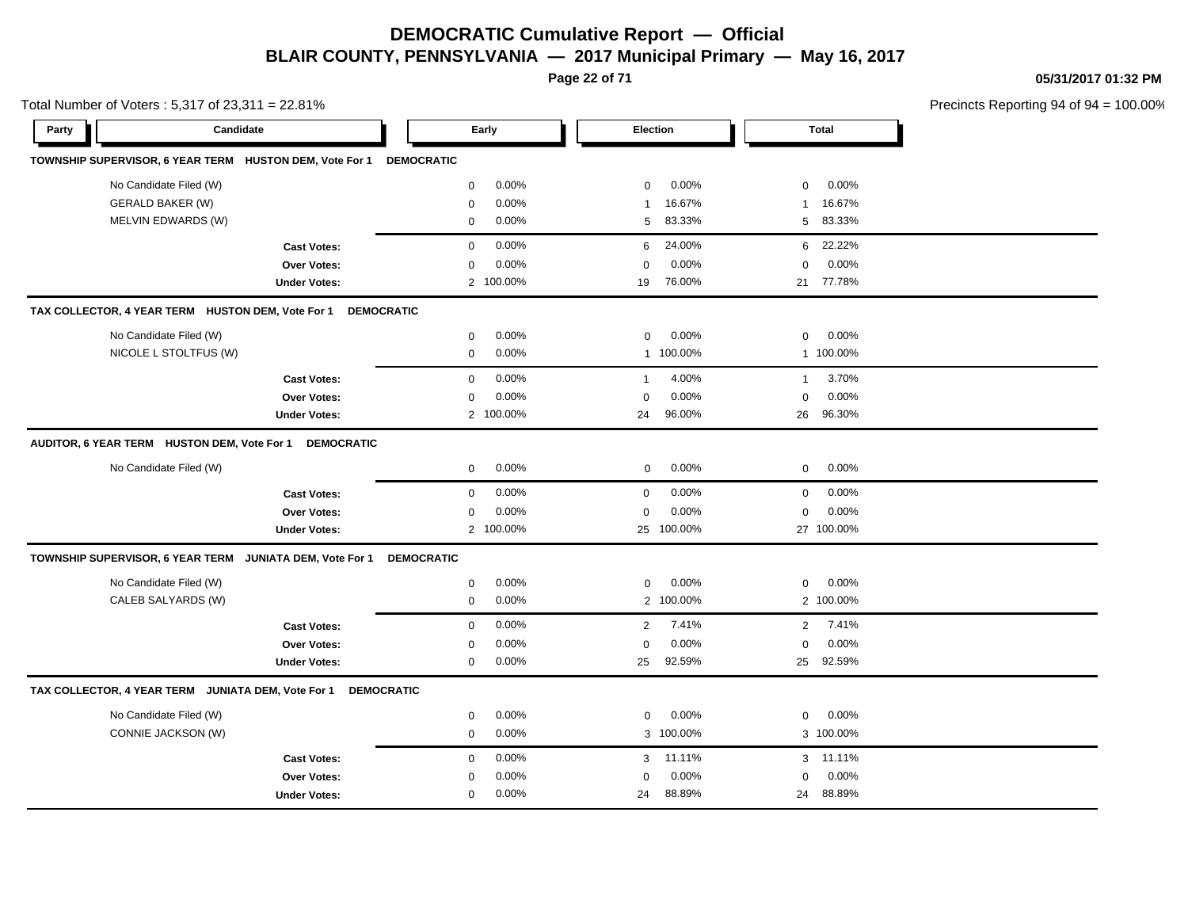**Page 22 of 71**

**05/31/2017 01:32 PM**

| Total Number of Voters: 5,317 of 23,311 = 22.81%  |                         |                                                               |                   |           |                |            |                |              | Precincts Reporting 94 of 94 |
|---------------------------------------------------|-------------------------|---------------------------------------------------------------|-------------------|-----------|----------------|------------|----------------|--------------|------------------------------|
| Party                                             | Candidate               |                                                               |                   | Early     | Election       |            |                | <b>Total</b> |                              |
|                                                   |                         | TOWNSHIP SUPERVISOR, 6 YEAR TERM HUSTON DEM, Vote For 1       | <b>DEMOCRATIC</b> |           |                |            |                |              |                              |
|                                                   | No Candidate Filed (W)  |                                                               | 0                 | 0.00%     | $\mathbf 0$    | 0.00%      | $\mathbf 0$    | 0.00%        |                              |
|                                                   | <b>GERALD BAKER (W)</b> |                                                               | 0                 | 0.00%     | $\mathbf{1}$   | 16.67%     | 1              | 16.67%       |                              |
|                                                   | MELVIN EDWARDS (W)      |                                                               | 0                 | 0.00%     | 5              | 83.33%     | 5              | 83.33%       |                              |
|                                                   |                         | <b>Cast Votes:</b>                                            | 0                 | 0.00%     | 6              | 24.00%     | 6              | 22.22%       |                              |
|                                                   |                         | Over Votes:                                                   | 0                 | 0.00%     | $\Omega$       | 0.00%      | $\Omega$       | 0.00%        |                              |
|                                                   |                         | <b>Under Votes:</b>                                           |                   | 2 100.00% | 19             | 76.00%     | 21             | 77.78%       |                              |
| TAX COLLECTOR, 4 YEAR TERM HUSTON DEM, Vote For 1 |                         |                                                               | <b>DEMOCRATIC</b> |           |                |            |                |              |                              |
|                                                   | No Candidate Filed (W)  |                                                               | 0                 | 0.00%     | $\mathbf 0$    | 0.00%      | $\mathbf 0$    | 0.00%        |                              |
|                                                   | NICOLE L STOLTFUS (W)   |                                                               | $\mathbf 0$       | 0.00%     |                | 1 100.00%  |                | 1 100.00%    |                              |
|                                                   |                         | <b>Cast Votes:</b>                                            | 0                 | 0.00%     | $\mathbf{1}$   | 4.00%      | $\mathbf{1}$   | 3.70%        |                              |
|                                                   |                         | Over Votes:                                                   | $\mathbf 0$       | 0.00%     | $\Omega$       | 0.00%      | $\mathbf 0$    | 0.00%        |                              |
|                                                   |                         | <b>Under Votes:</b>                                           |                   | 2 100.00% | 24             | 96.00%     | 26             | 96.30%       |                              |
|                                                   |                         | AUDITOR, 6 YEAR TERM HUSTON DEM, Vote For 1 DEMOCRATIC        |                   |           |                |            |                |              |                              |
|                                                   | No Candidate Filed (W)  |                                                               | 0                 | 0.00%     | $\mathbf 0$    | 0.00%      | 0              | 0.00%        |                              |
|                                                   |                         | <b>Cast Votes:</b>                                            | $\mathbf 0$       | 0.00%     | $\mathbf 0$    | 0.00%      | $\mathbf 0$    | 0.00%        |                              |
|                                                   |                         | Over Votes:                                                   | $\mathbf 0$       | 0.00%     | $\mathbf 0$    | 0.00%      | $\mathbf 0$    | 0.00%        |                              |
|                                                   |                         | <b>Under Votes:</b>                                           |                   | 2 100.00% |                | 25 100.00% |                | 27 100.00%   |                              |
|                                                   |                         | TOWNSHIP SUPERVISOR, 6 YEAR TERM JUNIATA DEM, Vote For 1      | <b>DEMOCRATIC</b> |           |                |            |                |              |                              |
|                                                   | No Candidate Filed (W)  |                                                               | $\mathbf 0$       | 0.00%     | $\mathbf 0$    | 0.00%      | $\mathbf 0$    | 0.00%        |                              |
|                                                   | CALEB SALYARDS (W)      |                                                               | 0                 | 0.00%     | $\overline{2}$ | 100.00%    |                | 2 100.00%    |                              |
|                                                   |                         | <b>Cast Votes:</b>                                            | 0                 | 0.00%     | 2              | 7.41%      | $\overline{2}$ | 7.41%        |                              |
|                                                   |                         | Over Votes:                                                   | 0                 | 0.00%     | $\mathbf 0$    | 0.00%      | $\mathbf 0$    | 0.00%        |                              |
|                                                   |                         | <b>Under Votes:</b>                                           | 0                 | 0.00%     | 25             | 92.59%     | 25             | 92.59%       |                              |
|                                                   |                         | TAX COLLECTOR, 4 YEAR TERM JUNIATA DEM, Vote For 1 DEMOCRATIC |                   |           |                |            |                |              |                              |
|                                                   | No Candidate Filed (W)  |                                                               | 0                 | 0.00%     | $\mathbf 0$    | 0.00%      | $\mathbf 0$    | 0.00%        |                              |
|                                                   | CONNIE JACKSON (W)      |                                                               | $\mathbf 0$       | 0.00%     | 3              | 100.00%    |                | 3 100.00%    |                              |
|                                                   |                         | <b>Cast Votes:</b>                                            | 0                 | 0.00%     | 3              | 11.11%     |                | 3 11.11%     |                              |
|                                                   |                         | Over Votes:                                                   | 0                 | 0.00%     | $\mathbf 0$    | 0.00%      | $\Omega$       | 0.00%        |                              |
|                                                   |                         | <b>Under Votes:</b>                                           | $\mathbf 0$       | 0.00%     | 24             | 88.89%     | 24             | 88.89%       |                              |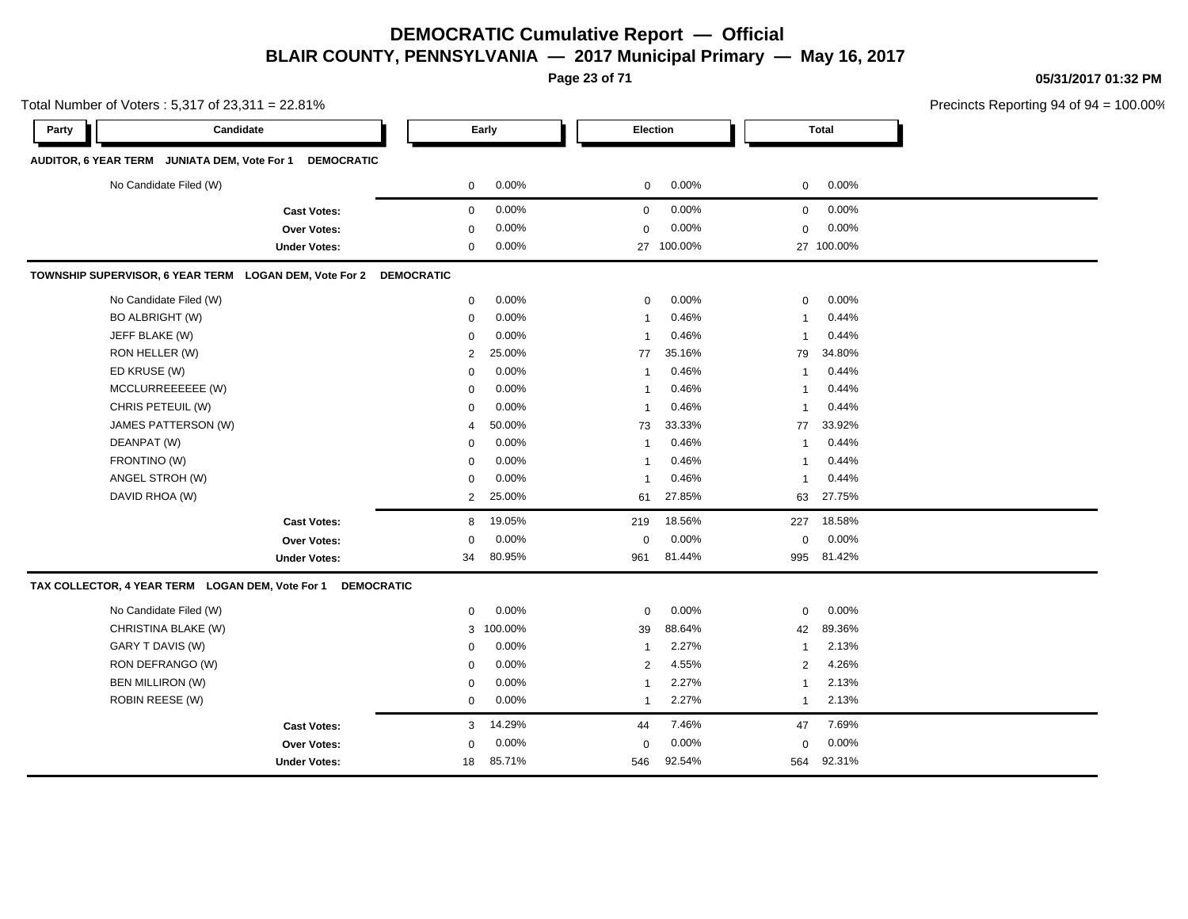**Page 23 of 71**

**05/31/2017 01:32 PM**

eporting 94 of 94 =  $100.00\%$ 

|       | Total Number of Voters: 5,317 of 23,311 = 22.81%                  |                                           |                   |           |                   |         |              |              | <b>Precincts Reportin</b> |
|-------|-------------------------------------------------------------------|-------------------------------------------|-------------------|-----------|-------------------|---------|--------------|--------------|---------------------------|
| Party |                                                                   | Candidate                                 |                   | Early     | Election          |         |              | <b>Total</b> |                           |
|       | AUDITOR, 6 YEAR TERM JUNIATA DEM, Vote For 1                      | <b>DEMOCRATIC</b>                         |                   |           |                   |         |              |              |                           |
|       | No Candidate Filed (W)                                            |                                           | 0                 | 0.00%     | $\mathbf 0$       | 0.00%   | 0            | 0.00%        |                           |
|       |                                                                   |                                           | $\mathbf 0$       | 0.00%     | $\mathbf 0$       | 0.00%   | $\mathbf 0$  | 0.00%        |                           |
|       |                                                                   | <b>Cast Votes:</b>                        |                   | 0.00%     |                   | 0.00%   |              | 0.00%        |                           |
|       |                                                                   | <b>Over Votes:</b><br><b>Under Votes:</b> | 0<br>0            | 0.00%     | $\mathbf 0$<br>27 | 100.00% | $\mathbf 0$  | 27 100.00%   |                           |
|       | TOWNSHIP SUPERVISOR, 6 YEAR TERM LOGAN DEM, Vote For 2 DEMOCRATIC |                                           |                   |           |                   |         |              |              |                           |
|       |                                                                   |                                           |                   |           |                   |         |              |              |                           |
|       | No Candidate Filed (W)                                            |                                           | 0                 | 0.00%     | 0                 | 0.00%   | 0            | 0.00%        |                           |
|       | <b>BO ALBRIGHT (W)</b>                                            |                                           | 0                 | 0.00%     | -1                | 0.46%   | 1            | 0.44%        |                           |
|       | JEFF BLAKE (W)                                                    |                                           | 0                 | 0.00%     |                   | 0.46%   | $\mathbf{1}$ | 0.44%        |                           |
|       | RON HELLER (W)                                                    |                                           | 2                 | 25.00%    | 77                | 35.16%  | 79           | 34.80%       |                           |
|       | ED KRUSE (W)                                                      |                                           | 0                 | 0.00%     | -1                | 0.46%   | $\mathbf{1}$ | 0.44%        |                           |
|       | MCCLURREEEEEE (W)                                                 |                                           | 0                 | 0.00%     | -1                | 0.46%   | $\mathbf{1}$ | 0.44%        |                           |
|       | CHRIS PETEUIL (W)                                                 |                                           | 0                 | 0.00%     | -1                | 0.46%   | $\mathbf{1}$ | 0.44%        |                           |
|       | JAMES PATTERSON (W)                                               |                                           | 4                 | 50.00%    | 73                | 33.33%  | 77           | 33.92%       |                           |
|       | DEANPAT (W)                                                       |                                           | 0                 | 0.00%     | $\overline{1}$    | 0.46%   | $\mathbf{1}$ | 0.44%        |                           |
|       | FRONTINO (W)                                                      |                                           | 0                 | 0.00%     | -1                | 0.46%   | $\mathbf{1}$ | 0.44%        |                           |
|       | ANGEL STROH (W)                                                   |                                           | 0                 | 0.00%     |                   | 0.46%   | $\mathbf{1}$ | 0.44%        |                           |
|       | DAVID RHOA (W)                                                    |                                           | $\overline{2}$    | 25.00%    | 61                | 27.85%  | 63           | 27.75%       |                           |
|       |                                                                   | <b>Cast Votes:</b>                        | 8                 | 19.05%    | 219               | 18.56%  | 227          | 18.58%       |                           |
|       |                                                                   | <b>Over Votes:</b>                        | 0                 | 0.00%     | $\mathbf 0$       | 0.00%   | $\mathbf 0$  | 0.00%        |                           |
|       |                                                                   | <b>Under Votes:</b>                       | 34                | 80.95%    | 961               | 81.44%  | 995          | 81.42%       |                           |
|       | TAX COLLECTOR, 4 YEAR TERM LOGAN DEM, Vote For 1                  |                                           | <b>DEMOCRATIC</b> |           |                   |         |              |              |                           |
|       | No Candidate Filed (W)                                            |                                           | 0                 | 0.00%     | $\mathbf 0$       | 0.00%   | 0            | 0.00%        |                           |
|       | CHRISTINA BLAKE (W)                                               |                                           |                   | 3 100.00% | 39                | 88.64%  | 42           | 89.36%       |                           |
|       | GARY T DAVIS (W)                                                  |                                           | 0                 | 0.00%     | $\mathbf{1}$      | 2.27%   | $\mathbf{1}$ | 2.13%        |                           |
|       | RON DEFRANGO (W)                                                  |                                           | 0                 | 0.00%     | 2                 | 4.55%   | 2            | 4.26%        |                           |
|       | <b>BEN MILLIRON (W)</b>                                           |                                           | 0                 | 0.00%     | -1                | 2.27%   | 1            | 2.13%        |                           |
|       | <b>ROBIN REESE (W)</b>                                            |                                           | 0                 | 0.00%     | $\mathbf{1}$      | 2.27%   | $\mathbf{1}$ | 2.13%        |                           |
|       |                                                                   | <b>Cast Votes:</b>                        | 3                 | 14.29%    | 44                | 7.46%   | 47           | 7.69%        |                           |
|       |                                                                   | <b>Over Votes:</b>                        | 0                 | 0.00%     | $\mathbf 0$       | 0.00%   | 0            | 0.00%        |                           |

546 92.54%

546 564 92.54% 92.31%

Under Votes: 18 05.71%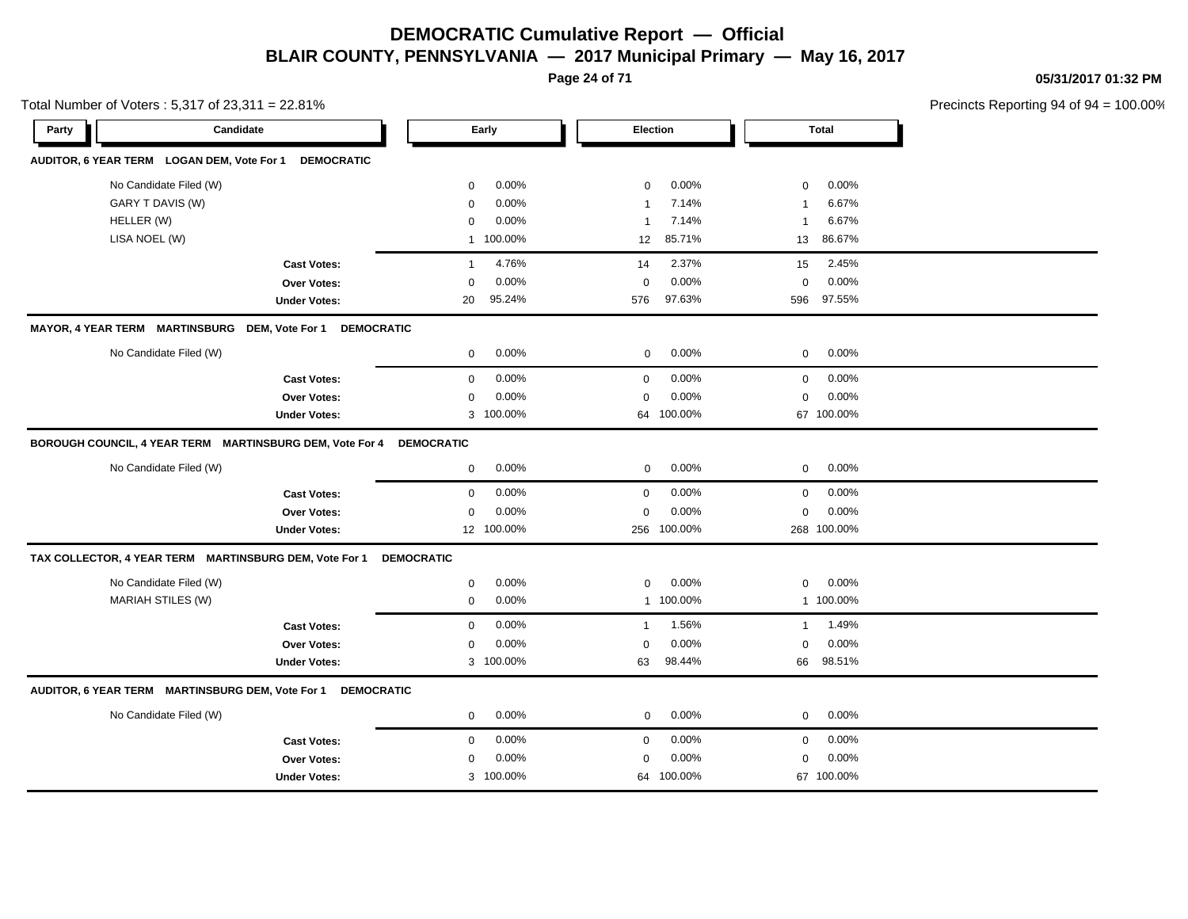**Page 24 of 71**

**05/31/2017 01:32 PM**

|            | Total Number of Voters: 5,317 of 23,311 = 22.81%                      |                         |                         |                         | Precincts Reporting 94 of 94 |
|------------|-----------------------------------------------------------------------|-------------------------|-------------------------|-------------------------|------------------------------|
| Party      | Candidate                                                             | Early                   | <b>Election</b>         | <b>Total</b>            |                              |
|            | AUDITOR, 6 YEAR TERM LOGAN DEM, Vote For 1<br><b>DEMOCRATIC</b>       |                         |                         |                         |                              |
|            | No Candidate Filed (W)                                                | 0.00%<br>0              | 0.00%<br>$\mathbf 0$    | 0.00%<br>$\mathbf 0$    |                              |
|            | GARY T DAVIS (W)                                                      | 0.00%<br>$\mathbf 0$    | 7.14%<br>$\overline{1}$ | 6.67%<br>$\mathbf 1$    |                              |
| HELLER (W) |                                                                       | 0.00%<br>$\mathbf 0$    | 7.14%<br>$\overline{1}$ | 6.67%<br>$\overline{1}$ |                              |
|            | LISA NOEL (W)                                                         | 1 100.00%               | 85.71%<br>12            | 86.67%<br>13            |                              |
|            | <b>Cast Votes:</b>                                                    | 4.76%<br>$\overline{1}$ | 2.37%<br>14             | 2.45%<br>15             |                              |
|            | Over Votes:                                                           | 0.00%<br>0              | 0.00%<br>$\mathbf 0$    | 0.00%<br>$\mathbf 0$    |                              |
|            | <b>Under Votes:</b>                                                   | 95.24%<br>20            | 97.63%<br>576           | 97.55%<br>596           |                              |
|            | MAYOR, 4 YEAR TERM MARTINSBURG DEM, Vote For 1<br><b>DEMOCRATIC</b>   |                         |                         |                         |                              |
|            | No Candidate Filed (W)                                                | 0.00%<br>0              | 0.00%<br>0              | 0.00%<br>$\mathbf 0$    |                              |
|            | <b>Cast Votes:</b>                                                    | 0.00%<br>0              | $\mathbf 0$<br>0.00%    | 0.00%<br>$\mathbf 0$    |                              |
|            | Over Votes:                                                           | 0.00%<br>0              | 0.00%<br>$\mathbf 0$    | 0.00%<br>$\mathbf 0$    |                              |
|            | <b>Under Votes:</b>                                                   | 3 100.00%               | 64 100.00%              | 67 100.00%              |                              |
|            | BOROUGH COUNCIL, 4 YEAR TERM MARTINSBURG DEM, Vote For 4              | <b>DEMOCRATIC</b>       |                         |                         |                              |
|            | No Candidate Filed (W)                                                | 0.00%<br>0              | 0.00%<br>$\mathbf 0$    | 0.00%<br>$\mathbf 0$    |                              |
|            | <b>Cast Votes:</b>                                                    | 0.00%<br>0              | 0.00%<br>$\mathbf 0$    | 0.00%<br>$\mathbf 0$    |                              |
|            | Over Votes:                                                           | 0.00%<br>0              | 0.00%<br>$\mathbf 0$    | 0.00%<br>$\mathbf 0$    |                              |
|            | <b>Under Votes:</b>                                                   | 12 100.00%              | 100.00%<br>256          | 268 100.00%             |                              |
|            | TAX COLLECTOR, 4 YEAR TERM MARTINSBURG DEM, Vote For 1                | <b>DEMOCRATIC</b>       |                         |                         |                              |
|            | No Candidate Filed (W)                                                | 0.00%<br>0              | 0.00%<br>$\mathbf 0$    | 0.00%<br>0              |                              |
|            | <b>MARIAH STILES (W)</b>                                              | 0.00%<br>0              | 1 100.00%               | 1 100.00%               |                              |
|            | <b>Cast Votes:</b>                                                    | 0.00%<br>0              | 1.56%<br>$\mathbf{1}$   | 1.49%<br>$\mathbf{1}$   |                              |
|            | Over Votes:                                                           | 0.00%<br>0              | 0.00%<br>$\mathbf 0$    | 0.00%<br>$\mathbf 0$    |                              |
|            | <b>Under Votes:</b>                                                   | 3 100.00%               | 98.44%<br>63            | 98.51%<br>66            |                              |
|            | AUDITOR, 6 YEAR TERM MARTINSBURG DEM, Vote For 1<br><b>DEMOCRATIC</b> |                         |                         |                         |                              |
|            | No Candidate Filed (W)                                                | 0.00%<br>0              | 0.00%<br>$\mathbf 0$    | 0.00%<br>$\mathbf 0$    |                              |
|            | <b>Cast Votes:</b>                                                    | 0.00%<br>0              | 0.00%<br>$\mathbf 0$    | 0.00%<br>$\mathbf 0$    |                              |
|            | Over Votes:                                                           | 0.00%<br>0              | 0.00%<br>$\Omega$       | 0.00%<br>$\mathbf 0$    |                              |
|            | <b>Under Votes:</b>                                                   | 3 100.00%               | 64 100.00%              | 67 100.00%              |                              |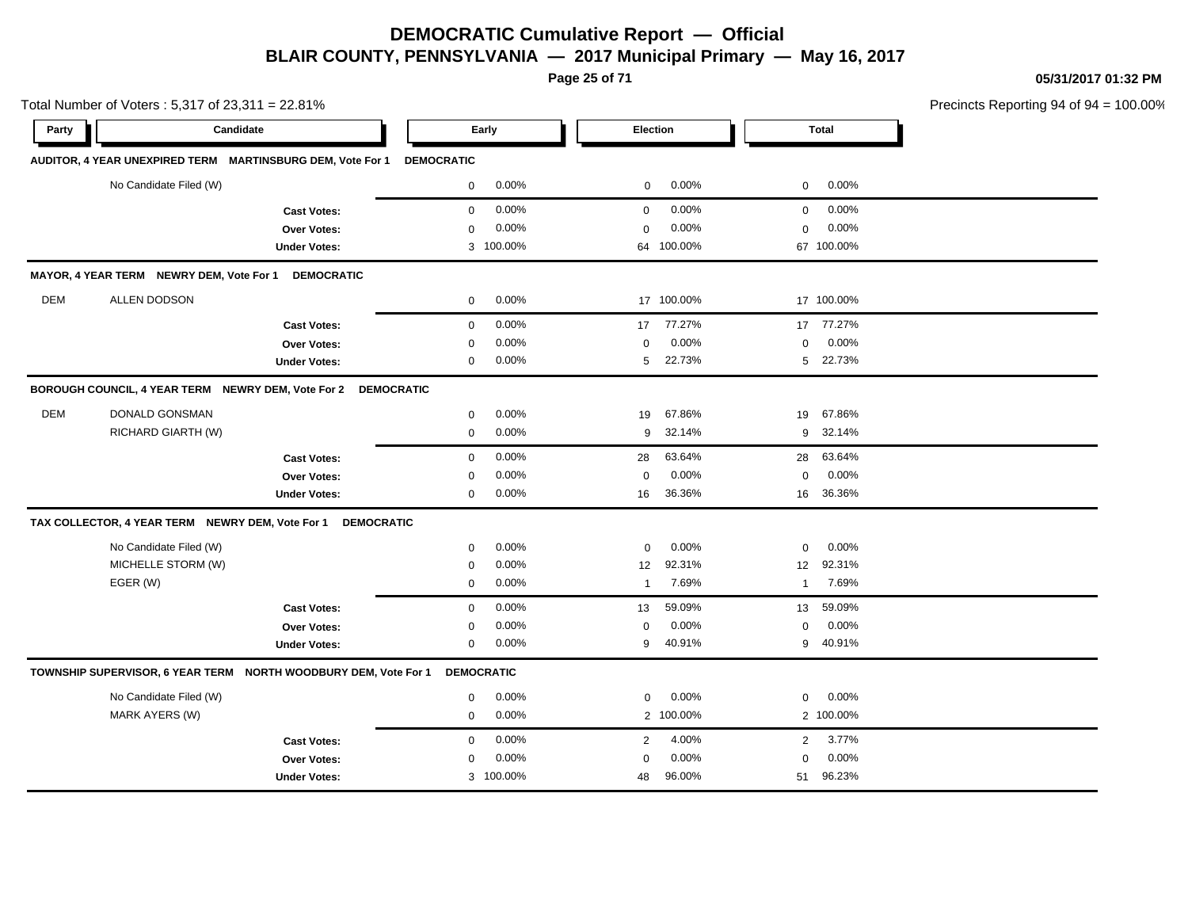**Page 25 of 71**

**05/31/2017 01:32 PM**

|       | Total Number of Voters: 5,317 of 23,311 = 22.81%           |                                                                 |                   |           |                |            |                |              | Precincts Reporting 94 of 94 |
|-------|------------------------------------------------------------|-----------------------------------------------------------------|-------------------|-----------|----------------|------------|----------------|--------------|------------------------------|
| Party | Candidate                                                  |                                                                 |                   | Early     |                | Election   |                | <b>Total</b> |                              |
|       | AUDITOR, 4 YEAR UNEXPIRED TERM MARTINSBURG DEM, Vote For 1 |                                                                 | <b>DEMOCRATIC</b> |           |                |            |                |              |                              |
|       | No Candidate Filed (W)                                     |                                                                 | $\mathbf 0$       | 0.00%     | $\mathbf 0$    | 0.00%      | $\mathbf 0$    | 0.00%        |                              |
|       |                                                            | <b>Cast Votes:</b>                                              | $\mathbf 0$       | 0.00%     | $\mathbf 0$    | 0.00%      | $\mathbf 0$    | 0.00%        |                              |
|       |                                                            | <b>Over Votes:</b>                                              | $\mathbf 0$       | 0.00%     | $\mathbf 0$    | 0.00%      | $\mathbf 0$    | 0.00%        |                              |
|       |                                                            | <b>Under Votes:</b>                                             |                   | 3 100.00% |                | 64 100.00% |                | 67 100.00%   |                              |
|       | MAYOR, 4 YEAR TERM NEWRY DEM, Vote For 1                   | <b>DEMOCRATIC</b>                                               |                   |           |                |            |                |              |                              |
| DEM   | ALLEN DODSON                                               |                                                                 | 0                 | 0.00%     |                | 17 100.00% |                | 17 100.00%   |                              |
|       |                                                            | <b>Cast Votes:</b>                                              | $\mathbf{0}$      | 0.00%     | 17             | 77.27%     | 17             | 77.27%       |                              |
|       |                                                            | Over Votes:                                                     | $\mathbf 0$       | 0.00%     | $\mathbf 0$    | 0.00%      | $\mathbf 0$    | 0.00%        |                              |
|       |                                                            | <b>Under Votes:</b>                                             | $\mathbf{0}$      | 0.00%     | 5              | 22.73%     | 5              | 22.73%       |                              |
|       |                                                            | BOROUGH COUNCIL, 4 YEAR TERM NEWRY DEM, Vote For 2 DEMOCRATIC   |                   |           |                |            |                |              |                              |
| DEM   | DONALD GONSMAN                                             |                                                                 | $\mathbf 0$       | 0.00%     | 19             | 67.86%     | 19             | 67.86%       |                              |
|       | RICHARD GIARTH (W)                                         |                                                                 | $\mathbf 0$       | 0.00%     | 9              | 32.14%     | 9              | 32.14%       |                              |
|       |                                                            | <b>Cast Votes:</b>                                              | $\mathbf 0$       | 0.00%     | 28             | 63.64%     | 28             | 63.64%       |                              |
|       |                                                            | Over Votes:                                                     | $\mathbf 0$       | 0.00%     | $\mathbf 0$    | 0.00%      | $\mathbf 0$    | 0.00%        |                              |
|       |                                                            | <b>Under Votes:</b>                                             | $\mathbf 0$       | 0.00%     | 16             | 36.36%     | 16             | 36.36%       |                              |
|       |                                                            | TAX COLLECTOR, 4 YEAR TERM NEWRY DEM, Vote For 1 DEMOCRATIC     |                   |           |                |            |                |              |                              |
|       | No Candidate Filed (W)                                     |                                                                 | 0                 | 0.00%     | $\mathbf 0$    | 0.00%      | 0              | 0.00%        |                              |
|       | MICHELLE STORM (W)                                         |                                                                 | $\mathbf 0$       | 0.00%     | 12             | 92.31%     | 12             | 92.31%       |                              |
|       | EGER (W)                                                   |                                                                 | $\mathbf{0}$      | $0.00\%$  | $\overline{1}$ | 7.69%      | $\overline{1}$ | 7.69%        |                              |
|       |                                                            | <b>Cast Votes:</b>                                              | $\mathbf 0$       | 0.00%     | 13             | 59.09%     | 13             | 59.09%       |                              |
|       |                                                            | Over Votes:                                                     | 0                 | 0.00%     | 0              | 0.00%      | 0              | 0.00%        |                              |
|       |                                                            | <b>Under Votes:</b>                                             | $\mathbf 0$       | 0.00%     | 9              | 40.91%     | 9              | 40.91%       |                              |
|       |                                                            | TOWNSHIP SUPERVISOR, 6 YEAR TERM NORTH WOODBURY DEM, Vote For 1 | <b>DEMOCRATIC</b> |           |                |            |                |              |                              |
|       | No Candidate Filed (W)                                     |                                                                 | 0                 | 0.00%     | $\mathbf 0$    | 0.00%      | 0              | 0.00%        |                              |
|       | <b>MARK AYERS (W)</b>                                      |                                                                 | $\mathbf 0$       | 0.00%     |                | 2 100.00%  |                | 2 100.00%    |                              |
|       |                                                            | <b>Cast Votes:</b>                                              | $\mathbf{0}$      | 0.00%     | 2              | 4.00%      | $\overline{2}$ | 3.77%        |                              |
|       |                                                            | Over Votes:                                                     | $\mathbf 0$       | 0.00%     | $\mathbf 0$    | 0.00%      | $\mathbf 0$    | 0.00%        |                              |
|       |                                                            | <b>Under Votes:</b>                                             |                   | 3 100.00% | 48             | 96.00%     | 51             | 96.23%       |                              |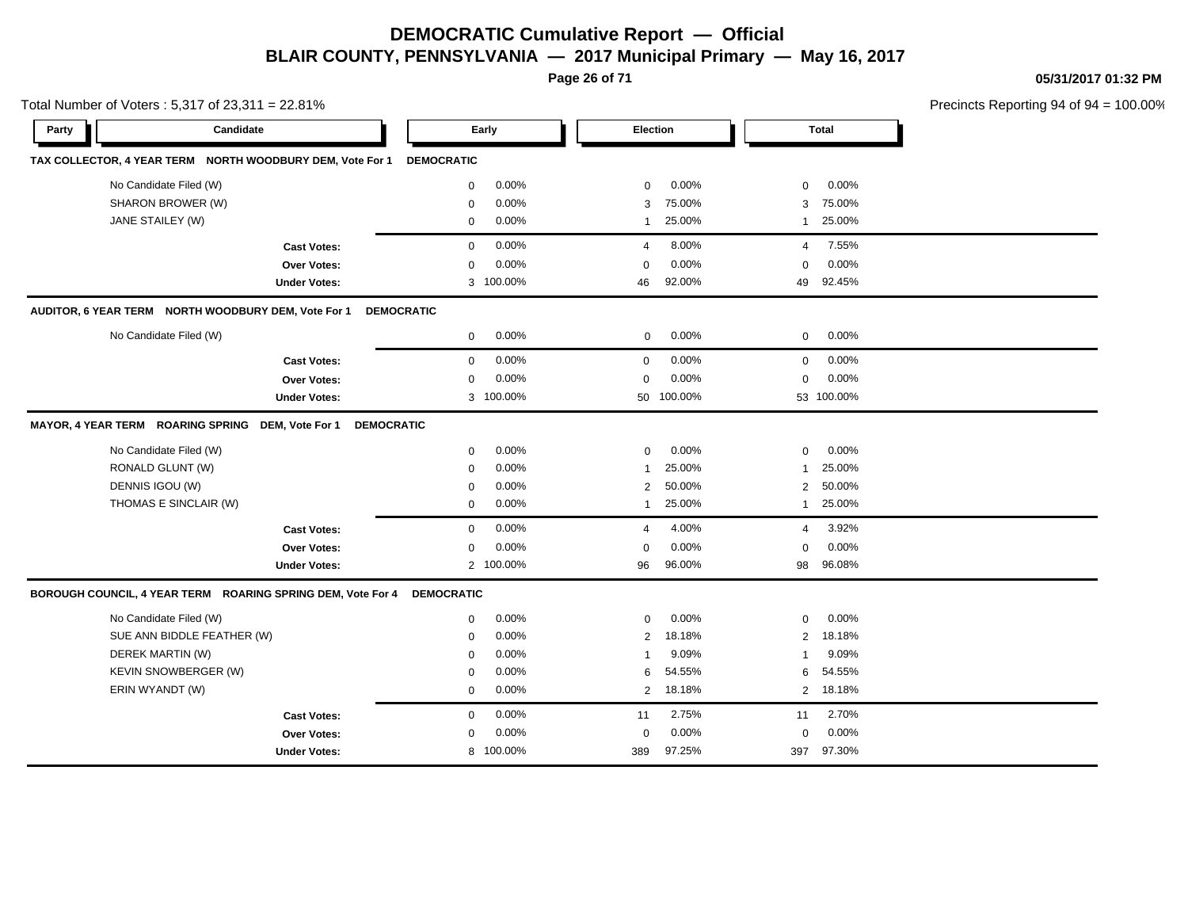**Page 26 of 71**

**05/31/2017 01:32 PM**

|       | Total Number of Voters: 5,317 of 23,311 = 22.81%            |                     |                   |           |                |            |                |              | Precincts Reporting 94 of 94 |
|-------|-------------------------------------------------------------|---------------------|-------------------|-----------|----------------|------------|----------------|--------------|------------------------------|
| Party | Candidate                                                   |                     |                   | Early     |                | Election   |                | <b>Total</b> |                              |
|       | TAX COLLECTOR, 4 YEAR TERM NORTH WOODBURY DEM, Vote For 1   |                     | <b>DEMOCRATIC</b> |           |                |            |                |              |                              |
|       | No Candidate Filed (W)                                      |                     | 0                 | 0.00%     | $\mathbf 0$    | 0.00%      | $\mathbf 0$    | 0.00%        |                              |
|       | SHARON BROWER (W)                                           |                     | 0                 | 0.00%     | 3              | 75.00%     | 3              | 75.00%       |                              |
|       | JANE STAILEY (W)                                            |                     | 0                 | 0.00%     | 1              | 25.00%     | 1              | 25.00%       |                              |
|       |                                                             | <b>Cast Votes:</b>  | $\mathbf 0$       | 0.00%     | $\overline{4}$ | 8.00%      | $\overline{4}$ | 7.55%        |                              |
|       |                                                             | <b>Over Votes:</b>  | $\mathbf 0$       | 0.00%     | $\mathbf 0$    | 0.00%      | $\mathbf 0$    | 0.00%        |                              |
|       |                                                             | <b>Under Votes:</b> | 3                 | 100.00%   | 46             | 92.00%     | 49             | 92.45%       |                              |
|       | AUDITOR, 6 YEAR TERM NORTH WOODBURY DEM, Vote For 1         |                     | <b>DEMOCRATIC</b> |           |                |            |                |              |                              |
|       | No Candidate Filed (W)                                      |                     | $\mathbf 0$       | 0.00%     | $\mathbf 0$    | 0.00%      | $\mathbf 0$    | 0.00%        |                              |
|       |                                                             | <b>Cast Votes:</b>  | $\mathbf 0$       | 0.00%     | 0              | 0.00%      | $\mathbf 0$    | 0.00%        |                              |
|       |                                                             | <b>Over Votes:</b>  | $\mathbf 0$       | 0.00%     | $\mathbf 0$    | 0.00%      | $\mathbf 0$    | 0.00%        |                              |
|       |                                                             | <b>Under Votes:</b> |                   | 3 100.00% |                | 50 100.00% |                | 53 100.00%   |                              |
|       | <b>MAYOR, 4 YEAR TERM ROARING SPRING</b>                    | DEM, Vote For 1     | <b>DEMOCRATIC</b> |           |                |            |                |              |                              |
|       | No Candidate Filed (W)                                      |                     | $\mathbf 0$       | 0.00%     | $\mathbf 0$    | 0.00%      | $\mathbf 0$    | 0.00%        |                              |
|       | RONALD GLUNT (W)                                            |                     | $\mathbf 0$       | 0.00%     | $\mathbf{1}$   | 25.00%     | $\mathbf{1}$   | 25.00%       |                              |
|       | DENNIS IGOU (W)                                             |                     | $\mathbf 0$       | 0.00%     | 2              | 50.00%     | 2              | 50.00%       |                              |
|       | THOMAS E SINCLAIR (W)                                       |                     | $\mathbf 0$       | 0.00%     | $\mathbf{1}$   | 25.00%     | $\mathbf{1}$   | 25.00%       |                              |
|       |                                                             | <b>Cast Votes:</b>  | $\mathbf 0$       | 0.00%     | $\overline{4}$ | 4.00%      | $\overline{4}$ | 3.92%        |                              |
|       |                                                             | Over Votes:         | $\mathbf 0$       | 0.00%     | 0              | 0.00%      | $\mathbf 0$    | 0.00%        |                              |
|       |                                                             | <b>Under Votes:</b> |                   | 2 100.00% | 96             | 96.00%     | 98             | 96.08%       |                              |
|       | BOROUGH COUNCIL, 4 YEAR TERM ROARING SPRING DEM, Vote For 4 |                     | <b>DEMOCRATIC</b> |           |                |            |                |              |                              |
|       | No Candidate Filed (W)                                      |                     | 0                 | 0.00%     | $\mathbf 0$    | 0.00%      | $\mathbf 0$    | 0.00%        |                              |
|       | SUE ANN BIDDLE FEATHER (W)                                  |                     | $\mathbf 0$       | 0.00%     | $\overline{2}$ | 18.18%     | 2              | 18.18%       |                              |
|       | DEREK MARTIN (W)                                            |                     | $\mathbf 0$       | 0.00%     | $\overline{1}$ | 9.09%      | 1              | 9.09%        |                              |
|       | KEVIN SNOWBERGER (W)                                        |                     | $\mathbf 0$       | 0.00%     | 6              | 54.55%     | 6              | 54.55%       |                              |
|       | ERIN WYANDT (W)                                             |                     | $\mathbf 0$       | 0.00%     | $\overline{2}$ | 18.18%     | $\overline{2}$ | 18.18%       |                              |
|       |                                                             | <b>Cast Votes:</b>  | $\mathbf 0$       | 0.00%     | 11             | 2.75%      | 11             | 2.70%        |                              |
|       |                                                             | <b>Over Votes:</b>  | $\mathbf 0$       | 0.00%     | $\mathbf 0$    | 0.00%      | $\mathbf 0$    | 0.00%        |                              |
|       |                                                             | <b>Under Votes:</b> | 8                 | 100.00%   | 389            | 97.25%     | 397            | 97.30%       |                              |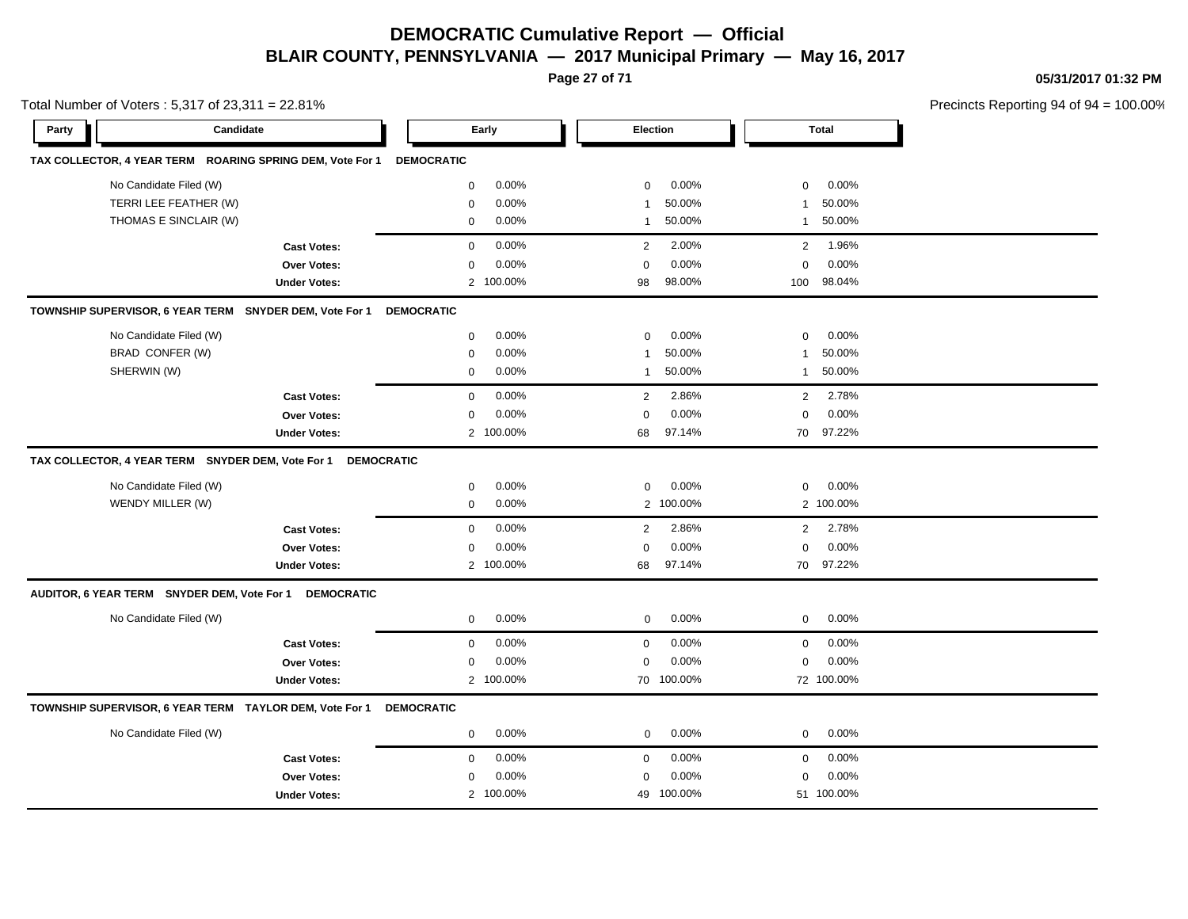**Page 27 of 71**

**05/31/2017 01:32 PM**

| Total Number of Voters: 5,317 of 23,311 = 22.81%                       |                      |                          |                         | Precincts Reporting 94 of 94 |
|------------------------------------------------------------------------|----------------------|--------------------------|-------------------------|------------------------------|
| Candidate<br>Party                                                     | Early                | Election                 | <b>Total</b>            |                              |
| TAX COLLECTOR, 4 YEAR TERM ROARING SPRING DEM, Vote For 1              | <b>DEMOCRATIC</b>    |                          |                         |                              |
| No Candidate Filed (W)                                                 | 0.00%<br>$\mathbf 0$ | 0.00%<br>$\mathbf 0$     | 0.00%<br>0              |                              |
| TERRI LEE FEATHER (W)                                                  | 0.00%<br>0           | 50.00%<br>1              | 50.00%<br>-1            |                              |
| THOMAS E SINCLAIR (W)                                                  | 0.00%<br>$\mathbf 0$ | 50.00%<br>$\overline{1}$ | 50.00%<br>$\mathbf{1}$  |                              |
| <b>Cast Votes:</b>                                                     | 0.00%<br>$\mathbf 0$ | 2.00%<br>2               | 1.96%<br>$\overline{2}$ |                              |
| Over Votes:                                                            | 0.00%<br>$\mathbf 0$ | $\mathbf 0$<br>0.00%     | $\mathbf 0$<br>0.00%    |                              |
| <b>Under Votes:</b>                                                    | 2 100.00%            | 98.00%<br>98             | 98.04%<br>100           |                              |
| TOWNSHIP SUPERVISOR, 6 YEAR TERM SNYDER DEM, Vote For 1                | <b>DEMOCRATIC</b>    |                          |                         |                              |
| No Candidate Filed (W)                                                 | 0.00%<br>$\mathbf 0$ | 0.00%<br>0               | 0.00%<br>$\mathbf 0$    |                              |
| BRAD CONFER (W)                                                        | 0.00%<br>0           | 50.00%<br>1              | 50.00%<br>-1            |                              |
| SHERWIN (W)                                                            | 0.00%<br>0           | 50.00%<br>$\mathbf{1}$   | 50.00%<br>1             |                              |
| <b>Cast Votes:</b>                                                     | 0.00%<br>$\mathbf 0$ | 2.86%<br>2               | 2.78%<br>$\overline{2}$ |                              |
| Over Votes:                                                            | 0.00%<br>$\mathbf 0$ | 0.00%<br>$\mathbf 0$     | 0.00%<br>$\mathbf 0$    |                              |
| <b>Under Votes:</b>                                                    | 2 100.00%            | 97.14%<br>68             | 70<br>97.22%            |                              |
| TAX COLLECTOR, 4 YEAR TERM SNYDER DEM, Vote For 1<br><b>DEMOCRATIC</b> |                      |                          |                         |                              |
| No Candidate Filed (W)                                                 | 0.00%<br>$\mathbf 0$ | 0.00%<br>0               | 0.00%<br>$\mathbf 0$    |                              |
| WENDY MILLER (W)                                                       | 0.00%<br>$\mathbf 0$ | 2 100.00%                | 2 100.00%               |                              |
| <b>Cast Votes:</b>                                                     | 0.00%<br>$\mathbf 0$ | 2.86%<br>$\overline{2}$  | 2.78%<br>$\overline{2}$ |                              |
| <b>Over Votes:</b>                                                     | 0.00%<br>$\mathbf 0$ | 0.00%<br>$\mathbf 0$     | 0.00%<br>$\mathbf 0$    |                              |
| <b>Under Votes:</b>                                                    | 2 100.00%            | 97.14%<br>68             | 97.22%<br>70            |                              |
| AUDITOR, 6 YEAR TERM SNYDER DEM, Vote For 1 DEMOCRATIC                 |                      |                          |                         |                              |
| No Candidate Filed (W)                                                 | 0.00%<br>$\mathbf 0$ | 0.00%<br>$\mathbf 0$     | $\mathbf 0$<br>0.00%    |                              |
| <b>Cast Votes:</b>                                                     | 0.00%<br>$\mathbf 0$ | 0.00%<br>$\mathbf 0$     | 0.00%<br>$\mathbf 0$    |                              |
| Over Votes:                                                            | 0.00%<br>0           | 0.00%<br>$\mathbf 0$     | 0.00%<br>$\mathbf 0$    |                              |
| <b>Under Votes:</b>                                                    | 2 100.00%            | 70 100.00%               | 72 100.00%              |                              |
| TOWNSHIP SUPERVISOR, 6 YEAR TERM TAYLOR DEM, Vote For 1                | <b>DEMOCRATIC</b>    |                          |                         |                              |
| No Candidate Filed (W)                                                 | 0.00%<br>$\mathbf 0$ | 0.00%<br>$\mathbf 0$     | 0.00%<br>$\mathbf 0$    |                              |
| <b>Cast Votes:</b>                                                     | 0.00%<br>$\mathbf 0$ | 0.00%<br>$\mathbf 0$     | 0.00%<br>$\mathbf 0$    |                              |
| Over Votes:                                                            | 0.00%<br>0           | 0.00%<br>$\mathbf 0$     | 0.00%<br>$\mathbf 0$    |                              |
| <b>Under Votes:</b>                                                    | 2 100.00%            | 49 100.00%               | 51 100.00%              |                              |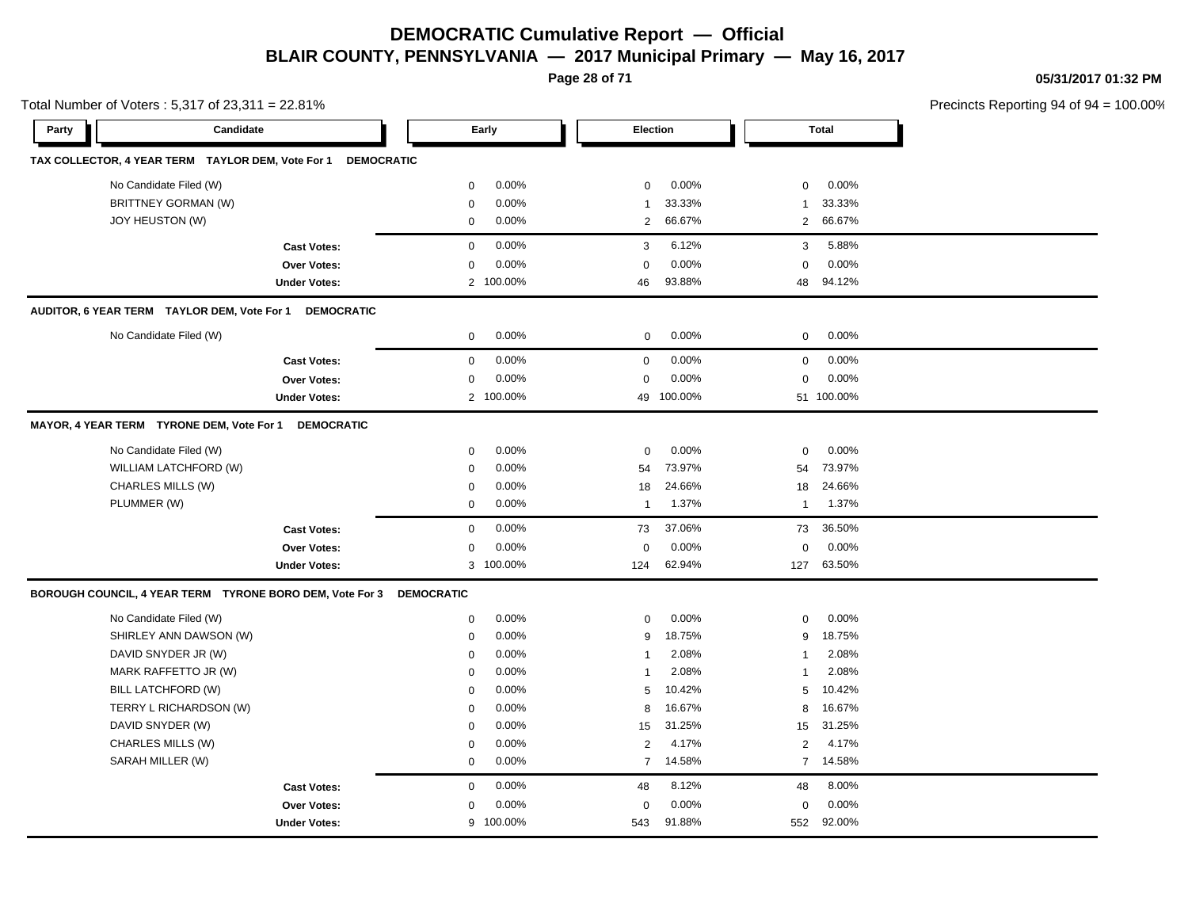# **DEMOCRATIC Cumulative Report — Official**

**05/31/2017 01:32 PM**

Precincts Reporting 94 of 94 = 100.00%

#### **BLAIR COUNTY, PENNSYLVANIA — 2017 Municipal Primary — May 16, 2017 Page 28 of 71** Total Number of Voters : 5,317 of 23,311 = 22.81% **Party Candidate Early Election Total TAX COLLECTOR, 4 YEAR TERM TAYLOR DEM, Vote For 1 DEMOCRATIC** No Candidate Filed (W)  $0.00\%$  0.00% 0 0.00% 0 0.00% 0 0.00% BRITTNEY GORMAN (W) 83.33% 1 33.33% 1 33.33% 1 33.33% 1 33.33% 1 33.33% 1 33.33% 1 33.33% 1 33.33% 1 33.33% 1 33.33% 1 33.33% 1 33.33% 1 33.33% 1 33.33% 1 33.33% 1 33.33% 1 33.33% 1 33.33% 1 33.33% 1 33.33% 1 33.33% 1 33.3 JOY HEUSTON (W) 0 0.00% 2 66.67% 2 66.67% **Cast Votes:** 0 0.00% 3 6.12% 3 5.88% **Over Votes:** 0 0.00% **Under Votes:** 2 0.00% 0 100.00% 46 48 93.88% 94.12% 0.00% 0 0.00% **AUDITOR, 6 YEAR TERM TAYLOR DEM, Vote For 1 DEMOCRATIC** No Candidate Filed (W)  $0.00\%$  0.00% 0 0.00% 0 0.00% 0 0.00% **Cast Votes:** 0 0.00% 0 0.00% 0 0.00% **Over Votes:** 0 0.00% Under Votes: 2 100.00% 0.00% 0 100.00% 49 51 0.00% 0 0.00% 100.00% 100.00% **MAYOR, 4 YEAR TERM TYRONE DEM, Vote For 1 DEMOCRATIC** No Candidate Filed (W) 0 0.00% 0 0.00% 0 0.00% WILLIAM LATCHFORD (W)  $0.00\%$  0.00% 54 73.97% 54 73.97% 54 73.97% CHARLES MILLS (W) 0 0.00% 18 24.66% 18 24.66% PLUMMER (W) 0 0.00% 1 1.37% 1 1.37% **Cast Votes:** 0 0.00% 73 37.06% 73 36.50% **Over Votes:** 0 **Under Votes:** 0.00% 100.00%  $0.00%$ 62.94% 127 0.00% 0 62.94% 63.50% 0.00% **BOROUGH COUNCIL, 4 YEAR TERM TYRONE BORO DEM, Vote For 3 DEMOCRATIC** No Candidate Filed (W)  $0.00\%$  0.00% 0 0.00% 0 0.00% 0 0.00% SHIRLEY ANN DAWSON (W)  $0.00\%$  0.00% 9 18.75% 9 18.75% DAVID SNYDER JR (W) 0 0.00% 1 2.08% 1 2.08% MARK RAFFETTO JR (W) 0 0.00% 1 2.08% 1 2.08% BILL LATCHFORD (W) 0 0.00% 5 10.42% 5 10.42% TERRY L RICHARDSON (W) 0 0.00% 8 16.67% 8 16.67% DAVID SNYDER (W) 0 0.00% 15 31.25% 15 31.25% CHARLES MILLS (W) 0 0.00% 2 4.17% 2 4.17% SARAH MILLER (W) 0 0.00% 7 14.58% 7 14.58% **Cast Votes:** 0 0.00% 48 8.12% 48 8.00% **Over Votes:** 0 0.00% **Under Votes:** 0.00% 0 100.00% 543 552 91.88% 92.00%0.00% 0 0.00%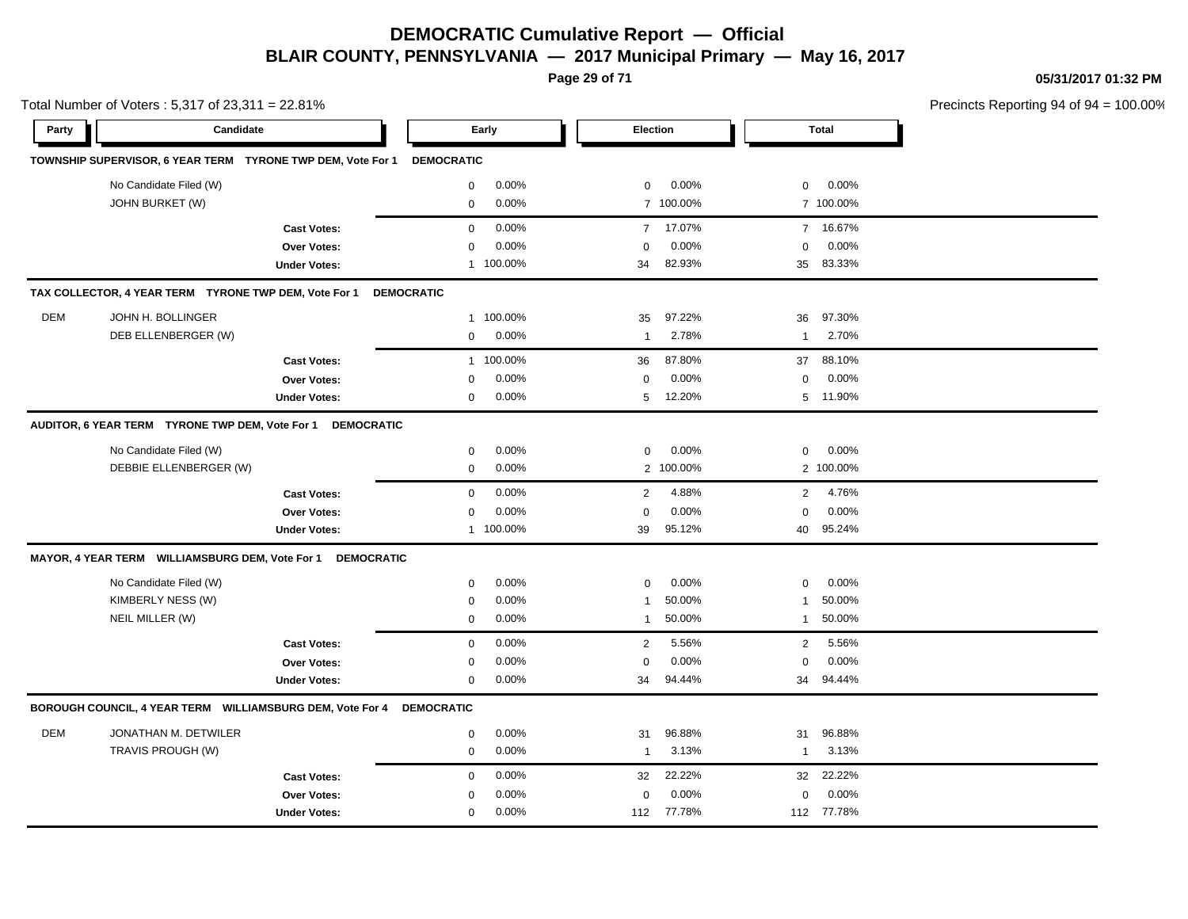**Page 29 of 71**

**05/31/2017 01:32 PM**

| Candidate<br>Election<br><b>Total</b><br>Party<br>Early<br>TOWNSHIP SUPERVISOR, 6 YEAR TERM TYRONE TWP DEM, Vote For 1<br><b>DEMOCRATIC</b><br>No Candidate Filed (W)<br>0.00%<br>0.00%<br>0.00%<br>$\mathbf 0$<br>0<br>$\mathbf 0$<br>JOHN BURKET (W)<br>0.00%<br>7 100.00%<br>7 100.00%<br>$\mathbf 0$<br>0.00%<br>17.07%<br>7 16.67%<br><b>Cast Votes:</b><br>$\mathbf 0$<br>$\overline{7}$<br>0.00%<br>0.00%<br>0.00%<br>Over Votes:<br>$\mathbf 0$<br>$\Omega$<br>$\mathbf 0$<br>83.33%<br>1 100.00%<br>82.93%<br><b>Under Votes:</b><br>34<br>35<br>TAX COLLECTOR, 4 YEAR TERM TYRONE TWP DEM, Vote For 1<br><b>DEMOCRATIC</b><br><b>DEM</b><br>JOHN H. BOLLINGER<br>97.22%<br>97.30%<br>100.00%<br>36<br>1<br>35<br>DEB ELLENBERGER (W)<br>0.00%<br>2.78%<br>2.70%<br>$\mathbf 0$<br>$\mathbf{1}$<br>$\mathbf{1}$<br>87.80%<br>1 100.00%<br>37<br>88.10%<br><b>Cast Votes:</b><br>36<br>0.00%<br>0.00%<br>0.00%<br>Over Votes:<br>$\mathbf 0$<br>0<br>0<br>0.00%<br>12.20%<br>5 11.90%<br><b>Under Votes:</b><br>$\mathbf 0$<br>5<br>AUDITOR, 6 YEAR TERM TYRONE TWP DEM, Vote For 1<br><b>DEMOCRATIC</b><br>No Candidate Filed (W)<br>0.00%<br>0.00%<br>0.00%<br>$\mathbf 0$<br>$\Omega$<br>$\mathbf 0$<br>DEBBIE ELLENBERGER (W)<br>0.00%<br>2 100.00%<br>2 100.00%<br>$\mathbf 0$<br>0.00%<br>4.88%<br>4.76%<br>$\mathbf 0$<br>2<br>$\overline{2}$<br><b>Cast Votes:</b><br>0.00%<br>0.00%<br>0.00%<br>Over Votes:<br>$\mathbf 0$<br>$\mathbf 0$<br>$\Omega$<br>1 100.00%<br>39<br>95.12%<br>95.24%<br><b>Under Votes:</b><br>40<br>MAYOR, 4 YEAR TERM WILLIAMSBURG DEM, Vote For 1<br><b>DEMOCRATIC</b><br>No Candidate Filed (W)<br>0.00%<br>0.00%<br>0.00%<br>$\mathbf 0$<br>0<br>$\mathbf 0$<br>KIMBERLY NESS (W)<br>0.00%<br>50.00%<br>50.00%<br>$\mathbf 0$<br>1<br>-1<br>NEIL MILLER (W)<br>0.00%<br>50.00%<br>50.00%<br>$\mathbf 0$<br>1<br>1<br>$\mathbf 0$<br>0.00%<br>2<br>5.56%<br>$\overline{2}$<br>5.56%<br><b>Cast Votes:</b><br>0.00%<br>0.00%<br>0.00%<br><b>Over Votes:</b><br>$\mathbf 0$<br>$\mathbf 0$<br>$\mathbf 0$<br>0.00%<br>34<br>94.44%<br>34<br>94.44%<br><b>Under Votes:</b><br>0<br>BOROUGH COUNCIL, 4 YEAR TERM WILLIAMSBURG DEM, Vote For 4<br><b>DEMOCRATIC</b><br><b>DEM</b><br>JONATHAN M. DETWILER<br>0.00%<br>96.88%<br>96.88%<br>$\mathbf 0$<br>31<br>31<br>TRAVIS PROUGH (W)<br>0.00%<br>3.13%<br>3.13%<br>$\mathbf 0$<br>$\mathbf{1}$<br>$\mathbf{1}$<br>22.22%<br>22.22%<br>0.00%<br><b>Cast Votes:</b><br>$\mathbf 0$<br>32<br>32<br>0.00%<br>0.00%<br>0.00%<br>$\Omega$<br>Over Votes:<br>$\Omega$<br>$\Omega$<br>0.00%<br>77.78%<br>112 77.78%<br><b>Under Votes:</b><br>0<br>112 | Total Number of Voters: 5,317 of 23,311 = 22.81% |  |  |  | Precincts Reporting 94 of 94 |
|------------------------------------------------------------------------------------------------------------------------------------------------------------------------------------------------------------------------------------------------------------------------------------------------------------------------------------------------------------------------------------------------------------------------------------------------------------------------------------------------------------------------------------------------------------------------------------------------------------------------------------------------------------------------------------------------------------------------------------------------------------------------------------------------------------------------------------------------------------------------------------------------------------------------------------------------------------------------------------------------------------------------------------------------------------------------------------------------------------------------------------------------------------------------------------------------------------------------------------------------------------------------------------------------------------------------------------------------------------------------------------------------------------------------------------------------------------------------------------------------------------------------------------------------------------------------------------------------------------------------------------------------------------------------------------------------------------------------------------------------------------------------------------------------------------------------------------------------------------------------------------------------------------------------------------------------------------------------------------------------------------------------------------------------------------------------------------------------------------------------------------------------------------------------------------------------------------------------------------------------------------------------------------------------------------------------------------------------------------------------------------------------------------------------------------------------------------------------------------------------------------------------------------------------------------------------------------------------------------------------------------------|--------------------------------------------------|--|--|--|------------------------------|
|                                                                                                                                                                                                                                                                                                                                                                                                                                                                                                                                                                                                                                                                                                                                                                                                                                                                                                                                                                                                                                                                                                                                                                                                                                                                                                                                                                                                                                                                                                                                                                                                                                                                                                                                                                                                                                                                                                                                                                                                                                                                                                                                                                                                                                                                                                                                                                                                                                                                                                                                                                                                                                          |                                                  |  |  |  |                              |
|                                                                                                                                                                                                                                                                                                                                                                                                                                                                                                                                                                                                                                                                                                                                                                                                                                                                                                                                                                                                                                                                                                                                                                                                                                                                                                                                                                                                                                                                                                                                                                                                                                                                                                                                                                                                                                                                                                                                                                                                                                                                                                                                                                                                                                                                                                                                                                                                                                                                                                                                                                                                                                          |                                                  |  |  |  |                              |
|                                                                                                                                                                                                                                                                                                                                                                                                                                                                                                                                                                                                                                                                                                                                                                                                                                                                                                                                                                                                                                                                                                                                                                                                                                                                                                                                                                                                                                                                                                                                                                                                                                                                                                                                                                                                                                                                                                                                                                                                                                                                                                                                                                                                                                                                                                                                                                                                                                                                                                                                                                                                                                          |                                                  |  |  |  |                              |
|                                                                                                                                                                                                                                                                                                                                                                                                                                                                                                                                                                                                                                                                                                                                                                                                                                                                                                                                                                                                                                                                                                                                                                                                                                                                                                                                                                                                                                                                                                                                                                                                                                                                                                                                                                                                                                                                                                                                                                                                                                                                                                                                                                                                                                                                                                                                                                                                                                                                                                                                                                                                                                          |                                                  |  |  |  |                              |
|                                                                                                                                                                                                                                                                                                                                                                                                                                                                                                                                                                                                                                                                                                                                                                                                                                                                                                                                                                                                                                                                                                                                                                                                                                                                                                                                                                                                                                                                                                                                                                                                                                                                                                                                                                                                                                                                                                                                                                                                                                                                                                                                                                                                                                                                                                                                                                                                                                                                                                                                                                                                                                          |                                                  |  |  |  |                              |
|                                                                                                                                                                                                                                                                                                                                                                                                                                                                                                                                                                                                                                                                                                                                                                                                                                                                                                                                                                                                                                                                                                                                                                                                                                                                                                                                                                                                                                                                                                                                                                                                                                                                                                                                                                                                                                                                                                                                                                                                                                                                                                                                                                                                                                                                                                                                                                                                                                                                                                                                                                                                                                          |                                                  |  |  |  |                              |
|                                                                                                                                                                                                                                                                                                                                                                                                                                                                                                                                                                                                                                                                                                                                                                                                                                                                                                                                                                                                                                                                                                                                                                                                                                                                                                                                                                                                                                                                                                                                                                                                                                                                                                                                                                                                                                                                                                                                                                                                                                                                                                                                                                                                                                                                                                                                                                                                                                                                                                                                                                                                                                          |                                                  |  |  |  |                              |
|                                                                                                                                                                                                                                                                                                                                                                                                                                                                                                                                                                                                                                                                                                                                                                                                                                                                                                                                                                                                                                                                                                                                                                                                                                                                                                                                                                                                                                                                                                                                                                                                                                                                                                                                                                                                                                                                                                                                                                                                                                                                                                                                                                                                                                                                                                                                                                                                                                                                                                                                                                                                                                          |                                                  |  |  |  |                              |
|                                                                                                                                                                                                                                                                                                                                                                                                                                                                                                                                                                                                                                                                                                                                                                                                                                                                                                                                                                                                                                                                                                                                                                                                                                                                                                                                                                                                                                                                                                                                                                                                                                                                                                                                                                                                                                                                                                                                                                                                                                                                                                                                                                                                                                                                                                                                                                                                                                                                                                                                                                                                                                          |                                                  |  |  |  |                              |
|                                                                                                                                                                                                                                                                                                                                                                                                                                                                                                                                                                                                                                                                                                                                                                                                                                                                                                                                                                                                                                                                                                                                                                                                                                                                                                                                                                                                                                                                                                                                                                                                                                                                                                                                                                                                                                                                                                                                                                                                                                                                                                                                                                                                                                                                                                                                                                                                                                                                                                                                                                                                                                          |                                                  |  |  |  |                              |
|                                                                                                                                                                                                                                                                                                                                                                                                                                                                                                                                                                                                                                                                                                                                                                                                                                                                                                                                                                                                                                                                                                                                                                                                                                                                                                                                                                                                                                                                                                                                                                                                                                                                                                                                                                                                                                                                                                                                                                                                                                                                                                                                                                                                                                                                                                                                                                                                                                                                                                                                                                                                                                          |                                                  |  |  |  |                              |
|                                                                                                                                                                                                                                                                                                                                                                                                                                                                                                                                                                                                                                                                                                                                                                                                                                                                                                                                                                                                                                                                                                                                                                                                                                                                                                                                                                                                                                                                                                                                                                                                                                                                                                                                                                                                                                                                                                                                                                                                                                                                                                                                                                                                                                                                                                                                                                                                                                                                                                                                                                                                                                          |                                                  |  |  |  |                              |
|                                                                                                                                                                                                                                                                                                                                                                                                                                                                                                                                                                                                                                                                                                                                                                                                                                                                                                                                                                                                                                                                                                                                                                                                                                                                                                                                                                                                                                                                                                                                                                                                                                                                                                                                                                                                                                                                                                                                                                                                                                                                                                                                                                                                                                                                                                                                                                                                                                                                                                                                                                                                                                          |                                                  |  |  |  |                              |
|                                                                                                                                                                                                                                                                                                                                                                                                                                                                                                                                                                                                                                                                                                                                                                                                                                                                                                                                                                                                                                                                                                                                                                                                                                                                                                                                                                                                                                                                                                                                                                                                                                                                                                                                                                                                                                                                                                                                                                                                                                                                                                                                                                                                                                                                                                                                                                                                                                                                                                                                                                                                                                          |                                                  |  |  |  |                              |
|                                                                                                                                                                                                                                                                                                                                                                                                                                                                                                                                                                                                                                                                                                                                                                                                                                                                                                                                                                                                                                                                                                                                                                                                                                                                                                                                                                                                                                                                                                                                                                                                                                                                                                                                                                                                                                                                                                                                                                                                                                                                                                                                                                                                                                                                                                                                                                                                                                                                                                                                                                                                                                          |                                                  |  |  |  |                              |
|                                                                                                                                                                                                                                                                                                                                                                                                                                                                                                                                                                                                                                                                                                                                                                                                                                                                                                                                                                                                                                                                                                                                                                                                                                                                                                                                                                                                                                                                                                                                                                                                                                                                                                                                                                                                                                                                                                                                                                                                                                                                                                                                                                                                                                                                                                                                                                                                                                                                                                                                                                                                                                          |                                                  |  |  |  |                              |
|                                                                                                                                                                                                                                                                                                                                                                                                                                                                                                                                                                                                                                                                                                                                                                                                                                                                                                                                                                                                                                                                                                                                                                                                                                                                                                                                                                                                                                                                                                                                                                                                                                                                                                                                                                                                                                                                                                                                                                                                                                                                                                                                                                                                                                                                                                                                                                                                                                                                                                                                                                                                                                          |                                                  |  |  |  |                              |
|                                                                                                                                                                                                                                                                                                                                                                                                                                                                                                                                                                                                                                                                                                                                                                                                                                                                                                                                                                                                                                                                                                                                                                                                                                                                                                                                                                                                                                                                                                                                                                                                                                                                                                                                                                                                                                                                                                                                                                                                                                                                                                                                                                                                                                                                                                                                                                                                                                                                                                                                                                                                                                          |                                                  |  |  |  |                              |
|                                                                                                                                                                                                                                                                                                                                                                                                                                                                                                                                                                                                                                                                                                                                                                                                                                                                                                                                                                                                                                                                                                                                                                                                                                                                                                                                                                                                                                                                                                                                                                                                                                                                                                                                                                                                                                                                                                                                                                                                                                                                                                                                                                                                                                                                                                                                                                                                                                                                                                                                                                                                                                          |                                                  |  |  |  |                              |
|                                                                                                                                                                                                                                                                                                                                                                                                                                                                                                                                                                                                                                                                                                                                                                                                                                                                                                                                                                                                                                                                                                                                                                                                                                                                                                                                                                                                                                                                                                                                                                                                                                                                                                                                                                                                                                                                                                                                                                                                                                                                                                                                                                                                                                                                                                                                                                                                                                                                                                                                                                                                                                          |                                                  |  |  |  |                              |
|                                                                                                                                                                                                                                                                                                                                                                                                                                                                                                                                                                                                                                                                                                                                                                                                                                                                                                                                                                                                                                                                                                                                                                                                                                                                                                                                                                                                                                                                                                                                                                                                                                                                                                                                                                                                                                                                                                                                                                                                                                                                                                                                                                                                                                                                                                                                                                                                                                                                                                                                                                                                                                          |                                                  |  |  |  |                              |
|                                                                                                                                                                                                                                                                                                                                                                                                                                                                                                                                                                                                                                                                                                                                                                                                                                                                                                                                                                                                                                                                                                                                                                                                                                                                                                                                                                                                                                                                                                                                                                                                                                                                                                                                                                                                                                                                                                                                                                                                                                                                                                                                                                                                                                                                                                                                                                                                                                                                                                                                                                                                                                          |                                                  |  |  |  |                              |
|                                                                                                                                                                                                                                                                                                                                                                                                                                                                                                                                                                                                                                                                                                                                                                                                                                                                                                                                                                                                                                                                                                                                                                                                                                                                                                                                                                                                                                                                                                                                                                                                                                                                                                                                                                                                                                                                                                                                                                                                                                                                                                                                                                                                                                                                                                                                                                                                                                                                                                                                                                                                                                          |                                                  |  |  |  |                              |
|                                                                                                                                                                                                                                                                                                                                                                                                                                                                                                                                                                                                                                                                                                                                                                                                                                                                                                                                                                                                                                                                                                                                                                                                                                                                                                                                                                                                                                                                                                                                                                                                                                                                                                                                                                                                                                                                                                                                                                                                                                                                                                                                                                                                                                                                                                                                                                                                                                                                                                                                                                                                                                          |                                                  |  |  |  |                              |
|                                                                                                                                                                                                                                                                                                                                                                                                                                                                                                                                                                                                                                                                                                                                                                                                                                                                                                                                                                                                                                                                                                                                                                                                                                                                                                                                                                                                                                                                                                                                                                                                                                                                                                                                                                                                                                                                                                                                                                                                                                                                                                                                                                                                                                                                                                                                                                                                                                                                                                                                                                                                                                          |                                                  |  |  |  |                              |
|                                                                                                                                                                                                                                                                                                                                                                                                                                                                                                                                                                                                                                                                                                                                                                                                                                                                                                                                                                                                                                                                                                                                                                                                                                                                                                                                                                                                                                                                                                                                                                                                                                                                                                                                                                                                                                                                                                                                                                                                                                                                                                                                                                                                                                                                                                                                                                                                                                                                                                                                                                                                                                          |                                                  |  |  |  |                              |
|                                                                                                                                                                                                                                                                                                                                                                                                                                                                                                                                                                                                                                                                                                                                                                                                                                                                                                                                                                                                                                                                                                                                                                                                                                                                                                                                                                                                                                                                                                                                                                                                                                                                                                                                                                                                                                                                                                                                                                                                                                                                                                                                                                                                                                                                                                                                                                                                                                                                                                                                                                                                                                          |                                                  |  |  |  |                              |
|                                                                                                                                                                                                                                                                                                                                                                                                                                                                                                                                                                                                                                                                                                                                                                                                                                                                                                                                                                                                                                                                                                                                                                                                                                                                                                                                                                                                                                                                                                                                                                                                                                                                                                                                                                                                                                                                                                                                                                                                                                                                                                                                                                                                                                                                                                                                                                                                                                                                                                                                                                                                                                          |                                                  |  |  |  |                              |
|                                                                                                                                                                                                                                                                                                                                                                                                                                                                                                                                                                                                                                                                                                                                                                                                                                                                                                                                                                                                                                                                                                                                                                                                                                                                                                                                                                                                                                                                                                                                                                                                                                                                                                                                                                                                                                                                                                                                                                                                                                                                                                                                                                                                                                                                                                                                                                                                                                                                                                                                                                                                                                          |                                                  |  |  |  |                              |
|                                                                                                                                                                                                                                                                                                                                                                                                                                                                                                                                                                                                                                                                                                                                                                                                                                                                                                                                                                                                                                                                                                                                                                                                                                                                                                                                                                                                                                                                                                                                                                                                                                                                                                                                                                                                                                                                                                                                                                                                                                                                                                                                                                                                                                                                                                                                                                                                                                                                                                                                                                                                                                          |                                                  |  |  |  |                              |
|                                                                                                                                                                                                                                                                                                                                                                                                                                                                                                                                                                                                                                                                                                                                                                                                                                                                                                                                                                                                                                                                                                                                                                                                                                                                                                                                                                                                                                                                                                                                                                                                                                                                                                                                                                                                                                                                                                                                                                                                                                                                                                                                                                                                                                                                                                                                                                                                                                                                                                                                                                                                                                          |                                                  |  |  |  |                              |
|                                                                                                                                                                                                                                                                                                                                                                                                                                                                                                                                                                                                                                                                                                                                                                                                                                                                                                                                                                                                                                                                                                                                                                                                                                                                                                                                                                                                                                                                                                                                                                                                                                                                                                                                                                                                                                                                                                                                                                                                                                                                                                                                                                                                                                                                                                                                                                                                                                                                                                                                                                                                                                          |                                                  |  |  |  |                              |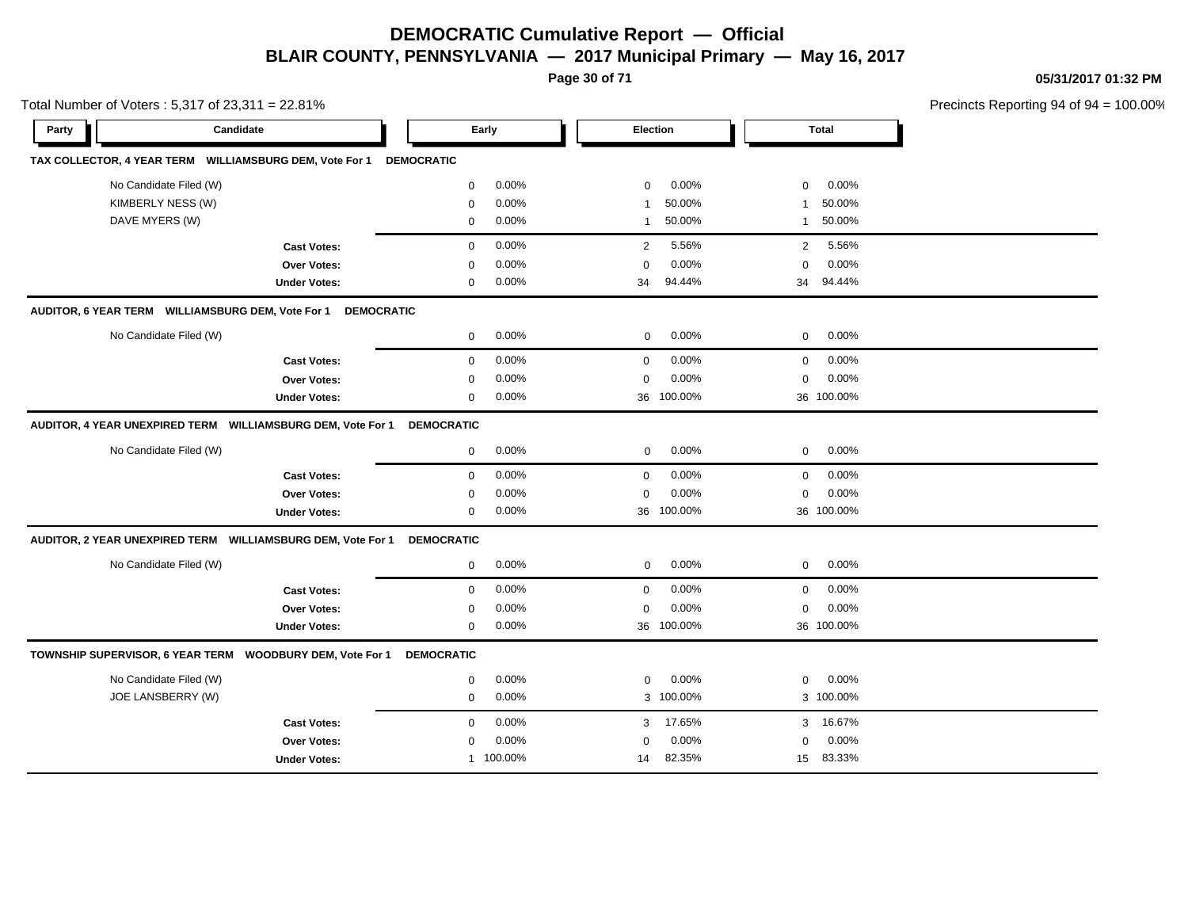**Page 30 of 71**

**05/31/2017 01:32 PM**

| Total Number of Voters: 5,317 of 23,311 = 22.81%            |                     |                              |                        |                           | Precincts Reporting 94 of 94 = 100.00% |
|-------------------------------------------------------------|---------------------|------------------------------|------------------------|---------------------------|----------------------------------------|
| Candidate<br>Party                                          |                     | Early                        | <b>Election</b>        | <b>Total</b>              |                                        |
| TAX COLLECTOR, 4 YEAR TERM WILLIAMSBURG DEM, Vote For 1     |                     | <b>DEMOCRATIC</b>            |                        |                           |                                        |
| No Candidate Filed (W)                                      |                     | $\mathbf 0$<br>0.00%         | 0.00%<br>$\mathbf 0$   | $\mathbf 0$<br>0.00%      |                                        |
| KIMBERLY NESS (W)                                           |                     | 0.00%<br>$\mathbf 0$         | 50.00%                 | 50.00%<br>$\mathbf{1}$    |                                        |
| DAVE MYERS (W)                                              |                     | 0.00%<br>$\mathsf{O}\xspace$ | 50.00%<br>$\mathbf{1}$ | 50.00%<br>$\mathbf{1}$    |                                        |
|                                                             | <b>Cast Votes:</b>  | 0.00%<br>$\mathbf 0$         | 5.56%<br>2             | $\overline{2}$<br>5.56%   |                                        |
|                                                             | <b>Over Votes:</b>  | 0.00%<br>0                   | 0.00%<br>$\Omega$      | 0.00%<br>$\mathbf 0$      |                                        |
|                                                             | <b>Under Votes:</b> | 0.00%<br>$\mathbf 0$         | 94.44%<br>34           | 94.44%<br>34              |                                        |
| AUDITOR, 6 YEAR TERM WILLIAMSBURG DEM, Vote For 1           |                     | <b>DEMOCRATIC</b>            |                        |                           |                                        |
| No Candidate Filed (W)                                      |                     | 0.00%<br>$\mathbf 0$         | 0.00%<br>$\mathbf 0$   | 0.00%<br>$\mathbf 0$      |                                        |
|                                                             | <b>Cast Votes:</b>  | 0.00%<br>$\mathbf 0$         | 0.00%<br>$\mathbf 0$   | 0.00%<br>$\mathbf 0$      |                                        |
|                                                             | <b>Over Votes:</b>  | $\mathbf 0$<br>0.00%         | 0.00%<br>0             | $\mathbf 0$<br>0.00%      |                                        |
|                                                             | <b>Under Votes:</b> | $0.00\%$<br>$\mathbf 0$      | 100.00%<br>36          | 36 100.00%                |                                        |
| AUDITOR, 4 YEAR UNEXPIRED TERM WILLIAMSBURG DEM, Vote For 1 |                     | <b>DEMOCRATIC</b>            |                        |                           |                                        |
| No Candidate Filed (W)                                      |                     | 0.00%<br>$\mathbf 0$         | 0.00%<br>$\mathbf 0$   | 0.00%<br>$\mathbf 0$      |                                        |
|                                                             | <b>Cast Votes:</b>  | 0.00%<br>$\mathbf 0$         | 0.00%<br>$\mathbf 0$   | 0.00%<br>$\mathbf 0$      |                                        |
|                                                             | Over Votes:         | 0.00%<br>$\mathbf 0$         | 0.00%<br>$\mathbf 0$   | 0.00%<br>$\mathbf 0$      |                                        |
|                                                             | <b>Under Votes:</b> | $\mathbf 0$<br>$0.00\%$      | 36 100.00%             | 36 100.00%                |                                        |
| AUDITOR, 2 YEAR UNEXPIRED TERM WILLIAMSBURG DEM, Vote For 1 |                     | <b>DEMOCRATIC</b>            |                        |                           |                                        |
| No Candidate Filed (W)                                      |                     | $\mathbf 0$<br>0.00%         | 0.00%<br>$\mathbf 0$   | 0.00%<br>$\mathbf 0$      |                                        |
|                                                             | <b>Cast Votes:</b>  | 0.00%<br>$\mathbf 0$         | 0.00%<br>$\Omega$      | 0.00%<br>$\mathbf 0$      |                                        |
|                                                             | <b>Over Votes:</b>  | 0.00%<br>$\mathbf 0$         | 0.00%<br>$\mathbf 0$   | 0.00%<br>$\mathbf 0$      |                                        |
|                                                             | <b>Under Votes:</b> | $\mathbf 0$<br>0.00%         | 100.00%<br>36          | 36 100.00%                |                                        |
| TOWNSHIP SUPERVISOR, 6 YEAR TERM  WOODBURY DEM, Vote For 1  |                     | <b>DEMOCRATIC</b>            |                        |                           |                                        |
| No Candidate Filed (W)                                      |                     | 0.00%<br>$\mathbf 0$         | 0.00%<br>$\mathbf 0$   | 0.00%<br>$\mathbf 0$      |                                        |
| JOE LANSBERRY (W)                                           |                     | 0.00%<br>$\mathbf 0$         | 3 100.00%              | 3 100.00%                 |                                        |
|                                                             | <b>Cast Votes:</b>  | 0.00%<br>$\mathbf 0$         | 17.65%<br>3            | 16.67%<br>3               |                                        |
|                                                             | <b>Over Votes:</b>  | 0.00%<br>$\mathbf 0$         | 0.00%<br>$\Omega$      | 0.00%<br>$\mathbf 0$      |                                        |
|                                                             | <b>Under Votes:</b> | 1 100.00%                    | 82.35%<br>14           | 83.33%<br>15 <sub>1</sub> |                                        |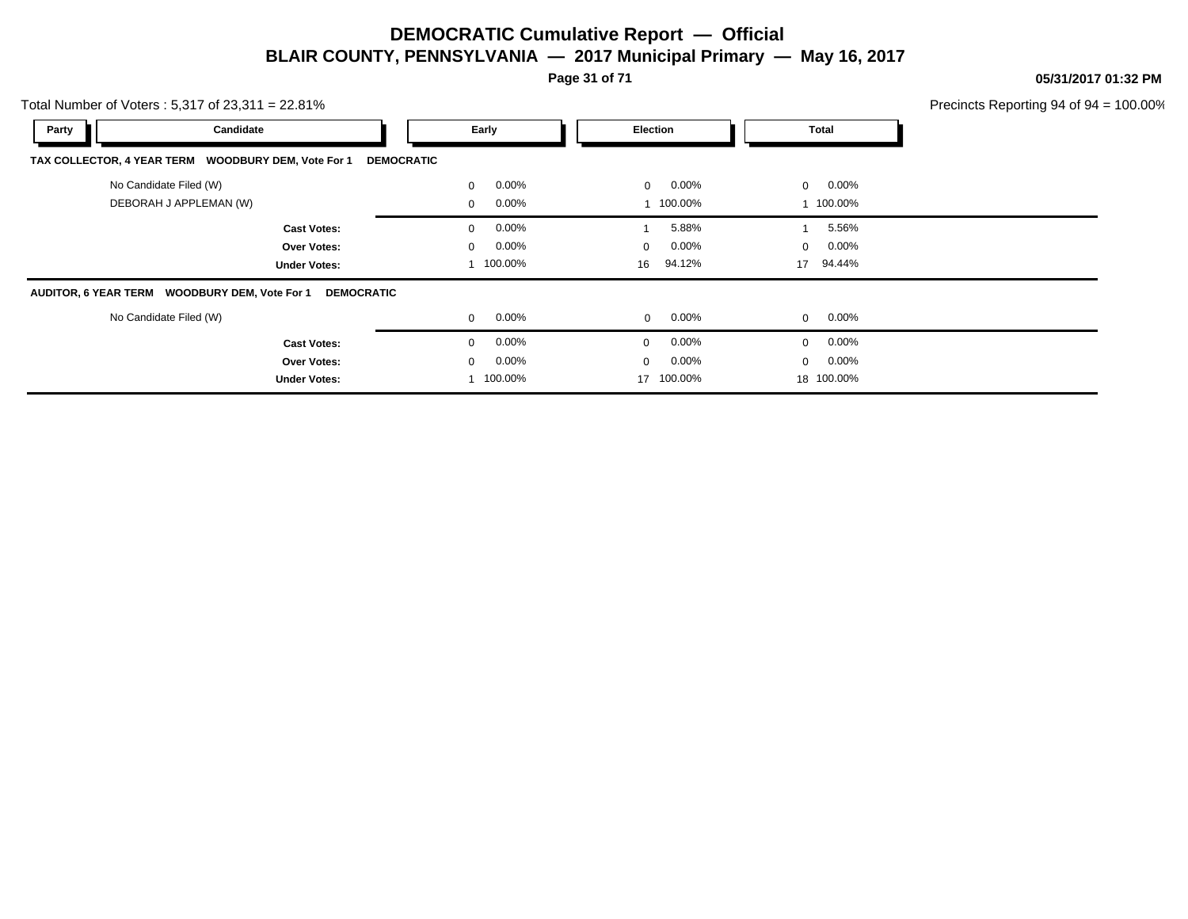**Page 31 of 71**

**05/31/2017 01:32 PM**

| Total Number of Voters: $5,317$ of $23,311 = 22.81\%$       |                         |                            |                          | Precincts Reporting 94 of $94 = 100.00\%$ |
|-------------------------------------------------------------|-------------------------|----------------------------|--------------------------|-------------------------------------------|
| Party<br>Candidate                                          | Early                   | Election                   | <b>Total</b>             |                                           |
| TAX COLLECTOR, 4 YEAR TERM WOODBURY DEM, Vote For 1         | <b>DEMOCRATIC</b>       |                            |                          |                                           |
| No Candidate Filed (W)                                      | $0.00\%$<br>$\mathbf 0$ | $0.00\%$<br>$\Omega$       | $0.00\%$<br>$\mathbf{0}$ |                                           |
| DEBORAH J APPLEMAN (W)                                      | $0.00\%$<br>0           | 1 100.00%                  | 1 100.00%                |                                           |
| <b>Cast Votes:</b>                                          | $0.00\%$<br>$\mathbf 0$ | 5.88%                      | 5.56%                    |                                           |
| <b>Over Votes:</b>                                          | $0.00\%$<br>$\mathbf 0$ | $0.00\%$<br>$\overline{0}$ | 0.00%<br>$\mathbf 0$     |                                           |
| <b>Under Votes:</b>                                         | 100.00%                 | 94.12%<br>16               | 94.44%<br>17             |                                           |
| AUDITOR, 6 YEAR TERM WOODBURY DEM, Vote For 1<br>DEMOCRATIC |                         |                            |                          |                                           |
| No Candidate Filed (W)                                      | $0.00\%$<br>$\mathbf 0$ | 0.00%<br>$\overline{0}$    | 0.00%<br>$\mathbf{0}$    |                                           |
| <b>Cast Votes:</b>                                          | $0.00\%$<br>$\Omega$    | $0.00\%$<br>$\Omega$       | 0.00%<br>$\mathbf{0}$    |                                           |
| <b>Over Votes:</b>                                          | $0.00\%$<br>0           | $0.00\%$<br>$\overline{0}$ | $0.00\%$<br>0            |                                           |
| <b>Under Votes:</b>                                         | 100.00%                 | 17 100.00%                 | 18 100.00%               |                                           |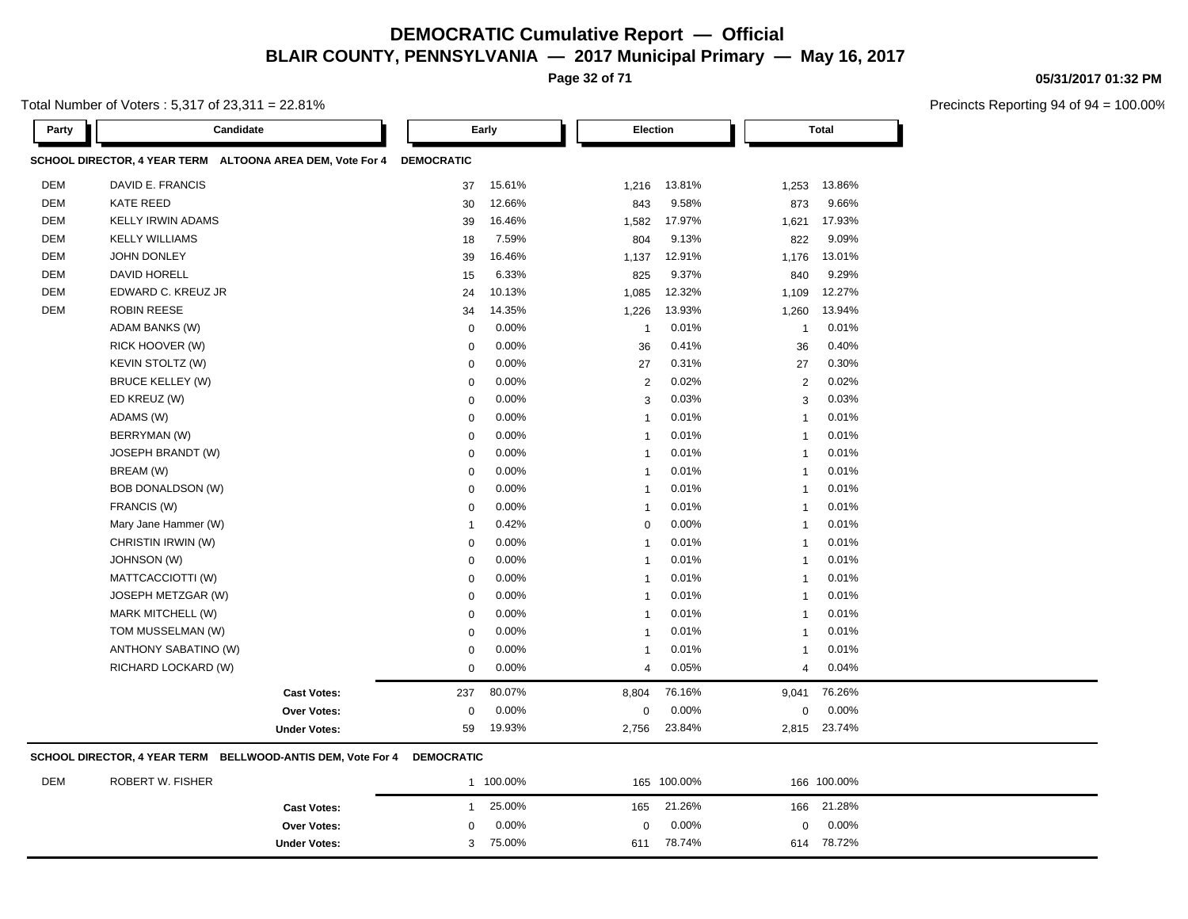**Page 32 of 71**

Total Number of Voters : 5,317 of 23,311 = 22.81%

| Party      | Candidate                                                 |                   | Early  | Election                |        |                | <b>Total</b> |
|------------|-----------------------------------------------------------|-------------------|--------|-------------------------|--------|----------------|--------------|
|            | SCHOOL DIRECTOR, 4 YEAR TERM ALTOONA AREA DEM, Vote For 4 | <b>DEMOCRATIC</b> |        |                         |        |                |              |
| <b>DEM</b> | DAVID E. FRANCIS                                          | 37                | 15.61% | 1,216                   | 13.81% | 1,253          | 13.86%       |
| <b>DEM</b> | <b>KATE REED</b>                                          | 30                | 12.66% | 843                     | 9.58%  | 873            | 9.66%        |
| <b>DEM</b> | <b>KELLY IRWIN ADAMS</b>                                  | 39                | 16.46% | 1,582                   | 17.97% | 1,621          | 17.93%       |
| <b>DEM</b> | <b>KELLY WILLIAMS</b>                                     | 18                | 7.59%  | 804                     | 9.13%  | 822            | 9.09%        |
| <b>DEM</b> | <b>JOHN DONLEY</b>                                        | 39                | 16.46% | 1,137                   | 12.91% | 1,176          | 13.01%       |
| <b>DEM</b> | <b>DAVID HORELL</b>                                       | 15                | 6.33%  | 825                     | 9.37%  | 840            | 9.29%        |
| <b>DEM</b> | EDWARD C. KREUZ JR                                        | 24                | 10.13% | 1,085                   | 12.32% | 1,109          | 12.27%       |
| <b>DEM</b> | <b>ROBIN REESE</b>                                        | 34                | 14.35% | 1,226                   | 13.93% | 1,260          | 13.94%       |
|            | <b>ADAM BANKS (W)</b>                                     | $\mathbf 0$       | 0.00%  | $\mathbf{1}$            | 0.01%  | $\mathbf{1}$   | 0.01%        |
|            | RICK HOOVER (W)                                           | $\mathbf 0$       | 0.00%  | 36                      | 0.41%  | 36             | 0.40%        |
|            | <b>KEVIN STOLTZ (W)</b>                                   | $\mathbf 0$       | 0.00%  | 27                      | 0.31%  | 27             | 0.30%        |
|            | <b>BRUCE KELLEY (W)</b>                                   | $\mathbf 0$       | 0.00%  | $\overline{2}$          | 0.02%  | $\overline{2}$ | 0.02%        |
|            | ED KREUZ (W)                                              | $\mathbf 0$       | 0.00%  | 3                       | 0.03%  | 3              | 0.03%        |
|            | ADAMS (W)                                                 | $\mathbf 0$       | 0.00%  | $\overline{1}$          | 0.01%  | $\mathbf{1}$   | 0.01%        |
|            | BERRYMAN (W)                                              | $\mathbf 0$       | 0.00%  | $\overline{1}$          | 0.01%  | $\mathbf{1}$   | 0.01%        |
|            | JOSEPH BRANDT (W)                                         | $\mathbf 0$       | 0.00%  | $\mathbf{1}$            | 0.01%  | $\mathbf{1}$   | 0.01%        |
|            | BREAM (W)                                                 | $\mathbf 0$       | 0.00%  | $\overline{1}$          | 0.01%  | $\mathbf{1}$   | 0.01%        |
|            | <b>BOB DONALDSON (W)</b>                                  | $\mathbf 0$       | 0.00%  | $\overline{1}$          | 0.01%  | $\mathbf{1}$   | 0.01%        |
|            | FRANCIS (W)                                               | $\mathbf 0$       | 0.00%  | $\overline{1}$          | 0.01%  | $\overline{1}$ | 0.01%        |
|            | Mary Jane Hammer (W)                                      | $\overline{1}$    | 0.42%  | $\mathbf 0$             | 0.00%  | $\mathbf{1}$   | 0.01%        |
|            | CHRISTIN IRWIN (W)                                        | $\mathbf 0$       | 0.00%  | $\overline{\mathbf{1}}$ | 0.01%  | $\mathbf{1}$   | 0.01%        |
|            | <b>JOHNSON (W)</b>                                        | $\mathbf 0$       | 0.00%  | $\overline{1}$          | 0.01%  | $\mathbf{1}$   | 0.01%        |
|            | MATTCACCIOTTI (W)                                         | $\mathbf 0$       | 0.00%  | $\overline{1}$          | 0.01%  | $\mathbf{1}$   | 0.01%        |
|            | JOSEPH METZGAR (W)                                        | $\mathbf 0$       | 0.00%  | $\overline{1}$          | 0.01%  | $\mathbf{1}$   | 0.01%        |
|            | MARK MITCHELL (W)                                         | $\mathbf 0$       | 0.00%  | $\overline{1}$          | 0.01%  | $\overline{1}$ | 0.01%        |
|            | TOM MUSSELMAN (W)                                         | $\mathbf 0$       | 0.00%  | $\mathbf{1}$            | 0.01%  | $\mathbf{1}$   | 0.01%        |
|            | ANTHONY SABATINO (W)                                      | $\mathbf 0$       | 0.00%  | $\mathbf{1}$            | 0.01%  | 1              | 0.01%        |
|            | RICHARD LOCKARD (W)                                       | $\mathbf 0$       | 0.00%  | $\overline{4}$          | 0.05%  | $\overline{4}$ | 0.04%        |
|            | <b>Cast Votes:</b>                                        | 237               | 80.07% | 8,804                   | 76.16% | 9,041          | 76.26%       |
|            | Over Votes:                                               | $\mathbf 0$       | 0.00%  | $\mathbf 0$             | 0.00%  | 0              | 0.00%        |
|            | <b>Under Votes:</b>                                       | 59                | 19.93% | 2,756                   | 23.84% | 2,815          | 23.74%       |

DEM ROBERT W. FISHER 1 100.00% 165 100.00% 166 100.00% **Cast Votes:** 1 25.00% 165 21.26% 166 21.28% **Over Votes:** 0 0.00% Under Votes: 3 75.00% 0.00% 0 75.00% 611 614 0.00% 0 0.00% 78.74% 78.72%

#### **05/31/2017 01:32 PM**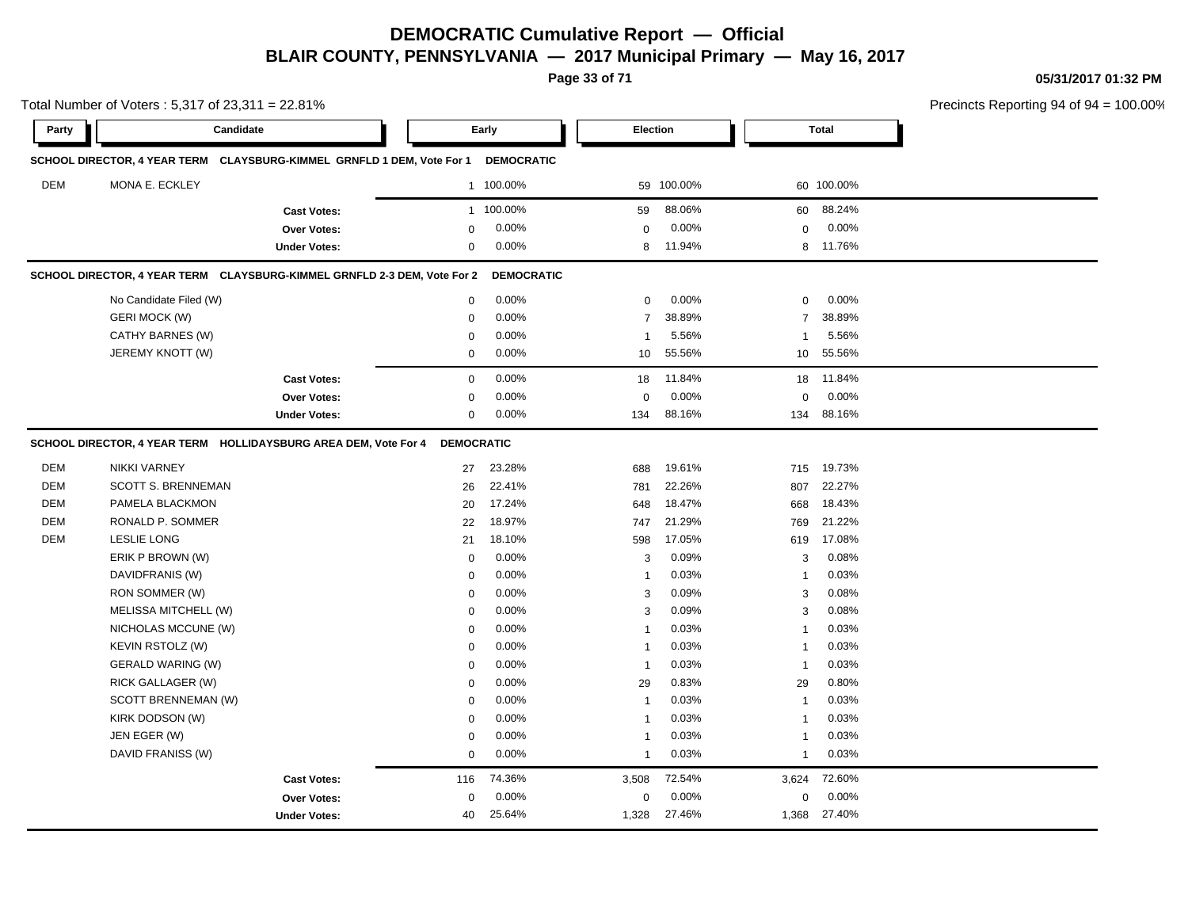**Page 33 of 71**

**05/31/2017 01:32 PM**

|            | Total Number of Voters: 5,317 of 23,311 = 22.81% |                                                                          |                   |                   |                |            |                |              | Precincts Reporting 94 of 94 |
|------------|--------------------------------------------------|--------------------------------------------------------------------------|-------------------|-------------------|----------------|------------|----------------|--------------|------------------------------|
| Party      |                                                  | Candidate                                                                |                   | Early             | Election       |            |                | <b>Total</b> |                              |
|            |                                                  | SCHOOL DIRECTOR, 4 YEAR TERM CLAYSBURG-KIMMEL GRNFLD 1 DEM, Vote For 1   |                   | <b>DEMOCRATIC</b> |                |            |                |              |                              |
| <b>DEM</b> | MONA E. ECKLEY                                   |                                                                          |                   | 1 100.00%         |                | 59 100.00% |                | 60 100.00%   |                              |
|            |                                                  | <b>Cast Votes:</b>                                                       |                   | 1 100.00%         | 59             | 88.06%     | 60             | 88.24%       |                              |
|            |                                                  | Over Votes:                                                              | 0                 | 0.00%             | $\mathbf 0$    | 0.00%      | 0              | 0.00%        |                              |
|            |                                                  | <b>Under Votes:</b>                                                      | 0                 | 0.00%             | 8              | 11.94%     |                | 8 11.76%     |                              |
|            |                                                  | SCHOOL DIRECTOR, 4 YEAR TERM CLAYSBURG-KIMMEL GRNFLD 2-3 DEM, Vote For 2 |                   | <b>DEMOCRATIC</b> |                |            |                |              |                              |
|            | No Candidate Filed (W)                           |                                                                          | 0                 | 0.00%             | $\mathbf 0$    | 0.00%      | 0              | 0.00%        |                              |
|            | <b>GERI MOCK (W)</b>                             |                                                                          | $\mathbf 0$       | 0.00%             | $\overline{7}$ | 38.89%     | $\overline{7}$ | 38.89%       |                              |
|            | CATHY BARNES (W)                                 |                                                                          | $\mathbf 0$       | 0.00%             | $\mathbf{1}$   | 5.56%      | 1              | 5.56%        |                              |
|            | JEREMY KNOTT (W)                                 |                                                                          | $\mathbf 0$       | 0.00%             | 10             | 55.56%     | 10             | 55.56%       |                              |
|            |                                                  | <b>Cast Votes:</b>                                                       | 0                 | 0.00%             | 18             | 11.84%     | 18             | 11.84%       |                              |
|            |                                                  | Over Votes:                                                              | 0                 | 0.00%             | $\Omega$       | 0.00%      | $\Omega$       | 0.00%        |                              |
|            |                                                  | <b>Under Votes:</b>                                                      | 0                 | 0.00%             | 134            | 88.16%     | 134            | 88.16%       |                              |
|            |                                                  | SCHOOL DIRECTOR, 4 YEAR TERM HOLLIDAYSBURG AREA DEM, Vote For 4          | <b>DEMOCRATIC</b> |                   |                |            |                |              |                              |
| DEM        | <b>NIKKI VARNEY</b>                              |                                                                          | 27                | 23.28%            | 688            | 19.61%     | 715            | 19.73%       |                              |
| DEM        | <b>SCOTT S. BRENNEMAN</b>                        |                                                                          | 26                | 22.41%            | 781            | 22.26%     | 807            | 22.27%       |                              |
| DEM        | PAMELA BLACKMON                                  |                                                                          | 20                | 17.24%            | 648            | 18.47%     | 668            | 18.43%       |                              |
| DEM        | RONALD P. SOMMER                                 |                                                                          | 22                | 18.97%            | 747            | 21.29%     | 769            | 21.22%       |                              |
| DEM        | <b>LESLIE LONG</b>                               |                                                                          | 21                | 18.10%            | 598            | 17.05%     | 619            | 17.08%       |                              |
|            | ERIK P BROWN (W)                                 |                                                                          | 0                 | 0.00%             | 3              | 0.09%      | 3              | 0.08%        |                              |
|            | DAVIDFRANIS (W)                                  |                                                                          | 0                 | 0.00%             | $\mathbf{1}$   | 0.03%      | -1             | 0.03%        |                              |
|            | RON SOMMER (W)                                   |                                                                          | $\Omega$          | 0.00%             | 3              | 0.09%      | 3              | 0.08%        |                              |
|            | MELISSA MITCHELL (W)                             |                                                                          | $\mathbf 0$       | 0.00%             | 3              | 0.09%      | 3              | 0.08%        |                              |
|            | NICHOLAS MCCUNE (W)                              |                                                                          | $\mathbf 0$       | 0.00%             | $\mathbf{1}$   | 0.03%      | $\mathbf{1}$   | 0.03%        |                              |
|            | KEVIN RSTOLZ (W)                                 |                                                                          | 0                 | 0.00%             | $\mathbf{1}$   | 0.03%      | $\mathbf{1}$   | 0.03%        |                              |
|            | <b>GERALD WARING (W)</b>                         |                                                                          | 0                 | 0.00%             | $\mathbf{1}$   | 0.03%      | $\mathbf{1}$   | 0.03%        |                              |
|            | RICK GALLAGER (W)                                |                                                                          | 0                 | 0.00%             | 29             | 0.83%      | 29             | 0.80%        |                              |
|            | SCOTT BRENNEMAN (W)                              |                                                                          | $\Omega$          | 0.00%             | $\mathbf{1}$   | 0.03%      | $\overline{1}$ | 0.03%        |                              |
|            | KIRK DODSON (W)                                  |                                                                          | $\Omega$          | 0.00%             | $\mathbf{1}$   | 0.03%      | -1             | 0.03%        |                              |
|            | JEN EGER (W)                                     |                                                                          | $\mathbf 0$       | 0.00%             | $\mathbf{1}$   | 0.03%      | $\mathbf{1}$   | 0.03%        |                              |
|            | DAVID FRANISS (W)                                |                                                                          | 0                 | 0.00%             | $\mathbf{1}$   | 0.03%      | -1             | 0.03%        |                              |
|            |                                                  | <b>Cast Votes:</b>                                                       | 116               | 74.36%            | 3,508          | 72.54%     | 3,624          | 72.60%       |                              |
|            |                                                  |                                                                          |                   |                   |                |            |                |              |                              |
|            |                                                  | Over Votes:                                                              | 0                 | 0.00%             | 0              | 0.00%      | 0              | 0.00%        |                              |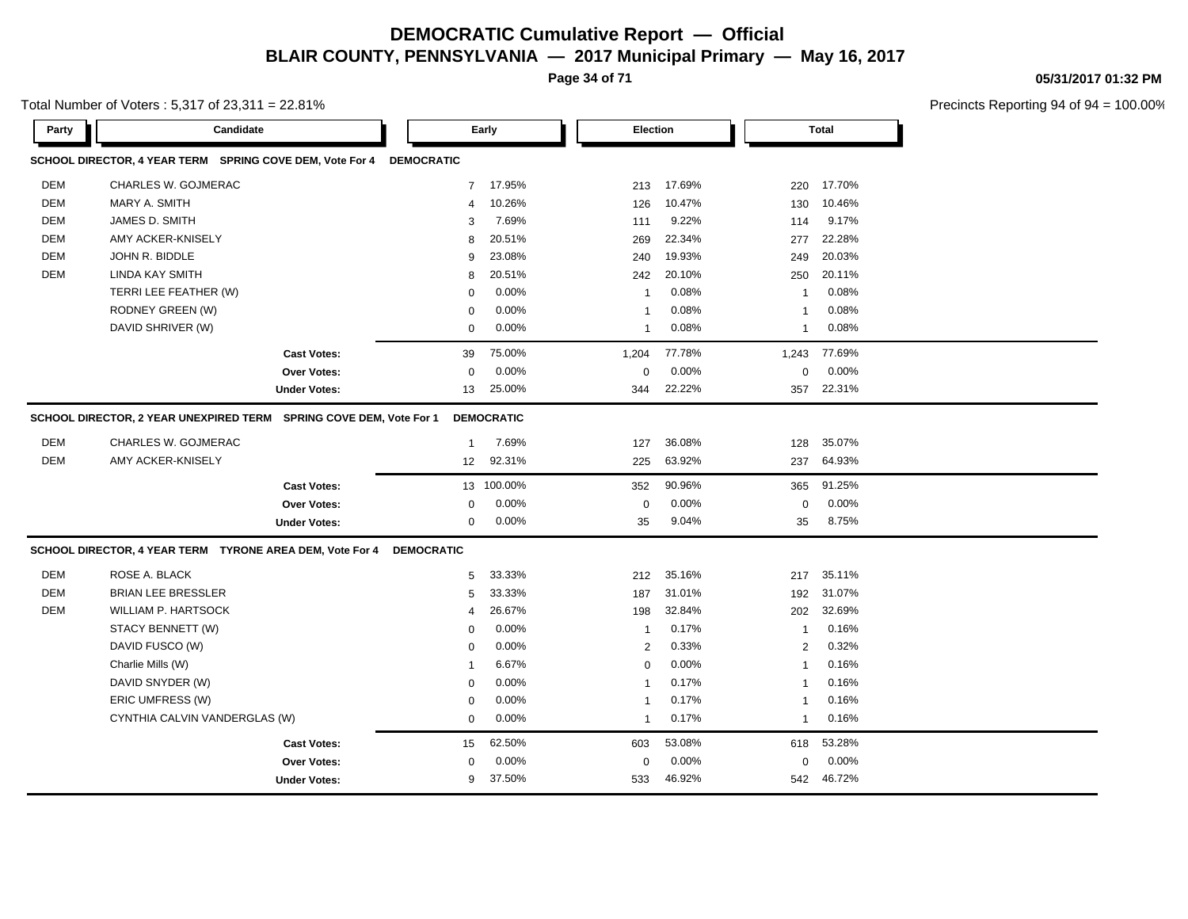**Page 34 of 71**

**05/31/2017 01:32 PM**

Total Number of Voters : 5,317 of 23,311 = 22.81%

| Party      | Candidate                                                          |                     |                   | Early             | <b>Election</b> |        |                | <b>Total</b> |  |
|------------|--------------------------------------------------------------------|---------------------|-------------------|-------------------|-----------------|--------|----------------|--------------|--|
|            | SCHOOL DIRECTOR, 4 YEAR TERM SPRING COVE DEM, Vote For 4           |                     | <b>DEMOCRATIC</b> |                   |                 |        |                |              |  |
| <b>DEM</b> | CHARLES W. GOJMERAC                                                |                     | $\overline{7}$    | 17.95%            | 213             | 17.69% | 220            | 17.70%       |  |
| <b>DEM</b> | MARY A. SMITH                                                      |                     | $\overline{4}$    | 10.26%            | 126             | 10.47% | 130            | 10.46%       |  |
| <b>DEM</b> | JAMES D. SMITH                                                     |                     | 3                 | 7.69%             | 111             | 9.22%  | 114            | 9.17%        |  |
| <b>DEM</b> | AMY ACKER-KNISELY                                                  |                     | 8                 | 20.51%            | 269             | 22.34% | 277            | 22.28%       |  |
| <b>DEM</b> | JOHN R. BIDDLE                                                     |                     | 9                 | 23.08%            | 240             | 19.93% | 249            | 20.03%       |  |
| <b>DEM</b> | LINDA KAY SMITH                                                    |                     | 8                 | 20.51%            | 242             | 20.10% | 250            | 20.11%       |  |
|            | TERRI LEE FEATHER (W)                                              |                     | $\Omega$          | 0.00%             | $\overline{1}$  | 0.08%  | $\overline{1}$ | 0.08%        |  |
|            | RODNEY GREEN (W)                                                   |                     | $\Omega$          | 0.00%             | $\overline{1}$  | 0.08%  | $\overline{1}$ | 0.08%        |  |
|            | DAVID SHRIVER (W)                                                  |                     | 0                 | 0.00%             | $\mathbf{1}$    | 0.08%  | $\mathbf{1}$   | 0.08%        |  |
|            |                                                                    | <b>Cast Votes:</b>  | 39                | 75.00%            | 1,204           | 77.78% | 1,243          | 77.69%       |  |
|            |                                                                    | Over Votes:         | $\mathbf 0$       | 0.00%             | $\mathbf 0$     | 0.00%  | 0              | 0.00%        |  |
|            |                                                                    | <b>Under Votes:</b> | 13                | 25.00%            | 344             | 22.22% | 357            | 22.31%       |  |
|            | SCHOOL DIRECTOR, 2 YEAR UNEXPIRED TERM SPRING COVE DEM, Vote For 1 |                     |                   | <b>DEMOCRATIC</b> |                 |        |                |              |  |
| <b>DEM</b> | <b>CHARLES W. GOJMERAC</b>                                         |                     | $\overline{1}$    | 7.69%             | 127             | 36.08% | 128            | 35.07%       |  |
| <b>DEM</b> | AMY ACKER-KNISELY                                                  |                     | 12                | 92.31%            | 225             | 63.92% | 237            | 64.93%       |  |
|            |                                                                    | <b>Cast Votes:</b>  |                   | 13 100.00%        | 352             | 90.96% | 365            | 91.25%       |  |
|            |                                                                    | Over Votes:         | 0                 | 0.00%             | $\mathbf 0$     | 0.00%  | 0              | 0.00%        |  |
|            |                                                                    | <b>Under Votes:</b> | $\mathbf 0$       | 0.00%             | 35              | 9.04%  | 35             | 8.75%        |  |
|            | SCHOOL DIRECTOR, 4 YEAR TERM TYRONE AREA DEM, Vote For 4           |                     | <b>DEMOCRATIC</b> |                   |                 |        |                |              |  |
| <b>DEM</b> | ROSE A. BLACK                                                      |                     | 5                 | 33.33%            | 212             | 35.16% | 217            | 35.11%       |  |
| <b>DEM</b> | <b>BRIAN LEE BRESSLER</b>                                          |                     | 5                 | 33.33%            | 187             | 31.01% | 192            | 31.07%       |  |
| <b>DEM</b> | WILLIAM P. HARTSOCK                                                |                     | $\overline{4}$    | 26.67%            | 198             | 32.84% | 202            | 32.69%       |  |
|            | STACY BENNETT (W)                                                  |                     | $\mathbf 0$       | 0.00%             | $\mathbf{1}$    | 0.17%  | $\overline{1}$ | 0.16%        |  |
|            | DAVID FUSCO (W)                                                    |                     | 0                 | 0.00%             | 2               | 0.33%  | 2              | 0.32%        |  |
|            | Charlie Mills (W)                                                  |                     | -1                | 6.67%             | $\mathbf 0$     | 0.00%  | $\overline{1}$ | 0.16%        |  |
|            |                                                                    |                     |                   |                   |                 |        | $\overline{1}$ | 0.16%        |  |
|            | DAVID SNYDER (W)                                                   |                     | 0                 | 0.00%             | $\overline{1}$  | 0.17%  |                |              |  |
|            | ERIC UMFRESS (W)                                                   |                     | $\mathbf 0$       | 0.00%             | $\overline{1}$  | 0.17%  | $\overline{1}$ | 0.16%        |  |
|            | CYNTHIA CALVIN VANDERGLAS (W)                                      |                     | 0                 | 0.00%             | $\overline{1}$  | 0.17%  | $\overline{1}$ | 0.16%        |  |
|            |                                                                    | <b>Cast Votes:</b>  | 15                | 62.50%            | 603             | 53.08% | 618            | 53.28%       |  |
|            |                                                                    | <b>Over Votes:</b>  | $\Omega$          | 0.00%             | $\mathbf 0$     | 0.00%  | $\Omega$       | 0.00%        |  |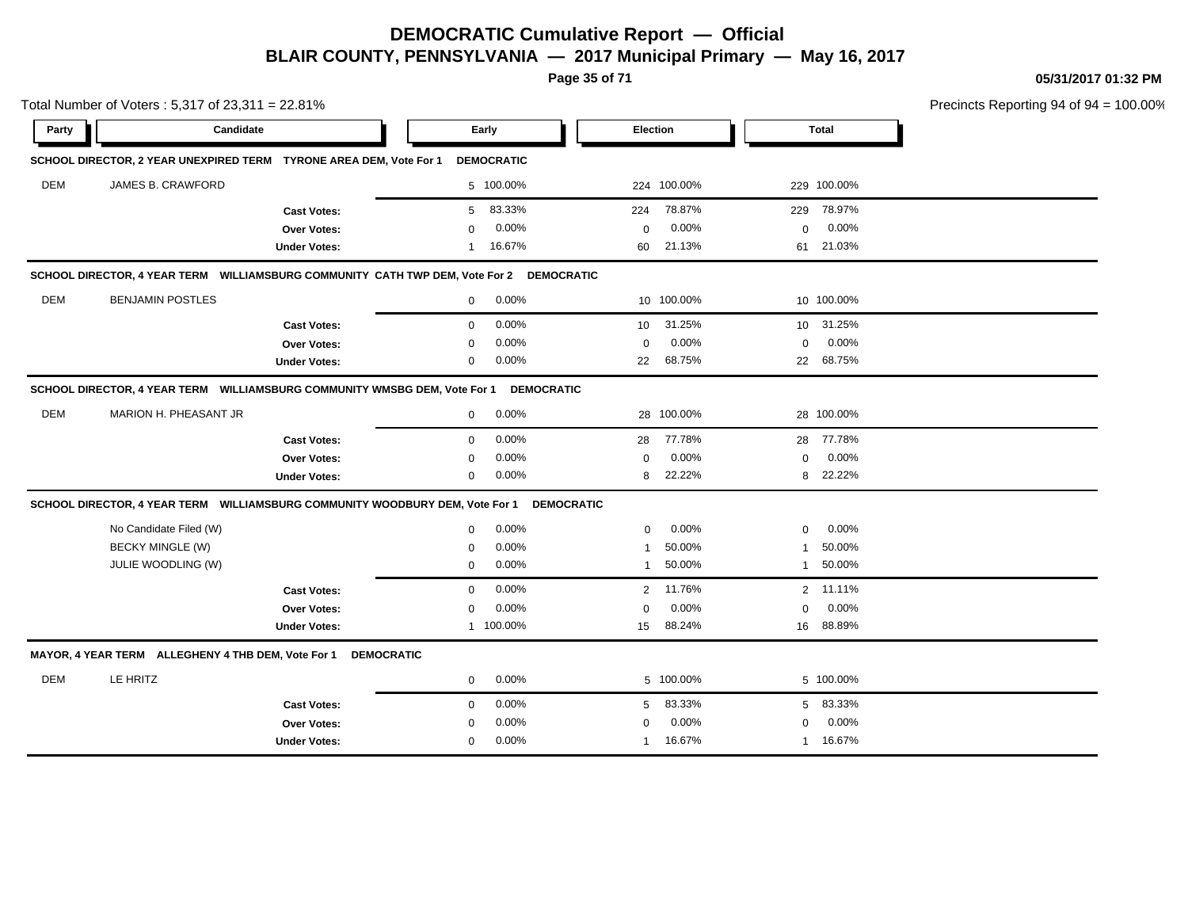**Page 35 of 71**

**05/31/2017 01:32 PM**

|            | Total Number of Voters: 5,317 of 23,311 = 22.81%                                        |                     |             |                   |                 |                 |              |              | Precincts Reporting 94 of 94 |
|------------|-----------------------------------------------------------------------------------------|---------------------|-------------|-------------------|-----------------|-----------------|--------------|--------------|------------------------------|
| Party      | Candidate                                                                               |                     |             | Early             |                 | <b>Election</b> |              | <b>Total</b> |                              |
|            | SCHOOL DIRECTOR, 2 YEAR UNEXPIRED TERM TYRONE AREA DEM, Vote For 1                      |                     |             | <b>DEMOCRATIC</b> |                 |                 |              |              |                              |
| <b>DEM</b> | JAMES B. CRAWFORD                                                                       |                     |             | 5 100.00%         |                 | 224 100.00%     |              | 229 100.00%  |                              |
|            |                                                                                         | <b>Cast Votes:</b>  | 5           | 83.33%            | 224             | 78.87%          | 229          | 78.97%       |                              |
|            |                                                                                         | Over Votes:         | $\Omega$    | 0.00%             | $\mathbf 0$     | 0.00%           | $\mathbf 0$  | 0.00%        |                              |
|            |                                                                                         | <b>Under Votes:</b> | 1           | 16.67%            | 60              | 21.13%          | 61           | 21.03%       |                              |
|            | SCHOOL DIRECTOR, 4 YEAR TERM WILLIAMSBURG COMMUNITY CATH TWP DEM, Vote For 2 DEMOCRATIC |                     |             |                   |                 |                 |              |              |                              |
| DEM        | <b>BENJAMIN POSTLES</b>                                                                 |                     | $\mathbf 0$ | 0.00%             |                 | 10 100.00%      |              | 10 100.00%   |                              |
|            |                                                                                         | <b>Cast Votes:</b>  | 0           | 0.00%             | 10 <sup>°</sup> | 31.25%          | $10-10$      | 31.25%       |                              |
|            |                                                                                         | Over Votes:         | 0           | 0.00%             | $\mathbf 0$     | 0.00%           | 0            | 0.00%        |                              |
|            |                                                                                         | <b>Under Votes:</b> | 0           | 0.00%             | 22              | 68.75%          |              | 22 68.75%    |                              |
|            | SCHOOL DIRECTOR, 4 YEAR TERM WILLIAMSBURG COMMUNITY WMSBG DEM, Vote For 1               |                     |             | <b>DEMOCRATIC</b> |                 |                 |              |              |                              |
| <b>DEM</b> | MARION H. PHEASANT JR                                                                   |                     | $\mathbf 0$ | 0.00%             |                 | 28 100.00%      |              | 28 100.00%   |                              |
|            |                                                                                         | <b>Cast Votes:</b>  | $\mathbf 0$ | 0.00%             | 28              | 77.78%          |              | 28 77.78%    |                              |
|            |                                                                                         | Over Votes:         | $\Omega$    | 0.00%             | $\mathbf 0$     | 0.00%           | $\mathbf 0$  | 0.00%        |                              |
|            |                                                                                         | <b>Under Votes:</b> | 0           | 0.00%             | 8               | 22.22%          | 8            | 22.22%       |                              |
|            | SCHOOL DIRECTOR, 4 YEAR TERM WILLIAMSBURG COMMUNITY WOODBURY DEM, Vote For 1            |                     |             | <b>DEMOCRATIC</b> |                 |                 |              |              |                              |
|            | No Candidate Filed (W)                                                                  |                     | $\mathbf 0$ | 0.00%             | $\mathbf 0$     | 0.00%           | $\Omega$     | 0.00%        |                              |
|            | <b>BECKY MINGLE (W)</b>                                                                 |                     | $\Omega$    | 0.00%             | -1              | 50.00%          | -1           | 50.00%       |                              |
|            | JULIE WOODLING (W)                                                                      |                     | $\mathbf 0$ | 0.00%             | $\mathbf{1}$    | 50.00%          | $\mathbf{1}$ | 50.00%       |                              |
|            |                                                                                         | <b>Cast Votes:</b>  | $\mathbf 0$ | 0.00%             | $\overline{2}$  | 11.76%          |              | 2 11.11%     |                              |
|            |                                                                                         | <b>Over Votes:</b>  | $\mathbf 0$ | 0.00%             | $\mathbf 0$     | 0.00%           | $\mathbf 0$  | 0.00%        |                              |
|            |                                                                                         | <b>Under Votes:</b> |             | 1 100.00%         | 15              | 88.24%          | 16           | 88.89%       |                              |
|            | MAYOR, 4 YEAR TERM ALLEGHENY 4 THB DEM, Vote For 1 DEMOCRATIC                           |                     |             |                   |                 |                 |              |              |                              |
| DEM        | LE HRITZ                                                                                |                     | $\mathbf 0$ | 0.00%             |                 | 5 100.00%       |              | 5 100.00%    |                              |
|            |                                                                                         | <b>Cast Votes:</b>  | $\mathbf 0$ | 0.00%             | 5               | 83.33%          | 5            | 83.33%       |                              |
|            |                                                                                         | Over Votes:         | 0           | 0.00%             | $\mathbf 0$     | 0.00%           | $\mathbf 0$  | 0.00%        |                              |
|            |                                                                                         | <b>Under Votes:</b> | $\mathbf 0$ | 0.00%             | $\overline{1}$  | 16.67%          | -1           | 16.67%       |                              |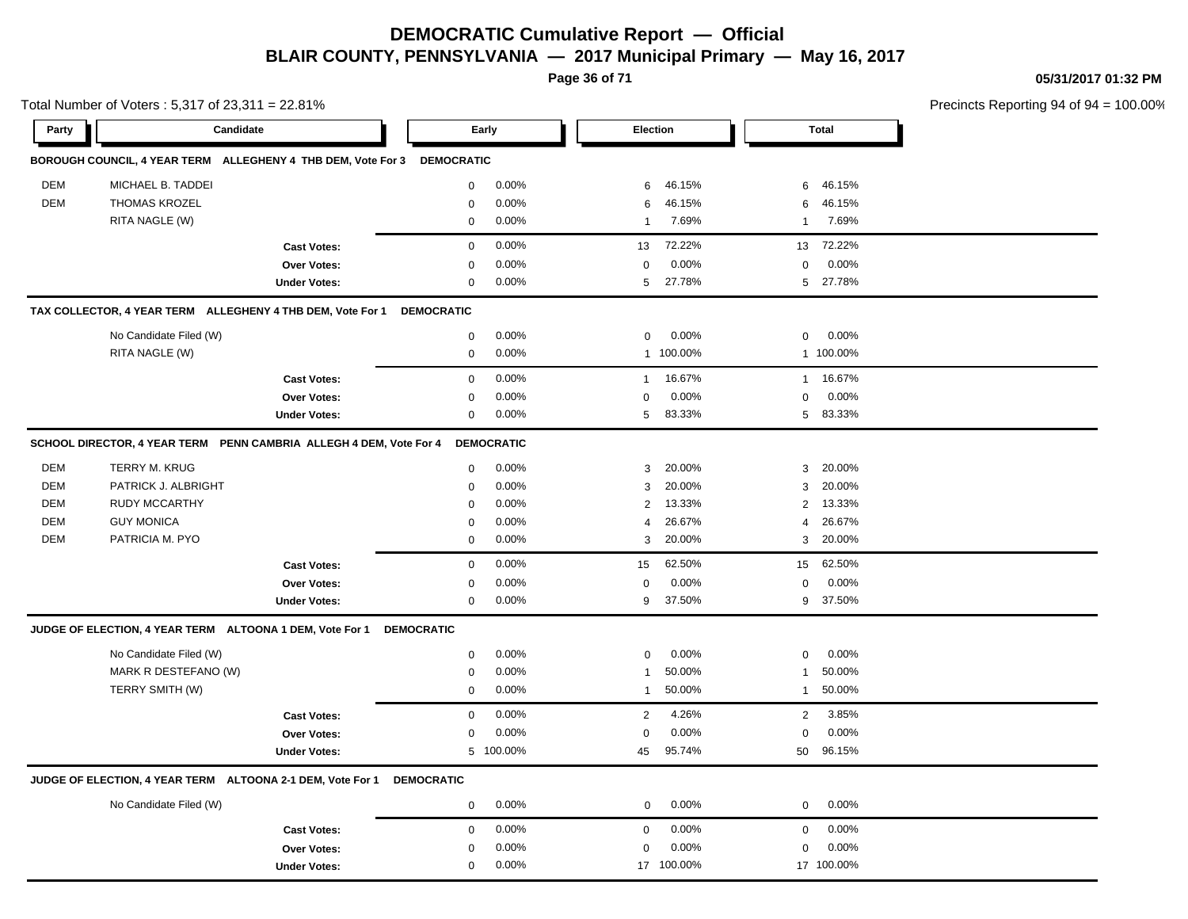**Page 36 of 71**

**05/31/2017 01:32 PM**

|            | Total Number of Voters: 5,317 of 23,311 = 22.81%                        |                     |                   |                   |                |                 |                |              | Precincts Reporting 94 of 94 |
|------------|-------------------------------------------------------------------------|---------------------|-------------------|-------------------|----------------|-----------------|----------------|--------------|------------------------------|
| Party      | Candidate                                                               |                     |                   | Early             |                | <b>Election</b> |                | <b>Total</b> |                              |
|            | BOROUGH COUNCIL, 4 YEAR TERM ALLEGHENY 4 THB DEM, Vote For 3 DEMOCRATIC |                     |                   |                   |                |                 |                |              |                              |
| DEM        | MICHAEL B. TADDEI                                                       |                     | $\mathbf 0$       | 0.00%             | 6              | 46.15%          | 6              | 46.15%       |                              |
| DEM        | <b>THOMAS KROZEL</b>                                                    |                     | $\mathbf 0$       | 0.00%             | 6              | 46.15%          | 6              | 46.15%       |                              |
|            | RITA NAGLE (W)                                                          |                     | $\mathbf 0$       | 0.00%             | $\mathbf{1}$   | 7.69%           | $\mathbf{1}$   | 7.69%        |                              |
|            |                                                                         | <b>Cast Votes:</b>  | $\mathbf 0$       | 0.00%             | 13             | 72.22%          | 13             | 72.22%       |                              |
|            |                                                                         | Over Votes:         | 0                 | 0.00%             | 0              | 0.00%           | 0              | 0.00%        |                              |
|            |                                                                         | <b>Under Votes:</b> | $\mathbf 0$       | 0.00%             | 5              | 27.78%          | 5              | 27.78%       |                              |
|            | TAX COLLECTOR, 4 YEAR TERM ALLEGHENY 4 THB DEM, Vote For 1              |                     | <b>DEMOCRATIC</b> |                   |                |                 |                |              |                              |
|            | No Candidate Filed (W)                                                  |                     | $\mathbf 0$       | 0.00%             | $\mathsf 0$    | 0.00%           | $\mathbf 0$    | 0.00%        |                              |
|            | RITA NAGLE (W)                                                          |                     | $\mathbf 0$       | 0.00%             |                | 1 100.00%       |                | 1 100.00%    |                              |
|            |                                                                         | <b>Cast Votes:</b>  | $\mathbf 0$       | 0.00%             | $\mathbf{1}$   | 16.67%          | $\mathbf{1}$   | 16.67%       |                              |
|            |                                                                         | <b>Over Votes:</b>  | $\mathbf 0$       | 0.00%             | 0              | 0.00%           | $\mathbf 0$    | 0.00%        |                              |
|            |                                                                         | <b>Under Votes:</b> | $\mathbf 0$       | 0.00%             | 5              | 83.33%          |                | 5 83.33%     |                              |
|            | SCHOOL DIRECTOR, 4 YEAR TERM PENN CAMBRIA ALLEGH 4 DEM, Vote For 4      |                     |                   | <b>DEMOCRATIC</b> |                |                 |                |              |                              |
| <b>DEM</b> | <b>TERRY M. KRUG</b>                                                    |                     | $\mathbf 0$       | 0.00%             | 3              | 20.00%          | 3              | 20.00%       |                              |
| DEM        | PATRICK J. ALBRIGHT                                                     |                     | $\mathbf 0$       | 0.00%             | 3              | 20.00%          | 3              | 20.00%       |                              |
| DEM        | <b>RUDY MCCARTHY</b>                                                    |                     | $\mathbf 0$       | 0.00%             | $\overline{c}$ | 13.33%          | 2              | 13.33%       |                              |
| DEM        | <b>GUY MONICA</b>                                                       |                     | $\mathbf 0$       | 0.00%             | 4              | 26.67%          | 4              | 26.67%       |                              |
| DEM        | PATRICIA M. PYO                                                         |                     | $\mathbf 0$       | 0.00%             | 3              | 20.00%          |                | 3 20.00%     |                              |
|            |                                                                         | <b>Cast Votes:</b>  | $\mathbf 0$       | 0.00%             | 15             | 62.50%          | 15             | 62.50%       |                              |
|            |                                                                         | Over Votes:         | $\mathbf 0$       | 0.00%             | $\mathbf 0$    | 0.00%           | $\mathbf 0$    | 0.00%        |                              |
|            |                                                                         | <b>Under Votes:</b> | $\mathbf 0$       | 0.00%             | 9              | 37.50%          |                | 9 37.50%     |                              |
|            | JUDGE OF ELECTION, 4 YEAR TERM ALTOONA 1 DEM, Vote For 1                |                     | <b>DEMOCRATIC</b> |                   |                |                 |                |              |                              |
|            | No Candidate Filed (W)                                                  |                     | $\mathbf 0$       | 0.00%             | 0              | 0.00%           | $\mathbf 0$    | 0.00%        |                              |
|            | MARK R DESTEFANO (W)                                                    |                     | 0                 | 0.00%             | $\mathbf{1}$   | 50.00%          | $\mathbf{1}$   | 50.00%       |                              |
|            | TERRY SMITH (W)                                                         |                     | 0                 | 0.00%             | -1             | 50.00%          | 1              | 50.00%       |                              |
|            |                                                                         | <b>Cast Votes:</b>  | $\mathbf 0$       | 0.00%             | $\overline{2}$ | 4.26%           | $\overline{2}$ | 3.85%        |                              |
|            |                                                                         | Over Votes:         | $\mathbf 0$       | 0.00%             | $\mathbf 0$    | 0.00%           | $\mathbf 0$    | 0.00%        |                              |
|            |                                                                         | <b>Under Votes:</b> |                   | 5 100.00%         | 45             | 95.74%          | 50             | 96.15%       |                              |
|            | JUDGE OF ELECTION, 4 YEAR TERM ALTOONA 2-1 DEM, Vote For 1              |                     | <b>DEMOCRATIC</b> |                   |                |                 |                |              |                              |
|            | No Candidate Filed (W)                                                  |                     | $\mathbf 0$       | 0.00%             | $\mathbf 0$    | 0.00%           | $\mathbf 0$    | 0.00%        |                              |
|            |                                                                         | <b>Cast Votes:</b>  | $\mathbf 0$       | 0.00%             | 0              | 0.00%           | $\mathbf 0$    | 0.00%        |                              |
|            |                                                                         | Over Votes:         | 0                 | 0.00%             | $\mathbf 0$    | 0.00%           | $\Omega$       | 0.00%        |                              |
|            |                                                                         | <b>Under Votes:</b> | $\mathbf 0$       | 0.00%             |                | 17 100.00%      |                | 17 100.00%   |                              |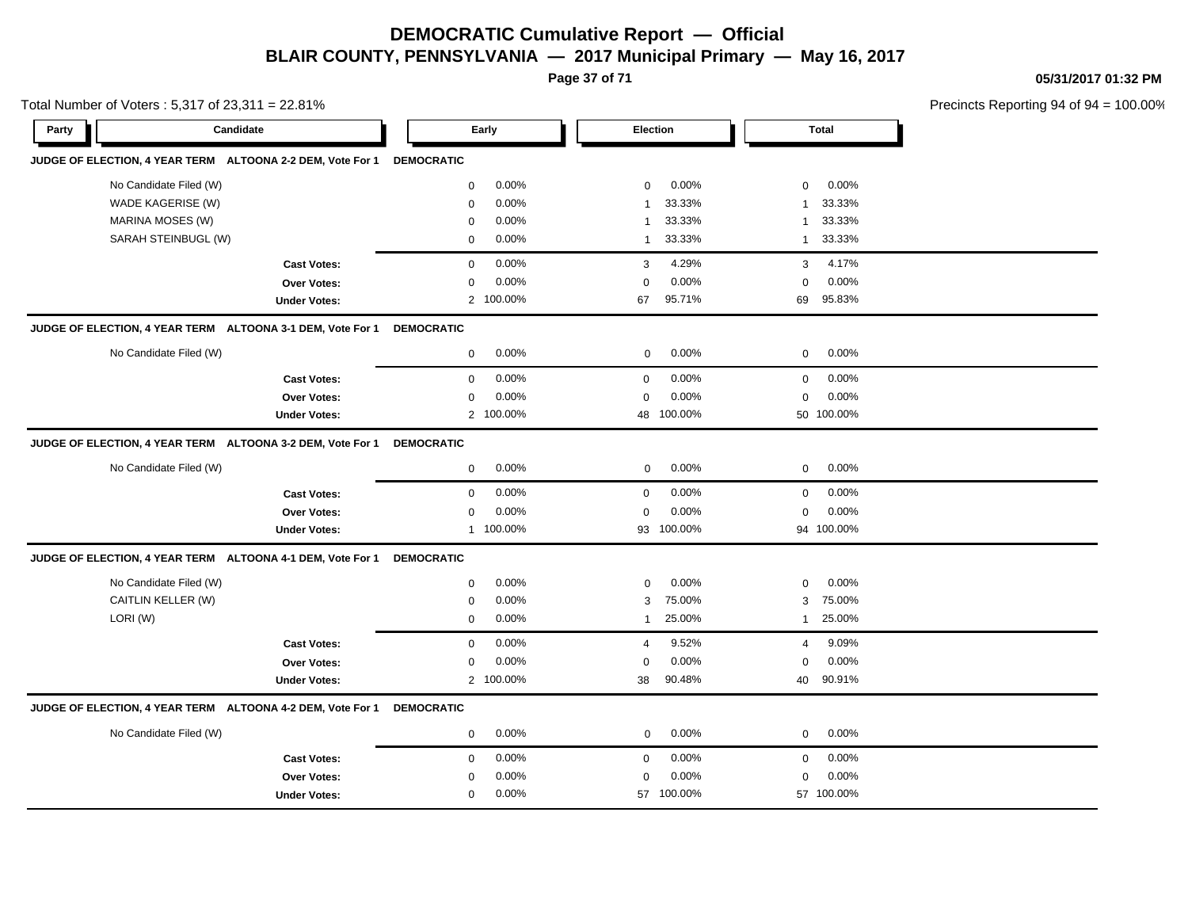**Page 37 of 71**

**05/31/2017 01:32 PM**

|       | Total Number of Voters: 5,317 of 23,311 = 22.81%           |                     |                   |           |                |            |                | Precincts Reporting 94 of 94 |  |
|-------|------------------------------------------------------------|---------------------|-------------------|-----------|----------------|------------|----------------|------------------------------|--|
| Party | Candidate                                                  |                     |                   | Early     | Election       |            |                | <b>Total</b>                 |  |
|       | JUDGE OF ELECTION, 4 YEAR TERM ALTOONA 2-2 DEM, Vote For 1 |                     | <b>DEMOCRATIC</b> |           |                |            |                |                              |  |
|       | No Candidate Filed (W)                                     |                     | 0                 | 0.00%     | 0              | 0.00%      | $\mathbf 0$    | 0.00%                        |  |
|       | WADE KAGERISE (W)                                          |                     | 0                 | 0.00%     | $\mathbf 1$    | 33.33%     | -1             | 33.33%                       |  |
|       | MARINA MOSES (W)                                           |                     | 0                 | 0.00%     | $\mathbf 1$    | 33.33%     | $\mathbf{1}$   | 33.33%                       |  |
|       | SARAH STEINBUGL (W)                                        |                     | $\mathbf 0$       | 0.00%     | $\overline{1}$ | 33.33%     | $\mathbf{1}$   | 33.33%                       |  |
|       |                                                            | <b>Cast Votes:</b>  | 0                 | 0.00%     | 3              | 4.29%      | 3              | 4.17%                        |  |
|       |                                                            | Over Votes:         | 0                 | 0.00%     | $\mathbf 0$    | 0.00%      | $\mathbf 0$    | 0.00%                        |  |
|       |                                                            | <b>Under Votes:</b> |                   | 2 100.00% | 67             | 95.71%     | 69             | 95.83%                       |  |
|       | JUDGE OF ELECTION, 4 YEAR TERM ALTOONA 3-1 DEM, Vote For 1 |                     | <b>DEMOCRATIC</b> |           |                |            |                |                              |  |
|       | No Candidate Filed (W)                                     |                     | $\mathbf 0$       | 0.00%     | 0              | 0.00%      | $\mathbf 0$    | 0.00%                        |  |
|       |                                                            | <b>Cast Votes:</b>  | 0                 | 0.00%     | $\mathbf 0$    | 0.00%      | $\mathbf 0$    | 0.00%                        |  |
|       |                                                            | Over Votes:         | $\mathbf 0$       | 0.00%     | $\mathbf 0$    | 0.00%      | $\mathbf 0$    | 0.00%                        |  |
|       |                                                            | <b>Under Votes:</b> |                   | 2 100.00% |                | 48 100.00% |                | 50 100.00%                   |  |
|       | JUDGE OF ELECTION, 4 YEAR TERM ALTOONA 3-2 DEM, Vote For 1 |                     | <b>DEMOCRATIC</b> |           |                |            |                |                              |  |
|       | No Candidate Filed (W)                                     |                     | 0                 | 0.00%     | 0              | 0.00%      | 0              | 0.00%                        |  |
|       |                                                            | <b>Cast Votes:</b>  | $\mathbf 0$       | 0.00%     | $\mathbf 0$    | 0.00%      | $\mathbf 0$    | 0.00%                        |  |
|       |                                                            | Over Votes:         | $\mathbf 0$       | 0.00%     | $\mathbf 0$    | 0.00%      | $\mathbf 0$    | 0.00%                        |  |
|       |                                                            | <b>Under Votes:</b> |                   | 1 100.00% |                | 93 100.00% |                | 94 100.00%                   |  |
|       | JUDGE OF ELECTION, 4 YEAR TERM ALTOONA 4-1 DEM, Vote For 1 |                     | <b>DEMOCRATIC</b> |           |                |            |                |                              |  |
|       | No Candidate Filed (W)                                     |                     | 0                 | 0.00%     | $\mathbf 0$    | 0.00%      | $\mathbf 0$    | 0.00%                        |  |
|       | CAITLIN KELLER (W)                                         |                     | 0                 | 0.00%     | 3              | 75.00%     | 3              | 75.00%                       |  |
|       | LORI(W)                                                    |                     | 0                 | 0.00%     | $\mathbf{1}$   | 25.00%     | 1              | 25.00%                       |  |
|       |                                                            | <b>Cast Votes:</b>  | $\mathbf{0}$      | 0.00%     | $\overline{4}$ | 9.52%      | $\overline{4}$ | 9.09%                        |  |
|       |                                                            | Over Votes:         | 0                 | 0.00%     | $\mathbf 0$    | 0.00%      | $\mathbf 0$    | 0.00%                        |  |
|       |                                                            | <b>Under Votes:</b> |                   | 2 100.00% | 38             | 90.48%     | 40             | 90.91%                       |  |
|       | JUDGE OF ELECTION, 4 YEAR TERM ALTOONA 4-2 DEM, Vote For 1 |                     | <b>DEMOCRATIC</b> |           |                |            |                |                              |  |
|       | No Candidate Filed (W)                                     |                     | 0                 | 0.00%     | $\mathbf 0$    | 0.00%      | $\mathbf 0$    | 0.00%                        |  |
|       |                                                            | <b>Cast Votes:</b>  | $\mathbf{0}$      | 0.00%     | $\mathbf 0$    | 0.00%      | $\mathbf 0$    | 0.00%                        |  |
|       |                                                            | Over Votes:         | 0                 | 0.00%     | $\mathbf 0$    | 0.00%      | $\mathbf 0$    | 0.00%                        |  |
|       |                                                            | <b>Under Votes:</b> | $\mathbf 0$       | 0.00%     |                | 57 100.00% |                | 57 100.00%                   |  |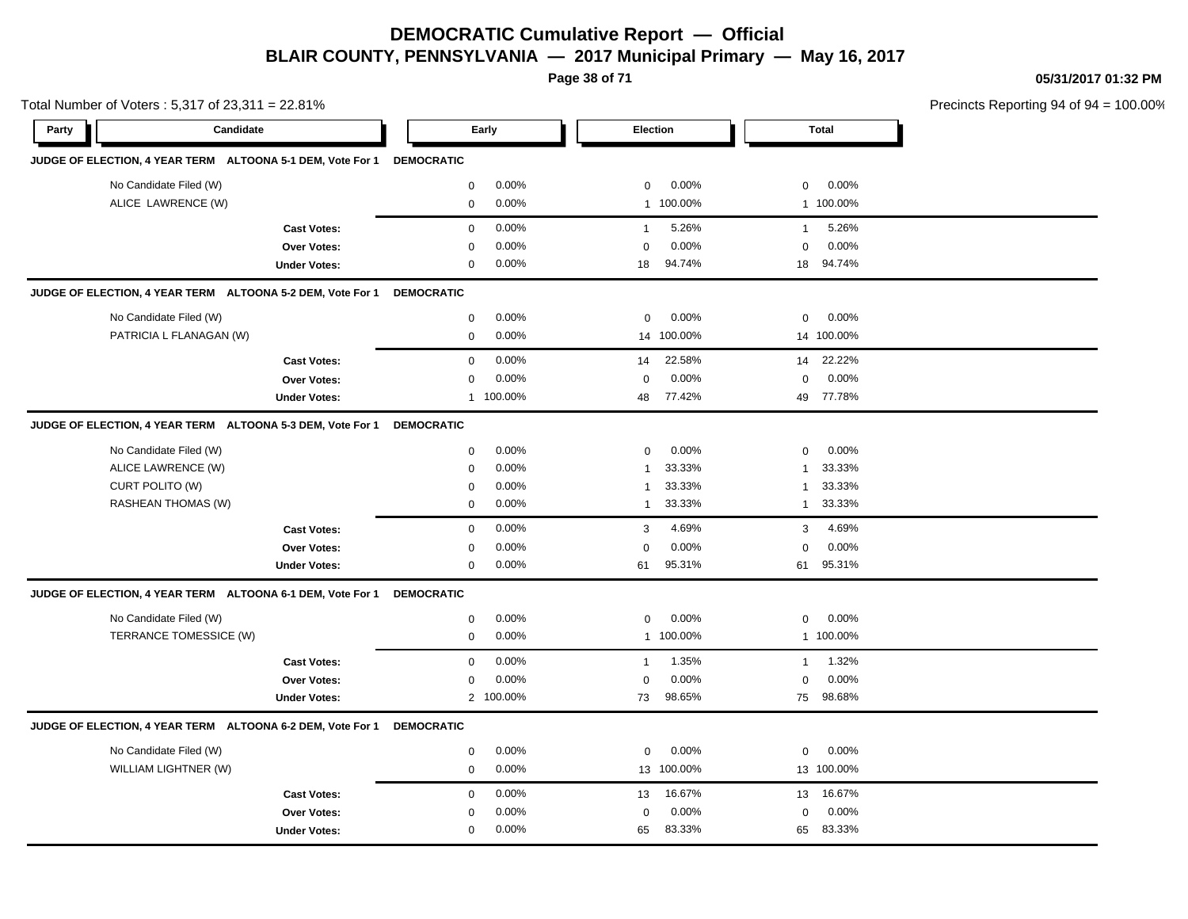**Page 38 of 71**

**05/31/2017 01:32 PM**

|       | Total Number of Voters: 5,317 of 23,311 = 22.81%                      |                     |                   |           |                |            |              |              | Precincts Reporting 94 of 94 |
|-------|-----------------------------------------------------------------------|---------------------|-------------------|-----------|----------------|------------|--------------|--------------|------------------------------|
| Party | Candidate                                                             |                     |                   | Early     | Election       |            |              | <b>Total</b> |                              |
|       | JUDGE OF ELECTION, 4 YEAR TERM ALTOONA 5-1 DEM, Vote For 1 DEMOCRATIC |                     |                   |           |                |            |              |              |                              |
|       | No Candidate Filed (W)                                                |                     | $\mathbf 0$       | 0.00%     | 0              | 0.00%      | 0            | 0.00%        |                              |
|       | ALICE LAWRENCE (W)                                                    |                     | $\mathbf 0$       | 0.00%     |                | 1 100.00%  |              | 1 100.00%    |                              |
|       |                                                                       | <b>Cast Votes:</b>  | $\mathbf{0}$      | 0.00%     | $\overline{1}$ | 5.26%      | $\mathbf{1}$ | 5.26%        |                              |
|       |                                                                       | <b>Over Votes:</b>  | 0                 | 0.00%     | $\Omega$       | 0.00%      | $\Omega$     | 0.00%        |                              |
|       |                                                                       | <b>Under Votes:</b> | 0                 | $0.00\%$  | 18             | 94.74%     | 18           | 94.74%       |                              |
|       | JUDGE OF ELECTION, 4 YEAR TERM ALTOONA 5-2 DEM, Vote For 1            |                     | <b>DEMOCRATIC</b> |           |                |            |              |              |                              |
|       | No Candidate Filed (W)                                                |                     | $\mathbf 0$       | 0.00%     | $\mathbf 0$    | 0.00%      | $\mathbf 0$  | 0.00%        |                              |
|       | PATRICIA L FLANAGAN (W)                                               |                     | 0                 | 0.00%     | 14             | 100.00%    |              | 14 100.00%   |                              |
|       |                                                                       | <b>Cast Votes:</b>  | 0                 | 0.00%     | 14             | 22.58%     | 14           | 22.22%       |                              |
|       |                                                                       | Over Votes:         | 0                 | 0.00%     | 0              | 0.00%      | 0            | 0.00%        |                              |
|       |                                                                       | <b>Under Votes:</b> |                   | 1 100.00% | 48             | 77.42%     |              | 49 77.78%    |                              |
|       | JUDGE OF ELECTION, 4 YEAR TERM ALTOONA 5-3 DEM, Vote For 1            |                     | <b>DEMOCRATIC</b> |           |                |            |              |              |                              |
|       | No Candidate Filed (W)                                                |                     | 0                 | 0.00%     | 0              | 0.00%      | 0            | 0.00%        |                              |
|       | ALICE LAWRENCE (W)                                                    |                     | 0                 | 0.00%     | $\mathbf{1}$   | 33.33%     | $\mathbf{1}$ | 33.33%       |                              |
|       | CURT POLITO (W)                                                       |                     | 0                 | 0.00%     | -1             | 33.33%     | 1            | 33.33%       |                              |
|       | RASHEAN THOMAS (W)                                                    |                     | 0                 | 0.00%     | 1              | 33.33%     | $\mathbf{1}$ | 33.33%       |                              |
|       |                                                                       | <b>Cast Votes:</b>  | 0                 | 0.00%     | 3              | 4.69%      | 3            | 4.69%        |                              |
|       |                                                                       | Over Votes:         | 0                 | 0.00%     | $\mathbf 0$    | 0.00%      | 0            | 0.00%        |                              |
|       |                                                                       | <b>Under Votes:</b> | 0                 | 0.00%     | 61             | 95.31%     |              | 61 95.31%    |                              |
|       | JUDGE OF ELECTION, 4 YEAR TERM ALTOONA 6-1 DEM, Vote For 1            |                     | <b>DEMOCRATIC</b> |           |                |            |              |              |                              |
|       | No Candidate Filed (W)                                                |                     | 0                 | 0.00%     | 0              | 0.00%      | 0            | 0.00%        |                              |
|       | TERRANCE TOMESSICE (W)                                                |                     | $\mathbf 0$       | 0.00%     |                | 1 100.00%  |              | 1 100.00%    |                              |
|       |                                                                       | <b>Cast Votes:</b>  | $\mathbf 0$       | 0.00%     | $\overline{1}$ | 1.35%      | $\mathbf{1}$ | 1.32%        |                              |
|       |                                                                       | <b>Over Votes:</b>  | 0                 | 0.00%     | $\mathbf 0$    | 0.00%      | $\mathbf 0$  | 0.00%        |                              |
|       |                                                                       | <b>Under Votes:</b> |                   | 2 100.00% | 73             | 98.65%     |              | 75 98.68%    |                              |
|       | JUDGE OF ELECTION, 4 YEAR TERM ALTOONA 6-2 DEM, Vote For 1            |                     | <b>DEMOCRATIC</b> |           |                |            |              |              |                              |
|       | No Candidate Filed (W)                                                |                     | 0                 | 0.00%     | $\mathbf 0$    | 0.00%      | $\mathbf 0$  | 0.00%        |                              |
|       | WILLIAM LIGHTNER (W)                                                  |                     | $\mathbf 0$       | 0.00%     |                | 13 100.00% |              | 13 100.00%   |                              |
|       |                                                                       | <b>Cast Votes:</b>  | $\mathbf 0$       | 0.00%     | 13             | 16.67%     | 13           | 16.67%       |                              |
|       |                                                                       | <b>Over Votes:</b>  | 0                 | 0.00%     | 0              | 0.00%      | 0            | 0.00%        |                              |
|       |                                                                       | <b>Under Votes:</b> | $\mathbf 0$       | 0.00%     | 65             | 83.33%     | 65           | 83.33%       |                              |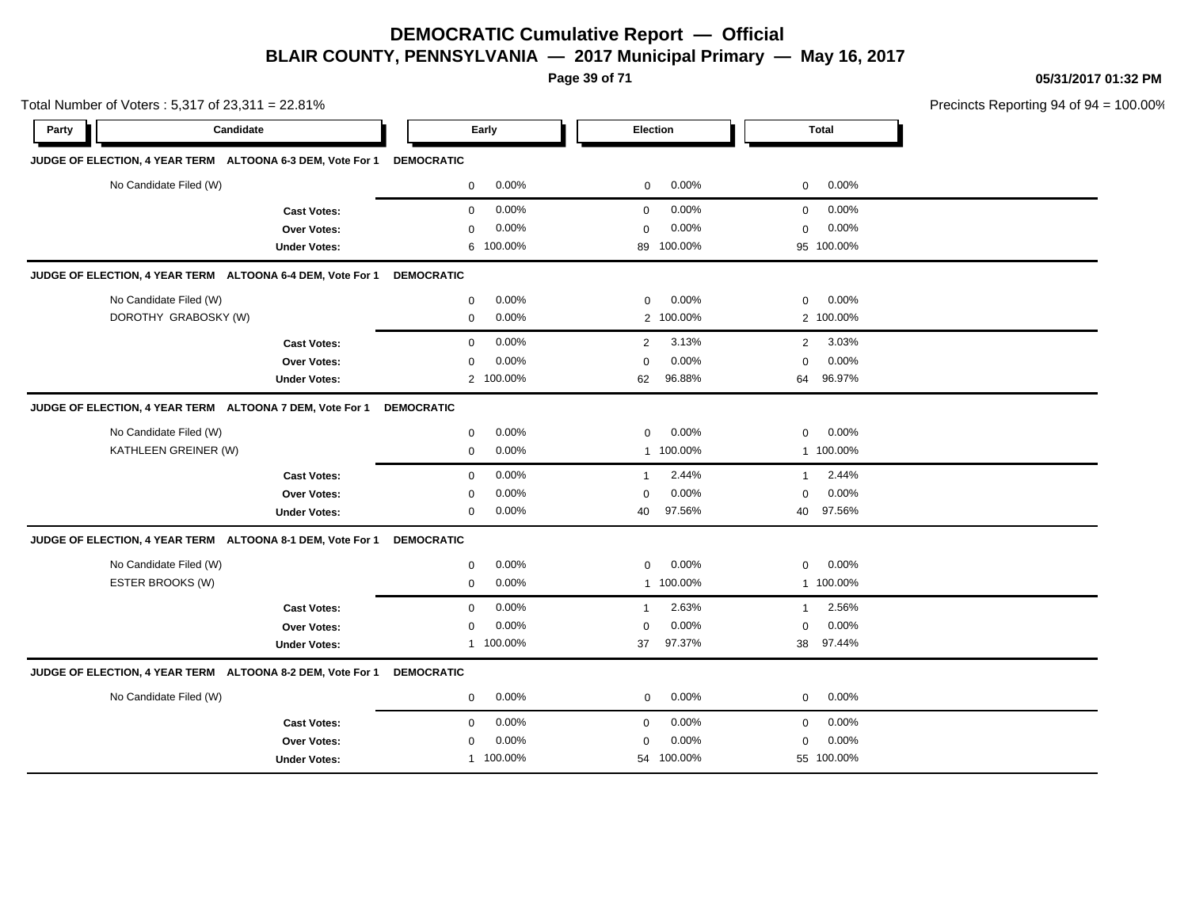**Page 39 of 71**

**05/31/2017 01:32 PM**

|       | Total Number of Voters: 5,317 of 23,311 = 22.81%           |                     |                   |           |                |                 |              | Precincts Reporting 94 of 94 |  |
|-------|------------------------------------------------------------|---------------------|-------------------|-----------|----------------|-----------------|--------------|------------------------------|--|
| Party | Candidate                                                  |                     |                   | Early     |                | <b>Election</b> |              | Total                        |  |
|       | JUDGE OF ELECTION, 4 YEAR TERM ALTOONA 6-3 DEM, Vote For 1 |                     | <b>DEMOCRATIC</b> |           |                |                 |              |                              |  |
|       | No Candidate Filed (W)                                     |                     | $\mathbf 0$       | 0.00%     | 0              | 0.00%           | $\mathbf 0$  | 0.00%                        |  |
|       |                                                            | <b>Cast Votes:</b>  | $\mathbf 0$       | 0.00%     | $\mathbf 0$    | 0.00%           | $\mathbf 0$  | 0.00%                        |  |
|       |                                                            | Over Votes:         | $\mathbf 0$       | 0.00%     | $\mathbf 0$    | 0.00%           | $\mathbf 0$  | 0.00%                        |  |
|       |                                                            | <b>Under Votes:</b> | 6                 | 100.00%   | 89             | 100.00%         |              | 95 100.00%                   |  |
|       | JUDGE OF ELECTION, 4 YEAR TERM ALTOONA 6-4 DEM, Vote For 1 |                     | <b>DEMOCRATIC</b> |           |                |                 |              |                              |  |
|       | No Candidate Filed (W)                                     |                     | $\mathbf 0$       | 0.00%     | 0              | 0.00%           | 0            | 0.00%                        |  |
|       | DOROTHY GRABOSKY (W)                                       |                     | $\mathbf 0$       | $0.00\%$  |                | 2 100.00%       |              | 2 100.00%                    |  |
|       |                                                            | <b>Cast Votes:</b>  | $\mathbf 0$       | 0.00%     | 2              | 3.13%           | 2            | 3.03%                        |  |
|       |                                                            | <b>Over Votes:</b>  | $\mathbf 0$       | 0.00%     | $\mathbf 0$    | 0.00%           | $\mathbf 0$  | 0.00%                        |  |
|       |                                                            | <b>Under Votes:</b> |                   | 2 100.00% | 62             | 96.88%          | 64           | 96.97%                       |  |
|       | JUDGE OF ELECTION, 4 YEAR TERM ALTOONA 7 DEM, Vote For 1   |                     | <b>DEMOCRATIC</b> |           |                |                 |              |                              |  |
|       | No Candidate Filed (W)                                     |                     | $\mathbf 0$       | 0.00%     | 0              | 0.00%           | $\mathbf 0$  | 0.00%                        |  |
|       | KATHLEEN GREINER (W)                                       |                     | 0                 | 0.00%     |                | 1 100.00%       |              | 1 100.00%                    |  |
|       |                                                            | <b>Cast Votes:</b>  | $\mathbf 0$       | 0.00%     | $\overline{1}$ | 2.44%           | $\mathbf{1}$ | 2.44%                        |  |
|       |                                                            | Over Votes:         | 0                 | 0.00%     | 0              | 0.00%           | 0            | 0.00%                        |  |
|       |                                                            | <b>Under Votes:</b> | $\mathbf 0$       | 0.00%     | 40             | 97.56%          |              | 40 97.56%                    |  |
|       | JUDGE OF ELECTION, 4 YEAR TERM ALTOONA 8-1 DEM, Vote For 1 |                     | <b>DEMOCRATIC</b> |           |                |                 |              |                              |  |
|       | No Candidate Filed (W)                                     |                     | $\mathbf 0$       | 0.00%     | $\mathbf 0$    | 0.00%           | $\mathbf 0$  | 0.00%                        |  |
|       | ESTER BROOKS (W)                                           |                     | $\mathbf 0$       | 0.00%     |                | 1 100.00%       |              | 1 100.00%                    |  |
|       |                                                            | <b>Cast Votes:</b>  | $\mathbf 0$       | 0.00%     | $\overline{1}$ | 2.63%           | $\mathbf{1}$ | 2.56%                        |  |
|       |                                                            | Over Votes:         | 0                 | 0.00%     | 0              | 0.00%           | 0            | 0.00%                        |  |
|       |                                                            | <b>Under Votes:</b> | $\mathbf{1}$      | 100.00%   | 37             | 97.37%          | 38           | 97.44%                       |  |
|       | JUDGE OF ELECTION, 4 YEAR TERM ALTOONA 8-2 DEM, Vote For 1 |                     | <b>DEMOCRATIC</b> |           |                |                 |              |                              |  |
|       | No Candidate Filed (W)                                     |                     | 0                 | $0.00\%$  | $\mathbf 0$    | 0.00%           | $\mathbf 0$  | 0.00%                        |  |
|       |                                                            | <b>Cast Votes:</b>  | $\mathbf 0$       | 0.00%     | $\mathbf 0$    | 0.00%           | $\mathbf 0$  | 0.00%                        |  |
|       |                                                            | Over Votes:         | $\mathbf 0$       | 0.00%     | 0              | 0.00%           | $\mathbf 0$  | 0.00%                        |  |
|       |                                                            | <b>Under Votes:</b> |                   | 1 100.00% |                | 54 100.00%      |              | 55 100.00%                   |  |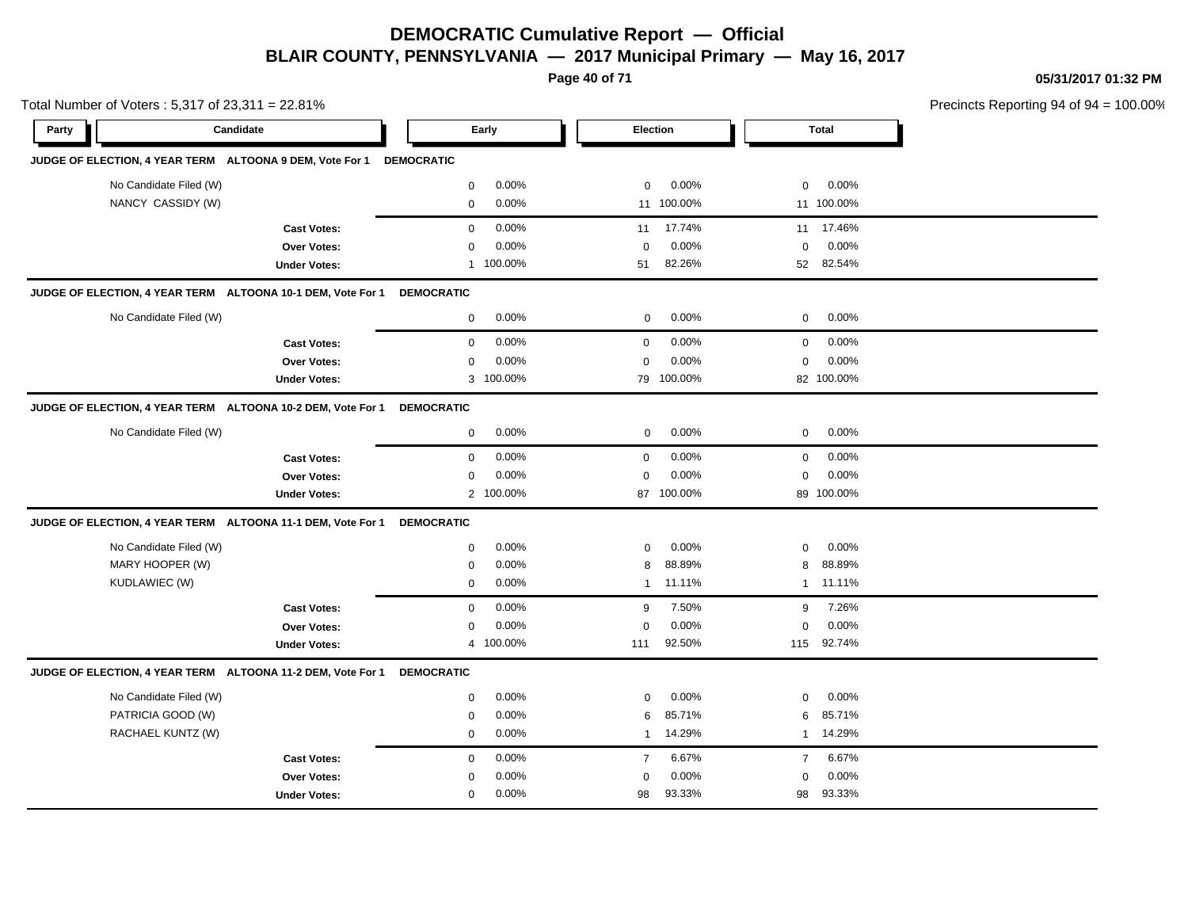**Page 40 of 71**

**05/31/2017 01:32 PM**

|       | Total Number of Voters: 5,317 of 23,311 = 22.81% |                                                             |                   |           |                |            |                | Precincts Reporting 94 of 9 |  |
|-------|--------------------------------------------------|-------------------------------------------------------------|-------------------|-----------|----------------|------------|----------------|-----------------------------|--|
| Party |                                                  | Candidate                                                   |                   | Early     |                | Election   |                | <b>Total</b>                |  |
|       |                                                  | JUDGE OF ELECTION, 4 YEAR TERM ALTOONA 9 DEM, Vote For 1    | <b>DEMOCRATIC</b> |           |                |            |                |                             |  |
|       | No Candidate Filed (W)                           |                                                             | $\mathbf 0$       | 0.00%     | $\mathbf 0$    | 0.00%      | 0              | 0.00%                       |  |
|       | NANCY CASSIDY (W)                                |                                                             | $\mathbf 0$       | 0.00%     |                | 11 100.00% |                | 11 100.00%                  |  |
|       |                                                  | <b>Cast Votes:</b>                                          | $\mathbf 0$       | 0.00%     | 11             | 17.74%     |                | 11 17.46%                   |  |
|       |                                                  | Over Votes:                                                 | $\mathbf 0$       | 0.00%     | $\mathbf 0$    | 0.00%      | $\mathbf 0$    | 0.00%                       |  |
|       |                                                  | <b>Under Votes:</b>                                         |                   | 1 100.00% | 51             | 82.26%     | 52             | 82.54%                      |  |
|       |                                                  | JUDGE OF ELECTION, 4 YEAR TERM ALTOONA 10-1 DEM, Vote For 1 | <b>DEMOCRATIC</b> |           |                |            |                |                             |  |
|       | No Candidate Filed (W)                           |                                                             | $\mathbf 0$       | 0.00%     | $\mathbf 0$    | 0.00%      | $\mathbf 0$    | 0.00%                       |  |
|       |                                                  | <b>Cast Votes:</b>                                          | $\mathbf 0$       | 0.00%     | $\pmb{0}$      | 0.00%      | $\mathbf 0$    | 0.00%                       |  |
|       |                                                  | Over Votes:                                                 | $\mathbf 0$       | 0.00%     | $\mathbf 0$    | 0.00%      | $\mathbf 0$    | 0.00%                       |  |
|       |                                                  | <b>Under Votes:</b>                                         | 3                 | 100.00%   |                | 79 100.00% |                | 82 100.00%                  |  |
|       |                                                  | JUDGE OF ELECTION, 4 YEAR TERM ALTOONA 10-2 DEM, Vote For 1 | <b>DEMOCRATIC</b> |           |                |            |                |                             |  |
|       | No Candidate Filed (W)                           |                                                             | 0                 | 0.00%     | $\mathbf 0$    | 0.00%      | $\mathbf 0$    | 0.00%                       |  |
|       |                                                  | <b>Cast Votes:</b>                                          | $\mathbf 0$       | 0.00%     | $\mathbf 0$    | 0.00%      | 0              | 0.00%                       |  |
|       |                                                  | Over Votes:                                                 | 0                 | 0.00%     | $\mathbf 0$    | 0.00%      | 0              | 0.00%                       |  |
|       |                                                  | <b>Under Votes:</b>                                         |                   | 2 100.00% |                | 87 100.00% |                | 89 100.00%                  |  |
|       |                                                  | JUDGE OF ELECTION, 4 YEAR TERM ALTOONA 11-1 DEM, Vote For 1 | <b>DEMOCRATIC</b> |           |                |            |                |                             |  |
|       | No Candidate Filed (W)                           |                                                             | $\mathbf 0$       | 0.00%     | $\mathbf 0$    | 0.00%      | $\mathbf 0$    | 0.00%                       |  |
|       | MARY HOOPER (W)                                  |                                                             | $\mathbf 0$       | 0.00%     | 8              | 88.89%     | 8              | 88.89%                      |  |
|       | KUDLAWIEC (W)                                    |                                                             | $\mathbf 0$       | 0.00%     | $\mathbf{1}$   | 11.11%     |                | 1 11.11%                    |  |
|       |                                                  | <b>Cast Votes:</b>                                          | $\mathbf 0$       | 0.00%     | 9              | 7.50%      | 9              | 7.26%                       |  |
|       |                                                  | Over Votes:                                                 | $\mathbf 0$       | 0.00%     | $\mathbf 0$    | 0.00%      | $\mathbf 0$    | 0.00%                       |  |
|       |                                                  | <b>Under Votes:</b>                                         | $\overline{4}$    | 100.00%   | 111            | 92.50%     | 115            | 92.74%                      |  |
|       |                                                  | JUDGE OF ELECTION, 4 YEAR TERM ALTOONA 11-2 DEM, Vote For 1 | <b>DEMOCRATIC</b> |           |                |            |                |                             |  |
|       | No Candidate Filed (W)                           |                                                             | $\mathbf 0$       | 0.00%     | $\mathbf 0$    | 0.00%      | $\mathbf 0$    | 0.00%                       |  |
|       | PATRICIA GOOD (W)                                |                                                             | 0                 | 0.00%     | 6              | 85.71%     | 6              | 85.71%                      |  |
|       | RACHAEL KUNTZ (W)                                |                                                             | $\mathbf 0$       | 0.00%     | $\mathbf{1}$   | 14.29%     | 1              | 14.29%                      |  |
|       |                                                  | <b>Cast Votes:</b>                                          | $\mathbf 0$       | 0.00%     | $\overline{7}$ | 6.67%      | $\overline{7}$ | 6.67%                       |  |
|       |                                                  | Over Votes:                                                 | $\mathbf 0$       | 0.00%     | $\mathbf 0$    | 0.00%      | $\mathbf 0$    | 0.00%                       |  |
|       |                                                  | <b>Under Votes:</b>                                         | $\mathbf 0$       | 0.00%     | 98             | 93.33%     | 98             | 93.33%                      |  |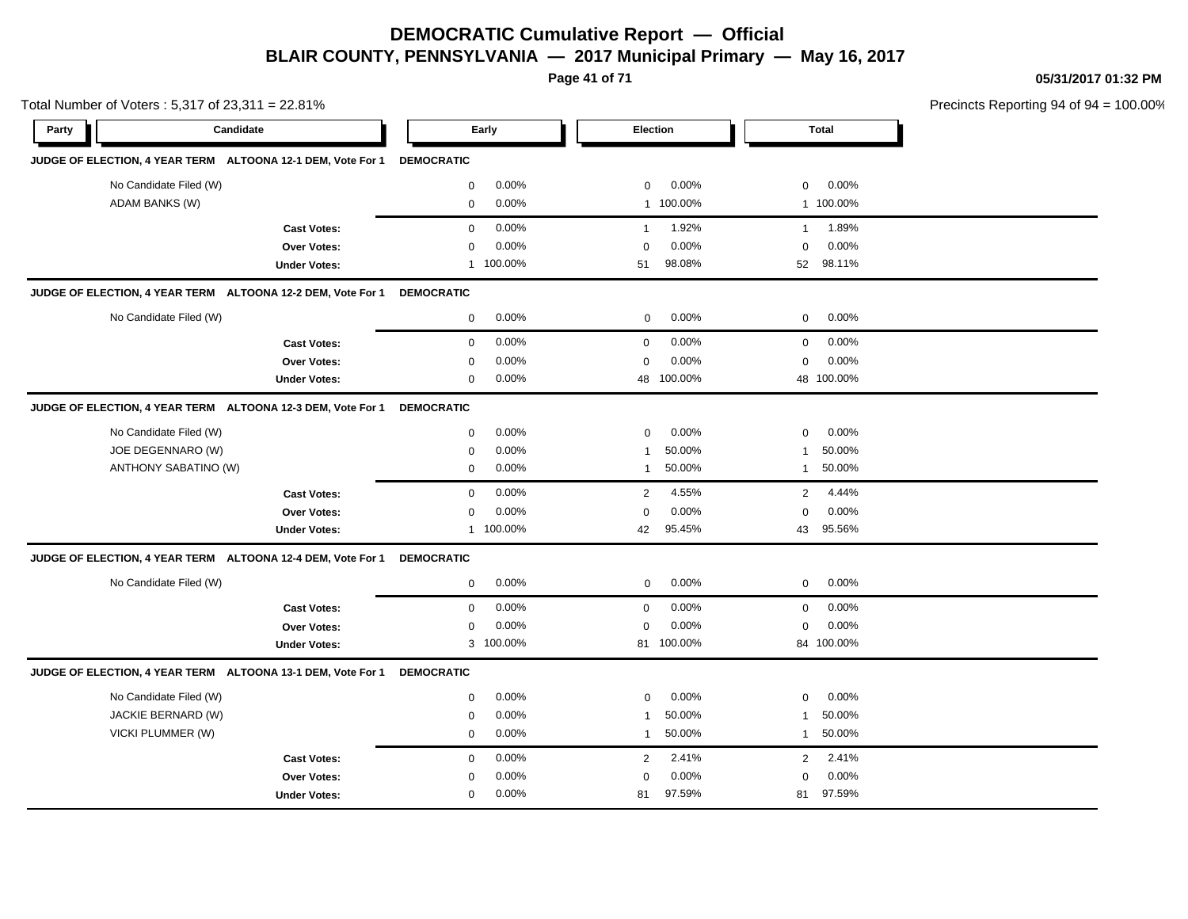**Page 41 of 71**

**05/31/2017 01:32 PM**

| Total Number of Voters: 5,317 of 23,311 = 22.81%            |                     |                   |           |              |            |              | Precincts Reporting 94 of 94 |  |
|-------------------------------------------------------------|---------------------|-------------------|-----------|--------------|------------|--------------|------------------------------|--|
| Party                                                       | Candidate           |                   | Early     | Election     |            |              | <b>Total</b>                 |  |
| JUDGE OF ELECTION, 4 YEAR TERM ALTOONA 12-1 DEM, Vote For 1 |                     | <b>DEMOCRATIC</b> |           |              |            |              |                              |  |
| No Candidate Filed (W)                                      |                     | $\mathbf 0$       | 0.00%     | 0            | 0.00%      | 0            | 0.00%                        |  |
| ADAM BANKS (W)                                              |                     | $\mathbf 0$       | 0.00%     |              | 1 100.00%  |              | 1 100.00%                    |  |
|                                                             | <b>Cast Votes:</b>  | $\mathbf 0$       | 0.00%     | $\mathbf{1}$ | 1.92%      | $\mathbf{1}$ | 1.89%                        |  |
|                                                             | Over Votes:         | $\mathbf 0$       | 0.00%     | $\Omega$     | 0.00%      | 0            | 0.00%                        |  |
|                                                             | <b>Under Votes:</b> | $\mathbf{1}$      | 100.00%   | 51           | 98.08%     | 52           | 98.11%                       |  |
| JUDGE OF ELECTION, 4 YEAR TERM ALTOONA 12-2 DEM, Vote For 1 |                     | <b>DEMOCRATIC</b> |           |              |            |              |                              |  |
| No Candidate Filed (W)                                      |                     | $\mathbf 0$       | $0.00\%$  | $\mathbf 0$  | 0.00%      | 0            | 0.00%                        |  |
|                                                             | <b>Cast Votes:</b>  | $\mathbf 0$       | 0.00%     | $\mathbf 0$  | 0.00%      | 0            | 0.00%                        |  |
|                                                             | Over Votes:         | 0                 | 0.00%     | $\mathbf 0$  | 0.00%      | 0            | 0.00%                        |  |
|                                                             | <b>Under Votes:</b> | $\mathbf 0$       | 0.00%     | 48           | 100.00%    |              | 48 100.00%                   |  |
| JUDGE OF ELECTION, 4 YEAR TERM ALTOONA 12-3 DEM, Vote For 1 |                     | <b>DEMOCRATIC</b> |           |              |            |              |                              |  |
| No Candidate Filed (W)                                      |                     | 0                 | 0.00%     | $\mathbf 0$  | 0.00%      | 0            | 0.00%                        |  |
| JOE DEGENNARO (W)                                           |                     | 0                 | 0.00%     | 1            | 50.00%     | 1            | 50.00%                       |  |
| ANTHONY SABATINO (W)                                        |                     | 0                 | 0.00%     | 1            | 50.00%     | $\mathbf{1}$ | 50.00%                       |  |
|                                                             | <b>Cast Votes:</b>  | $\mathbf 0$       | 0.00%     | 2            | 4.55%      | 2            | 4.44%                        |  |
|                                                             | Over Votes:         | $\mathbf 0$       | 0.00%     | 0            | 0.00%      | $\mathbf 0$  | 0.00%                        |  |
|                                                             | <b>Under Votes:</b> |                   | 1 100.00% | 42           | 95.45%     |              | 43 95.56%                    |  |
| JUDGE OF ELECTION, 4 YEAR TERM ALTOONA 12-4 DEM, Vote For 1 |                     | <b>DEMOCRATIC</b> |           |              |            |              |                              |  |
| No Candidate Filed (W)                                      |                     | $\mathbf 0$       | 0.00%     | 0            | 0.00%      | 0            | 0.00%                        |  |
|                                                             | <b>Cast Votes:</b>  | $\mathsf 0$       | 0.00%     | $\mathbf 0$  | 0.00%      | 0            | 0.00%                        |  |
|                                                             | Over Votes:         | $\mathbf 0$       | 0.00%     | 0            | 0.00%      | 0            | 0.00%                        |  |
|                                                             | <b>Under Votes:</b> |                   | 3 100.00% |              | 81 100.00% |              | 84 100.00%                   |  |
| JUDGE OF ELECTION, 4 YEAR TERM ALTOONA 13-1 DEM, Vote For 1 |                     | <b>DEMOCRATIC</b> |           |              |            |              |                              |  |
| No Candidate Filed (W)                                      |                     | 0                 | 0.00%     | $\Omega$     | 0.00%      | $\mathbf 0$  | 0.00%                        |  |
| JACKIE BERNARD (W)                                          |                     | $\mathbf 0$       | 0.00%     | $\mathbf{1}$ | 50.00%     | 1            | 50.00%                       |  |
| VICKI PLUMMER (W)                                           |                     | $\mathbf 0$       | $0.00\%$  | $\mathbf{1}$ | 50.00%     | $\mathbf{1}$ | 50.00%                       |  |
|                                                             | <b>Cast Votes:</b>  | $\mathbf 0$       | 0.00%     | 2            | 2.41%      | 2            | 2.41%                        |  |
|                                                             | Over Votes:         | 0                 | 0.00%     | $\mathbf 0$  | 0.00%      | $\mathbf 0$  | 0.00%                        |  |
|                                                             | <b>Under Votes:</b> | $\mathbf 0$       | 0.00%     | 81           | 97.59%     | 81           | 97.59%                       |  |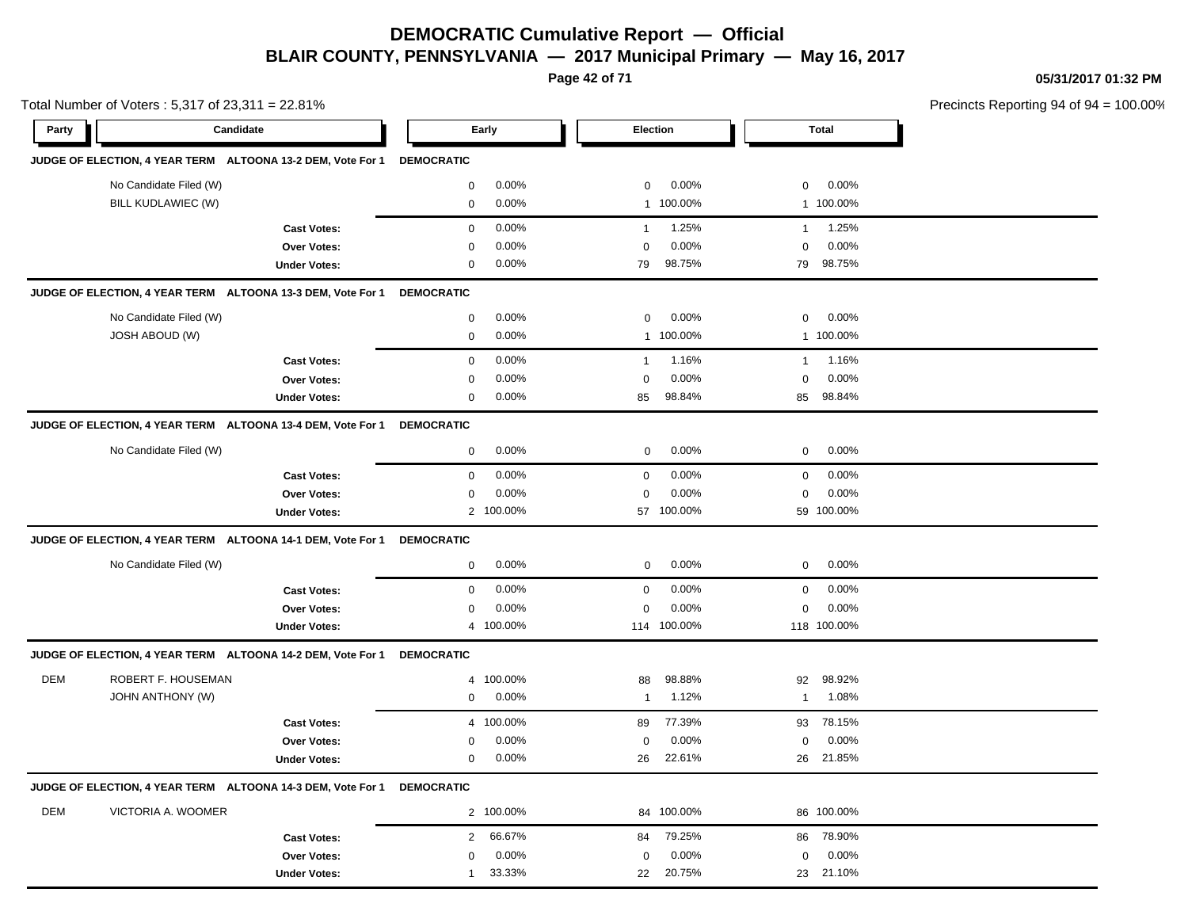**Page 42 of 71**

**05/31/2017 01:32 PM**

|            | Total Number of Voters: $5,317$ of $23,311 = 22.81\%$       |                     |                   |           |                |                 |              | Precincts Reporting 94 of 94 |  |
|------------|-------------------------------------------------------------|---------------------|-------------------|-----------|----------------|-----------------|--------------|------------------------------|--|
| Party      | Candidate                                                   |                     |                   | Early     |                | <b>Election</b> |              | <b>Total</b>                 |  |
|            | JUDGE OF ELECTION, 4 YEAR TERM ALTOONA 13-2 DEM, Vote For 1 |                     | <b>DEMOCRATIC</b> |           |                |                 |              |                              |  |
|            | No Candidate Filed (W)                                      |                     | 0                 | 0.00%     | 0              | 0.00%           | 0            | $0.00\%$                     |  |
|            | BILL KUDLAWIEC (W)                                          |                     | 0                 | 0.00%     |                | 1 100.00%       |              | 1 100.00%                    |  |
|            |                                                             | <b>Cast Votes:</b>  | $\mathbf 0$       | 0.00%     | $\overline{1}$ | 1.25%           | $\mathbf{1}$ | 1.25%                        |  |
|            |                                                             | Over Votes:         | $\mathbf 0$       | 0.00%     | $\mathbf 0$    | 0.00%           | $\mathbf 0$  | 0.00%                        |  |
|            |                                                             | <b>Under Votes:</b> | 0                 | 0.00%     | 79             | 98.75%          | 79           | 98.75%                       |  |
|            | JUDGE OF ELECTION, 4 YEAR TERM ALTOONA 13-3 DEM, Vote For 1 |                     | <b>DEMOCRATIC</b> |           |                |                 |              |                              |  |
|            | No Candidate Filed (W)                                      |                     | 0                 | 0.00%     | 0              | 0.00%           | 0            | $0.00\%$                     |  |
|            | JOSH ABOUD (W)                                              |                     | $\mathbf 0$       | 0.00%     | $\mathbf{1}$   | 100.00%         |              | 1 100.00%                    |  |
|            |                                                             | <b>Cast Votes:</b>  | $\mathbf 0$       | 0.00%     | $\mathbf{1}$   | 1.16%           | $\mathbf{1}$ | 1.16%                        |  |
|            |                                                             | Over Votes:         | 0                 | 0.00%     | 0              | 0.00%           | 0            | 0.00%                        |  |
|            |                                                             | <b>Under Votes:</b> | $\mathbf 0$       | $0.00\%$  | 85             | 98.84%          | 85           | 98.84%                       |  |
|            | JUDGE OF ELECTION, 4 YEAR TERM ALTOONA 13-4 DEM, Vote For 1 |                     | <b>DEMOCRATIC</b> |           |                |                 |              |                              |  |
|            | No Candidate Filed (W)                                      |                     | 0                 | $0.00\%$  | 0              | 0.00%           | 0            | 0.00%                        |  |
|            |                                                             | <b>Cast Votes:</b>  | 0                 | 0.00%     | 0              | 0.00%           | 0            | 0.00%                        |  |
|            |                                                             | Over Votes:         | 0                 | 0.00%     | 0              | 0.00%           | 0            | 0.00%                        |  |
|            |                                                             | <b>Under Votes:</b> |                   | 2 100.00% |                | 57 100.00%      |              | 59 100.00%                   |  |
|            | JUDGE OF ELECTION, 4 YEAR TERM ALTOONA 14-1 DEM, Vote For 1 |                     | <b>DEMOCRATIC</b> |           |                |                 |              |                              |  |
|            | No Candidate Filed (W)                                      |                     | 0                 | $0.00\%$  | 0              | 0.00%           | 0            | 0.00%                        |  |
|            |                                                             | <b>Cast Votes:</b>  | 0                 | 0.00%     | $\mathbf 0$    | 0.00%           | 0            | 0.00%                        |  |
|            |                                                             | Over Votes:         | 0                 | 0.00%     | 0              | 0.00%           | 0            | 0.00%                        |  |
|            |                                                             | <b>Under Votes:</b> | 4                 | 100.00%   |                | 114 100.00%     |              | 118 100.00%                  |  |
|            | JUDGE OF ELECTION, 4 YEAR TERM ALTOONA 14-2 DEM, Vote For 1 |                     | <b>DEMOCRATIC</b> |           |                |                 |              |                              |  |
| <b>DEM</b> | ROBERT F. HOUSEMAN                                          |                     | 4                 | 100.00%   | 88             | 98.88%          | 92           | 98.92%                       |  |
|            | JOHN ANTHONY (W)                                            |                     | 0                 | 0.00%     | -1             | 1.12%           | $\mathbf{1}$ | 1.08%                        |  |
|            |                                                             | <b>Cast Votes:</b>  |                   | 4 100.00% | 89             | 77.39%          | 93           | 78.15%                       |  |
|            |                                                             | Over Votes:         | 0                 | 0.00%     | 0              | 0.00%           | 0            | 0.00%                        |  |
|            |                                                             | <b>Under Votes:</b> | 0                 | 0.00%     | 26             | 22.61%          | 26           | 21.85%                       |  |
|            | JUDGE OF ELECTION, 4 YEAR TERM ALTOONA 14-3 DEM, Vote For 1 |                     | <b>DEMOCRATIC</b> |           |                |                 |              |                              |  |
| <b>DEM</b> | VICTORIA A. WOOMER                                          |                     |                   | 2 100.00% |                | 84 100.00%      |              | 86 100.00%                   |  |
|            |                                                             | <b>Cast Votes:</b>  | $\overline{2}$    | 66.67%    | 84             | 79.25%          |              | 86 78.90%                    |  |
|            |                                                             | Over Votes:         | $\mathbf 0$       | 0.00%     | 0              | 0.00%           | 0            | 0.00%                        |  |
|            |                                                             | <b>Under Votes:</b> | 1                 | 33.33%    | 22             | 20.75%          |              | 23 21.10%                    |  |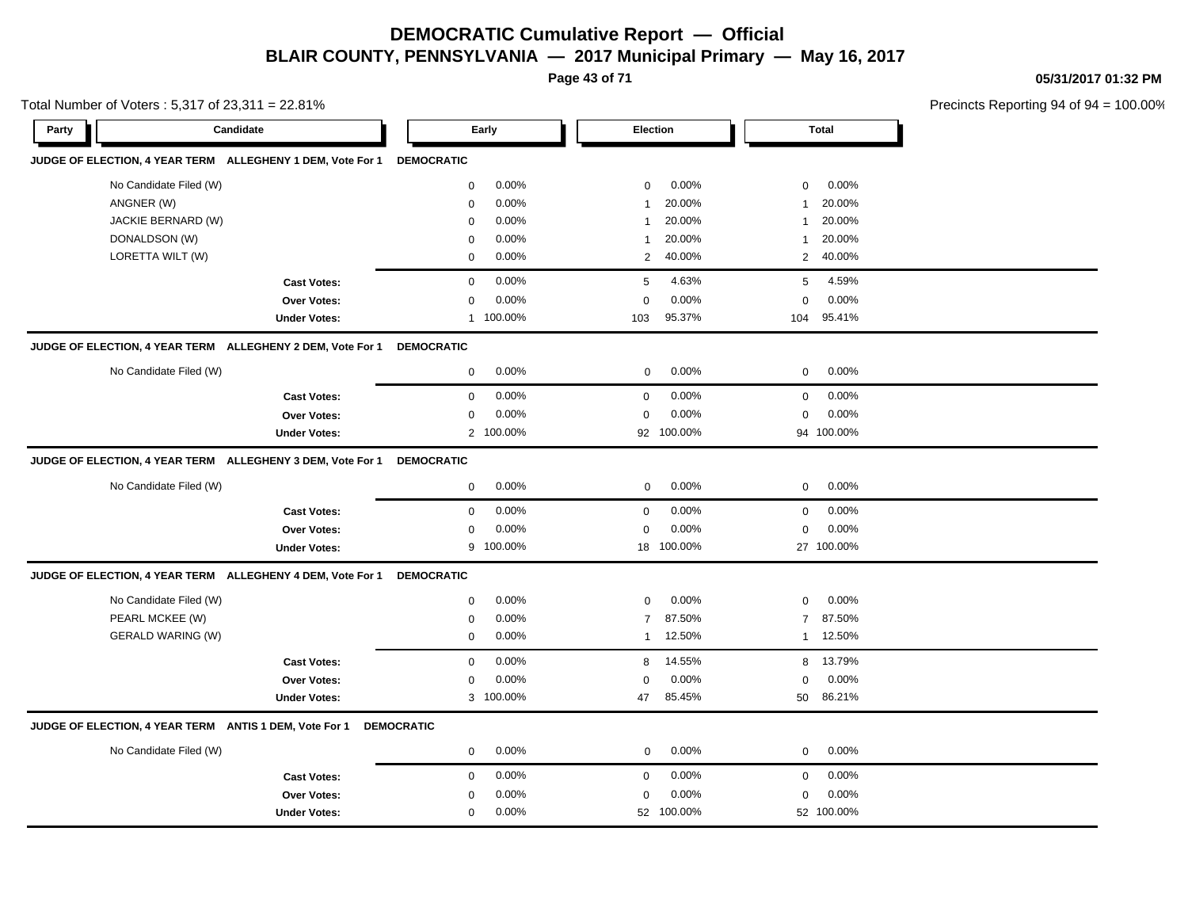**Page 43 of 71**

**05/31/2017 01:32 PM**

|       | Total Number of Voters: 5,317 of 23,311 = 22.81% |                                                            |                   |           |                 |            |                |              | Precincts Reporting 94 of 9 |
|-------|--------------------------------------------------|------------------------------------------------------------|-------------------|-----------|-----------------|------------|----------------|--------------|-----------------------------|
| Party |                                                  | Candidate                                                  |                   | Early     | <b>Election</b> |            |                | <b>Total</b> |                             |
|       |                                                  | JUDGE OF ELECTION, 4 YEAR TERM ALLEGHENY 1 DEM, Vote For 1 | <b>DEMOCRATIC</b> |           |                 |            |                |              |                             |
|       | No Candidate Filed (W)                           |                                                            | $\mathbf 0$       | 0.00%     | 0               | 0.00%      | 0              | 0.00%        |                             |
|       | ANGNER (W)                                       |                                                            | 0                 | 0.00%     | -1              | 20.00%     | -1             | 20.00%       |                             |
|       | JACKIE BERNARD (W)                               |                                                            | $\mathbf 0$       | 0.00%     | $\overline{1}$  | 20.00%     | $\mathbf 1$    | 20.00%       |                             |
|       | DONALDSON (W)                                    |                                                            | $\mathbf 0$       | 0.00%     | $\overline{1}$  | 20.00%     | 1              | 20.00%       |                             |
|       | LORETTA WILT (W)                                 |                                                            | $\mathbf 0$       | 0.00%     | 2               | 40.00%     | 2              | 40.00%       |                             |
|       |                                                  | <b>Cast Votes:</b>                                         | $\mathbf 0$       | 0.00%     | 5               | 4.63%      | 5              | 4.59%        |                             |
|       |                                                  | <b>Over Votes:</b>                                         | $\mathbf 0$       | 0.00%     | $\Omega$        | 0.00%      | $\mathbf 0$    | 0.00%        |                             |
|       |                                                  | <b>Under Votes:</b>                                        | $\mathbf{1}$      | 100.00%   | 103             | 95.37%     | 104            | 95.41%       |                             |
|       |                                                  | JUDGE OF ELECTION, 4 YEAR TERM ALLEGHENY 2 DEM, Vote For 1 | <b>DEMOCRATIC</b> |           |                 |            |                |              |                             |
|       | No Candidate Filed (W)                           |                                                            | $\mathbf 0$       | 0.00%     | $\mathbf 0$     | 0.00%      | 0              | 0.00%        |                             |
|       |                                                  | <b>Cast Votes:</b>                                         | $\mathbf 0$       | 0.00%     | $\mathbf 0$     | 0.00%      | $\mathbf 0$    | 0.00%        |                             |
|       |                                                  | <b>Over Votes:</b>                                         | $\mathbf 0$       | 0.00%     | $\mathbf 0$     | 0.00%      | $\mathbf 0$    | 0.00%        |                             |
|       |                                                  | <b>Under Votes:</b>                                        |                   | 2 100.00% |                 | 92 100.00% |                | 94 100.00%   |                             |
|       |                                                  | JUDGE OF ELECTION, 4 YEAR TERM ALLEGHENY 3 DEM, Vote For 1 | <b>DEMOCRATIC</b> |           |                 |            |                |              |                             |
|       | No Candidate Filed (W)                           |                                                            | 0                 | 0.00%     | 0               | 0.00%      | 0              | 0.00%        |                             |
|       |                                                  | <b>Cast Votes:</b>                                         | 0                 | 0.00%     | $\mathbf 0$     | 0.00%      | $\mathbf 0$    | 0.00%        |                             |
|       |                                                  | Over Votes:                                                | 0                 | 0.00%     | $\mathbf 0$     | 0.00%      | $\mathbf 0$    | 0.00%        |                             |
|       |                                                  | <b>Under Votes:</b>                                        |                   | 9 100.00% |                 | 18 100.00% |                | 27 100.00%   |                             |
|       |                                                  | JUDGE OF ELECTION, 4 YEAR TERM ALLEGHENY 4 DEM, Vote For 1 | <b>DEMOCRATIC</b> |           |                 |            |                |              |                             |
|       | No Candidate Filed (W)                           |                                                            | $\mathbf 0$       | 0.00%     | $\mathbf 0$     | 0.00%      | $\mathbf 0$    | 0.00%        |                             |
|       | PEARL MCKEE (W)                                  |                                                            | 0                 | 0.00%     | $\overline{7}$  | 87.50%     | $\overline{7}$ | 87.50%       |                             |
|       | <b>GERALD WARING (W)</b>                         |                                                            | $\mathbf 0$       | 0.00%     | $\mathbf{1}$    | 12.50%     | 1              | 12.50%       |                             |
|       |                                                  | <b>Cast Votes:</b>                                         | $\mathsf 0$       | 0.00%     | 8               | 14.55%     | 8              | 13.79%       |                             |
|       |                                                  | <b>Over Votes:</b>                                         | $\mathbf 0$       | 0.00%     | $\Omega$        | 0.00%      | $\mathbf 0$    | 0.00%        |                             |
|       |                                                  | <b>Under Votes:</b>                                        |                   | 3 100.00% | 47              | 85.45%     | 50             | 86.21%       |                             |
|       |                                                  | JUDGE OF ELECTION, 4 YEAR TERM ANTIS 1 DEM, Vote For 1     | <b>DEMOCRATIC</b> |           |                 |            |                |              |                             |
|       | No Candidate Filed (W)                           |                                                            | 0                 | 0.00%     | $\mathbf 0$     | 0.00%      | $\mathbf 0$    | 0.00%        |                             |
|       |                                                  | <b>Cast Votes:</b>                                         | $\mathbf 0$       | 0.00%     | $\mathbf 0$     | 0.00%      | $\mathbf 0$    | 0.00%        |                             |
|       |                                                  | Over Votes:                                                | 0                 | 0.00%     | $\mathbf 0$     | 0.00%      | $\mathbf 0$    | 0.00%        |                             |
|       |                                                  | <b>Under Votes:</b>                                        | $\mathbf 0$       | 0.00%     |                 | 52 100.00% |                | 52 100.00%   |                             |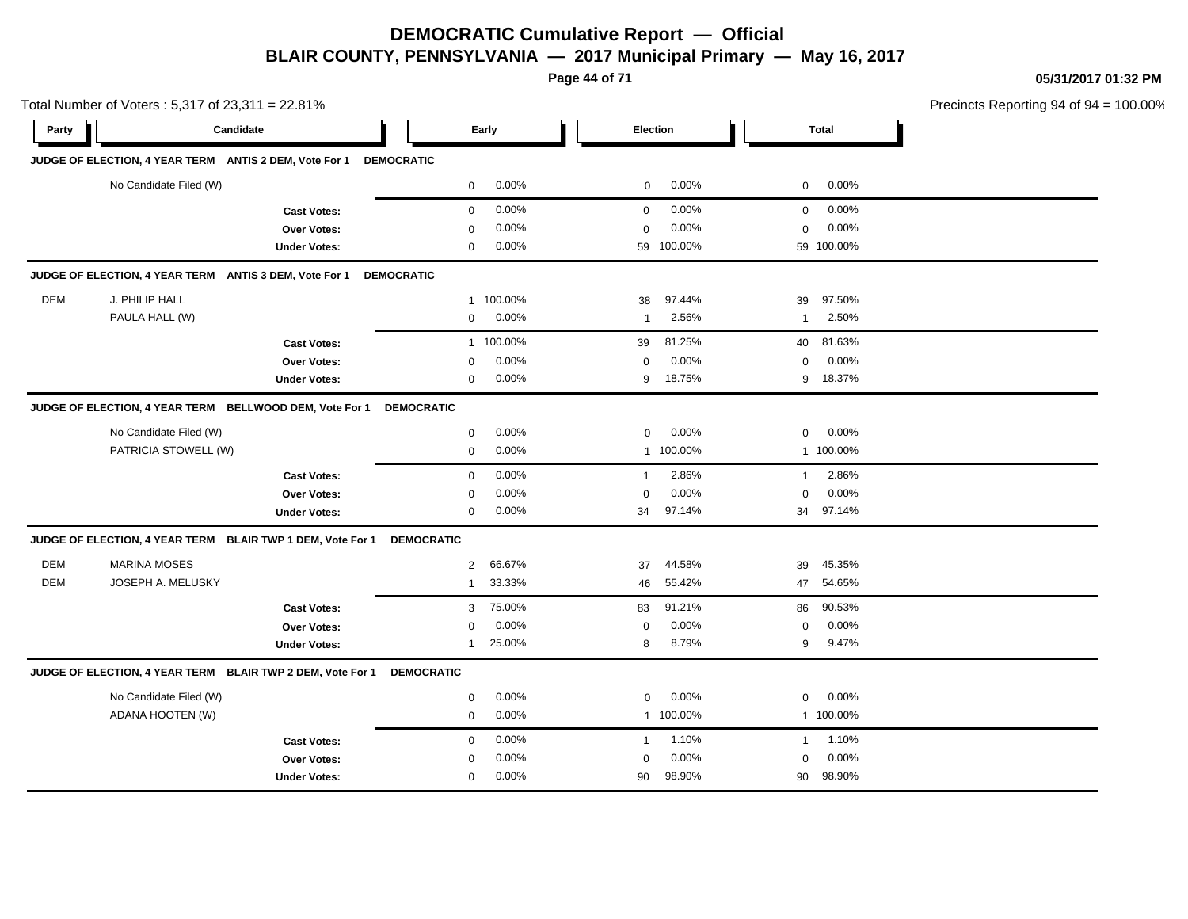**Page 44 of 71**

**05/31/2017 01:32 PM**

|       |                        | Total Number of Voters: 5,317 of 23,311 = 22.81%           |                   |          |              |            |              |              | Precincts Reporting 94 of 94 |
|-------|------------------------|------------------------------------------------------------|-------------------|----------|--------------|------------|--------------|--------------|------------------------------|
| Party |                        | Candidate                                                  |                   | Early    | Election     |            |              | <b>Total</b> |                              |
|       |                        | JUDGE OF ELECTION, 4 YEAR TERM ANTIS 2 DEM, Vote For 1     | <b>DEMOCRATIC</b> |          |              |            |              |              |                              |
|       | No Candidate Filed (W) |                                                            | $\mathbf 0$       | 0.00%    | $\mathbf 0$  | 0.00%      | 0            | 0.00%        |                              |
|       |                        | <b>Cast Votes:</b>                                         | 0                 | 0.00%    | $\mathbf 0$  | 0.00%      | 0            | 0.00%        |                              |
|       |                        | <b>Over Votes:</b>                                         | $\mathbf 0$       | 0.00%    | $\mathbf 0$  | 0.00%      | 0            | 0.00%        |                              |
|       |                        | <b>Under Votes:</b>                                        | 0                 | 0.00%    |              | 59 100.00% |              | 59 100.00%   |                              |
|       |                        | JUDGE OF ELECTION, 4 YEAR TERM ANTIS 3 DEM, Vote For 1     | <b>DEMOCRATIC</b> |          |              |            |              |              |                              |
| DEM   | J. PHILIP HALL         |                                                            | $\mathbf{1}$      | 100.00%  | 38           | 97.44%     | 39           | 97.50%       |                              |
|       | PAULA HALL (W)         |                                                            | $\pmb{0}$         | 0.00%    | 1            | 2.56%      | $\mathbf{1}$ | 2.50%        |                              |
|       |                        | <b>Cast Votes:</b>                                         | $\mathbf{1}$      | 100.00%  | 39           | 81.25%     | 40           | 81.63%       |                              |
|       |                        | <b>Over Votes:</b>                                         | $\Omega$          | 0.00%    | 0            | 0.00%      | 0            | 0.00%        |                              |
|       |                        | <b>Under Votes:</b>                                        | $\mathbf 0$       | 0.00%    | 9            | 18.75%     | 9            | 18.37%       |                              |
|       |                        | JUDGE OF ELECTION, 4 YEAR TERM BELLWOOD DEM, Vote For 1    | <b>DEMOCRATIC</b> |          |              |            |              |              |                              |
|       | No Candidate Filed (W) |                                                            | $\mathbf 0$       | 0.00%    | $\mathbf 0$  | 0.00%      | 0            | 0.00%        |                              |
|       | PATRICIA STOWELL (W)   |                                                            | 0                 | 0.00%    |              | 1 100.00%  |              | 1 100.00%    |                              |
|       |                        | <b>Cast Votes:</b>                                         | $\mathbf 0$       | 0.00%    | $\mathbf{1}$ | 2.86%      | $\mathbf{1}$ | 2.86%        |                              |
|       |                        | Over Votes:                                                | $\mathbf 0$       | 0.00%    | 0            | 0.00%      | $\mathbf 0$  | 0.00%        |                              |
|       |                        | <b>Under Votes:</b>                                        | $\mathbf 0$       | $0.00\%$ | 34           | 97.14%     |              | 34 97.14%    |                              |
|       |                        | JUDGE OF ELECTION, 4 YEAR TERM BLAIR TWP 1 DEM, Vote For 1 | <b>DEMOCRATIC</b> |          |              |            |              |              |                              |
| DEM   | <b>MARINA MOSES</b>    |                                                            | $\overline{2}$    | 66.67%   | 37           | 44.58%     | 39           | 45.35%       |                              |
| DEM   | JOSEPH A. MELUSKY      |                                                            | $\overline{1}$    | 33.33%   | 46           | 55.42%     | 47           | 54.65%       |                              |
|       |                        | <b>Cast Votes:</b>                                         | 3                 | 75.00%   | 83           | 91.21%     | 86           | 90.53%       |                              |
|       |                        | Over Votes:                                                | 0                 | 0.00%    | 0            | 0.00%      | 0            | 0.00%        |                              |
|       |                        | <b>Under Votes:</b>                                        | 1                 | 25.00%   | 8            | 8.79%      | 9            | 9.47%        |                              |
|       |                        | JUDGE OF ELECTION, 4 YEAR TERM BLAIR TWP 2 DEM, Vote For 1 | <b>DEMOCRATIC</b> |          |              |            |              |              |                              |
|       | No Candidate Filed (W) |                                                            | $\pmb{0}$         | 0.00%    | $\mathbf 0$  | 0.00%      | 0            | 0.00%        |                              |
|       | ADANA HOOTEN (W)       |                                                            | 0                 | 0.00%    |              | 1 100.00%  |              | 1 100.00%    |                              |
|       |                        | <b>Cast Votes:</b>                                         | $\mathbf 0$       | 0.00%    | $\mathbf{1}$ | 1.10%      | $\mathbf{1}$ | 1.10%        |                              |
|       |                        | Over Votes:                                                | $\mathbf 0$       | 0.00%    | $\mathbf 0$  | 0.00%      | 0            | 0.00%        |                              |
|       |                        | <b>Under Votes:</b>                                        | $\mathbf 0$       | 0.00%    | 90           | 98.90%     | 90           | 98.90%       |                              |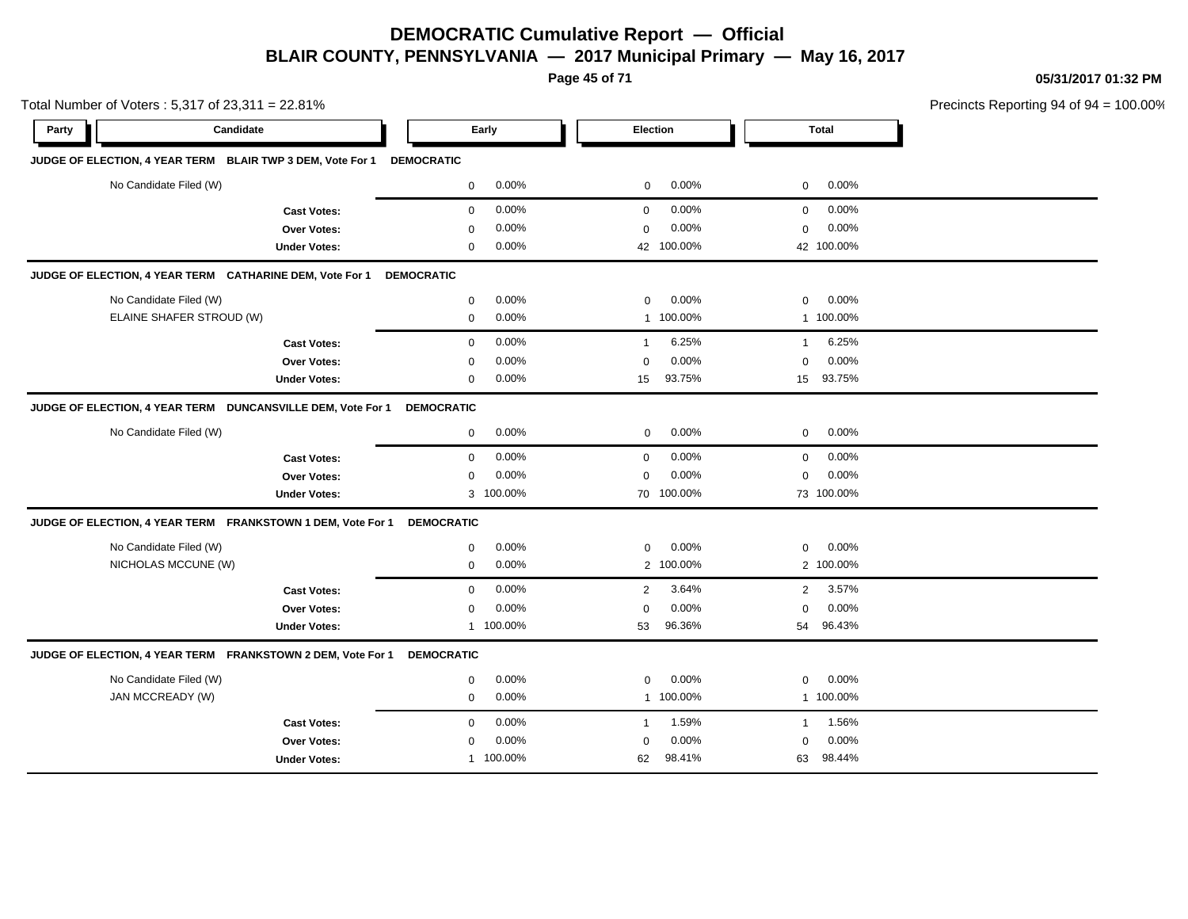**Page 45 of 71**

**05/31/2017 01:32 PM**

| Total Number of Voters: 5,317 of 23,311 = 22.81%            |                     |                   |           |                |            |                |              | Precincts Reporting 94 of 94 = 1 |
|-------------------------------------------------------------|---------------------|-------------------|-----------|----------------|------------|----------------|--------------|----------------------------------|
| Candidate<br>Party                                          |                     |                   | Early     |                | Election   |                | <b>Total</b> |                                  |
| JUDGE OF ELECTION, 4 YEAR TERM BLAIR TWP 3 DEM, Vote For 1  |                     | <b>DEMOCRATIC</b> |           |                |            |                |              |                                  |
| No Candidate Filed (W)                                      |                     | $\mathbf 0$       | 0.00%     | $\mathbf 0$    | 0.00%      | $\mathbf 0$    | 0.00%        |                                  |
|                                                             | <b>Cast Votes:</b>  | $\mathbf 0$       | 0.00%     | $\mathbf 0$    | 0.00%      | $\mathbf 0$    | 0.00%        |                                  |
|                                                             | <b>Over Votes:</b>  | $\Omega$          | 0.00%     | $\mathbf 0$    | 0.00%      | $\mathbf 0$    | 0.00%        |                                  |
|                                                             | <b>Under Votes:</b> | $\mathbf 0$       | 0.00%     |                | 42 100.00% |                | 42 100.00%   |                                  |
| JUDGE OF ELECTION, 4 YEAR TERM CATHARINE DEM, Vote For 1    |                     | <b>DEMOCRATIC</b> |           |                |            |                |              |                                  |
| No Candidate Filed (W)                                      |                     | $\mathbf 0$       | 0.00%     | $\mathbf 0$    | 0.00%      | $\mathbf 0$    | 0.00%        |                                  |
| ELAINE SHAFER STROUD (W)                                    |                     | $\mathbf 0$       | 0.00%     |                | 1 100.00%  |                | 1 100.00%    |                                  |
|                                                             | <b>Cast Votes:</b>  | $\mathbf 0$       | 0.00%     | $\mathbf{1}$   | 6.25%      | $\mathbf{1}$   | 6.25%        |                                  |
|                                                             | Over Votes:         | 0                 | 0.00%     | 0              | 0.00%      | $\mathbf 0$    | 0.00%        |                                  |
|                                                             | <b>Under Votes:</b> | $\mathbf 0$       | 0.00%     | 15             | 93.75%     | 15             | 93.75%       |                                  |
| JUDGE OF ELECTION, 4 YEAR TERM DUNCANSVILLE DEM, Vote For 1 |                     | <b>DEMOCRATIC</b> |           |                |            |                |              |                                  |
| No Candidate Filed (W)                                      |                     | $\mathbf 0$       | 0.00%     | $\mathbf 0$    | 0.00%      | $\mathbf 0$    | 0.00%        |                                  |
|                                                             | <b>Cast Votes:</b>  | 0                 | 0.00%     | 0              | 0.00%      | $\mathbf 0$    | 0.00%        |                                  |
|                                                             | Over Votes:         | 0                 | 0.00%     | 0              | 0.00%      | $\mathbf 0$    | 0.00%        |                                  |
|                                                             | <b>Under Votes:</b> |                   | 3 100.00% |                | 70 100.00% |                | 73 100.00%   |                                  |
| JUDGE OF ELECTION, 4 YEAR TERM FRANKSTOWN 1 DEM, Vote For 1 |                     | <b>DEMOCRATIC</b> |           |                |            |                |              |                                  |
| No Candidate Filed (W)                                      |                     | 0                 | 0.00%     | 0              | 0.00%      | 0              | 0.00%        |                                  |
| NICHOLAS MCCUNE (W)                                         |                     | 0                 | 0.00%     |                | 2 100.00%  |                | 2 100.00%    |                                  |
|                                                             | <b>Cast Votes:</b>  | $\mathbf 0$       | 0.00%     | $\overline{2}$ | 3.64%      | $\overline{2}$ | 3.57%        |                                  |
|                                                             | Over Votes:         | 0                 | 0.00%     | $\mathbf 0$    | 0.00%      | $\mathbf 0$    | 0.00%        |                                  |
|                                                             | <b>Under Votes:</b> |                   | 1 100.00% | 53             | 96.36%     | 54             | 96.43%       |                                  |
| JUDGE OF ELECTION, 4 YEAR TERM FRANKSTOWN 2 DEM, Vote For 1 |                     | <b>DEMOCRATIC</b> |           |                |            |                |              |                                  |
| No Candidate Filed (W)                                      |                     | 0                 | 0.00%     | $\mathbf 0$    | 0.00%      | $\mathbf 0$    | 0.00%        |                                  |
| JAN MCCREADY (W)                                            |                     | 0                 | 0.00%     |                | 1 100.00%  |                | 1 100.00%    |                                  |
|                                                             | <b>Cast Votes:</b>  | 0                 | 0.00%     | $\mathbf{1}$   | 1.59%      | $\mathbf{1}$   | 1.56%        |                                  |
|                                                             | <b>Over Votes:</b>  | 0                 | 0.00%     | $\mathbf 0$    | 0.00%      | 0              | 0.00%        |                                  |
|                                                             | <b>Under Votes:</b> |                   | 1 100.00% | 62             | 98.41%     | 63             | 98.44%       |                                  |

 $100.00\%$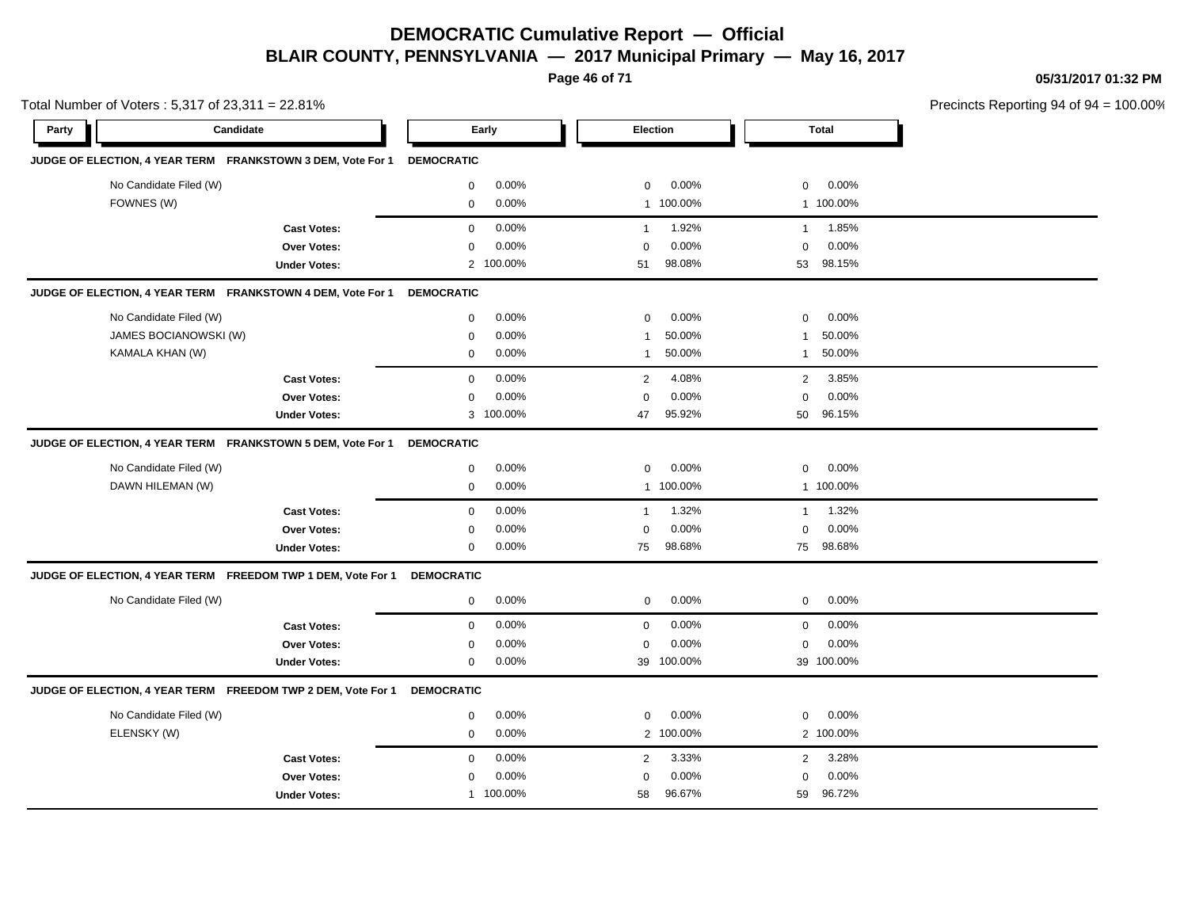**Page 46 of 71**

**05/31/2017 01:32 PM**

|       | Total Number of Voters: 5,317 of 23,311 = 22.81%             |                      |                        |                         | Precincts Reporting 94 of 94 |
|-------|--------------------------------------------------------------|----------------------|------------------------|-------------------------|------------------------------|
| Party | Candidate                                                    | Early                | Election               | <b>Total</b>            |                              |
|       | JUDGE OF ELECTION, 4 YEAR TERM FRANKSTOWN 3 DEM, Vote For 1  | <b>DEMOCRATIC</b>    |                        |                         |                              |
|       | No Candidate Filed (W)                                       | 0.00%<br>0           | $\mathbf 0$<br>0.00%   | 0<br>$0.00\%$           |                              |
|       | FOWNES (W)                                                   | 0.00%<br>$\mathbf 0$ | 1 100.00%              | 1 100.00%               |                              |
|       | <b>Cast Votes:</b>                                           | 0.00%<br>$\mathbf 0$ | 1.92%<br>$\mathbf{1}$  | 1.85%<br>$\mathbf{1}$   |                              |
|       | Over Votes:                                                  | 0.00%<br>$\Omega$    | 0.00%<br>$\Omega$      | 0.00%<br>$\mathbf 0$    |                              |
|       | <b>Under Votes:</b>                                          | 2 100.00%            | 98.08%<br>51           | 98.15%<br>53            |                              |
|       | JUDGE OF ELECTION, 4 YEAR TERM FRANKSTOWN 4 DEM, Vote For 1  | <b>DEMOCRATIC</b>    |                        |                         |                              |
|       | No Candidate Filed (W)                                       | 0.00%<br>$\mathbf 0$ | 0.00%<br>$\mathbf 0$   | 0.00%<br>$\mathbf 0$    |                              |
|       | JAMES BOCIANOWSKI (W)                                        | 0.00%<br>$\mathbf 0$ | 50.00%<br>$\mathbf{1}$ | 50.00%<br>-1            |                              |
|       | KAMALA KHAN (W)                                              | 0.00%<br>0           | 50.00%<br>$\mathbf{1}$ | 50.00%<br>$\mathbf{1}$  |                              |
|       | <b>Cast Votes:</b>                                           | 0.00%<br>$\mathbf 0$ | 4.08%<br>2             | 3.85%<br>$\overline{2}$ |                              |
|       | Over Votes:                                                  | 0.00%<br>$\mathbf 0$ | 0.00%<br>$\Omega$      | 0.00%<br>$\mathbf 0$    |                              |
|       | <b>Under Votes:</b>                                          | 3 100.00%            | 95.92%<br>47           | 50<br>96.15%            |                              |
|       | JUDGE OF ELECTION, 4 YEAR TERM FRANKSTOWN 5 DEM, Vote For 1  | <b>DEMOCRATIC</b>    |                        |                         |                              |
|       | No Candidate Filed (W)                                       | 0.00%<br>0           | $\mathbf 0$<br>0.00%   | 0<br>$0.00\%$           |                              |
|       | DAWN HILEMAN (W)                                             | 0.00%<br>0           | 1 100.00%              | 1 100.00%               |                              |
|       | <b>Cast Votes:</b>                                           | 0.00%<br>0           | 1.32%<br>$\mathbf{1}$  | 1.32%<br>$\mathbf{1}$   |                              |
|       | Over Votes:                                                  | 0.00%<br>$\mathbf 0$ | 0.00%<br>$\Omega$      | 0.00%<br>$\mathbf 0$    |                              |
|       | <b>Under Votes:</b>                                          | 0.00%<br>$\mathbf 0$ | 98.68%<br>75           | 75<br>98.68%            |                              |
|       | JUDGE OF ELECTION, 4 YEAR TERM FREEDOM TWP 1 DEM, Vote For 1 | <b>DEMOCRATIC</b>    |                        |                         |                              |
|       | No Candidate Filed (W)                                       | 0.00%<br>0           | 0.00%<br>$\mathbf 0$   | 0.00%<br>$\mathbf 0$    |                              |
|       | <b>Cast Votes:</b>                                           | 0<br>0.00%           | $\mathbf 0$<br>0.00%   | $0.00\%$<br>0           |                              |
|       | Over Votes:                                                  | 0.00%<br>$\mathbf 0$ | 0.00%<br>$\mathbf 0$   | 0.00%<br>$\mathbf 0$    |                              |
|       | <b>Under Votes:</b>                                          | 0.00%<br>0           | 39 100.00%             | 39 100.00%              |                              |
|       | JUDGE OF ELECTION, 4 YEAR TERM FREEDOM TWP 2 DEM, Vote For 1 | <b>DEMOCRATIC</b>    |                        |                         |                              |
|       | No Candidate Filed (W)                                       | 0.00%<br>$\mathbf 0$ | 0.00%<br>$\mathbf 0$   | 0.00%<br>0              |                              |
|       | ELENSKY (W)                                                  | 0.00%<br>0           | 2 100.00%              | 2 100.00%               |                              |
|       | <b>Cast Votes:</b>                                           | 0.00%<br>$\mathbf 0$ | 3.33%<br>2             | 3.28%<br>$\overline{2}$ |                              |
|       | Over Votes:                                                  | 0.00%<br>$\mathbf 0$ | 0.00%<br>$\Omega$      | 0.00%<br>$\Omega$       |                              |
|       | <b>Under Votes:</b>                                          | 1 100.00%            | 96.67%<br>58           | 96.72%<br>59            |                              |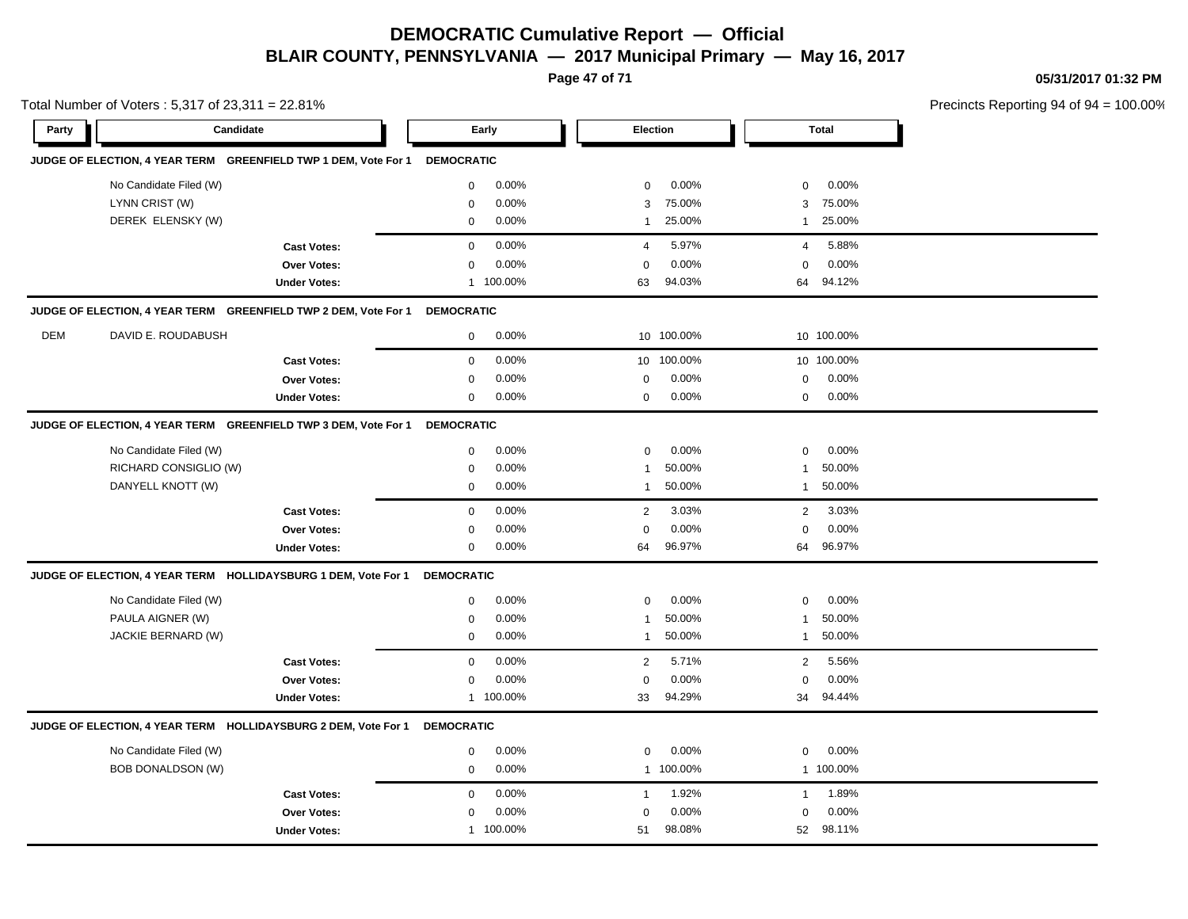**Page 47 of 71**

**05/31/2017 01:32 PM**

|             | Precincts Reporting 94 of 94 = 100.00% |
|-------------|----------------------------------------|
| Total       |                                        |
|             |                                        |
| $0.00\%$    |                                        |
| 75.00%<br>3 |                                        |

| Total Number of Voters: 5,317 of 23,311 = 22.81% |  |
|--------------------------------------------------|--|

| Party      | Candidate                                                      |                                                                 |                   | Early     | <b>Election</b> |            |                | <b>Total</b> |  |
|------------|----------------------------------------------------------------|-----------------------------------------------------------------|-------------------|-----------|-----------------|------------|----------------|--------------|--|
|            |                                                                | JUDGE OF ELECTION, 4 YEAR TERM GREENFIELD TWP 1 DEM, Vote For 1 | <b>DEMOCRATIC</b> |           |                 |            |                |              |  |
|            | No Candidate Filed (W)                                         |                                                                 | $\mathbf{0}$      | 0.00%     | $\mathbf 0$     | 0.00%      | $\mathbf 0$    | 0.00%        |  |
|            | LYNN CRIST (W)                                                 |                                                                 | $\mathbf 0$       | 0.00%     | 3               | 75.00%     | 3              | 75.00%       |  |
|            | DEREK ELENSKY (W)                                              |                                                                 | $\mathbf{0}$      | 0.00%     | $\mathbf{1}$    | 25.00%     | $\mathbf{1}$   | 25.00%       |  |
|            |                                                                | <b>Cast Votes:</b>                                              | $\mathbf 0$       | 0.00%     | $\overline{4}$  | 5.97%      | $\overline{4}$ | 5.88%        |  |
|            |                                                                | Over Votes:                                                     | $\mathbf 0$       | 0.00%     | $\Omega$        | 0.00%      | $\Omega$       | 0.00%        |  |
|            |                                                                | <b>Under Votes:</b>                                             |                   | 1 100.00% | 63              | 94.03%     | 64             | 94.12%       |  |
|            |                                                                | JUDGE OF ELECTION, 4 YEAR TERM GREENFIELD TWP 2 DEM, Vote For 1 | <b>DEMOCRATIC</b> |           |                 |            |                |              |  |
| <b>DEM</b> | DAVID E. ROUDABUSH                                             |                                                                 | $\mathbf 0$       | 0.00%     |                 | 10 100.00% |                | 10 100.00%   |  |
|            |                                                                | <b>Cast Votes:</b>                                              | $\mathbf 0$       | 0.00%     | 10 <sup>1</sup> | 100.00%    |                | 10 100.00%   |  |
|            |                                                                | Over Votes:                                                     | $\mathbf 0$       | 0.00%     | $\Omega$        | 0.00%      | $\mathbf 0$    | 0.00%        |  |
|            |                                                                | <b>Under Votes:</b>                                             | $\mathbf 0$       | 0.00%     | $\mathbf 0$     | 0.00%      | $\mathbf 0$    | 0.00%        |  |
|            |                                                                | JUDGE OF ELECTION, 4 YEAR TERM GREENFIELD TWP 3 DEM, Vote For 1 | <b>DEMOCRATIC</b> |           |                 |            |                |              |  |
|            | No Candidate Filed (W)                                         |                                                                 | $\mathbf 0$       | 0.00%     | $\mathbf 0$     | 0.00%      | $\mathbf 0$    | 0.00%        |  |
|            | RICHARD CONSIGLIO (W)                                          |                                                                 | $\mathbf 0$       | 0.00%     | -1              | 50.00%     | -1             | 50.00%       |  |
|            | DANYELL KNOTT (W)                                              |                                                                 | $\mathbf 0$       | 0.00%     | $\overline{1}$  | 50.00%     | $\mathbf 1$    | 50.00%       |  |
|            |                                                                | <b>Cast Votes:</b>                                              | $\mathbf 0$       | 0.00%     | 2               | 3.03%      | 2              | 3.03%        |  |
|            |                                                                | Over Votes:                                                     | 0                 | 0.00%     | $\mathbf 0$     | 0.00%      | $\mathbf 0$    | 0.00%        |  |
|            |                                                                | <b>Under Votes:</b>                                             | 0                 | 0.00%     | 64              | 96.97%     | 64             | 96.97%       |  |
|            | JUDGE OF ELECTION, 4 YEAR TERM HOLLIDAYSBURG 1 DEM, Vote For 1 |                                                                 | <b>DEMOCRATIC</b> |           |                 |            |                |              |  |
|            | No Candidate Filed (W)                                         |                                                                 | $\mathbf 0$       | 0.00%     | $\mathbf 0$     | 0.00%      | $\mathbf 0$    | 0.00%        |  |
|            | PAULA AIGNER (W)                                               |                                                                 | $\mathbf 0$       | 0.00%     | 1               | 50.00%     | $\mathbf 1$    | 50.00%       |  |
|            | JACKIE BERNARD (W)                                             |                                                                 | $\mathbf{0}$      | 0.00%     | $\mathbf{1}$    | 50.00%     | $\mathbf{1}$   | 50.00%       |  |
|            |                                                                | <b>Cast Votes:</b>                                              | $\mathbf 0$       | 0.00%     | 2               | 5.71%      | $\overline{2}$ | 5.56%        |  |
|            |                                                                | Over Votes:                                                     | $\mathbf 0$       | 0.00%     | $\Omega$        | 0.00%      | $\Omega$       | 0.00%        |  |
|            |                                                                | <b>Under Votes:</b>                                             |                   | 1 100.00% | 33              | 94.29%     | 34             | 94.44%       |  |
|            | JUDGE OF ELECTION, 4 YEAR TERM HOLLIDAYSBURG 2 DEM, Vote For 1 |                                                                 | <b>DEMOCRATIC</b> |           |                 |            |                |              |  |
|            | No Candidate Filed (W)                                         |                                                                 | $\mathbf 0$       | 0.00%     | $\mathbf 0$     | 0.00%      | $\mathbf 0$    | 0.00%        |  |
|            | <b>BOB DONALDSON (W)</b>                                       |                                                                 | $\mathbf{0}$      | 0.00%     |                 | 1 100.00%  |                | 1 100.00%    |  |
|            |                                                                | <b>Cast Votes:</b>                                              | $\mathbf 0$       | 0.00%     | $\overline{1}$  | 1.92%      | $\overline{1}$ | 1.89%        |  |
|            |                                                                | <b>Over Votes:</b>                                              | $\mathbf 0$       | 0.00%     | $\Omega$        | 0.00%      | $\mathbf 0$    | 0.00%        |  |
|            |                                                                | <b>Under Votes:</b>                                             | $\mathbf{1}$      | 100.00%   | 51              | 98.08%     | 52             | 98.11%       |  |
|            |                                                                |                                                                 |                   |           |                 |            |                |              |  |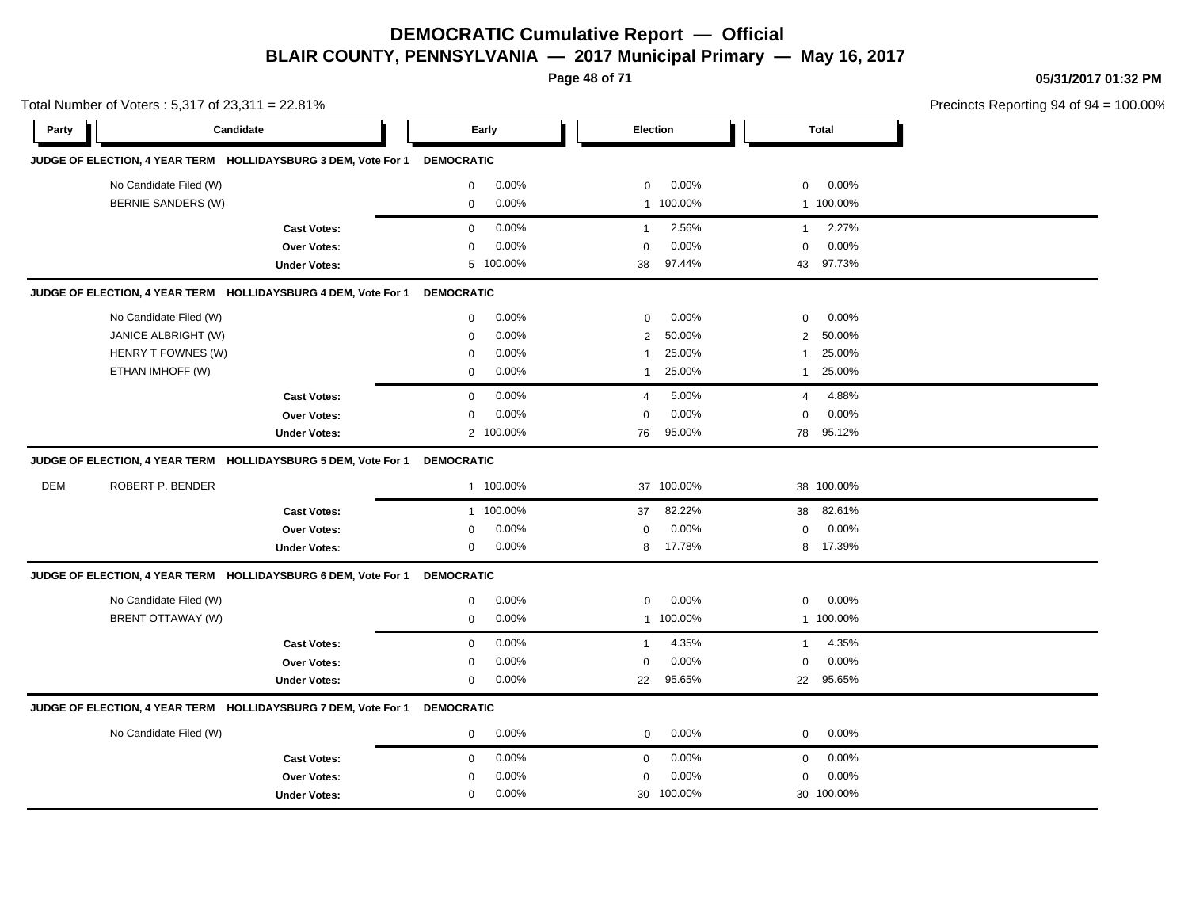**Page 48 of 71**

**05/31/2017 01:32 PM**

| Total Number of Voters: 5,317 of 23,311 = 22.81% |                        |                                                                |                   |           |              | Precincts Reporting 94 of 94 |                |              |  |
|--------------------------------------------------|------------------------|----------------------------------------------------------------|-------------------|-----------|--------------|------------------------------|----------------|--------------|--|
| Party                                            | Candidate              |                                                                |                   | Early     |              | Election                     |                | <b>Total</b> |  |
|                                                  |                        | JUDGE OF ELECTION, 4 YEAR TERM HOLLIDAYSBURG 3 DEM, Vote For 1 | <b>DEMOCRATIC</b> |           |              |                              |                |              |  |
|                                                  | No Candidate Filed (W) |                                                                | 0                 | 0.00%     | 0            | 0.00%                        | 0              | 0.00%        |  |
|                                                  | BERNIE SANDERS (W)     |                                                                | $\mathbf 0$       | 0.00%     |              | 1 100.00%                    |                | 1 100.00%    |  |
|                                                  |                        | <b>Cast Votes:</b>                                             | $\mathbf{0}$      | 0.00%     | $\mathbf{1}$ | 2.56%                        | $\mathbf{1}$   | 2.27%        |  |
|                                                  |                        | <b>Over Votes:</b>                                             | $\mathbf 0$       | 0.00%     | $\mathbf 0$  | 0.00%                        | $\mathbf 0$    | 0.00%        |  |
|                                                  |                        | <b>Under Votes:</b>                                            |                   | 5 100.00% | 38           | 97.44%                       | 43             | 97.73%       |  |
|                                                  |                        | JUDGE OF ELECTION, 4 YEAR TERM HOLLIDAYSBURG 4 DEM, Vote For 1 | <b>DEMOCRATIC</b> |           |              |                              |                |              |  |
|                                                  | No Candidate Filed (W) |                                                                | $\mathbf 0$       | 0.00%     | $\mathbf 0$  | 0.00%                        | $\mathsf 0$    | 0.00%        |  |
|                                                  | JANICE ALBRIGHT (W)    |                                                                | $\mathbf 0$       | 0.00%     | 2            | 50.00%                       | 2              | 50.00%       |  |
|                                                  | HENRY T FOWNES (W)     |                                                                | 0                 | 0.00%     | 1            | 25.00%                       | 1              | 25.00%       |  |
|                                                  | ETHAN IMHOFF (W)       |                                                                | 0                 | 0.00%     | 1            | 25.00%                       | $\mathbf{1}$   | 25.00%       |  |
|                                                  |                        | <b>Cast Votes:</b>                                             | $\mathbf 0$       | 0.00%     | 4            | 5.00%                        | $\overline{4}$ | 4.88%        |  |
|                                                  |                        | Over Votes:                                                    | $\mathbf 0$       | 0.00%     | $\mathbf 0$  | 0.00%                        | $\mathbf 0$    | 0.00%        |  |
|                                                  |                        | <b>Under Votes:</b>                                            |                   | 2 100.00% | 76           | 95.00%                       |                | 78 95.12%    |  |
|                                                  |                        | JUDGE OF ELECTION, 4 YEAR TERM HOLLIDAYSBURG 5 DEM, Vote For 1 | <b>DEMOCRATIC</b> |           |              |                              |                |              |  |
| <b>DEM</b>                                       | ROBERT P. BENDER       |                                                                |                   | 1 100.00% | 37           | 100.00%                      |                | 38 100.00%   |  |
|                                                  |                        | <b>Cast Votes:</b>                                             |                   | 1 100.00% | 37           | 82.22%                       | 38             | 82.61%       |  |
|                                                  |                        | Over Votes:                                                    | 0                 | 0.00%     | 0            | 0.00%                        | 0              | 0.00%        |  |
|                                                  |                        | <b>Under Votes:</b>                                            | $\mathbf 0$       | 0.00%     | 8            | 17.78%                       |                | 8 17.39%     |  |
|                                                  |                        | JUDGE OF ELECTION, 4 YEAR TERM HOLLIDAYSBURG 6 DEM, Vote For 1 | <b>DEMOCRATIC</b> |           |              |                              |                |              |  |
|                                                  | No Candidate Filed (W) |                                                                | $\mathbf 0$       | 0.00%     | $\mathbf 0$  | 0.00%                        | 0              | 0.00%        |  |
|                                                  | BRENT OTTAWAY (W)      |                                                                | $\mathbf 0$       | 0.00%     |              | 1 100.00%                    |                | 1 100.00%    |  |
|                                                  |                        | <b>Cast Votes:</b>                                             | $\mathbf 0$       | 0.00%     | -1           | 4.35%                        | 1              | 4.35%        |  |
|                                                  |                        | Over Votes:                                                    | 0                 | 0.00%     | 0            | 0.00%                        | 0              | 0.00%        |  |
|                                                  |                        | <b>Under Votes:</b>                                            | 0                 | 0.00%     | 22           | 95.65%                       |                | 22 95.65%    |  |
|                                                  |                        | JUDGE OF ELECTION, 4 YEAR TERM HOLLIDAYSBURG 7 DEM, Vote For 1 | <b>DEMOCRATIC</b> |           |              |                              |                |              |  |
|                                                  | No Candidate Filed (W) |                                                                | $\mathbf 0$       | 0.00%     | $\mathbf 0$  | 0.00%                        | 0              | 0.00%        |  |
|                                                  |                        | <b>Cast Votes:</b>                                             | $\mathbf 0$       | 0.00%     | $\mathbf 0$  | $0.00\%$                     | 0              | $0.00\%$     |  |
|                                                  |                        | <b>Over Votes:</b>                                             | 0                 | 0.00%     | 0            | 0.00%                        | $\mathbf 0$    | 0.00%        |  |
|                                                  |                        | <b>Under Votes:</b>                                            | $\mathbf 0$       | 0.00%     |              | 30 100.00%                   |                | 30 100.00%   |  |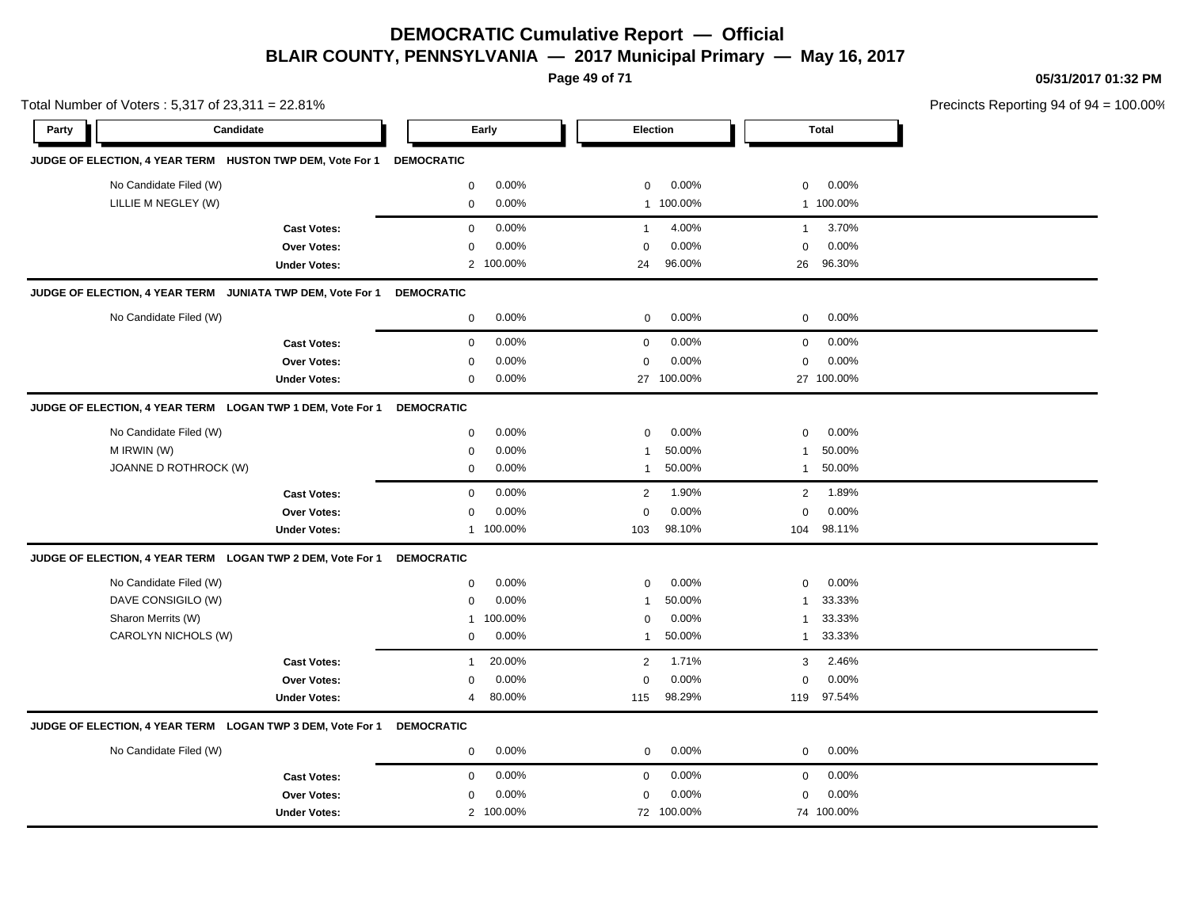**Page 49 of 71**

**05/31/2017 01:32 PM**

|       | Total Number of Voters: 5,317 of 23,311 = 22.81% |                                                            |                   |           |                |            |                | Precincts Reporting 94 of 94 |  |
|-------|--------------------------------------------------|------------------------------------------------------------|-------------------|-----------|----------------|------------|----------------|------------------------------|--|
| Party |                                                  | Candidate                                                  |                   | Early     |                | Election   |                | <b>Total</b>                 |  |
|       |                                                  | JUDGE OF ELECTION, 4 YEAR TERM HUSTON TWP DEM, Vote For 1  | <b>DEMOCRATIC</b> |           |                |            |                |                              |  |
|       | No Candidate Filed (W)                           |                                                            | $\mathbf 0$       | 0.00%     | $\mathbf 0$    | 0.00%      | 0              | 0.00%                        |  |
|       | LILLIE M NEGLEY (W)                              |                                                            | $\mathbf 0$       | 0.00%     |                | 1 100.00%  |                | 1 100.00%                    |  |
|       |                                                  | <b>Cast Votes:</b>                                         | $\mathbf 0$       | 0.00%     | $\mathbf{1}$   | 4.00%      | $\mathbf{1}$   | 3.70%                        |  |
|       |                                                  | <b>Over Votes:</b>                                         | $\mathbf 0$       | 0.00%     | $\mathbf 0$    | 0.00%      | $\mathbf 0$    | 0.00%                        |  |
|       |                                                  | <b>Under Votes:</b>                                        |                   | 2 100.00% | 24             | 96.00%     |                | 26 96.30%                    |  |
|       |                                                  | JUDGE OF ELECTION, 4 YEAR TERM JUNIATA TWP DEM, Vote For 1 | <b>DEMOCRATIC</b> |           |                |            |                |                              |  |
|       | No Candidate Filed (W)                           |                                                            | $\mathbf 0$       | 0.00%     | $\mathbf 0$    | 0.00%      | $\mathbf 0$    | 0.00%                        |  |
|       |                                                  | <b>Cast Votes:</b>                                         | $\mathbf 0$       | 0.00%     | $\mathbf 0$    | 0.00%      | $\mathbf 0$    | 0.00%                        |  |
|       |                                                  | <b>Over Votes:</b>                                         | $\mathbf 0$       | 0.00%     | $\mathbf 0$    | 0.00%      | $\mathbf 0$    | 0.00%                        |  |
|       |                                                  | <b>Under Votes:</b>                                        | $\mathbf 0$       | 0.00%     |                | 27 100.00% |                | 27 100.00%                   |  |
|       |                                                  | JUDGE OF ELECTION, 4 YEAR TERM LOGAN TWP 1 DEM, Vote For 1 | <b>DEMOCRATIC</b> |           |                |            |                |                              |  |
|       | No Candidate Filed (W)                           |                                                            | $\mathbf 0$       | 0.00%     | $\Omega$       | 0.00%      | $\mathbf 0$    | 0.00%                        |  |
|       | M IRWIN (W)                                      |                                                            | 0                 | 0.00%     | $\mathbf 1$    | 50.00%     | 1              | 50.00%                       |  |
|       | JOANNE D ROTHROCK (W)                            |                                                            | $\mathbf 0$       | 0.00%     | $\mathbf{1}$   | 50.00%     | $\mathbf{1}$   | 50.00%                       |  |
|       |                                                  | <b>Cast Votes:</b>                                         | $\mathbf 0$       | 0.00%     | $\overline{2}$ | 1.90%      | $\overline{2}$ | 1.89%                        |  |
|       |                                                  | <b>Over Votes:</b>                                         | $\mathbf 0$       | 0.00%     | $\mathbf 0$    | 0.00%      | $\Omega$       | 0.00%                        |  |
|       |                                                  | <b>Under Votes:</b>                                        |                   | 1 100.00% | 103            | 98.10%     | 104            | 98.11%                       |  |
|       |                                                  | JUDGE OF ELECTION, 4 YEAR TERM LOGAN TWP 2 DEM, Vote For 1 | <b>DEMOCRATIC</b> |           |                |            |                |                              |  |
|       | No Candidate Filed (W)                           |                                                            | $\mathbf 0$       | 0.00%     | $\mathbf 0$    | 0.00%      | $\mathbf 0$    | 0.00%                        |  |
|       | DAVE CONSIGILO (W)                               |                                                            | $\mathbf 0$       | 0.00%     | $\mathbf{1}$   | 50.00%     | 1              | 33.33%                       |  |
|       | Sharon Merrits (W)                               |                                                            | $\overline{1}$    | 100.00%   | 0              | 0.00%      | 1              | 33.33%                       |  |
|       | CAROLYN NICHOLS (W)                              |                                                            | $\mathbf 0$       | 0.00%     | $\mathbf{1}$   | 50.00%     | $\mathbf{1}$   | 33.33%                       |  |
|       |                                                  | <b>Cast Votes:</b>                                         | $\overline{1}$    | 20.00%    | 2              | 1.71%      | 3              | 2.46%                        |  |
|       |                                                  | <b>Over Votes:</b>                                         | $\mathbf 0$       | 0.00%     | $\mathbf 0$    | 0.00%      | $\mathbf 0$    | 0.00%                        |  |
|       |                                                  | <b>Under Votes:</b>                                        | 4                 | 80.00%    | 115            | 98.29%     | 119            | 97.54%                       |  |
|       |                                                  | JUDGE OF ELECTION, 4 YEAR TERM LOGAN TWP 3 DEM, Vote For 1 | <b>DEMOCRATIC</b> |           |                |            |                |                              |  |
|       | No Candidate Filed (W)                           |                                                            | $\mathbf 0$       | 0.00%     | $\mathbf 0$    | $0.00\%$   | $\mathbf 0$    | 0.00%                        |  |
|       |                                                  | <b>Cast Votes:</b>                                         | $\mathbf 0$       | 0.00%     | $\mathbf 0$    | 0.00%      | $\mathbf 0$    | 0.00%                        |  |
|       |                                                  | Over Votes:                                                | $\mathbf 0$       | 0.00%     | $\mathbf 0$    | 0.00%      | 0              | 0.00%                        |  |
|       |                                                  | <b>Under Votes:</b>                                        |                   | 2 100.00% |                | 72 100.00% |                | 74 100.00%                   |  |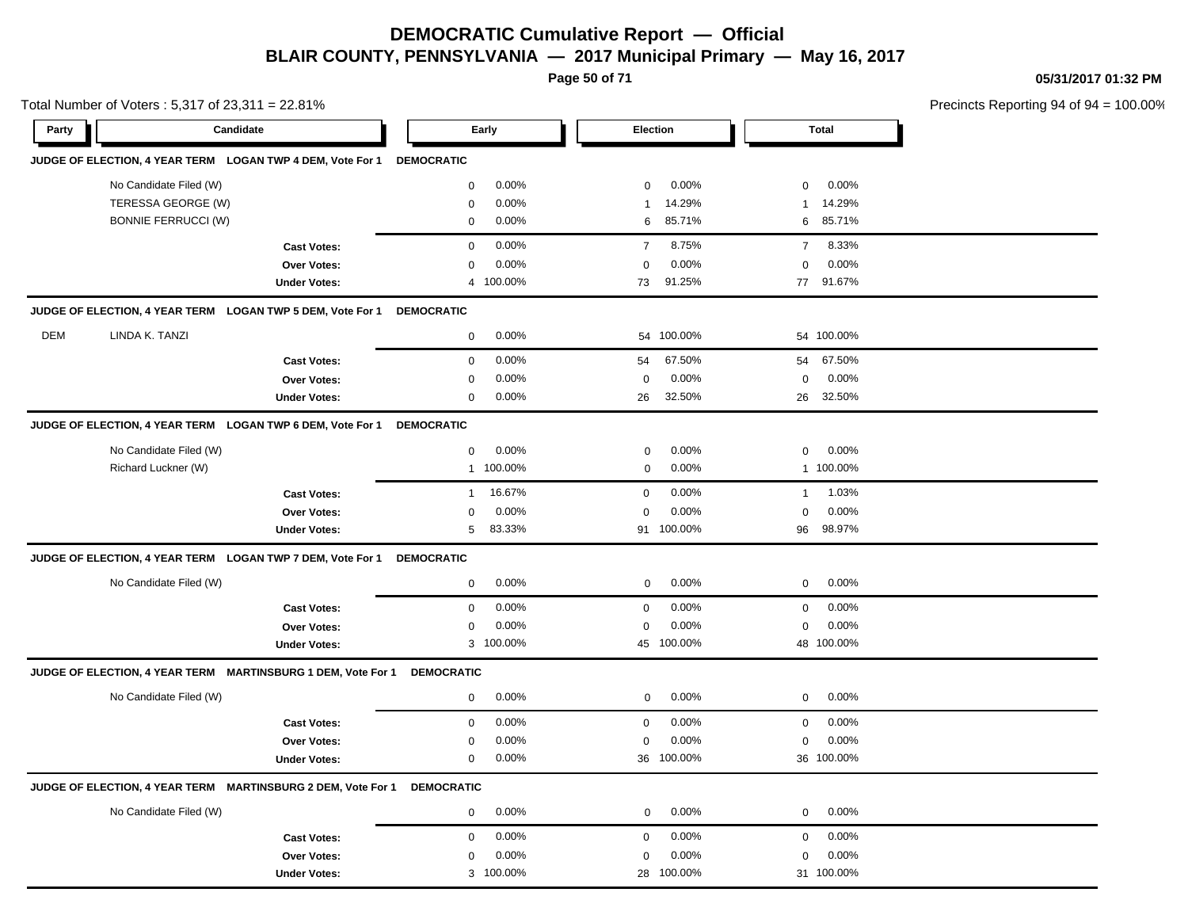**Page 50 of 71**

**05/31/2017 01:32 PM**

| Total Number of Voters: 5,317 of 23,311 = 22.81% |                                                              |                     |                        |                         | Precincts Reporting 94 of 94 = 100.00% |  |
|--------------------------------------------------|--------------------------------------------------------------|---------------------|------------------------|-------------------------|----------------------------------------|--|
| Party                                            | Candidate                                                    |                     | Early                  | <b>Election</b>         | <b>Total</b>                           |  |
|                                                  | JUDGE OF ELECTION, 4 YEAR TERM LOGAN TWP 4 DEM, Vote For 1   |                     | <b>DEMOCRATIC</b>      |                         |                                        |  |
|                                                  | No Candidate Filed (W)                                       |                     | 0.00%<br>$\mathbf{0}$  | 0.00%<br>$\mathbf 0$    | 0.00%<br>$\mathbf 0$                   |  |
|                                                  | TERESSA GEORGE (W)                                           |                     | 0.00%<br>$\mathbf 0$   | 14.29%<br>$\mathbf{1}$  | 14.29%<br>$\mathbf{1}$                 |  |
|                                                  | <b>BONNIE FERRUCCI (W)</b>                                   |                     | 0.00%<br>$\mathbf{0}$  | 85.71%<br>6             | 85.71%<br>6                            |  |
|                                                  |                                                              | <b>Cast Votes:</b>  | 0.00%<br>$\mathbf 0$   | 8.75%<br>$\overline{7}$ | 8.33%<br>$\overline{7}$                |  |
|                                                  |                                                              | <b>Over Votes:</b>  | 0.00%<br>0             | 0.00%<br>$\mathbf 0$    | 0.00%<br>0                             |  |
|                                                  |                                                              | <b>Under Votes:</b> | 4 100.00%              | 91.25%<br>73            | 91.67%<br>77                           |  |
|                                                  | JUDGE OF ELECTION, 4 YEAR TERM LOGAN TWP 5 DEM, Vote For 1   |                     | <b>DEMOCRATIC</b>      |                         |                                        |  |
| <b>DEM</b>                                       | LINDA K. TANZI                                               |                     | 0.00%<br>$\mathbf 0$   | 54 100.00%              | 54 100.00%                             |  |
|                                                  |                                                              | <b>Cast Votes:</b>  | 0.00%<br>$\mathbf 0$   | 67.50%<br>54            | 67.50%<br>54                           |  |
|                                                  |                                                              | Over Votes:         | 0.00%<br>0             | 0.00%<br>0              | 0.00%<br>0                             |  |
|                                                  |                                                              | <b>Under Votes:</b> | 0.00%<br>$\mathbf{0}$  | 32.50%<br>26            | 32.50%<br>26                           |  |
|                                                  | JUDGE OF ELECTION, 4 YEAR TERM LOGAN TWP 6 DEM, Vote For 1   |                     | <b>DEMOCRATIC</b>      |                         |                                        |  |
|                                                  | No Candidate Filed (W)                                       |                     | 0.00%<br>$\mathbf{0}$  | 0.00%<br>$\mathbf 0$    | $0.00\%$<br>0                          |  |
|                                                  | Richard Luckner (W)                                          |                     | 1 100.00%              | 0.00%<br>0              | 1 100.00%                              |  |
|                                                  |                                                              | <b>Cast Votes:</b>  | 16.67%<br>$\mathbf{1}$ | 0.00%<br>$\mathbf 0$    | 1.03%<br>$\overline{1}$                |  |
|                                                  |                                                              | Over Votes:         | 0.00%<br>0             | 0.00%<br>$\mathbf 0$    | 0.00%<br>0                             |  |
|                                                  |                                                              | <b>Under Votes:</b> | 5<br>83.33%            | 91 100.00%              | 98.97%<br>96                           |  |
|                                                  | JUDGE OF ELECTION, 4 YEAR TERM LOGAN TWP 7 DEM, Vote For 1   |                     | <b>DEMOCRATIC</b>      |                         |                                        |  |
|                                                  | No Candidate Filed (W)                                       |                     | 0.00%<br>$\mathbf 0$   | 0.00%<br>$\mathbf 0$    | 0.00%<br>0                             |  |
|                                                  |                                                              | <b>Cast Votes:</b>  | 0.00%<br>0             | 0.00%<br>$\mathbf 0$    | 0.00%<br>0                             |  |
|                                                  |                                                              | Over Votes:         | 0.00%<br>$\mathbf{0}$  | 0.00%<br>$\mathbf 0$    | 0.00%<br>$\mathbf 0$                   |  |
|                                                  |                                                              | <b>Under Votes:</b> | 3 100.00%              | 45 100.00%              | 48 100.00%                             |  |
|                                                  | JUDGE OF ELECTION, 4 YEAR TERM MARTINSBURG 1 DEM, Vote For 1 |                     | <b>DEMOCRATIC</b>      |                         |                                        |  |
|                                                  | No Candidate Filed (W)                                       |                     | 0.00%<br>$\mathbf 0$   | 0.00%<br>$\mathbf{0}$   | 0.00%<br>0                             |  |
|                                                  |                                                              | <b>Cast Votes:</b>  | 0.00%<br>$\mathbf 0$   | 0.00%<br>$\mathbf 0$    | 0.00%<br>$\mathbf 0$                   |  |
|                                                  |                                                              | Over Votes:         | 0.00%<br>$\mathbf 0$   | 0.00%<br>0              | 0.00%<br>0                             |  |
|                                                  |                                                              | <b>Under Votes:</b> | $\mathbf 0$<br>0.00%   | 36 100.00%              | 36 100.00%                             |  |
|                                                  | JUDGE OF ELECTION, 4 YEAR TERM MARTINSBURG 2 DEM, Vote For 1 |                     | <b>DEMOCRATIC</b>      |                         |                                        |  |
|                                                  | No Candidate Filed (W)                                       |                     | 0<br>0.00%             | 0.00%<br>$\mathbf 0$    | 0<br>$0.00\%$                          |  |
|                                                  |                                                              | <b>Cast Votes:</b>  | 0.00%<br>0             | 0.00%<br>$\mathbf 0$    | 0.00%<br>0                             |  |
|                                                  |                                                              | <b>Over Votes:</b>  | 0.00%<br>0             | 0.00%<br>0              | $0.00\%$<br>0                          |  |
|                                                  |                                                              | <b>Under Votes:</b> | 3 100.00%              | 100.00%<br>28           | 31 100.00%                             |  |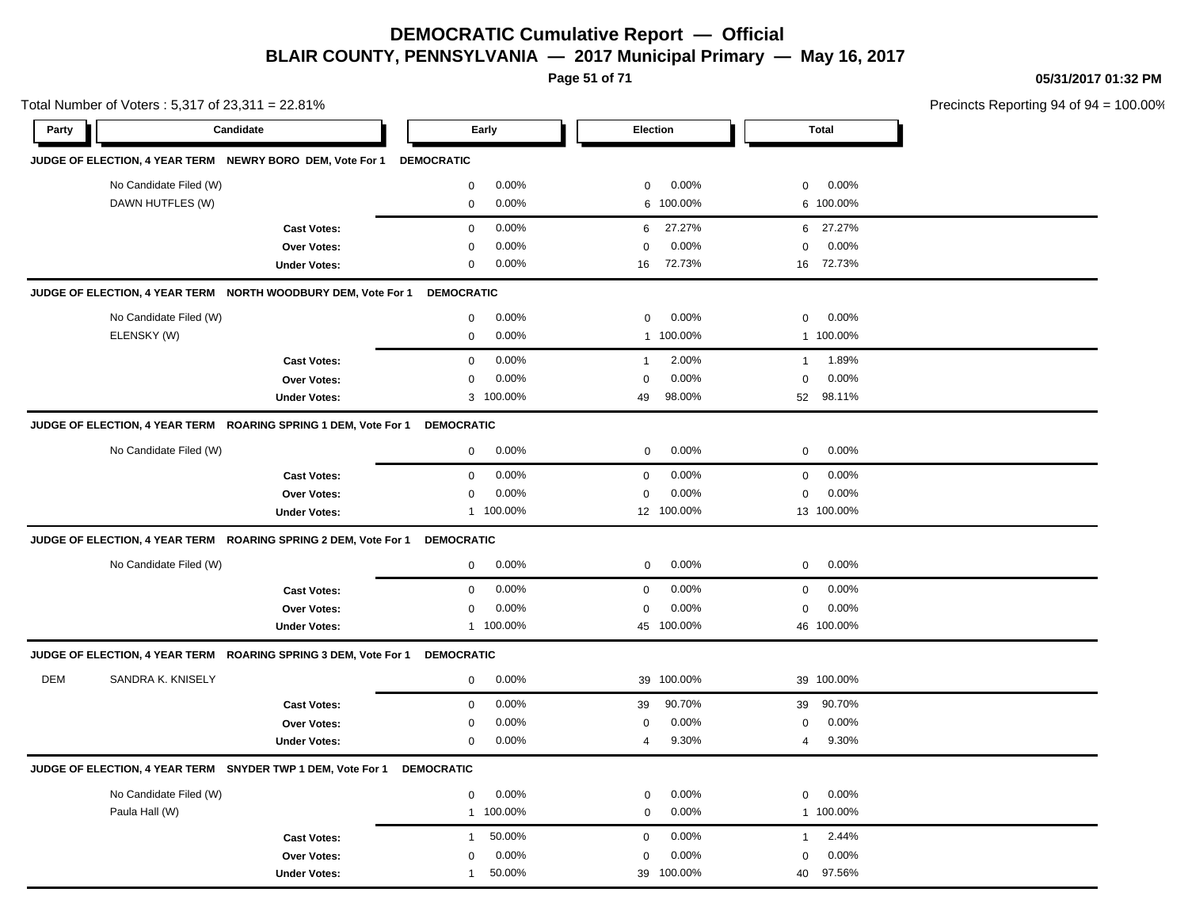**Page 51 of 71**

**05/31/2017 01:32 PM**

| Total Number of Voters: 5,317 of 23,311 = 22.81% |                                                             |                                                                 |                   |           |                  |            |                | Precincts Reporting 94 of 94 |  |
|--------------------------------------------------|-------------------------------------------------------------|-----------------------------------------------------------------|-------------------|-----------|------------------|------------|----------------|------------------------------|--|
| Party                                            | Candidate                                                   |                                                                 |                   | Early     |                  | Election   |                | <b>Total</b>                 |  |
|                                                  | JUDGE OF ELECTION, 4 YEAR TERM NEWRY BORO DEM, Vote For 1   |                                                                 | <b>DEMOCRATIC</b> |           |                  |            |                |                              |  |
|                                                  | No Candidate Filed (W)                                      |                                                                 | $\mathsf 0$       | 0.00%     | $\mathbf 0$      | 0.00%      | $\mathbf 0$    | 0.00%                        |  |
|                                                  | DAWN HUTFLES (W)                                            |                                                                 | $\mathbf 0$       | 0.00%     | 6                | 100.00%    |                | 6 100.00%                    |  |
|                                                  |                                                             | <b>Cast Votes:</b>                                              | $\mathsf 0$       | 0.00%     | 6                | 27.27%     | 6              | 27.27%                       |  |
|                                                  |                                                             | Over Votes:                                                     | $\mathbf 0$       | 0.00%     | $\Omega$         | 0.00%      | $\mathbf 0$    | 0.00%                        |  |
|                                                  |                                                             | <b>Under Votes:</b>                                             | $\mathbf 0$       | 0.00%     | 16               | 72.73%     |                | 16 72.73%                    |  |
|                                                  |                                                             | JUDGE OF ELECTION, 4 YEAR TERM NORTH WOODBURY DEM, Vote For 1   | <b>DEMOCRATIC</b> |           |                  |            |                |                              |  |
|                                                  | No Candidate Filed (W)                                      |                                                                 | $\mathbf 0$       | $0.00\%$  | $\mathbf 0$      | 0.00%      | $\mathbf 0$    | 0.00%                        |  |
|                                                  | ELENSKY (W)                                                 |                                                                 | $\mathsf 0$       | 0.00%     | $\mathbf{1}$     | 100.00%    |                | 1 100.00%                    |  |
|                                                  |                                                             | <b>Cast Votes:</b>                                              | $\mathbf 0$       | 0.00%     | $\mathbf{1}$     | 2.00%      | $\mathbf{1}$   | 1.89%                        |  |
|                                                  |                                                             | Over Votes:                                                     | $\mathbf 0$       | 0.00%     | $\mathbf 0$      | 0.00%      | $\mathbf 0$    | 0.00%                        |  |
|                                                  |                                                             | <b>Under Votes:</b>                                             |                   | 3 100.00% | 49               | 98.00%     | 52             | 98.11%                       |  |
|                                                  |                                                             | JUDGE OF ELECTION, 4 YEAR TERM ROARING SPRING 1 DEM, Vote For 1 | <b>DEMOCRATIC</b> |           |                  |            |                |                              |  |
|                                                  | No Candidate Filed (W)                                      |                                                                 | $\mathbf 0$       | 0.00%     | $\mathbf 0$      | 0.00%      | $\mathbf 0$    | 0.00%                        |  |
|                                                  |                                                             | <b>Cast Votes:</b>                                              | $\mathbf 0$       | 0.00%     | $\boldsymbol{0}$ | 0.00%      | $\mathbf 0$    | 0.00%                        |  |
|                                                  |                                                             | Over Votes:                                                     | $\mathbf 0$       | 0.00%     | $\mathbf 0$      | 0.00%      | $\mathbf 0$    | 0.00%                        |  |
|                                                  |                                                             | <b>Under Votes:</b>                                             |                   | 1 100.00% |                  | 12 100.00% |                | 13 100.00%                   |  |
|                                                  |                                                             | JUDGE OF ELECTION, 4 YEAR TERM ROARING SPRING 2 DEM, Vote For 1 | <b>DEMOCRATIC</b> |           |                  |            |                |                              |  |
|                                                  | No Candidate Filed (W)                                      |                                                                 | $\mathbf 0$       | 0.00%     | $\mathbf 0$      | 0.00%      | $\mathbf 0$    | 0.00%                        |  |
|                                                  |                                                             | <b>Cast Votes:</b>                                              | $\mathbf 0$       | 0.00%     | $\boldsymbol{0}$ | 0.00%      | $\mathbf 0$    | 0.00%                        |  |
|                                                  |                                                             | <b>Over Votes:</b>                                              | $\mathbf 0$       | 0.00%     | $\Omega$         | 0.00%      | $\mathbf 0$    | 0.00%                        |  |
|                                                  |                                                             | <b>Under Votes:</b>                                             |                   | 1 100.00% |                  | 45 100.00% |                | 46 100.00%                   |  |
|                                                  |                                                             | JUDGE OF ELECTION, 4 YEAR TERM ROARING SPRING 3 DEM, Vote For 1 | <b>DEMOCRATIC</b> |           |                  |            |                |                              |  |
| <b>DEM</b>                                       | SANDRA K. KNISELY                                           |                                                                 | $\mathbf 0$       | 0.00%     | 39               | 100.00%    |                | 39 100.00%                   |  |
|                                                  |                                                             | <b>Cast Votes:</b>                                              | $\mathbf 0$       | 0.00%     | 39               | 90.70%     | 39             | 90.70%                       |  |
|                                                  |                                                             | <b>Over Votes:</b>                                              | 0                 | 0.00%     | $\mathbf 0$      | 0.00%      | $\mathbf 0$    | 0.00%                        |  |
|                                                  |                                                             | <b>Under Votes:</b>                                             | $\mathbf 0$       | 0.00%     | $\overline{4}$   | 9.30%      | $\overline{4}$ | 9.30%                        |  |
|                                                  | JUDGE OF ELECTION, 4 YEAR TERM SNYDER TWP 1 DEM, Vote For 1 |                                                                 | <b>DEMOCRATIC</b> |           |                  |            |                |                              |  |
|                                                  | No Candidate Filed (W)                                      |                                                                 | 0                 | 0.00%     | 0                | 0.00%      | 0              | 0.00%                        |  |
|                                                  | Paula Hall (W)                                              |                                                                 |                   | 1 100.00% | $\mathbf 0$      | 0.00%      |                | 1 100.00%                    |  |
|                                                  |                                                             | <b>Cast Votes:</b>                                              | $\mathbf{1}$      | 50.00%    | $\boldsymbol{0}$ | 0.00%      | $\mathbf{1}$   | 2.44%                        |  |
|                                                  |                                                             | Over Votes:                                                     | $\mathbf 0$       | 0.00%     | $\mathbf 0$      | 0.00%      | $\mathbf 0$    | 0.00%                        |  |
|                                                  |                                                             | <b>Under Votes:</b>                                             | $\mathbf{1}$      | 50.00%    |                  | 39 100.00% | 40             | 97.56%                       |  |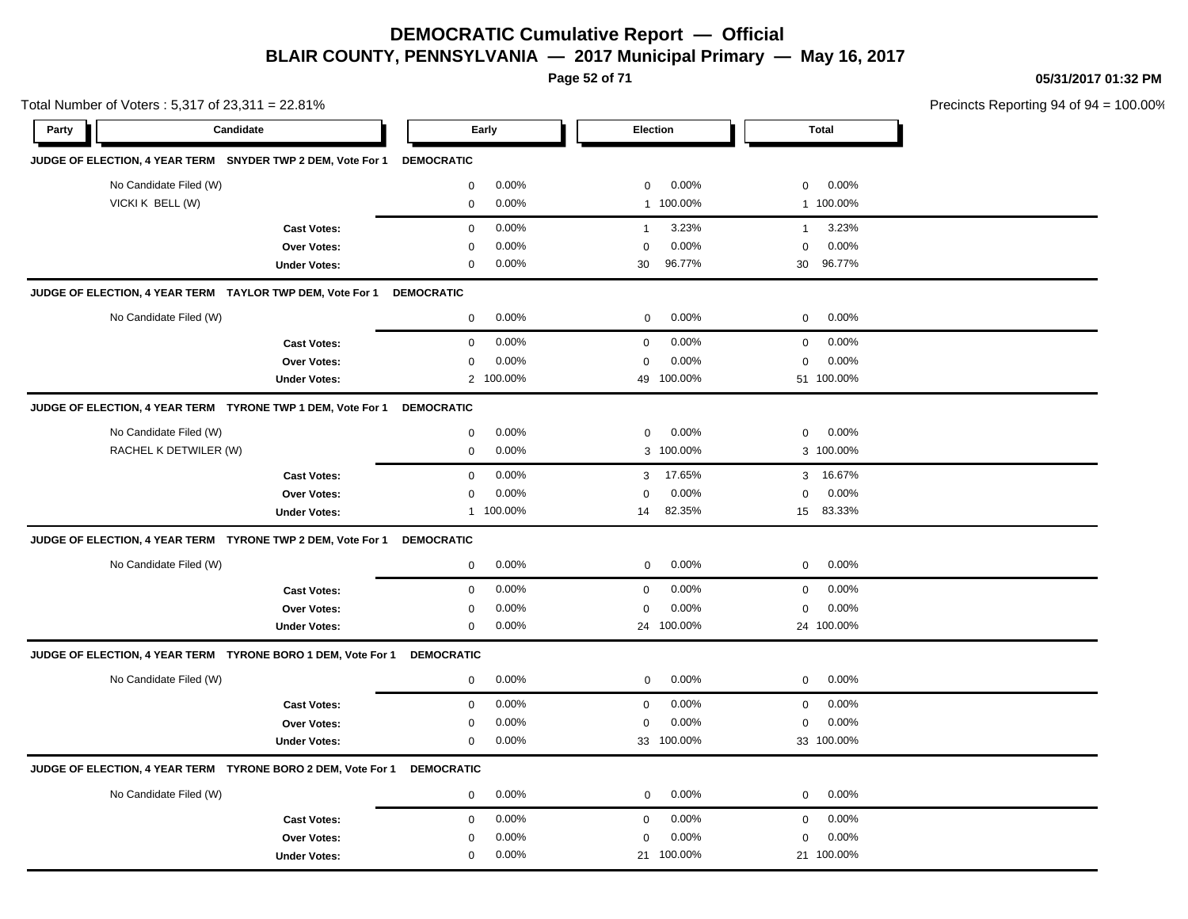**Page 52 of 71**

**05/31/2017 01:32 PM**

| Total Number of Voters: 5,317 of 23,311 = 22.81% |                                                              |                     |                   |           |              |                 | Precincts Reporting 94 of 94 |              |  |
|--------------------------------------------------|--------------------------------------------------------------|---------------------|-------------------|-----------|--------------|-----------------|------------------------------|--------------|--|
| Party                                            | Candidate                                                    |                     |                   | Early     |              | <b>Election</b> |                              | <b>Total</b> |  |
|                                                  | JUDGE OF ELECTION, 4 YEAR TERM SNYDER TWP 2 DEM, Vote For 1  |                     | <b>DEMOCRATIC</b> |           |              |                 |                              |              |  |
|                                                  | No Candidate Filed (W)                                       |                     | $\mathbf 0$       | 0.00%     | $\mathbf 0$  | 0.00%           | $\mathbf 0$                  | 0.00%        |  |
|                                                  | VICKI K BELL (W)                                             |                     | $\mathbf 0$       | 0.00%     |              | 1 100.00%       |                              | 1 100.00%    |  |
|                                                  |                                                              | <b>Cast Votes:</b>  | $\pmb{0}$         | 0.00%     | $\mathbf{1}$ | 3.23%           | $\mathbf{1}$                 | 3.23%        |  |
|                                                  |                                                              | <b>Over Votes:</b>  | $\mathbf 0$       | 0.00%     | $\mathbf 0$  | 0.00%           | $\mathbf 0$                  | 0.00%        |  |
|                                                  |                                                              | <b>Under Votes:</b> | $\mathbf 0$       | 0.00%     | 30           | 96.77%          |                              | 30 96.77%    |  |
|                                                  | JUDGE OF ELECTION, 4 YEAR TERM TAYLOR TWP DEM, Vote For 1    |                     | <b>DEMOCRATIC</b> |           |              |                 |                              |              |  |
|                                                  | No Candidate Filed (W)                                       |                     | 0                 | 0.00%     | $\mathbf 0$  | 0.00%           | $\mathbf 0$                  | 0.00%        |  |
|                                                  |                                                              | <b>Cast Votes:</b>  | 0                 | 0.00%     | $\mathbf 0$  | 0.00%           | $\mathbf 0$                  | 0.00%        |  |
|                                                  |                                                              | Over Votes:         | $\mathbf 0$       | 0.00%     | 0            | 0.00%           | $\mathbf 0$                  | 0.00%        |  |
|                                                  |                                                              | <b>Under Votes:</b> |                   | 2 100.00% |              | 49 100.00%      |                              | 51 100.00%   |  |
|                                                  | JUDGE OF ELECTION, 4 YEAR TERM TYRONE TWP 1 DEM, Vote For 1  |                     | <b>DEMOCRATIC</b> |           |              |                 |                              |              |  |
|                                                  | No Candidate Filed (W)                                       |                     | $\mathbf 0$       | 0.00%     | $\mathbf 0$  | 0.00%           | $\mathbf 0$                  | 0.00%        |  |
|                                                  | RACHEL K DETWILER (W)                                        |                     | $\mathbf 0$       | 0.00%     |              | 3 100.00%       |                              | 3 100.00%    |  |
|                                                  |                                                              | <b>Cast Votes:</b>  | $\mathbf 0$       | 0.00%     | 3            | 17.65%          | 3                            | 16.67%       |  |
|                                                  |                                                              | <b>Over Votes:</b>  | $\mathbf 0$       | 0.00%     | $\mathbf 0$  | 0.00%           | $\mathbf 0$                  | 0.00%        |  |
|                                                  |                                                              | <b>Under Votes:</b> |                   | 1 100.00% | 14           | 82.35%          |                              | 15 83.33%    |  |
|                                                  | JUDGE OF ELECTION, 4 YEAR TERM TYRONE TWP 2 DEM, Vote For 1  |                     | <b>DEMOCRATIC</b> |           |              |                 |                              |              |  |
|                                                  | No Candidate Filed (W)                                       |                     | 0                 | 0.00%     | $\mathbf 0$  | 0.00%           | $\mathbf 0$                  | 0.00%        |  |
|                                                  |                                                              | <b>Cast Votes:</b>  | 0                 | 0.00%     | 0            | 0.00%           | $\mathbf 0$                  | 0.00%        |  |
|                                                  |                                                              | Over Votes:         | $\mathbf 0$       | 0.00%     | 0            | 0.00%           | $\mathbf 0$                  | 0.00%        |  |
|                                                  |                                                              | <b>Under Votes:</b> | $\mathbf 0$       | 0.00%     |              | 24 100.00%      |                              | 24 100.00%   |  |
|                                                  | JUDGE OF ELECTION, 4 YEAR TERM TYRONE BORO 1 DEM, Vote For 1 |                     | <b>DEMOCRATIC</b> |           |              |                 |                              |              |  |
|                                                  | No Candidate Filed (W)                                       |                     | 0                 | 0.00%     | $\mathbf 0$  | 0.00%           | $\mathbf 0$                  | 0.00%        |  |
|                                                  |                                                              | <b>Cast Votes:</b>  | $\mathbf 0$       | 0.00%     | $\pmb{0}$    | 0.00%           | $\mathbf 0$                  | 0.00%        |  |
|                                                  |                                                              | Over Votes:         | $\mathbf 0$       | 0.00%     | 0            | 0.00%           | $\mathbf 0$                  | 0.00%        |  |
|                                                  |                                                              | <b>Under Votes:</b> | $\mathbf 0$       | 0.00%     |              | 33 100.00%      |                              | 33 100.00%   |  |
|                                                  | JUDGE OF ELECTION, 4 YEAR TERM TYRONE BORO 2 DEM, Vote For 1 |                     | <b>DEMOCRATIC</b> |           |              |                 |                              |              |  |
|                                                  | No Candidate Filed (W)                                       |                     | $\mathbf 0$       | 0.00%     | $\mathbf 0$  | 0.00%           | $\mathbf 0$                  | 0.00%        |  |
|                                                  |                                                              | <b>Cast Votes:</b>  | 0                 | 0.00%     | $\pmb{0}$    | 0.00%           | 0                            | 0.00%        |  |
|                                                  |                                                              | Over Votes:         | 0                 | 0.00%     | 0            | 0.00%           | 0                            | 0.00%        |  |
|                                                  |                                                              | <b>Under Votes:</b> | 0                 | 0.00%     |              | 21 100.00%      |                              | 21 100.00%   |  |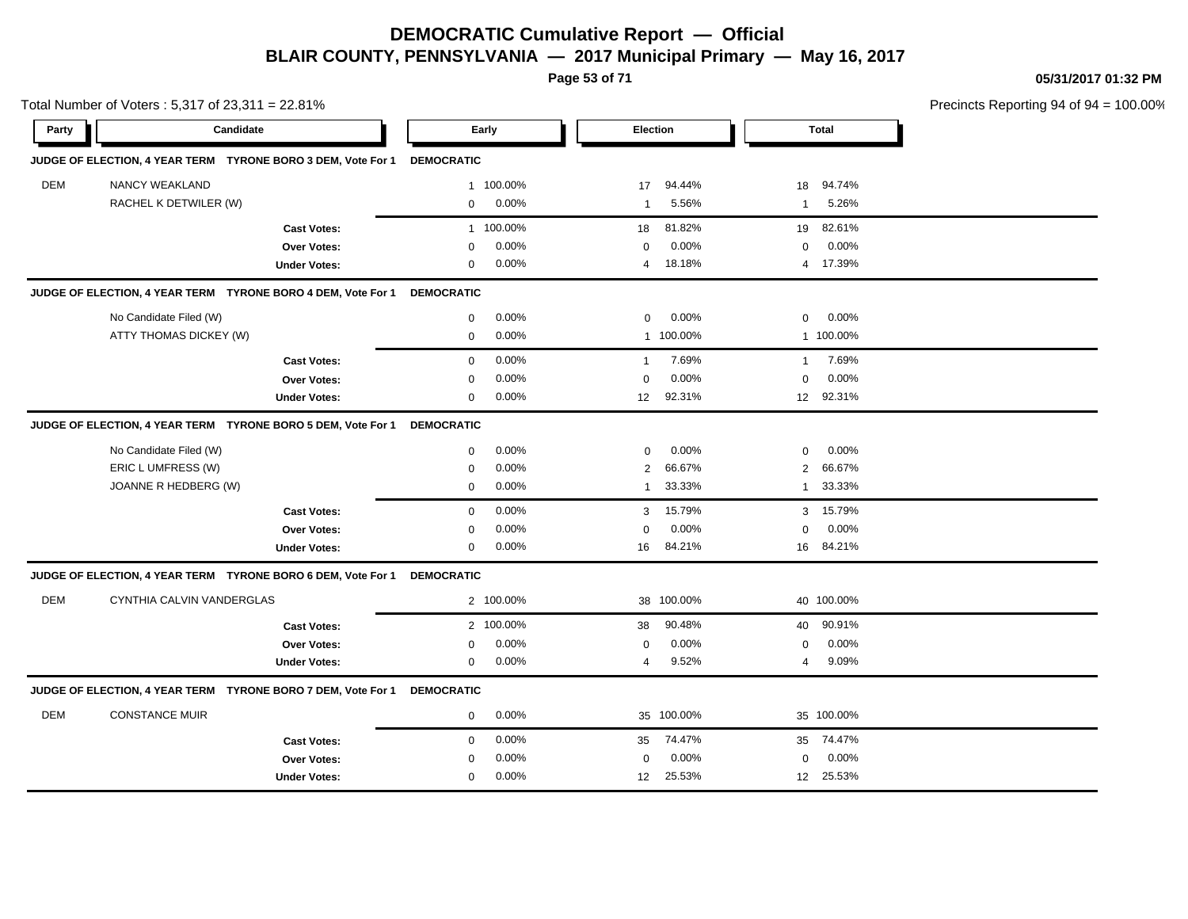**Page 53 of 71**

**05/31/2017 01:32 PM**

| Total Number of Voters: 5,317 of 23,311 = 22.81% |                                                              |                     |                   |           |                  |                 |              |              | Precincts Reporting 94 of 94 |
|--------------------------------------------------|--------------------------------------------------------------|---------------------|-------------------|-----------|------------------|-----------------|--------------|--------------|------------------------------|
| Party                                            | Candidate                                                    |                     |                   | Early     |                  | <b>Election</b> |              | <b>Total</b> |                              |
|                                                  | JUDGE OF ELECTION, 4 YEAR TERM TYRONE BORO 3 DEM, Vote For 1 |                     | <b>DEMOCRATIC</b> |           |                  |                 |              |              |                              |
| <b>DEM</b>                                       | NANCY WEAKLAND                                               |                     |                   | 1 100.00% | 17               | 94.44%          | 18           | 94.74%       |                              |
|                                                  | RACHEL K DETWILER (W)                                        |                     | $\mathbf 0$       | 0.00%     | $\mathbf{1}$     | 5.56%           | $\mathbf{1}$ | 5.26%        |                              |
|                                                  |                                                              | <b>Cast Votes:</b>  |                   | 1 100.00% | 18               | 81.82%          | 19           | 82.61%       |                              |
|                                                  |                                                              | <b>Over Votes:</b>  | $\Omega$          | 0.00%     | $\mathbf 0$      | 0.00%           | $\mathbf 0$  | 0.00%        |                              |
|                                                  |                                                              | <b>Under Votes:</b> | 0                 | 0.00%     | $\overline{4}$   | 18.18%          |              | 4 17.39%     |                              |
|                                                  | JUDGE OF ELECTION, 4 YEAR TERM TYRONE BORO 4 DEM, Vote For 1 |                     | <b>DEMOCRATIC</b> |           |                  |                 |              |              |                              |
|                                                  | No Candidate Filed (W)                                       |                     | $\mathbf 0$       | 0.00%     | $\mathbf 0$      | 0.00%           | $\mathbf 0$  | 0.00%        |                              |
|                                                  | ATTY THOMAS DICKEY (W)                                       |                     | $\mathbf 0$       | 0.00%     |                  | 1 100.00%       |              | 1 100.00%    |                              |
|                                                  |                                                              | <b>Cast Votes:</b>  | $\mathbf 0$       | 0.00%     | 1                | 7.69%           | 1            | 7.69%        |                              |
|                                                  |                                                              | Over Votes:         | $\mathbf 0$       | 0.00%     | $\mathbf 0$      | 0.00%           | $\mathbf 0$  | 0.00%        |                              |
|                                                  |                                                              | <b>Under Votes:</b> | 0                 | 0.00%     | 12 <sup>12</sup> | 92.31%          |              | 12 92.31%    |                              |
|                                                  | JUDGE OF ELECTION, 4 YEAR TERM TYRONE BORO 5 DEM, Vote For 1 |                     | <b>DEMOCRATIC</b> |           |                  |                 |              |              |                              |
|                                                  | No Candidate Filed (W)                                       |                     | 0                 | 0.00%     | $\mathbf 0$      | $0.00\%$        | $\mathbf 0$  | 0.00%        |                              |
|                                                  | ERIC L UMFRESS (W)                                           |                     | 0                 | 0.00%     | 2                | 66.67%          | 2            | 66.67%       |                              |
|                                                  | JOANNE R HEDBERG (W)                                         |                     | 0                 | 0.00%     | 1                | 33.33%          | 1            | 33.33%       |                              |
|                                                  |                                                              | <b>Cast Votes:</b>  | $\mathbf 0$       | 0.00%     | 3                | 15.79%          |              | 3 15.79%     |                              |
|                                                  |                                                              | <b>Over Votes:</b>  | $\mathbf 0$       | 0.00%     | $\mathbf 0$      | 0.00%           | $\mathbf 0$  | 0.00%        |                              |
|                                                  |                                                              | <b>Under Votes:</b> | $\mathbf 0$       | 0.00%     | 16               | 84.21%          | 16           | 84.21%       |                              |
|                                                  | JUDGE OF ELECTION, 4 YEAR TERM TYRONE BORO 6 DEM, Vote For 1 |                     | <b>DEMOCRATIC</b> |           |                  |                 |              |              |                              |
| DEM                                              | CYNTHIA CALVIN VANDERGLAS                                    |                     |                   | 2 100.00% |                  | 38 100.00%      |              | 40 100.00%   |                              |
|                                                  |                                                              | <b>Cast Votes:</b>  |                   | 2 100.00% | 38               | 90.48%          | 40           | 90.91%       |                              |
|                                                  |                                                              | Over Votes:         | $\mathbf 0$       | 0.00%     | $\mathbf 0$      | 0.00%           | $\mathbf 0$  | 0.00%        |                              |
|                                                  |                                                              | <b>Under Votes:</b> | 0                 | 0.00%     | $\overline{4}$   | 9.52%           | 4            | 9.09%        |                              |
|                                                  | JUDGE OF ELECTION, 4 YEAR TERM TYRONE BORO 7 DEM, Vote For 1 |                     | <b>DEMOCRATIC</b> |           |                  |                 |              |              |                              |
| <b>DEM</b>                                       | <b>CONSTANCE MUIR</b>                                        |                     | $\mathbf 0$       | 0.00%     |                  | 35 100.00%      |              | 35 100.00%   |                              |
|                                                  |                                                              | <b>Cast Votes:</b>  | $\mathbf 0$       | 0.00%     | 35               | 74.47%          |              | 35 74.47%    |                              |
|                                                  |                                                              | Over Votes:         | $\mathbf 0$       | 0.00%     | $\mathbf 0$      | 0.00%           | $\mathbf 0$  | 0.00%        |                              |
|                                                  |                                                              | <b>Under Votes:</b> | 0                 | 0.00%     |                  | 12 25.53%       |              | 12 25.53%    |                              |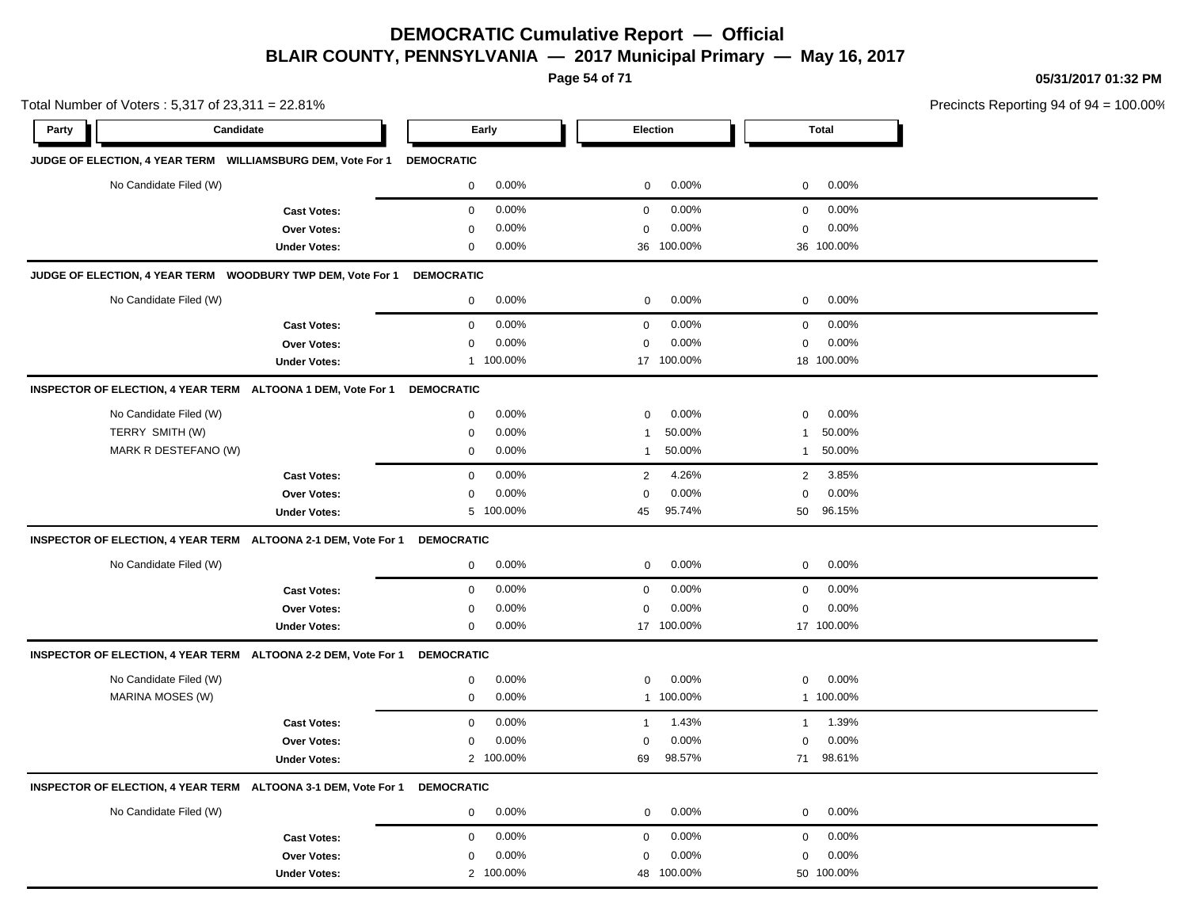**Page 54 of 71**

**05/31/2017 01:32 PM**

| Total Number of Voters: 5,317 of 23,311 = 22.81% |                        |                                                                |                   |           |                |            | Precincts Reporting 94 of 94 |              |  |
|--------------------------------------------------|------------------------|----------------------------------------------------------------|-------------------|-----------|----------------|------------|------------------------------|--------------|--|
| Party                                            | Candidate              |                                                                |                   | Early     | Election       |            |                              | <b>Total</b> |  |
|                                                  |                        | JUDGE OF ELECTION, 4 YEAR TERM WILLIAMSBURG DEM, Vote For 1    | <b>DEMOCRATIC</b> |           |                |            |                              |              |  |
|                                                  | No Candidate Filed (W) |                                                                | 0                 | 0.00%     | 0              | 0.00%      | 0                            | 0.00%        |  |
|                                                  |                        | <b>Cast Votes:</b>                                             | $\mathbf 0$       | 0.00%     | $\mathbf 0$    | 0.00%      | 0                            | 0.00%        |  |
|                                                  |                        | Over Votes:                                                    | 0                 | 0.00%     | $\mathbf 0$    | 0.00%      | $\mathbf 0$                  | 0.00%        |  |
|                                                  |                        | <b>Under Votes:</b>                                            | 0                 | 0.00%     |                | 36 100.00% |                              | 36 100.00%   |  |
|                                                  |                        | JUDGE OF ELECTION, 4 YEAR TERM WOODBURY TWP DEM, Vote For 1    | <b>DEMOCRATIC</b> |           |                |            |                              |              |  |
|                                                  | No Candidate Filed (W) |                                                                | $\mathbf 0$       | 0.00%     | 0              | 0.00%      | 0                            | $0.00\%$     |  |
|                                                  |                        | <b>Cast Votes:</b>                                             | $\mathbf 0$       | 0.00%     | $\mathbf 0$    | 0.00%      | $\mathbf 0$                  | 0.00%        |  |
|                                                  |                        | Over Votes:                                                    | $\mathbf 0$       | 0.00%     | $\mathbf 0$    | 0.00%      | $\mathbf 0$                  | 0.00%        |  |
|                                                  |                        | <b>Under Votes:</b>                                            |                   | 1 100.00% |                | 17 100.00% |                              | 18 100.00%   |  |
|                                                  |                        | INSPECTOR OF ELECTION, 4 YEAR TERM ALTOONA 1 DEM, Vote For 1   | <b>DEMOCRATIC</b> |           |                |            |                              |              |  |
|                                                  | No Candidate Filed (W) |                                                                | $\mathbf 0$       | 0.00%     | $\mathbf 0$    | 0.00%      | $\mathbf 0$                  | 0.00%        |  |
|                                                  | TERRY SMITH (W)        |                                                                | $\mathbf 0$       | 0.00%     | -1             | 50.00%     | -1                           | 50.00%       |  |
|                                                  | MARK R DESTEFANO (W)   |                                                                | 0                 | 0.00%     | $\mathbf{1}$   | 50.00%     | $\mathbf{1}$                 | 50.00%       |  |
|                                                  |                        | <b>Cast Votes:</b>                                             | 0                 | 0.00%     | $\overline{2}$ | 4.26%      | $\overline{2}$               | 3.85%        |  |
|                                                  |                        | Over Votes:                                                    | $\Omega$          | 0.00%     | $\mathbf 0$    | 0.00%      | 0                            | 0.00%        |  |
|                                                  |                        | <b>Under Votes:</b>                                            |                   | 5 100.00% | 45             | 95.74%     | 50                           | 96.15%       |  |
|                                                  |                        | INSPECTOR OF ELECTION, 4 YEAR TERM ALTOONA 2-1 DEM, Vote For 1 | <b>DEMOCRATIC</b> |           |                |            |                              |              |  |
|                                                  | No Candidate Filed (W) |                                                                | 0                 | 0.00%     | 0              | 0.00%      | 0                            | $0.00\%$     |  |
|                                                  |                        | <b>Cast Votes:</b>                                             | $\mathbf 0$       | 0.00%     | $\mathbf 0$    | 0.00%      | $\mathbf 0$                  | 0.00%        |  |
|                                                  |                        | Over Votes:                                                    | 0                 | 0.00%     | $\mathbf 0$    | 0.00%      | 0                            | 0.00%        |  |
|                                                  |                        | <b>Under Votes:</b>                                            | 0                 | $0.00\%$  |                | 17 100.00% |                              | 17 100.00%   |  |
|                                                  |                        | INSPECTOR OF ELECTION, 4 YEAR TERM ALTOONA 2-2 DEM, Vote For 1 | <b>DEMOCRATIC</b> |           |                |            |                              |              |  |
|                                                  | No Candidate Filed (W) |                                                                | 0                 | 0.00%     | 0              | 0.00%      | $\mathbf 0$                  | 0.00%        |  |
|                                                  | MARINA MOSES (W)       |                                                                | $\mathbf 0$       | 0.00%     |                | 1 100.00%  |                              | 1 100.00%    |  |
|                                                  |                        | <b>Cast Votes:</b>                                             | 0                 | 0.00%     | $\mathbf{1}$   | 1.43%      | 1                            | 1.39%        |  |
|                                                  |                        | Over Votes:                                                    | 0                 | 0.00%     | 0              | 0.00%      | 0                            | 0.00%        |  |
|                                                  |                        | <b>Under Votes:</b>                                            |                   | 2 100.00% | 69             | 98.57%     | 71                           | 98.61%       |  |
|                                                  |                        | INSPECTOR OF ELECTION, 4 YEAR TERM ALTOONA 3-1 DEM, Vote For 1 | <b>DEMOCRATIC</b> |           |                |            |                              |              |  |
|                                                  | No Candidate Filed (W) |                                                                | 0                 | 0.00%     | $\mathbf 0$    | 0.00%      | 0                            | 0.00%        |  |
|                                                  |                        | <b>Cast Votes:</b>                                             | $\mathbf 0$       | 0.00%     | 0              | 0.00%      | 0                            | 0.00%        |  |
|                                                  |                        | Over Votes:                                                    | 0                 | 0.00%     | $\mathbf 0$    | 0.00%      | $\mathbf 0$                  | 0.00%        |  |
|                                                  |                        | <b>Under Votes:</b>                                            |                   | 2 100.00% |                | 48 100.00% |                              | 50 100.00%   |  |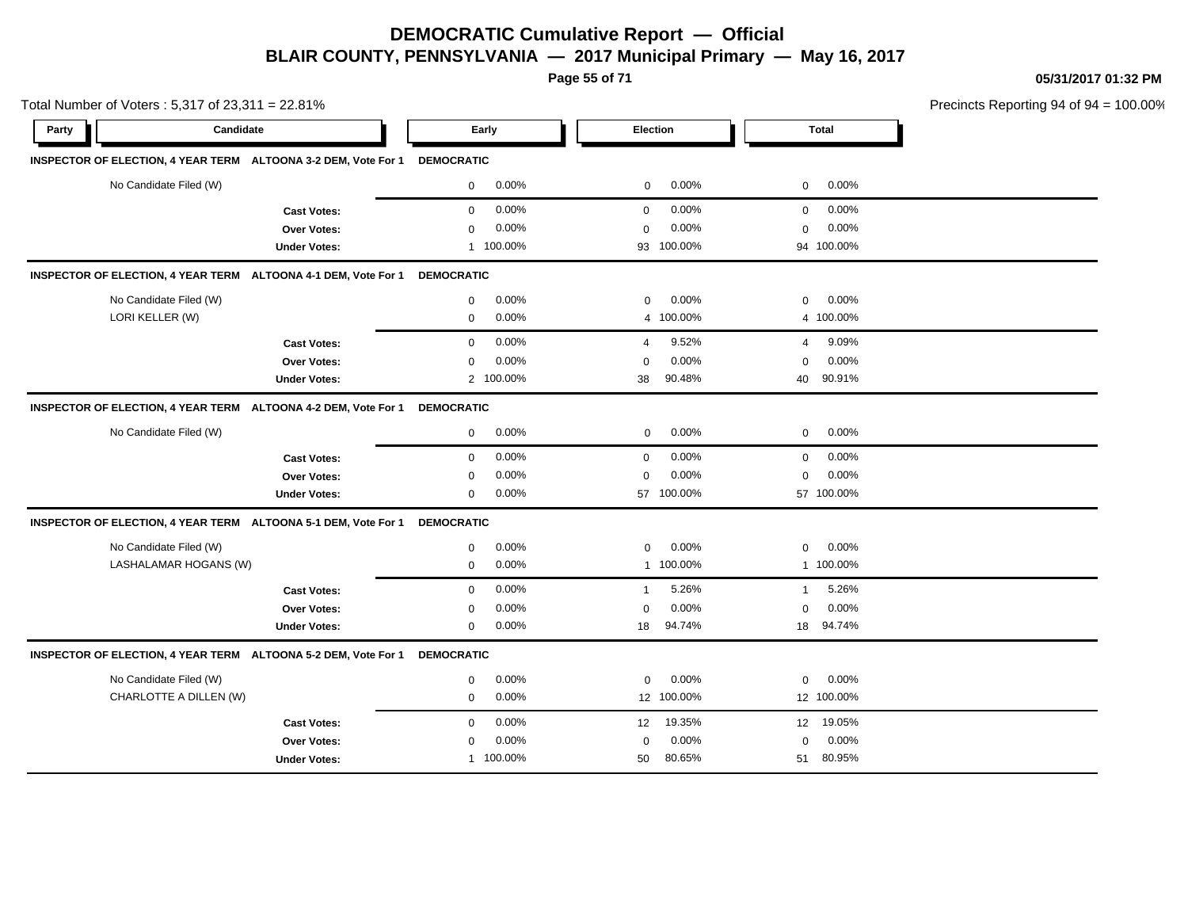**Page 55 of 71**

**05/31/2017 01:32 PM**

| Total Number of Voters: 5,317 of 23,311 = 22.81%               |                     |                   |           |                |            |              | Precincts Reporting 94 of 94 |  |
|----------------------------------------------------------------|---------------------|-------------------|-----------|----------------|------------|--------------|------------------------------|--|
| Party                                                          | Candidate           |                   | Early     | Election       |            |              | Total                        |  |
| INSPECTOR OF ELECTION, 4 YEAR TERM ALTOONA 3-2 DEM, Vote For 1 |                     | <b>DEMOCRATIC</b> |           |                |            |              |                              |  |
| No Candidate Filed (W)                                         |                     | $\mathbf 0$       | 0.00%     | 0              | 0.00%      | 0            | 0.00%                        |  |
|                                                                | <b>Cast Votes:</b>  | 0                 | 0.00%     | $\mathbf 0$    | 0.00%      | 0            | 0.00%                        |  |
|                                                                | Over Votes:         | 0                 | 0.00%     | 0              | 0.00%      | 0            | 0.00%                        |  |
|                                                                | <b>Under Votes:</b> |                   | 1 100.00% | 93             | 100.00%    |              | 94 100.00%                   |  |
| INSPECTOR OF ELECTION, 4 YEAR TERM ALTOONA 4-1 DEM, Vote For 1 |                     | <b>DEMOCRATIC</b> |           |                |            |              |                              |  |
| No Candidate Filed (W)                                         |                     | 0                 | 0.00%     | 0              | 0.00%      | 0            | 0.00%                        |  |
| LORI KELLER (W)                                                |                     | $\mathbf 0$       | 0.00%     | 4              | 100.00%    |              | 4 100.00%                    |  |
|                                                                | <b>Cast Votes:</b>  | $\mathbf 0$       | 0.00%     | $\overline{4}$ | 9.52%      | 4            | 9.09%                        |  |
|                                                                | Over Votes:         | 0                 | 0.00%     | $\mathbf 0$    | 0.00%      | 0            | 0.00%                        |  |
|                                                                | <b>Under Votes:</b> |                   | 2 100.00% | 38             | 90.48%     | 40           | 90.91%                       |  |
| INSPECTOR OF ELECTION, 4 YEAR TERM ALTOONA 4-2 DEM, Vote For 1 |                     | <b>DEMOCRATIC</b> |           |                |            |              |                              |  |
| No Candidate Filed (W)                                         |                     | 0                 | $0.00\%$  | 0              | 0.00%      | $\mathbf 0$  | $0.00\%$                     |  |
|                                                                | <b>Cast Votes:</b>  | 0                 | 0.00%     | $\mathbf 0$    | 0.00%      | 0            | 0.00%                        |  |
|                                                                | Over Votes:         | 0                 | 0.00%     | 0              | 0.00%      | 0            | 0.00%                        |  |
|                                                                | <b>Under Votes:</b> | 0                 | 0.00%     |                | 57 100.00% |              | 57 100.00%                   |  |
| INSPECTOR OF ELECTION, 4 YEAR TERM ALTOONA 5-1 DEM, Vote For 1 |                     | <b>DEMOCRATIC</b> |           |                |            |              |                              |  |
| No Candidate Filed (W)                                         |                     | 0                 | 0.00%     | 0              | 0.00%      | 0            | 0.00%                        |  |
| LASHALAMAR HOGANS (W)                                          |                     | 0                 | 0.00%     |                | 1 100.00%  |              | 1 100.00%                    |  |
|                                                                | <b>Cast Votes:</b>  | $\mathbf 0$       | 0.00%     | $\mathbf{1}$   | 5.26%      | $\mathbf{1}$ | 5.26%                        |  |
|                                                                | Over Votes:         | $\mathbf 0$       | 0.00%     | 0              | 0.00%      | 0            | 0.00%                        |  |
|                                                                | <b>Under Votes:</b> | 0                 | 0.00%     | 18             | 94.74%     | 18           | 94.74%                       |  |
| INSPECTOR OF ELECTION, 4 YEAR TERM ALTOONA 5-2 DEM, Vote For 1 |                     | <b>DEMOCRATIC</b> |           |                |            |              |                              |  |
| No Candidate Filed (W)                                         |                     | 0                 | 0.00%     | 0              | 0.00%      | $\mathbf 0$  | 0.00%                        |  |
| CHARLOTTE A DILLEN (W)                                         |                     | 0                 | 0.00%     |                | 12 100.00% |              | 12 100.00%                   |  |
|                                                                | <b>Cast Votes:</b>  | $\mathbf 0$       | 0.00%     | 12             | 19.35%     |              | 12 19.05%                    |  |
|                                                                | Over Votes:         | 0                 | 0.00%     | $\mathbf 0$    | 0.00%      | $\mathbf 0$  | 0.00%                        |  |
|                                                                | <b>Under Votes:</b> |                   | 1 100.00% | 50             | 80.65%     | 51           | 80.95%                       |  |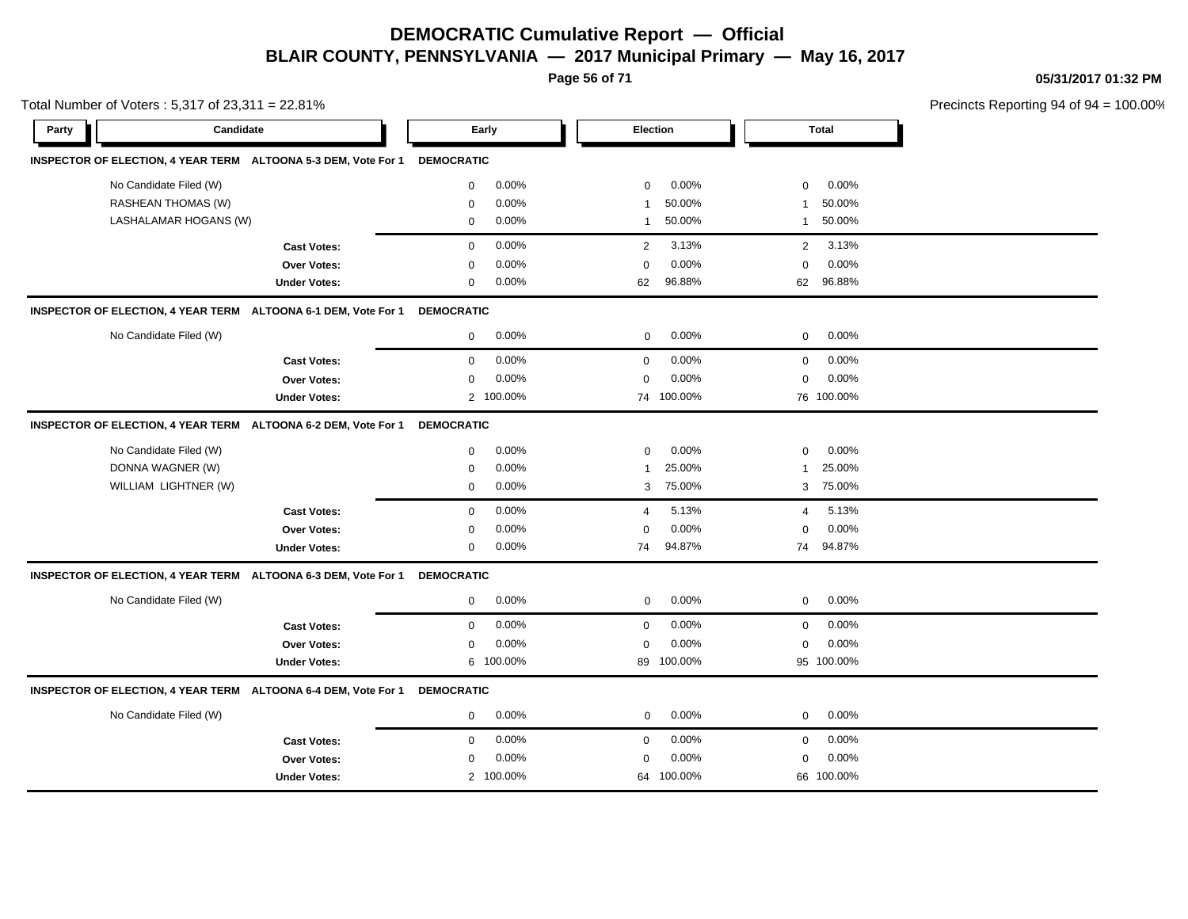**Page 56 of 71**

**05/31/2017 01:32 PM**

|       | Total Number of Voters: 5,317 of 23,311 = 22.81% |                                                                |                   |           |                 |            |                |            | Precincts Reporting 94 of 94 = 100.00% |
|-------|--------------------------------------------------|----------------------------------------------------------------|-------------------|-----------|-----------------|------------|----------------|------------|----------------------------------------|
| Party | Candidate                                        |                                                                |                   | Early     | <b>Election</b> |            |                | Total      |                                        |
|       |                                                  | INSPECTOR OF ELECTION, 4 YEAR TERM ALTOONA 5-3 DEM, Vote For 1 | <b>DEMOCRATIC</b> |           |                 |            |                |            |                                        |
|       | No Candidate Filed (W)                           |                                                                | $\mathbf 0$       | 0.00%     | $\mathbf 0$     | 0.00%      | $\mathbf 0$    | 0.00%      |                                        |
|       | <b>RASHEAN THOMAS (W)</b>                        |                                                                | $\mathbf 0$       | 0.00%     |                 | 50.00%     | $\mathbf{1}$   | 50.00%     |                                        |
|       | LASHALAMAR HOGANS (W)                            |                                                                | $\mathbf 0$       | 0.00%     | $\mathbf 1$     | 50.00%     | $\mathbf{1}$   | 50.00%     |                                        |
|       |                                                  | <b>Cast Votes:</b>                                             | $\mathbf 0$       | 0.00%     | 2               | 3.13%      | $\overline{2}$ | 3.13%      |                                        |
|       |                                                  | <b>Over Votes:</b>                                             | 0                 | 0.00%     | $\Omega$        | 0.00%      | $\mathbf 0$    | 0.00%      |                                        |
|       |                                                  | <b>Under Votes:</b>                                            | $\mathbf 0$       | 0.00%     | 62              | 96.88%     | 62             | 96.88%     |                                        |
|       |                                                  | INSPECTOR OF ELECTION, 4 YEAR TERM ALTOONA 6-1 DEM, Vote For 1 | <b>DEMOCRATIC</b> |           |                 |            |                |            |                                        |
|       | No Candidate Filed (W)                           |                                                                | 0                 | 0.00%     | $\mathbf{0}$    | 0.00%      | $\mathbf{0}$   | 0.00%      |                                        |
|       |                                                  | <b>Cast Votes:</b>                                             | $\mathbf 0$       | 0.00%     | $\mathbf{0}$    | 0.00%      | $\mathbf 0$    | 0.00%      |                                        |
|       |                                                  | <b>Over Votes:</b>                                             | $\mathbf 0$       | 0.00%     | $\mathbf 0$     | 0.00%      | $\mathbf 0$    | 0.00%      |                                        |
|       |                                                  | <b>Under Votes:</b>                                            |                   | 2 100.00% |                 | 74 100.00% |                | 76 100.00% |                                        |
|       |                                                  | INSPECTOR OF ELECTION, 4 YEAR TERM ALTOONA 6-2 DEM, Vote For 1 | <b>DEMOCRATIC</b> |           |                 |            |                |            |                                        |
|       | No Candidate Filed (W)                           |                                                                | 0                 | 0.00%     | $\mathbf 0$     | 0.00%      | 0              | 0.00%      |                                        |
|       | DONNA WAGNER (W)                                 |                                                                | 0                 | 0.00%     | -1              | 25.00%     | -1             | 25.00%     |                                        |
|       | WILLIAM LIGHTNER (W)                             |                                                                | 0                 | 0.00%     |                 | 3 75.00%   | 3              | 75.00%     |                                        |
|       |                                                  | <b>Cast Votes:</b>                                             | $\mathbf 0$       | 0.00%     | $\overline{4}$  | 5.13%      | 4              | 5.13%      |                                        |
|       |                                                  | <b>Over Votes:</b>                                             | 0                 | 0.00%     | $\Omega$        | 0.00%      | $\mathbf 0$    | 0.00%      |                                        |
|       |                                                  | <b>Under Votes:</b>                                            | 0                 | 0.00%     | 74              | 94.87%     | 74             | 94.87%     |                                        |
|       |                                                  | INSPECTOR OF ELECTION, 4 YEAR TERM ALTOONA 6-3 DEM, Vote For 1 | <b>DEMOCRATIC</b> |           |                 |            |                |            |                                        |
|       | No Candidate Filed (W)                           |                                                                | 0                 | 0.00%     | 0               | 0.00%      | 0              | 0.00%      |                                        |
|       |                                                  | <b>Cast Votes:</b>                                             | 0                 | 0.00%     | $\mathbf 0$     | 0.00%      | $\mathbf 0$    | 0.00%      |                                        |
|       |                                                  | Over Votes:                                                    | 0                 | 0.00%     | $\mathbf 0$     | 0.00%      | 0              | 0.00%      |                                        |
|       |                                                  | <b>Under Votes:</b>                                            |                   | 6 100.00% |                 | 89 100.00% |                | 95 100.00% |                                        |
|       |                                                  | INSPECTOR OF ELECTION, 4 YEAR TERM ALTOONA 6-4 DEM, Vote For 1 | <b>DEMOCRATIC</b> |           |                 |            |                |            |                                        |
|       | No Candidate Filed (W)                           |                                                                | 0                 | 0.00%     | 0               | 0.00%      | 0              | 0.00%      |                                        |
|       |                                                  | <b>Cast Votes:</b>                                             | $\mathbf 0$       | 0.00%     | $\mathbf 0$     | 0.00%      | $\mathbf 0$    | 0.00%      |                                        |

0.00% 0

100.00% 64 66

100.00% 100.00%

0.00% 0 0.00%

**Over Votes:** 0 0.00% Under Votes: 2 100.00%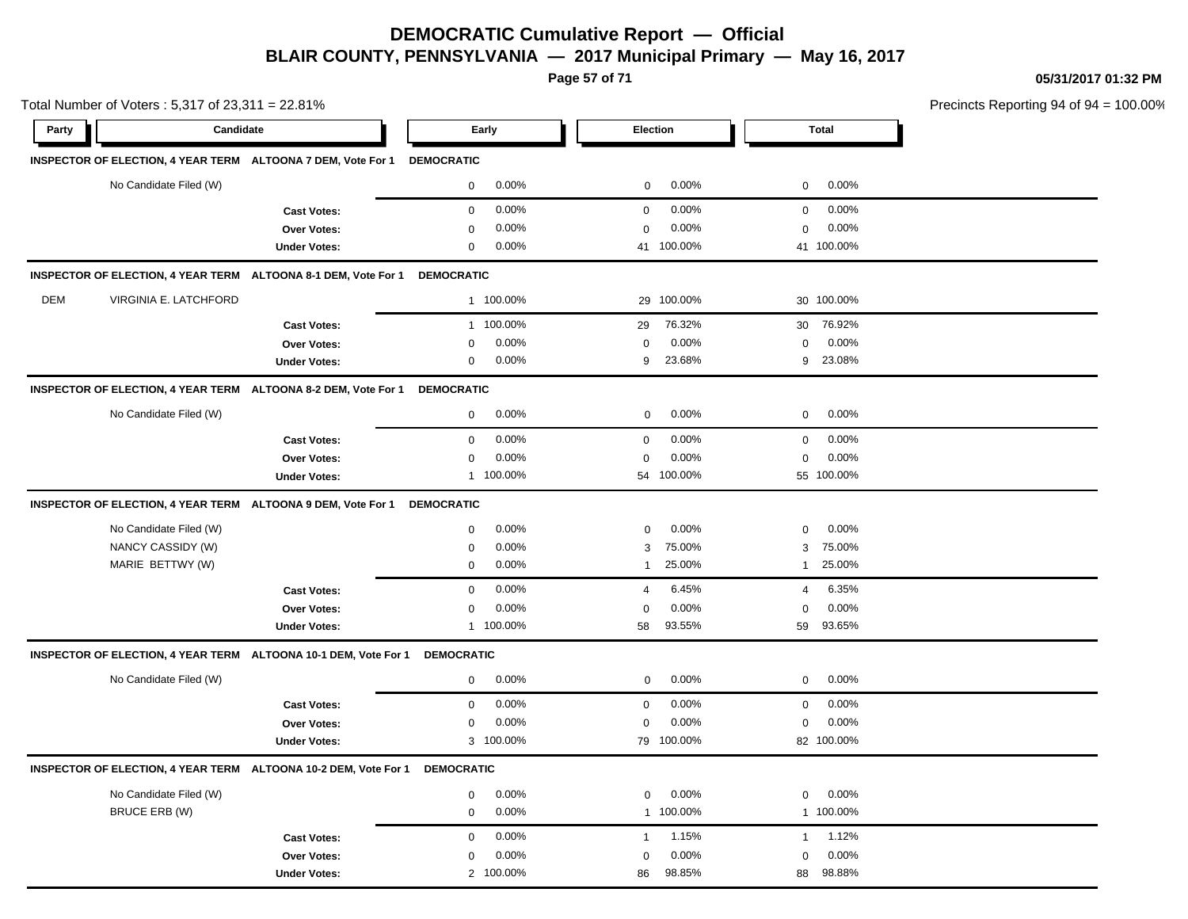**Page 57 of 71**

**05/31/2017 01:32 PM**

|       | Total Number of Voters: 5,317 of 23,311 = 22.81% |                                                                 |                   |           |                |            |                |              | Precincts Reporting 94 of 94 |
|-------|--------------------------------------------------|-----------------------------------------------------------------|-------------------|-----------|----------------|------------|----------------|--------------|------------------------------|
| Party | Candidate                                        |                                                                 |                   | Early     |                | Election   |                | <b>Total</b> |                              |
|       |                                                  | INSPECTOR OF ELECTION, 4 YEAR TERM ALTOONA 7 DEM, Vote For 1    | <b>DEMOCRATIC</b> |           |                |            |                |              |                              |
|       | No Candidate Filed (W)                           |                                                                 | $\mathbf 0$       | 0.00%     | $\mathbf 0$    | 0.00%      | $\mathbf 0$    | 0.00%        |                              |
|       |                                                  | <b>Cast Votes:</b>                                              | $\mathbf 0$       | 0.00%     | $\mathbf 0$    | 0.00%      | $\mathbf 0$    | 0.00%        |                              |
|       |                                                  | <b>Over Votes:</b>                                              | $\mathbf 0$       | 0.00%     | $\Omega$       | 0.00%      | $\mathbf 0$    | 0.00%        |                              |
|       |                                                  | <b>Under Votes:</b>                                             | $\mathbf 0$       | $0.00\%$  |                | 41 100.00% |                | 41 100.00%   |                              |
|       |                                                  | INSPECTOR OF ELECTION, 4 YEAR TERM ALTOONA 8-1 DEM, Vote For 1  | <b>DEMOCRATIC</b> |           |                |            |                |              |                              |
| DEM   | VIRGINIA E. LATCHFORD                            |                                                                 |                   | 1 100.00% | 29             | 100.00%    |                | 30 100.00%   |                              |
|       |                                                  | <b>Cast Votes:</b>                                              | $\mathbf{1}$      | 100.00%   | 29             | 76.32%     | 30             | 76.92%       |                              |
|       |                                                  | Over Votes:                                                     | $\Omega$          | 0.00%     | $\Omega$       | 0.00%      | $\mathbf 0$    | 0.00%        |                              |
|       |                                                  | <b>Under Votes:</b>                                             | 0                 | 0.00%     | 9              | 23.68%     |                | 9 23.08%     |                              |
|       |                                                  | INSPECTOR OF ELECTION, 4 YEAR TERM ALTOONA 8-2 DEM, Vote For 1  | <b>DEMOCRATIC</b> |           |                |            |                |              |                              |
|       | No Candidate Filed (W)                           |                                                                 | $\mathbf 0$       | 0.00%     | $\mathbf 0$    | 0.00%      | $\mathbf 0$    | 0.00%        |                              |
|       |                                                  | <b>Cast Votes:</b>                                              | $\mathbf 0$       | 0.00%     | $\mathbf 0$    | 0.00%      | $\mathsf 0$    | 0.00%        |                              |
|       |                                                  | <b>Over Votes:</b>                                              | 0                 | 0.00%     | $\mathbf 0$    | 0.00%      | 0              | 0.00%        |                              |
|       |                                                  | <b>Under Votes:</b>                                             | $\mathbf{1}$      | 100.00%   |                | 54 100.00% |                | 55 100.00%   |                              |
|       |                                                  | INSPECTOR OF ELECTION, 4 YEAR TERM ALTOONA 9 DEM, Vote For 1    | <b>DEMOCRATIC</b> |           |                |            |                |              |                              |
|       | No Candidate Filed (W)                           |                                                                 | $\mathbf 0$       | 0.00%     | $\mathbf 0$    | 0.00%      | $\mathbf 0$    | 0.00%        |                              |
|       | NANCY CASSIDY (W)                                |                                                                 | $\mathbf 0$       | 0.00%     | 3              | 75.00%     | 3              | 75.00%       |                              |
|       | MARIE BETTWY (W)                                 |                                                                 | 0                 | 0.00%     | $\overline{1}$ | 25.00%     | $\overline{1}$ | 25.00%       |                              |
|       |                                                  | <b>Cast Votes:</b>                                              | $\mathbf 0$       | 0.00%     | $\overline{4}$ | 6.45%      | $\overline{4}$ | 6.35%        |                              |
|       |                                                  | Over Votes:                                                     | $\mathbf 0$       | 0.00%     | $\mathbf 0$    | 0.00%      | $\mathbf 0$    | 0.00%        |                              |
|       |                                                  | <b>Under Votes:</b>                                             |                   | 1 100.00% | 58             | 93.55%     | 59             | 93.65%       |                              |
|       |                                                  | INSPECTOR OF ELECTION, 4 YEAR TERM ALTOONA 10-1 DEM, Vote For 1 | <b>DEMOCRATIC</b> |           |                |            |                |              |                              |
|       | No Candidate Filed (W)                           |                                                                 | $\mathbf{0}$      | 0.00%     | $\mathbf 0$    | 0.00%      | $\mathbf 0$    | 0.00%        |                              |
|       |                                                  | <b>Cast Votes:</b>                                              | $\mathbf 0$       | 0.00%     | $\mathbf 0$    | 0.00%      | $\mathbf 0$    | 0.00%        |                              |
|       |                                                  | Over Votes:                                                     | $\mathbf 0$       | 0.00%     | $\mathbf 0$    | 0.00%      | 0              | 0.00%        |                              |
|       |                                                  | <b>Under Votes:</b>                                             |                   | 3 100.00% | 79             | 100.00%    |                | 82 100.00%   |                              |
|       |                                                  | INSPECTOR OF ELECTION, 4 YEAR TERM ALTOONA 10-2 DEM, Vote For 1 | <b>DEMOCRATIC</b> |           |                |            |                |              |                              |
|       | No Candidate Filed (W)                           |                                                                 | 0                 | 0.00%     | $\mathbf 0$    | 0.00%      | $\mathbf 0$    | 0.00%        |                              |
|       | BRUCE ERB (W)                                    |                                                                 | $\mathbf 0$       | 0.00%     |                | 1 100.00%  |                | 1 100.00%    |                              |
|       |                                                  | <b>Cast Votes:</b>                                              | $\mathbf 0$       | 0.00%     | $\mathbf{1}$   | 1.15%      | $\mathbf{1}$   | 1.12%        |                              |
|       |                                                  | <b>Over Votes:</b>                                              | 0                 | 0.00%     | $\mathbf 0$    | 0.00%      | 0              | 0.00%        |                              |
|       |                                                  | <b>Under Votes:</b>                                             | $\overline{2}$    | 100.00%   | 86             | 98.85%     | 88             | 98.88%       |                              |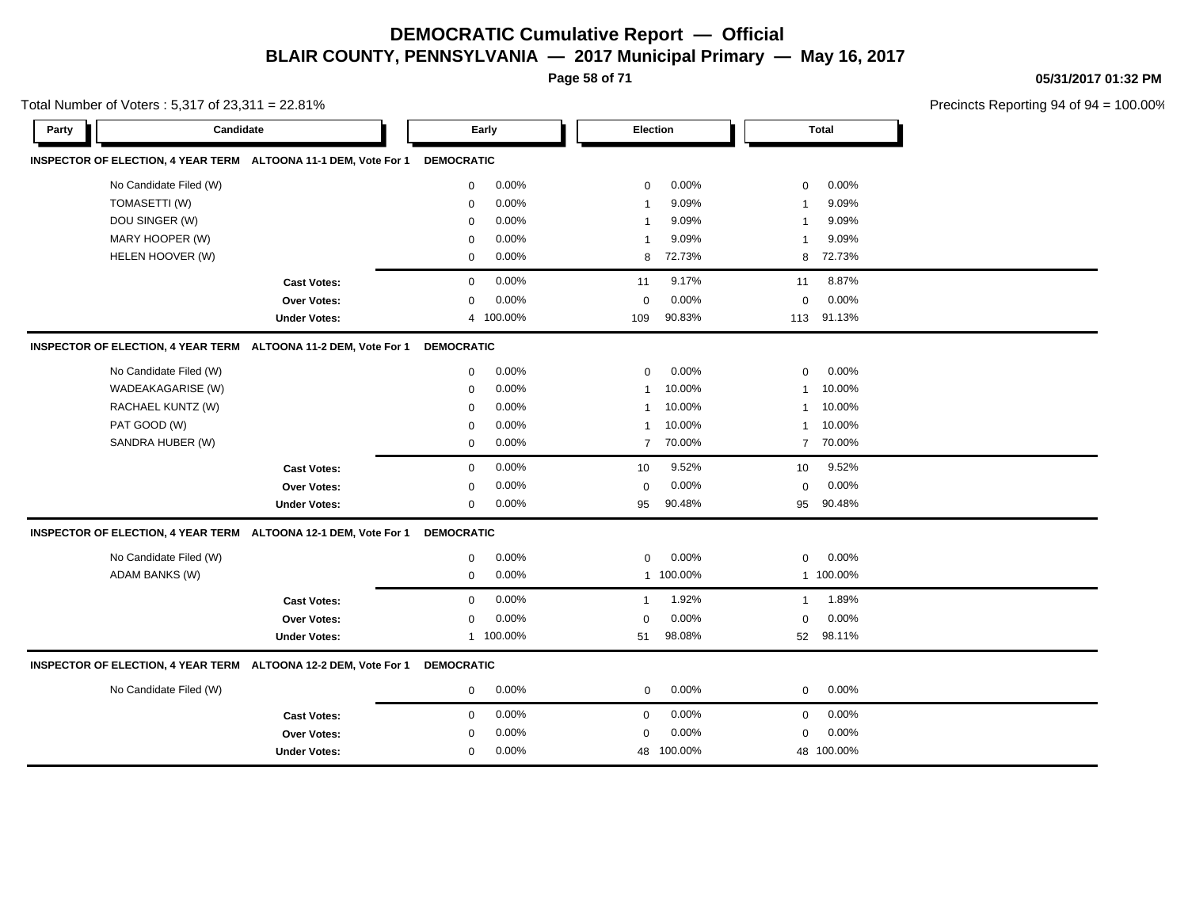**Page 58 of 71**

**05/31/2017 01:32 PM**

|       | Total Number of Voters: 5,317 of 23,311 = 22.81% |                                                                            |                   |           |                         |                 |                         |              | Precincts Reporting 94 of 94 |
|-------|--------------------------------------------------|----------------------------------------------------------------------------|-------------------|-----------|-------------------------|-----------------|-------------------------|--------------|------------------------------|
| Party | Candidate                                        |                                                                            |                   | Early     |                         | <b>Election</b> |                         | <b>Total</b> |                              |
|       |                                                  | INSPECTOR OF ELECTION, 4 YEAR TERM ALTOONA 11-1 DEM, Vote For 1            | <b>DEMOCRATIC</b> |           |                         |                 |                         |              |                              |
|       | No Candidate Filed (W)                           |                                                                            | $\mathbf 0$       | 0.00%     | $\mathbf 0$             | 0.00%           | 0                       | 0.00%        |                              |
|       | TOMASETTI (W)                                    |                                                                            | $\mathbf 0$       | 0.00%     | -1                      | 9.09%           | -1                      | 9.09%        |                              |
|       | DOU SINGER (W)                                   |                                                                            | 0                 | 0.00%     | -1                      | 9.09%           | -1                      | 9.09%        |                              |
|       | MARY HOOPER (W)                                  |                                                                            | $\mathbf 0$       | 0.00%     | $\overline{\mathbf{1}}$ | 9.09%           | $\overline{\mathbf{1}}$ | 9.09%        |                              |
|       | HELEN HOOVER (W)                                 |                                                                            | $\mathbf 0$       | 0.00%     | 8                       | 72.73%          | 8                       | 72.73%       |                              |
|       |                                                  | <b>Cast Votes:</b>                                                         | $\mathbf 0$       | 0.00%     | 11                      | 9.17%           | 11                      | 8.87%        |                              |
|       |                                                  | Over Votes:                                                                | $\mathbf 0$       | 0.00%     | $\mathbf 0$             | 0.00%           | $\mathbf 0$             | 0.00%        |                              |
|       |                                                  | <b>Under Votes:</b>                                                        | 4                 | 100.00%   | 109                     | 90.83%          |                         | 113 91.13%   |                              |
|       |                                                  | INSPECTOR OF ELECTION, 4 YEAR TERM ALTOONA 11-2 DEM, Vote For 1            | <b>DEMOCRATIC</b> |           |                         |                 |                         |              |                              |
|       | No Candidate Filed (W)                           |                                                                            | $\mathbf 0$       | 0.00%     | $\mathbf 0$             | 0.00%           | $\mathbf 0$             | 0.00%        |                              |
|       | WADEAKAGARISE (W)                                |                                                                            | $\mathbf 0$       | 0.00%     | $\overline{\mathbf{1}}$ | 10.00%          | -1                      | 10.00%       |                              |
|       | RACHAEL KUNTZ (W)                                |                                                                            | $\mathbf 0$       | 0.00%     | $\mathbf{1}$            | 10.00%          | $\mathbf 1$             | 10.00%       |                              |
|       | PAT GOOD (W)                                     |                                                                            | $\mathbf 0$       | $0.00\%$  | -1                      | 10.00%          | $\mathbf 1$             | 10.00%       |                              |
|       | SANDRA HUBER (W)                                 |                                                                            | $\mathbf 0$       | 0.00%     | $\overline{7}$          | 70.00%          | $\overline{7}$          | 70.00%       |                              |
|       |                                                  | <b>Cast Votes:</b>                                                         | $\mathbf 0$       | 0.00%     | 10                      | 9.52%           | 10                      | 9.52%        |                              |
|       |                                                  | Over Votes:                                                                | $\mathbf 0$       | 0.00%     | $\mathbf 0$             | 0.00%           | $\mathbf 0$             | 0.00%        |                              |
|       |                                                  | <b>Under Votes:</b>                                                        | $\mathbf 0$       | 0.00%     | 95                      | 90.48%          | 95                      | 90.48%       |                              |
|       |                                                  | INSPECTOR OF ELECTION, 4 YEAR TERM ALTOONA 12-1 DEM, Vote For 1 DEMOCRATIC |                   |           |                         |                 |                         |              |                              |
|       | No Candidate Filed (W)                           |                                                                            | $\mathbf 0$       | 0.00%     | $\mathbf 0$             | $0.00\%$        | $\mathbf 0$             | 0.00%        |                              |
|       | <b>ADAM BANKS (W)</b>                            |                                                                            | $\mathbf 0$       | 0.00%     |                         | 1 100.00%       |                         | 1 100.00%    |                              |
|       |                                                  | <b>Cast Votes:</b>                                                         | $\mathbf 0$       | 0.00%     | $\mathbf{1}$            | 1.92%           | $\overline{1}$          | 1.89%        |                              |
|       |                                                  | Over Votes:                                                                | $\mathbf 0$       | 0.00%     | $\mathbf 0$             | 0.00%           | $\mathbf 0$             | 0.00%        |                              |
|       |                                                  | <b>Under Votes:</b>                                                        |                   | 1 100.00% | 51                      | 98.08%          | 52                      | 98.11%       |                              |
|       |                                                  | INSPECTOR OF ELECTION, 4 YEAR TERM ALTOONA 12-2 DEM, Vote For 1            | <b>DEMOCRATIC</b> |           |                         |                 |                         |              |                              |
|       | No Candidate Filed (W)                           |                                                                            | $\mathbf 0$       | 0.00%     | $\mathbf 0$             | 0.00%           | 0                       | 0.00%        |                              |
|       |                                                  | <b>Cast Votes:</b>                                                         | $\mathbf 0$       | 0.00%     | $\mathbf 0$             | 0.00%           | $\mathbf 0$             | 0.00%        |                              |
|       |                                                  | <b>Over Votes:</b>                                                         | $\mathbf 0$       | 0.00%     | $\mathbf 0$             | 0.00%           | $\mathbf 0$             | 0.00%        |                              |
|       |                                                  | <b>Under Votes:</b>                                                        | 0                 | 0.00%     | 48                      | 100.00%         |                         | 48 100.00%   |                              |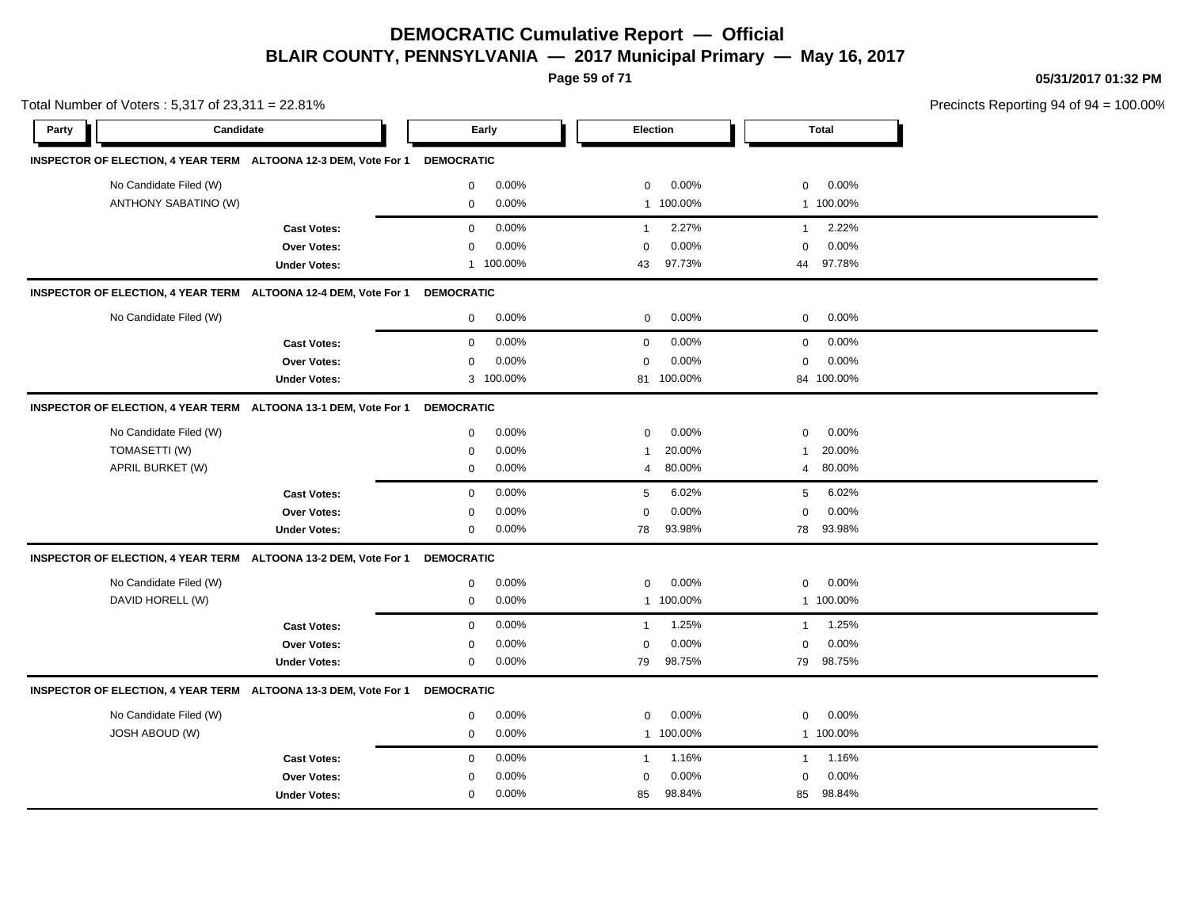**Page 59 of 71**

**05/31/2017 01:32 PM**

| Total Number of Voters: 5,317 of 23,311 = 22.81%                |                     |                   |           |              |                 |              |              | Precincts Reporting 94 of 94 |
|-----------------------------------------------------------------|---------------------|-------------------|-----------|--------------|-----------------|--------------|--------------|------------------------------|
| Candidate<br>Party                                              |                     |                   | Early     |              | <b>Election</b> |              | <b>Total</b> |                              |
| INSPECTOR OF ELECTION, 4 YEAR TERM ALTOONA 12-3 DEM, Vote For 1 |                     | <b>DEMOCRATIC</b> |           |              |                 |              |              |                              |
| No Candidate Filed (W)                                          |                     | $\mathbf 0$       | 0.00%     | $\mathbf 0$  | 0.00%           | 0            | $0.00\%$     |                              |
| ANTHONY SABATINO (W)                                            |                     | $\mathbf 0$       | 0.00%     |              | 1 100.00%       |              | 1 100.00%    |                              |
|                                                                 | <b>Cast Votes:</b>  | $\mathbf 0$       | 0.00%     | $\mathbf{1}$ | 2.27%           | $\mathbf{1}$ | 2.22%        |                              |
|                                                                 | <b>Over Votes:</b>  | $\mathbf 0$       | 0.00%     | $\Omega$     | 0.00%           | $\mathbf 0$  | 0.00%        |                              |
|                                                                 | <b>Under Votes:</b> |                   | 1 100.00% | 43           | 97.73%          | 44           | 97.78%       |                              |
| INSPECTOR OF ELECTION, 4 YEAR TERM ALTOONA 12-4 DEM, Vote For 1 |                     | <b>DEMOCRATIC</b> |           |              |                 |              |              |                              |
| No Candidate Filed (W)                                          |                     | $\mathbf 0$       | 0.00%     | $\mathbf 0$  | 0.00%           | $\mathbf 0$  | 0.00%        |                              |
|                                                                 | <b>Cast Votes:</b>  | $\mathbf 0$       | 0.00%     | $\mathbf 0$  | 0.00%           | $\mathbf 0$  | 0.00%        |                              |
|                                                                 | Over Votes:         | $\mathbf 0$       | 0.00%     | $\Omega$     | 0.00%           | 0            | 0.00%        |                              |
|                                                                 | <b>Under Votes:</b> |                   | 3 100.00% |              | 81 100.00%      |              | 84 100.00%   |                              |
| INSPECTOR OF ELECTION, 4 YEAR TERM ALTOONA 13-1 DEM, Vote For 1 |                     | <b>DEMOCRATIC</b> |           |              |                 |              |              |                              |
| No Candidate Filed (W)                                          |                     | 0                 | 0.00%     | $\mathbf 0$  | 0.00%           | 0            | 0.00%        |                              |
| TOMASETTI (W)                                                   |                     | $\mathbf 0$       | 0.00%     | -1           | 20.00%          | -1           | 20.00%       |                              |
| APRIL BURKET (W)                                                |                     | 0                 | 0.00%     | 4            | 80.00%          | 4            | 80.00%       |                              |
|                                                                 | <b>Cast Votes:</b>  | $\Omega$          | 0.00%     | 5            | 6.02%           | 5            | 6.02%        |                              |
|                                                                 | <b>Over Votes:</b>  | $\mathbf 0$       | 0.00%     | $\Omega$     | 0.00%           | $\Omega$     | 0.00%        |                              |
|                                                                 | <b>Under Votes:</b> | $\mathbf 0$       | 0.00%     | 78           | 93.98%          | 78           | 93.98%       |                              |
| INSPECTOR OF ELECTION, 4 YEAR TERM ALTOONA 13-2 DEM, Vote For 1 |                     | <b>DEMOCRATIC</b> |           |              |                 |              |              |                              |
| No Candidate Filed (W)                                          |                     | 0                 | 0.00%     | $\mathbf 0$  | 0.00%           | 0            | 0.00%        |                              |
| DAVID HORELL (W)                                                |                     | $\mathbf 0$       | 0.00%     |              | 1 100.00%       |              | 1 100.00%    |                              |
|                                                                 | <b>Cast Votes:</b>  | $\mathbf 0$       | 0.00%     | $\mathbf{1}$ | 1.25%           | $\mathbf{1}$ | 1.25%        |                              |
|                                                                 | Over Votes:         | 0                 | 0.00%     | $\Omega$     | 0.00%           | $\mathbf 0$  | 0.00%        |                              |
|                                                                 | <b>Under Votes:</b> | $\mathbf 0$       | 0.00%     | 79           | 98.75%          |              | 79 98.75%    |                              |
| INSPECTOR OF ELECTION, 4 YEAR TERM ALTOONA 13-3 DEM, Vote For 1 |                     | <b>DEMOCRATIC</b> |           |              |                 |              |              |                              |
| No Candidate Filed (W)                                          |                     | 0                 | 0.00%     | 0            | 0.00%           | 0            | 0.00%        |                              |
| <b>JOSH ABOUD (W)</b>                                           |                     | $\mathbf 0$       | 0.00%     | $\mathbf{1}$ | 100.00%         |              | 1 100.00%    |                              |
|                                                                 | <b>Cast Votes:</b>  | $\mathbf 0$       | 0.00%     | $\mathbf{1}$ | 1.16%           | $\mathbf{1}$ | 1.16%        |                              |
|                                                                 | Over Votes:         | 0                 | 0.00%     | $\mathbf 0$  | 0.00%           | $\mathbf 0$  | 0.00%        |                              |
|                                                                 | <b>Under Votes:</b> | $\mathbf 0$       | 0.00%     | 85           | 98.84%          | 85           | 98.84%       |                              |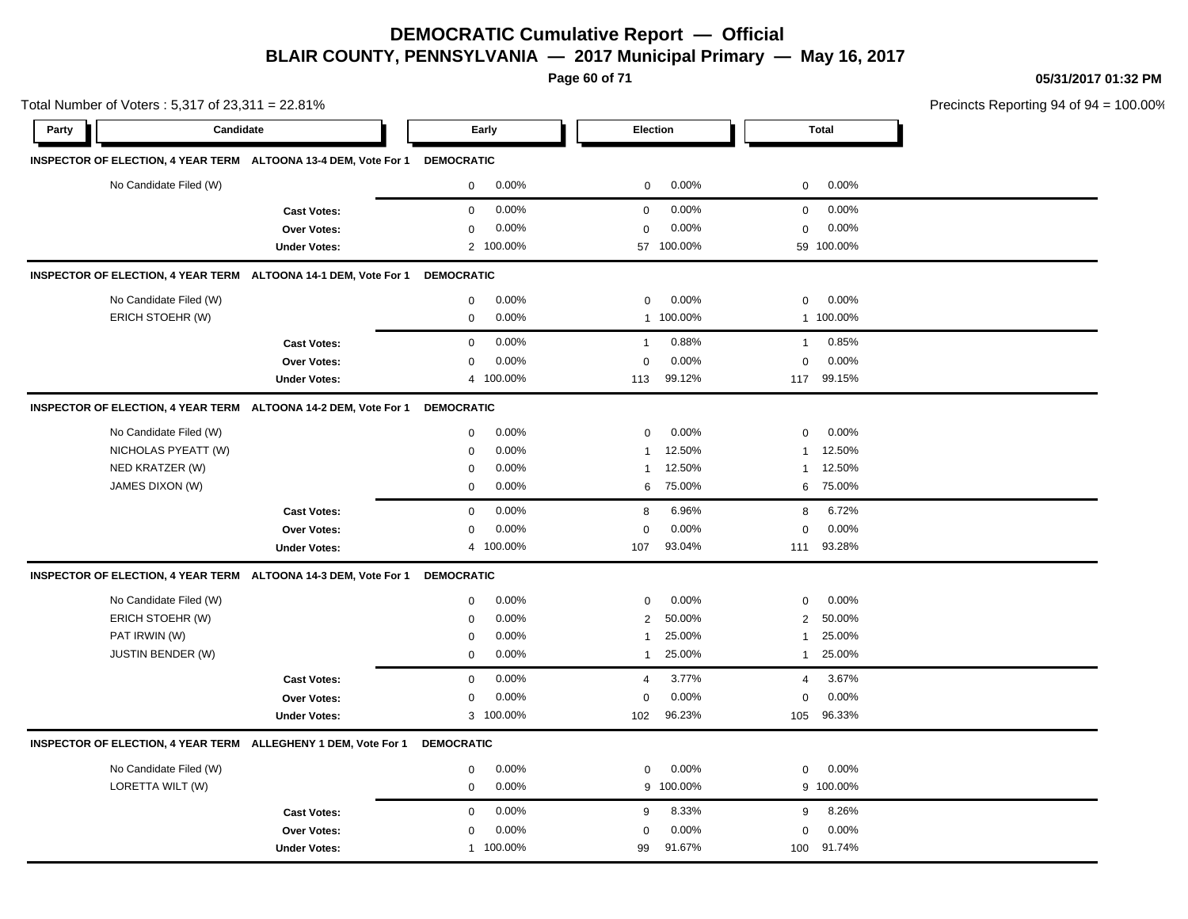**Page 60 of 71**

**05/31/2017 01:32 PM**

|       | Total Number of Voters: 5,317 of 23,311 = 22.81% |                                                                            |                   |           |                |         |                |              | Precincts Reporting 94 of 94 |
|-------|--------------------------------------------------|----------------------------------------------------------------------------|-------------------|-----------|----------------|---------|----------------|--------------|------------------------------|
| Party | Candidate                                        |                                                                            |                   | Early     | Election       |         |                | <b>Total</b> |                              |
|       |                                                  | INSPECTOR OF ELECTION, 4 YEAR TERM ALTOONA 13-4 DEM, Vote For 1 DEMOCRATIC |                   |           |                |         |                |              |                              |
|       | No Candidate Filed (W)                           |                                                                            | 0                 | 0.00%     | $\mathbf 0$    | 0.00%   | $\mathbf 0$    | 0.00%        |                              |
|       |                                                  | <b>Cast Votes:</b>                                                         | 0                 | 0.00%     | $\mathbf 0$    | 0.00%   | $\mathbf 0$    | 0.00%        |                              |
|       |                                                  | Over Votes:                                                                | 0                 | 0.00%     | $\mathbf 0$    | 0.00%   | $\mathbf 0$    | 0.00%        |                              |
|       |                                                  | <b>Under Votes:</b>                                                        |                   | 2 100.00% | 57             | 100.00% |                | 59 100.00%   |                              |
|       |                                                  | INSPECTOR OF ELECTION, 4 YEAR TERM ALTOONA 14-1 DEM, Vote For 1            | <b>DEMOCRATIC</b> |           |                |         |                |              |                              |
|       | No Candidate Filed (W)                           |                                                                            | 0                 | 0.00%     | $\mathbf 0$    | 0.00%   | $\mathbf 0$    | 0.00%        |                              |
|       | ERICH STOEHR (W)                                 |                                                                            | 0                 | 0.00%     | $\mathbf{1}$   | 100.00% |                | 1 100.00%    |                              |
|       |                                                  | <b>Cast Votes:</b>                                                         | 0                 | 0.00%     | $\mathbf{1}$   | 0.88%   | $\mathbf{1}$   | 0.85%        |                              |
|       |                                                  | Over Votes:                                                                | 0                 | 0.00%     | $\mathbf 0$    | 0.00%   | $\mathbf 0$    | 0.00%        |                              |
|       |                                                  | <b>Under Votes:</b>                                                        |                   | 4 100.00% | 113            | 99.12%  | 117            | 99.15%       |                              |
|       |                                                  | INSPECTOR OF ELECTION, 4 YEAR TERM ALTOONA 14-2 DEM, Vote For 1            | <b>DEMOCRATIC</b> |           |                |         |                |              |                              |
|       | No Candidate Filed (W)                           |                                                                            | 0                 | 0.00%     | $\mathbf 0$    | 0.00%   | $\mathbf 0$    | 0.00%        |                              |
|       | NICHOLAS PYEATT (W)                              |                                                                            | $\mathbf 0$       | 0.00%     | 1              | 12.50%  |                | 12.50%       |                              |
|       | NED KRATZER (W)                                  |                                                                            | $\mathbf 0$       | 0.00%     | $\mathbf 1$    | 12.50%  | 1              | 12.50%       |                              |
|       | JAMES DIXON (W)                                  |                                                                            | $\mathbf 0$       | 0.00%     | 6              | 75.00%  | 6              | 75.00%       |                              |
|       |                                                  | <b>Cast Votes:</b>                                                         | $\mathbf 0$       | 0.00%     | 8              | 6.96%   | 8              | 6.72%        |                              |
|       |                                                  | Over Votes:                                                                | $\mathbf 0$       | 0.00%     | $\mathbf 0$    | 0.00%   | $\mathbf 0$    | 0.00%        |                              |
|       |                                                  | <b>Under Votes:</b>                                                        |                   | 4 100.00% | 107            | 93.04%  | 111            | 93.28%       |                              |
|       |                                                  | INSPECTOR OF ELECTION, 4 YEAR TERM ALTOONA 14-3 DEM, Vote For 1            | <b>DEMOCRATIC</b> |           |                |         |                |              |                              |
|       | No Candidate Filed (W)                           |                                                                            | 0                 | 0.00%     | $\mathbf 0$    | 0.00%   | $\mathbf 0$    | 0.00%        |                              |
|       | ERICH STOEHR (W)                                 |                                                                            | $\mathbf 0$       | 0.00%     | $\overline{2}$ | 50.00%  | $\overline{2}$ | 50.00%       |                              |
|       | PAT IRWIN (W)                                    |                                                                            | $\mathbf 0$       | 0.00%     | $\mathbf 1$    | 25.00%  | 1              | 25.00%       |                              |
|       | <b>JUSTIN BENDER (W)</b>                         |                                                                            | $\mathbf 0$       | 0.00%     | $\overline{1}$ | 25.00%  | $\mathbf{1}$   | 25.00%       |                              |
|       |                                                  | <b>Cast Votes:</b>                                                         | $\mathbf{0}$      | 0.00%     | $\overline{4}$ | 3.77%   | $\overline{4}$ | 3.67%        |                              |
|       |                                                  | Over Votes:                                                                | 0                 | 0.00%     | $\mathbf 0$    | 0.00%   | 0              | 0.00%        |                              |
|       |                                                  | <b>Under Votes:</b>                                                        |                   | 3 100.00% | 102            | 96.23%  | 105            | 96.33%       |                              |
|       |                                                  | INSPECTOR OF ELECTION, 4 YEAR TERM ALLEGHENY 1 DEM, Vote For 1             | <b>DEMOCRATIC</b> |           |                |         |                |              |                              |
|       | No Candidate Filed (W)                           |                                                                            | 0                 | 0.00%     | $\mathbf 0$    | 0.00%   | $\mathbf 0$    | 0.00%        |                              |
|       | LORETTA WILT (W)                                 |                                                                            | $\mathbf 0$       | 0.00%     | 9              | 100.00% |                | 9 100.00%    |                              |
|       |                                                  | <b>Cast Votes:</b>                                                         | 0                 | 0.00%     | 9              | 8.33%   | 9              | 8.26%        |                              |
|       |                                                  | Over Votes:                                                                | 0                 | 0.00%     | $\mathbf 0$    | 0.00%   | $\mathbf 0$    | 0.00%        |                              |
|       |                                                  | <b>Under Votes:</b>                                                        |                   | 1 100.00% | 99             | 91.67%  | 100            | 91.74%       |                              |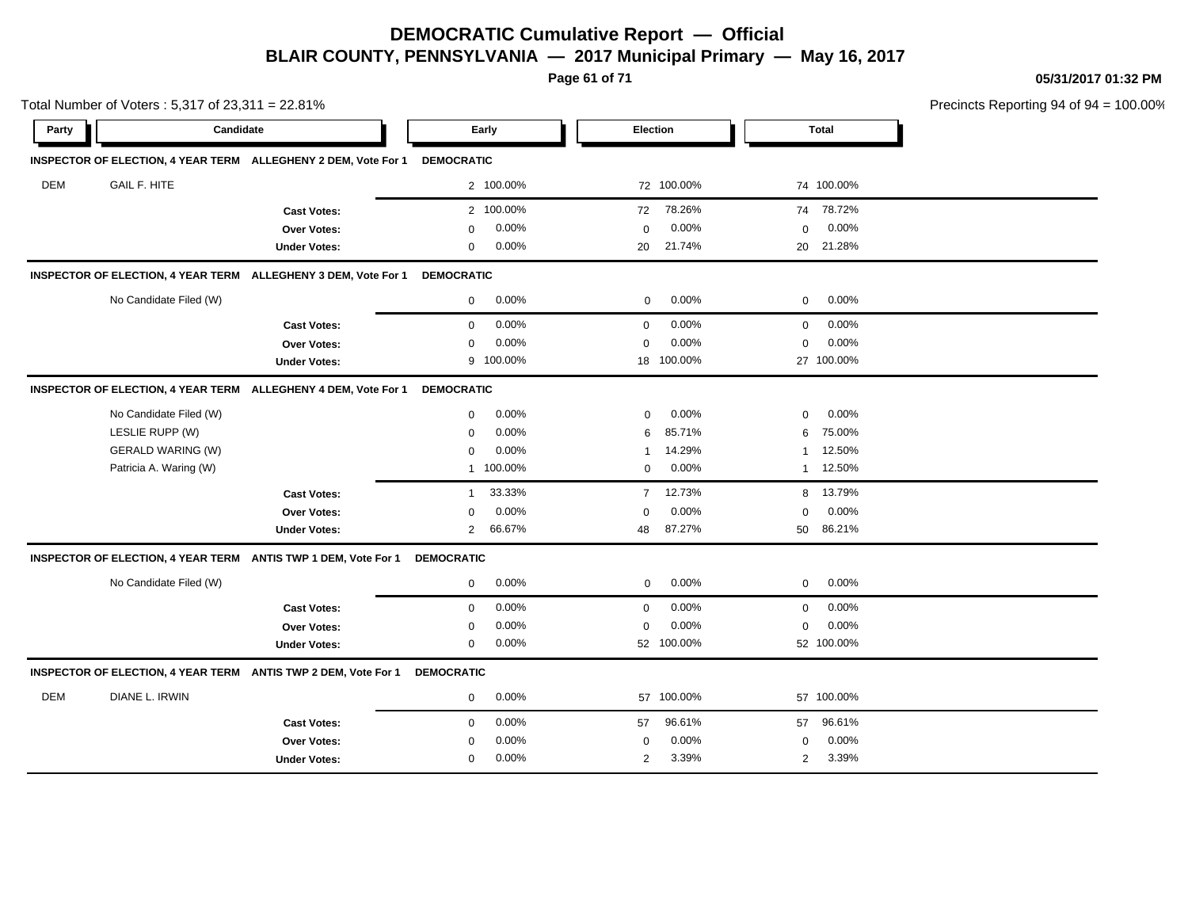**Page 61 of 71**

**05/31/2017 01:32 PM**

|       | Total Number of Voters: 5,317 of 23,311 = 22.81% |                                                                |                   |           |                |                 |              |              | Precincts Reporting 94 of 94 |
|-------|--------------------------------------------------|----------------------------------------------------------------|-------------------|-----------|----------------|-----------------|--------------|--------------|------------------------------|
| Party | Candidate                                        |                                                                |                   | Early     |                | <b>Election</b> |              | <b>Total</b> |                              |
|       |                                                  | INSPECTOR OF ELECTION, 4 YEAR TERM ALLEGHENY 2 DEM, Vote For 1 | <b>DEMOCRATIC</b> |           |                |                 |              |              |                              |
| DEM   | <b>GAIL F. HITE</b>                              |                                                                |                   | 2 100.00% |                | 72 100.00%      |              | 74 100.00%   |                              |
|       |                                                  | <b>Cast Votes:</b>                                             |                   | 2 100.00% | 72             | 78.26%          |              | 74 78.72%    |                              |
|       |                                                  | <b>Over Votes:</b>                                             | $\mathbf 0$       | 0.00%     | $\mathbf 0$    | 0.00%           | 0            | 0.00%        |                              |
|       |                                                  | <b>Under Votes:</b>                                            | 0                 | 0.00%     | 20             | 21.74%          | 20           | 21.28%       |                              |
|       |                                                  | INSPECTOR OF ELECTION, 4 YEAR TERM ALLEGHENY 3 DEM, Vote For 1 | <b>DEMOCRATIC</b> |           |                |                 |              |              |                              |
|       | No Candidate Filed (W)                           |                                                                | 0                 | 0.00%     | $\mathbf 0$    | 0.00%           | 0            | 0.00%        |                              |
|       |                                                  | <b>Cast Votes:</b>                                             | $\mathbf 0$       | 0.00%     | $\mathbf 0$    | 0.00%           | 0            | 0.00%        |                              |
|       |                                                  | Over Votes:                                                    | $\mathbf 0$       | 0.00%     | $\mathbf 0$    | 0.00%           | $\mathbf 0$  | 0.00%        |                              |
|       |                                                  | <b>Under Votes:</b>                                            | 9                 | 100.00%   |                | 18 100.00%      |              | 27 100.00%   |                              |
|       |                                                  | INSPECTOR OF ELECTION, 4 YEAR TERM ALLEGHENY 4 DEM, Vote For 1 | <b>DEMOCRATIC</b> |           |                |                 |              |              |                              |
|       | No Candidate Filed (W)                           |                                                                | $\mathbf 0$       | 0.00%     | $\mathbf 0$    | 0.00%           | $\mathbf 0$  | 0.00%        |                              |
|       | LESLIE RUPP (W)                                  |                                                                | $\mathbf 0$       | 0.00%     | 6              | 85.71%          | 6            | 75.00%       |                              |
|       | GERALD WARING (W)                                |                                                                | 0                 | 0.00%     | 1              | 14.29%          | $\mathbf{1}$ | 12.50%       |                              |
|       | Patricia A. Waring (W)                           |                                                                |                   | 1 100.00% | 0              | $0.00\%$        |              | 1 12.50%     |                              |
|       |                                                  | <b>Cast Votes:</b>                                             | $\mathbf{1}$      | 33.33%    | $\overline{7}$ | 12.73%          | 8            | 13.79%       |                              |
|       |                                                  | <b>Over Votes:</b>                                             | $\mathbf 0$       | 0.00%     | 0              | 0.00%           | 0            | 0.00%        |                              |
|       |                                                  | <b>Under Votes:</b>                                            | $\overline{2}$    | 66.67%    | 48             | 87.27%          | 50           | 86.21%       |                              |
|       |                                                  | INSPECTOR OF ELECTION, 4 YEAR TERM ANTIS TWP 1 DEM, Vote For 1 | <b>DEMOCRATIC</b> |           |                |                 |              |              |                              |
|       | No Candidate Filed (W)                           |                                                                | 0                 | 0.00%     | $\mathbf 0$    | 0.00%           | 0            | 0.00%        |                              |
|       |                                                  | <b>Cast Votes:</b>                                             | $\mathbf 0$       | 0.00%     | $\mathbf 0$    | 0.00%           | 0            | 0.00%        |                              |
|       |                                                  | <b>Over Votes:</b>                                             | $\mathbf 0$       | 0.00%     | 0              | 0.00%           | 0            | 0.00%        |                              |
|       |                                                  | <b>Under Votes:</b>                                            | $\mathbf 0$       | 0.00%     |                | 52 100.00%      |              | 52 100.00%   |                              |
|       |                                                  | INSPECTOR OF ELECTION, 4 YEAR TERM ANTIS TWP 2 DEM, Vote For 1 | <b>DEMOCRATIC</b> |           |                |                 |              |              |                              |
| DEM   | DIANE L. IRWIN                                   |                                                                | 0                 | 0.00%     |                | 57 100.00%      |              | 57 100.00%   |                              |
|       |                                                  | <b>Cast Votes:</b>                                             | $\mathbf 0$       | 0.00%     | 57             | 96.61%          | 57           | 96.61%       |                              |
|       |                                                  | Over Votes:                                                    | $\mathbf 0$       | 0.00%     | $\mathbf 0$    | 0.00%           | $\mathbf 0$  | 0.00%        |                              |
|       |                                                  | <b>Under Votes:</b>                                            | $\mathbf 0$       | 0.00%     | 2              | 3.39%           | 2            | 3.39%        |                              |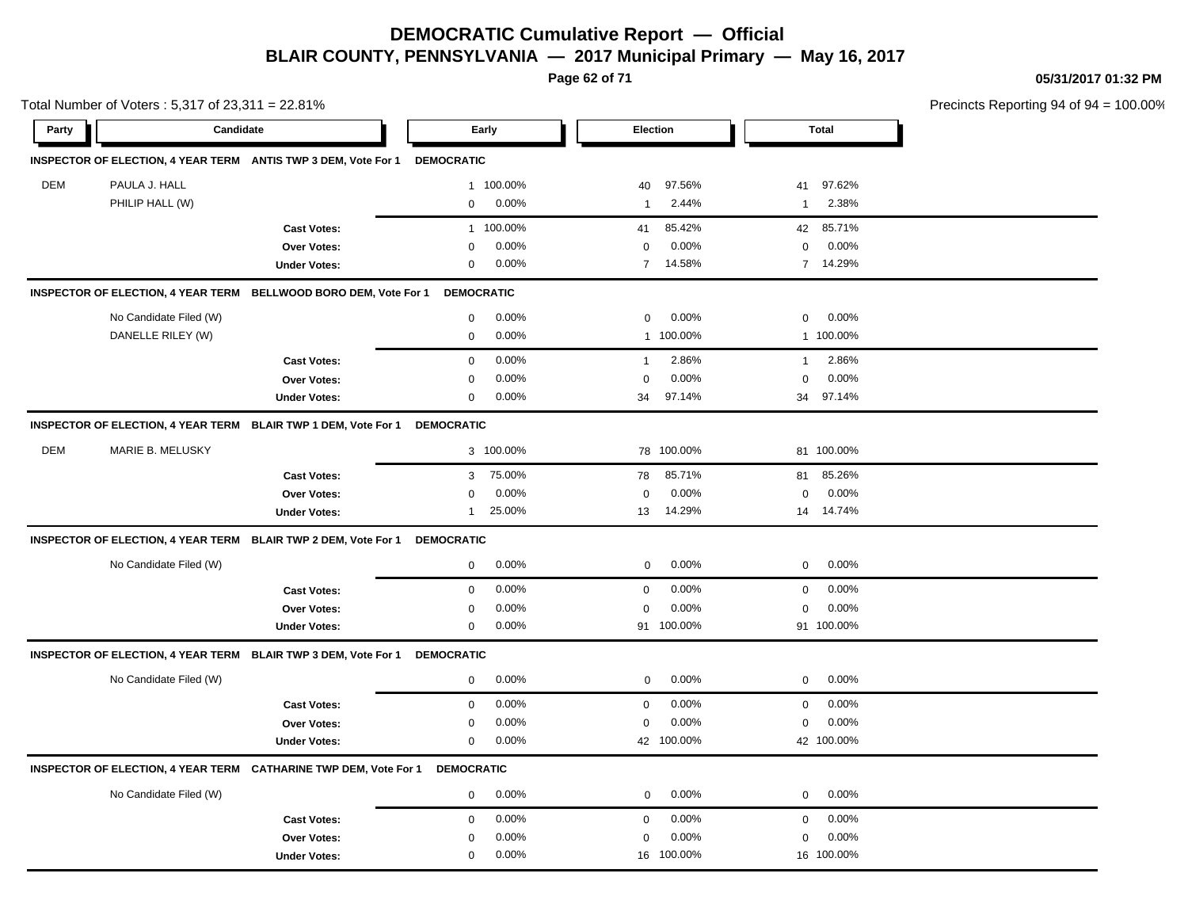**Page 62 of 71**

**05/31/2017 01:32 PM**

|       | Total Number of Voters: 5,317 of 23,311 = 22.81% |                                                                  |                   |           |                |            |              |              | Precincts Reporting 94 of 94 |
|-------|--------------------------------------------------|------------------------------------------------------------------|-------------------|-----------|----------------|------------|--------------|--------------|------------------------------|
| Party | Candidate                                        |                                                                  |                   | Early     |                | Election   |              | <b>Total</b> |                              |
|       |                                                  | INSPECTOR OF ELECTION, 4 YEAR TERM ANTIS TWP 3 DEM, Vote For 1   | <b>DEMOCRATIC</b> |           |                |            |              |              |                              |
| DEM   | PAULA J. HALL                                    |                                                                  |                   | 1 100.00% | 40             | 97.56%     | 41           | 97.62%       |                              |
|       | PHILIP HALL (W)                                  |                                                                  | 0                 | 0.00%     | $\mathbf{1}$   | 2.44%      | 1            | 2.38%        |                              |
|       |                                                  | <b>Cast Votes:</b>                                               | $\mathbf{1}$      | 100.00%   | 41             | 85.42%     | 42           | 85.71%       |                              |
|       |                                                  | Over Votes:                                                      | $\Omega$          | 0.00%     | 0              | 0.00%      | $\mathbf 0$  | 0.00%        |                              |
|       |                                                  | <b>Under Votes:</b>                                              | $\mathbf 0$       | 0.00%     | $\overline{7}$ | 14.58%     |              | 7 14.29%     |                              |
|       |                                                  | INSPECTOR OF ELECTION, 4 YEAR TERM BELLWOOD BORO DEM, Vote For 1 | <b>DEMOCRATIC</b> |           |                |            |              |              |                              |
|       | No Candidate Filed (W)                           |                                                                  | $\mathsf 0$       | 0.00%     | $\mathsf 0$    | 0.00%      | 0            | 0.00%        |                              |
|       | DANELLE RILEY (W)                                |                                                                  | $\mathsf 0$       | 0.00%     |                | 1 100.00%  |              | 1 100.00%    |                              |
|       |                                                  | <b>Cast Votes:</b>                                               | 0                 | 0.00%     | $\overline{1}$ | 2.86%      | $\mathbf{1}$ | 2.86%        |                              |
|       |                                                  | Over Votes:                                                      | 0                 | 0.00%     | $\mathbf 0$    | 0.00%      | 0            | 0.00%        |                              |
|       |                                                  | <b>Under Votes:</b>                                              | 0                 | 0.00%     | 34             | 97.14%     |              | 34 97.14%    |                              |
|       |                                                  | INSPECTOR OF ELECTION, 4 YEAR TERM BLAIR TWP 1 DEM, Vote For 1   | <b>DEMOCRATIC</b> |           |                |            |              |              |                              |
| DEM   | MARIE B. MELUSKY                                 |                                                                  |                   | 3 100.00% |                | 78 100.00% |              | 81 100.00%   |                              |
|       |                                                  | <b>Cast Votes:</b>                                               | 3                 | 75.00%    | 78             | 85.71%     | 81           | 85.26%       |                              |
|       |                                                  | Over Votes:                                                      | $\Omega$          | 0.00%     | $\mathbf 0$    | 0.00%      | 0            | 0.00%        |                              |
|       |                                                  | <b>Under Votes:</b>                                              | 1                 | 25.00%    | 13             | 14.29%     |              | 14 14.74%    |                              |
|       |                                                  | INSPECTOR OF ELECTION, 4 YEAR TERM BLAIR TWP 2 DEM, Vote For 1   | <b>DEMOCRATIC</b> |           |                |            |              |              |                              |
|       | No Candidate Filed (W)                           |                                                                  | $\mathbf 0$       | 0.00%     | 0              | 0.00%      | $\mathbf 0$  | 0.00%        |                              |
|       |                                                  | <b>Cast Votes:</b>                                               | $\mathbf 0$       | 0.00%     | $\mathbf 0$    | 0.00%      | $\mathbf 0$  | 0.00%        |                              |
|       |                                                  | Over Votes:                                                      | $\Omega$          | 0.00%     | $\Omega$       | 0.00%      | $\mathbf 0$  | 0.00%        |                              |
|       |                                                  | <b>Under Votes:</b>                                              | 0                 | 0.00%     |                | 91 100.00% |              | 91 100.00%   |                              |
|       |                                                  | INSPECTOR OF ELECTION, 4 YEAR TERM BLAIR TWP 3 DEM, Vote For 1   | <b>DEMOCRATIC</b> |           |                |            |              |              |                              |
|       | No Candidate Filed (W)                           |                                                                  | $\mathbf 0$       | 0.00%     | 0              | 0.00%      | $\mathbf 0$  | 0.00%        |                              |
|       |                                                  | <b>Cast Votes:</b>                                               | $\mathbf 0$       | 0.00%     | $\mathbf 0$    | 0.00%      | $\mathbf 0$  | 0.00%        |                              |
|       |                                                  | Over Votes:                                                      | $\Omega$          | 0.00%     | $\Omega$       | 0.00%      | $\Omega$     | 0.00%        |                              |
|       |                                                  | <b>Under Votes:</b>                                              | $\mathbf 0$       | 0.00%     |                | 42 100.00% |              | 42 100.00%   |                              |
|       |                                                  | INSPECTOR OF ELECTION, 4 YEAR TERM CATHARINE TWP DEM, Vote For 1 | <b>DEMOCRATIC</b> |           |                |            |              |              |                              |
|       | No Candidate Filed (W)                           |                                                                  | $\mathbf 0$       | 0.00%     | 0              | 0.00%      | $\mathbf 0$  | 0.00%        |                              |
|       |                                                  | <b>Cast Votes:</b>                                               | $\mathbf 0$       | 0.00%     | $\mathbf 0$    | 0.00%      | 0            | 0.00%        |                              |
|       |                                                  | Over Votes:                                                      | 0                 | 0.00%     | $\mathbf 0$    | 0.00%      | 0            | 0.00%        |                              |
|       |                                                  | <b>Under Votes:</b>                                              | 0                 | 0.00%     |                | 16 100.00% |              | 16 100.00%   |                              |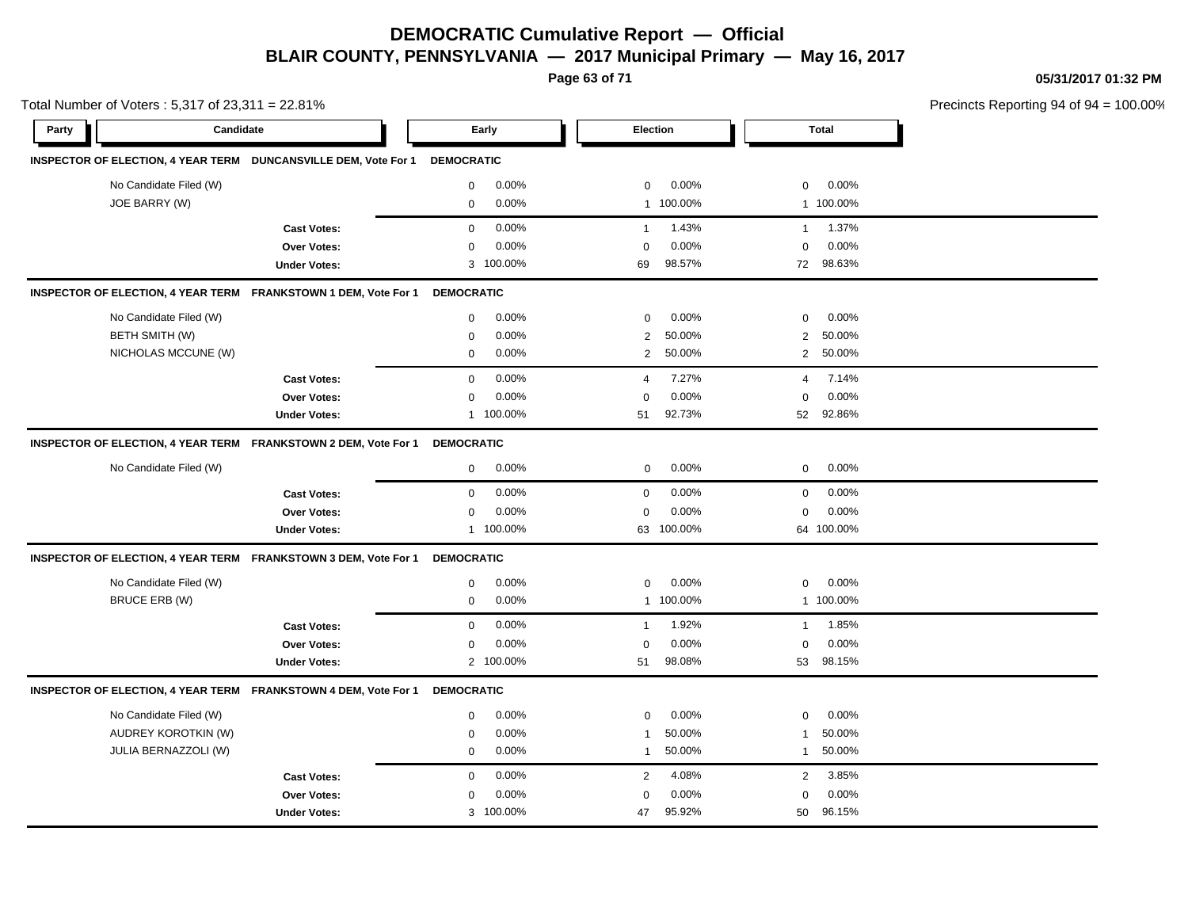**Page 63 of 71**

**05/31/2017 01:32 PM**

|       | Total Number of Voters: 5,317 of 23,311 = 22.81% |                                                                 |                   |           |                |           |                |              | Precincts Reporting 94 of 94 |
|-------|--------------------------------------------------|-----------------------------------------------------------------|-------------------|-----------|----------------|-----------|----------------|--------------|------------------------------|
| Party | Candidate                                        |                                                                 |                   | Early     |                | Election  |                | <b>Total</b> |                              |
|       |                                                  | INSPECTOR OF ELECTION, 4 YEAR TERM DUNCANSVILLE DEM, Vote For 1 | <b>DEMOCRATIC</b> |           |                |           |                |              |                              |
|       | No Candidate Filed (W)                           |                                                                 | $\mathbf 0$       | 0.00%     | $\mathbf 0$    | 0.00%     | $\mathbf 0$    | 0.00%        |                              |
|       | JOE BARRY (W)                                    |                                                                 | $\mathbf 0$       | 0.00%     |                | 1 100.00% |                | 1 100.00%    |                              |
|       |                                                  | <b>Cast Votes:</b>                                              | $\mathbf 0$       | 0.00%     | $\mathbf{1}$   | 1.43%     | $\overline{1}$ | 1.37%        |                              |
|       |                                                  | Over Votes:                                                     | $\mathbf 0$       | 0.00%     | $\Omega$       | 0.00%     | $\mathbf 0$    | 0.00%        |                              |
|       |                                                  | <b>Under Votes:</b>                                             |                   | 3 100.00% | 69             | 98.57%    |                | 72 98.63%    |                              |
|       |                                                  | INSPECTOR OF ELECTION, 4 YEAR TERM FRANKSTOWN 1 DEM, Vote For 1 | <b>DEMOCRATIC</b> |           |                |           |                |              |                              |
|       | No Candidate Filed (W)                           |                                                                 | 0                 | 0.00%     | $\mathbf 0$    | 0.00%     | $\mathbf 0$    | 0.00%        |                              |
|       | BETH SMITH (W)                                   |                                                                 | $\mathbf 0$       | 0.00%     | $\overline{2}$ | 50.00%    | 2              | 50.00%       |                              |
|       | NICHOLAS MCCUNE (W)                              |                                                                 | $\mathbf 0$       | 0.00%     | $\overline{2}$ | 50.00%    |                | 2 50.00%     |                              |
|       |                                                  | <b>Cast Votes:</b>                                              | $\mathbf 0$       | 0.00%     | $\overline{4}$ | 7.27%     | 4              | 7.14%        |                              |
|       |                                                  | Over Votes:                                                     | $\mathbf 0$       | 0.00%     | $\Omega$       | 0.00%     | $\mathbf 0$    | 0.00%        |                              |
|       |                                                  | <b>Under Votes:</b>                                             |                   | 1 100.00% | 51             | 92.73%    | 52             | 92.86%       |                              |
|       |                                                  | INSPECTOR OF ELECTION, 4 YEAR TERM FRANKSTOWN 2 DEM, Vote For 1 | <b>DEMOCRATIC</b> |           |                |           |                |              |                              |
|       | No Candidate Filed (W)                           |                                                                 | $\mathbf 0$       | 0.00%     | $\mathbf 0$    | 0.00%     | $\mathbf 0$    | 0.00%        |                              |
|       |                                                  | <b>Cast Votes:</b>                                              | $\mathbf 0$       | 0.00%     | $\mathbf 0$    | 0.00%     | $\mathbf 0$    | 0.00%        |                              |
|       |                                                  | Over Votes:                                                     | $\mathbf 0$       | 0.00%     | $\mathbf 0$    | 0.00%     | $\mathbf 0$    | 0.00%        |                              |
|       |                                                  | <b>Under Votes:</b>                                             |                   | 1 100.00% | 63             | 100.00%   |                | 64 100.00%   |                              |
|       |                                                  | INSPECTOR OF ELECTION, 4 YEAR TERM FRANKSTOWN 3 DEM, Vote For 1 | <b>DEMOCRATIC</b> |           |                |           |                |              |                              |
|       | No Candidate Filed (W)                           |                                                                 | 0                 | 0.00%     | $\mathbf 0$    | 0.00%     | $\mathbf 0$    | 0.00%        |                              |
|       | <b>BRUCE ERB (W)</b>                             |                                                                 | $\mathbf 0$       | 0.00%     | $\mathbf{1}$   | 100.00%   |                | 1 100.00%    |                              |
|       |                                                  | <b>Cast Votes:</b>                                              | $\mathbf 0$       | 0.00%     | $\mathbf{1}$   | 1.92%     | $\mathbf{1}$   | 1.85%        |                              |
|       |                                                  | <b>Over Votes:</b>                                              | $\mathbf 0$       | 0.00%     | $\mathbf 0$    | 0.00%     | $\mathbf 0$    | 0.00%        |                              |
|       |                                                  | <b>Under Votes:</b>                                             |                   | 2 100.00% | 51             | 98.08%    |                | 53 98.15%    |                              |
|       |                                                  | INSPECTOR OF ELECTION, 4 YEAR TERM FRANKSTOWN 4 DEM, Vote For 1 | <b>DEMOCRATIC</b> |           |                |           |                |              |                              |
|       | No Candidate Filed (W)                           |                                                                 | 0                 | 0.00%     | 0              | 0.00%     | 0              | 0.00%        |                              |
|       | AUDREY KOROTKIN (W)                              |                                                                 | $\mathbf 0$       | 0.00%     | $\overline{1}$ | 50.00%    | $\overline{1}$ | 50.00%       |                              |
|       | JULIA BERNAZZOLI (W)                             |                                                                 | $\mathbf 0$       | 0.00%     | $\mathbf{1}$   | 50.00%    | $\overline{1}$ | 50.00%       |                              |
|       |                                                  | <b>Cast Votes:</b>                                              | $\mathbf 0$       | 0.00%     | $\overline{2}$ | 4.08%     | $\overline{2}$ | 3.85%        |                              |
|       |                                                  | Over Votes:                                                     | $\mathbf 0$       | 0.00%     | $\Omega$       | 0.00%     | $\mathbf 0$    | 0.00%        |                              |
|       |                                                  | <b>Under Votes:</b>                                             |                   | 3 100.00% | 47             | 95.92%    | 50             | 96.15%       |                              |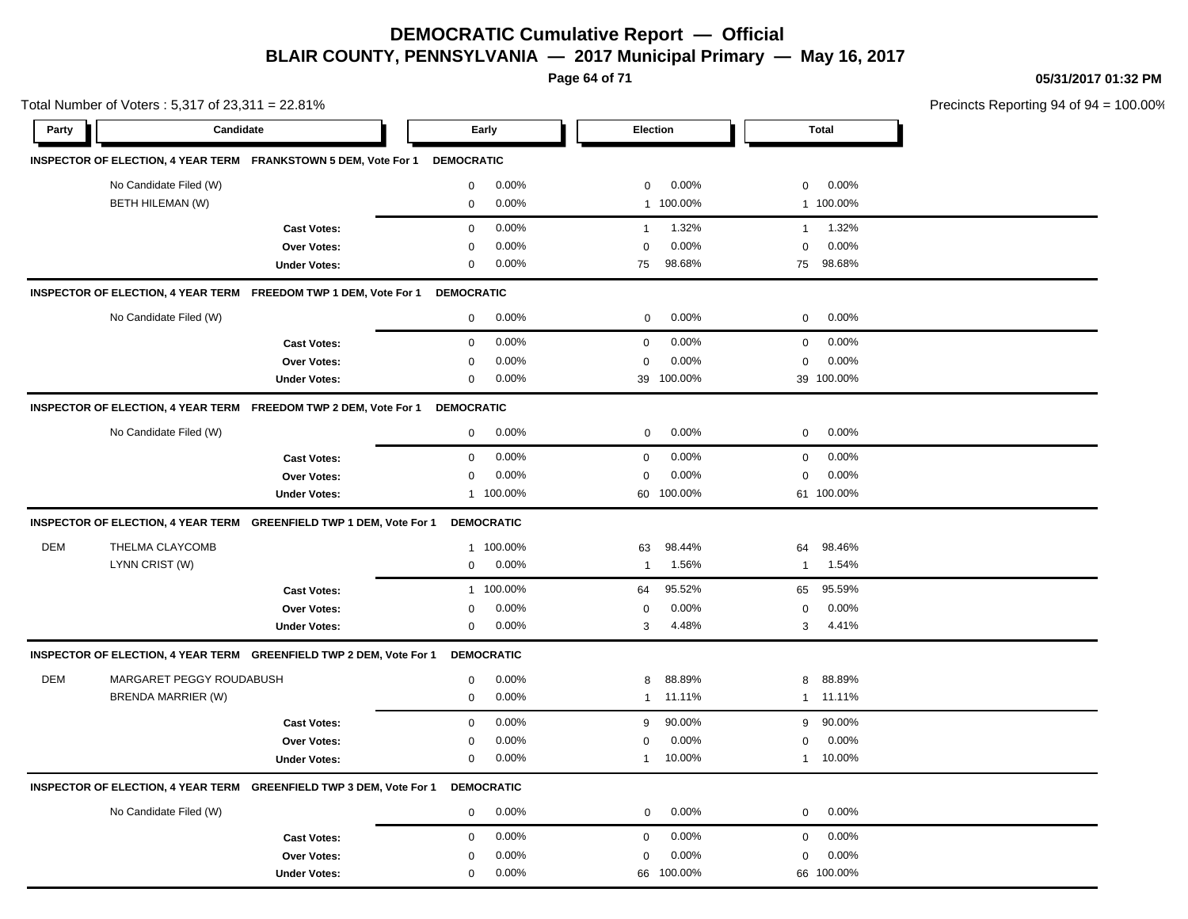**Page 64 of 71**

**05/31/2017 01:32 PM**

|            | Total Number of Voters: 5,317 of 23,311 = 22.81% |                                                                     |                   |                   |              |            |                |              | Precincts Reporting 94 of 94 |
|------------|--------------------------------------------------|---------------------------------------------------------------------|-------------------|-------------------|--------------|------------|----------------|--------------|------------------------------|
| Party      | Candidate                                        |                                                                     |                   | Early             |              | Election   |                | <b>Total</b> |                              |
|            |                                                  | INSPECTOR OF ELECTION, 4 YEAR TERM FRANKSTOWN 5 DEM, Vote For 1     | <b>DEMOCRATIC</b> |                   |              |            |                |              |                              |
|            | No Candidate Filed (W)                           |                                                                     | 0                 | 0.00%             | 0            | 0.00%      | 0              | 0.00%        |                              |
|            | BETH HILEMAN (W)                                 |                                                                     | 0                 | 0.00%             |              | 1 100.00%  |                | 1 100.00%    |                              |
|            |                                                  | <b>Cast Votes:</b>                                                  | $\mathbf 0$       | 0.00%             | $\mathbf{1}$ | 1.32%      | $\overline{1}$ | 1.32%        |                              |
|            |                                                  | <b>Over Votes:</b>                                                  | $\mathbf 0$       | 0.00%             | $\mathbf 0$  | 0.00%      | 0              | 0.00%        |                              |
|            |                                                  | <b>Under Votes:</b>                                                 | 0                 | $0.00\%$          | 75           | 98.68%     | 75             | 98.68%       |                              |
|            |                                                  | INSPECTOR OF ELECTION, 4 YEAR TERM FREEDOM TWP 1 DEM, Vote For 1    | <b>DEMOCRATIC</b> |                   |              |            |                |              |                              |
|            | No Candidate Filed (W)                           |                                                                     | $\mathbf 0$       | 0.00%             | 0            | 0.00%      | 0              | $0.00\%$     |                              |
|            |                                                  | <b>Cast Votes:</b>                                                  | $\mathbf 0$       | 0.00%             | $\mathbf 0$  | 0.00%      | $\mathbf 0$    | 0.00%        |                              |
|            |                                                  | <b>Over Votes:</b>                                                  | $\mathbf 0$       | 0.00%             | $\mathbf 0$  | 0.00%      | 0              | 0.00%        |                              |
|            |                                                  | <b>Under Votes:</b>                                                 | 0                 | 0.00%             |              | 39 100.00% |                | 39 100.00%   |                              |
|            |                                                  | INSPECTOR OF ELECTION, 4 YEAR TERM FREEDOM TWP 2 DEM, Vote For 1    | <b>DEMOCRATIC</b> |                   |              |            |                |              |                              |
|            | No Candidate Filed (W)                           |                                                                     | $\mathbf 0$       | 0.00%             | 0            | 0.00%      | 0              | 0.00%        |                              |
|            |                                                  | <b>Cast Votes:</b>                                                  | 0                 | 0.00%             | 0            | 0.00%      | 0              | $0.00\%$     |                              |
|            |                                                  | Over Votes:                                                         | 0                 | 0.00%             | 0            | 0.00%      | 0              | 0.00%        |                              |
|            |                                                  | <b>Under Votes:</b>                                                 |                   | 1 100.00%         |              | 60 100.00% |                | 61 100.00%   |                              |
|            |                                                  | INSPECTOR OF ELECTION, 4 YEAR TERM GREENFIELD TWP 1 DEM, Vote For 1 |                   | <b>DEMOCRATIC</b> |              |            |                |              |                              |
| <b>DEM</b> | THELMA CLAYCOMB                                  |                                                                     |                   | 1 100.00%         | 63           | 98.44%     | 64             | 98.46%       |                              |
|            | LYNN CRIST (W)                                   |                                                                     | 0                 | 0.00%             | 1            | 1.56%      | -1             | 1.54%        |                              |
|            |                                                  | <b>Cast Votes:</b>                                                  |                   | 1 100.00%         | 64           | 95.52%     | 65             | 95.59%       |                              |
|            |                                                  | Over Votes:                                                         | 0                 | 0.00%             | 0            | 0.00%      | 0              | $0.00\%$     |                              |
|            |                                                  | <b>Under Votes:</b>                                                 | 0                 | 0.00%             | 3            | 4.48%      | 3              | 4.41%        |                              |
|            |                                                  | INSPECTOR OF ELECTION, 4 YEAR TERM GREENFIELD TWP 2 DEM, Vote For 1 |                   | <b>DEMOCRATIC</b> |              |            |                |              |                              |
| DEM        | MARGARET PEGGY ROUDABUSH                         |                                                                     | 0                 | 0.00%             | 8            | 88.89%     | 8              | 88.89%       |                              |
|            | <b>BRENDA MARRIER (W)</b>                        |                                                                     | 0                 | 0.00%             | $\mathbf{1}$ | 11.11%     | $\mathbf{1}$   | 11.11%       |                              |
|            |                                                  | <b>Cast Votes:</b>                                                  | 0                 | 0.00%             | 9            | 90.00%     | 9              | 90.00%       |                              |
|            |                                                  | <b>Over Votes:</b>                                                  | 0                 | 0.00%             | 0            | 0.00%      | 0              | 0.00%        |                              |
|            |                                                  | <b>Under Votes:</b>                                                 | 0                 | 0.00%             | $\mathbf{1}$ | 10.00%     | 1              | 10.00%       |                              |
|            |                                                  | INSPECTOR OF ELECTION, 4 YEAR TERM GREENFIELD TWP 3 DEM, Vote For 1 |                   | <b>DEMOCRATIC</b> |              |            |                |              |                              |
|            | No Candidate Filed (W)                           |                                                                     | $\mathbf 0$       | 0.00%             | 0            | 0.00%      | 0              | 0.00%        |                              |
|            |                                                  | <b>Cast Votes:</b>                                                  | 0                 | 0.00%             | 0            | 0.00%      | 0              | 0.00%        |                              |
|            |                                                  | Over Votes:                                                         | 0                 | 0.00%             | $\mathbf 0$  | 0.00%      | 0              | 0.00%        |                              |
|            |                                                  | <b>Under Votes:</b>                                                 | 0                 | 0.00%             |              | 66 100.00% |                | 66 100.00%   |                              |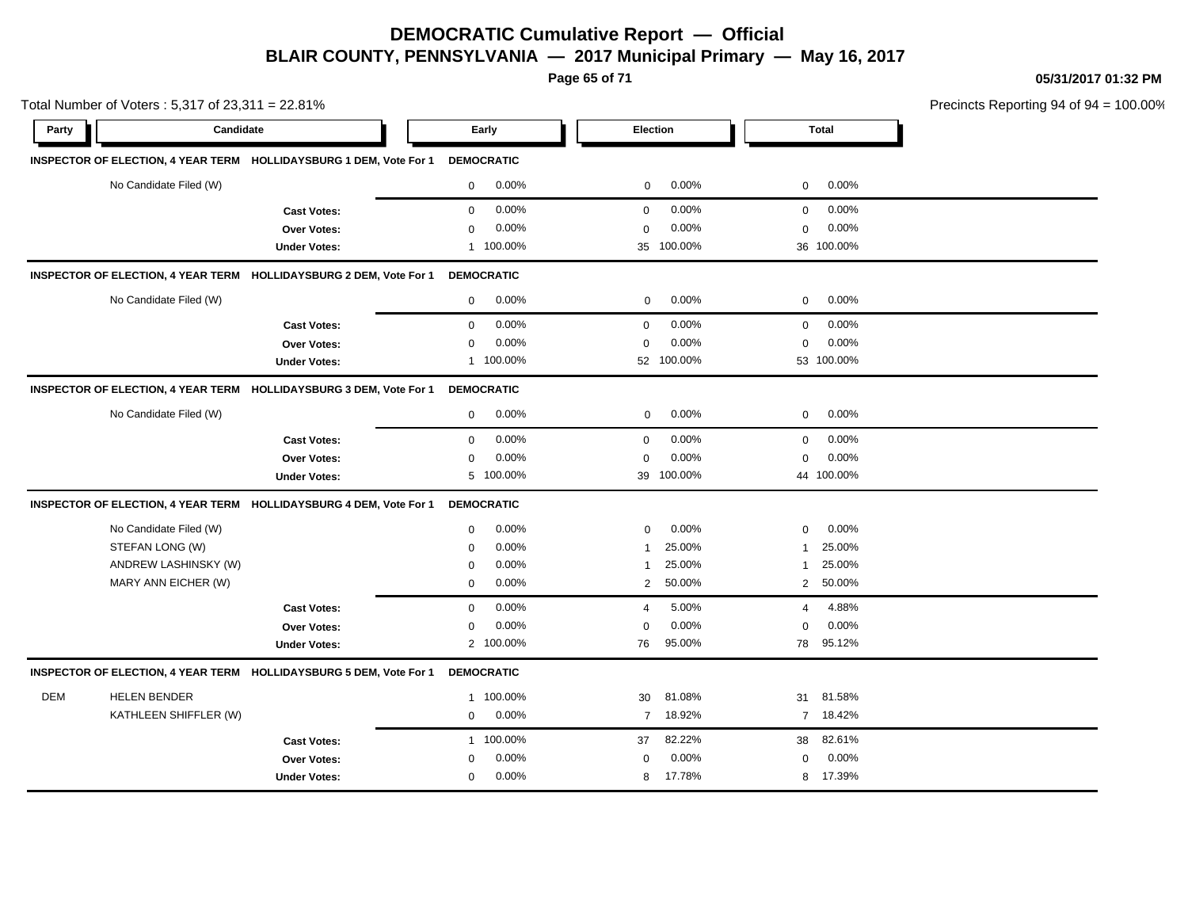**Page 65 of 71**

**05/31/2017 01:32 PM**

|            | Total Number of Voters: 5,317 of 23,311 = 22.81% |                                                                    |              |                   |                |            |                |              | Precincts Reporting 94 of 94 |
|------------|--------------------------------------------------|--------------------------------------------------------------------|--------------|-------------------|----------------|------------|----------------|--------------|------------------------------|
| Party      | Candidate                                        |                                                                    |              | Early             | Election       |            |                | <b>Total</b> |                              |
|            |                                                  | INSPECTOR OF ELECTION, 4 YEAR TERM HOLLIDAYSBURG 1 DEM, Vote For 1 |              | <b>DEMOCRATIC</b> |                |            |                |              |                              |
|            | No Candidate Filed (W)                           |                                                                    | $\mathbf 0$  | 0.00%             | 0              | 0.00%      | $\mathbf 0$    | 0.00%        |                              |
|            |                                                  | <b>Cast Votes:</b>                                                 | $\mathbf 0$  | 0.00%             | $\mathbf 0$    | 0.00%      | 0              | 0.00%        |                              |
|            |                                                  | Over Votes:                                                        | 0            | 0.00%             | $\mathbf 0$    | 0.00%      | 0              | 0.00%        |                              |
|            |                                                  | <b>Under Votes:</b>                                                |              | 1 100.00%         |                | 35 100.00% |                | 36 100.00%   |                              |
|            |                                                  | INSPECTOR OF ELECTION, 4 YEAR TERM HOLLIDAYSBURG 2 DEM, Vote For 1 |              | <b>DEMOCRATIC</b> |                |            |                |              |                              |
|            | No Candidate Filed (W)                           |                                                                    | $\mathbf{0}$ | 0.00%             | 0              | $0.00\%$   | $\mathbf 0$    | 0.00%        |                              |
|            |                                                  | <b>Cast Votes:</b>                                                 | $\mathbf 0$  | 0.00%             | $\mathbf 0$    | 0.00%      | $\mathbf 0$    | 0.00%        |                              |
|            |                                                  | Over Votes:                                                        | $\mathbf 0$  | 0.00%             | $\mathbf 0$    | 0.00%      | $\mathbf 0$    | 0.00%        |                              |
|            |                                                  | <b>Under Votes:</b>                                                |              | 1 100.00%         |                | 52 100.00% |                | 53 100.00%   |                              |
|            |                                                  | INSPECTOR OF ELECTION, 4 YEAR TERM HOLLIDAYSBURG 3 DEM, Vote For 1 |              | <b>DEMOCRATIC</b> |                |            |                |              |                              |
|            | No Candidate Filed (W)                           |                                                                    | $\mathbf 0$  | 0.00%             | $\mathbf 0$    | $0.00\%$   | 0              | 0.00%        |                              |
|            |                                                  | <b>Cast Votes:</b>                                                 | $\mathbf 0$  | 0.00%             | $\mathbf 0$    | 0.00%      | $\mathbf 0$    | 0.00%        |                              |
|            |                                                  | Over Votes:                                                        | 0            | 0.00%             | $\mathbf 0$    | 0.00%      | $\Omega$       | 0.00%        |                              |
|            |                                                  | <b>Under Votes:</b>                                                |              | 5 100.00%         | 39             | 100.00%    |                | 44 100.00%   |                              |
|            |                                                  | INSPECTOR OF ELECTION, 4 YEAR TERM HOLLIDAYSBURG 4 DEM, Vote For 1 |              | <b>DEMOCRATIC</b> |                |            |                |              |                              |
|            | No Candidate Filed (W)                           |                                                                    | $\mathbf 0$  | 0.00%             | $\mathbf 0$    | 0.00%      | $\mathbf 0$    | 0.00%        |                              |
|            | STEFAN LONG (W)                                  |                                                                    | 0            | 0.00%             | $\mathbf{1}$   | 25.00%     | -1             | 25.00%       |                              |
|            | ANDREW LASHINSKY (W)                             |                                                                    | $\mathbf 0$  | 0.00%             | 1              | 25.00%     | 1              | 25.00%       |                              |
|            | MARY ANN EICHER (W)                              |                                                                    | $\mathbf 0$  | 0.00%             | $\overline{2}$ | 50.00%     |                | 2 50.00%     |                              |
|            |                                                  | <b>Cast Votes:</b>                                                 | $\mathbf 0$  | 0.00%             | $\overline{4}$ | 5.00%      | $\overline{4}$ | 4.88%        |                              |
|            |                                                  | Over Votes:                                                        | 0            | 0.00%             | $\mathbf 0$    | 0.00%      | $\Omega$       | 0.00%        |                              |
|            |                                                  | <b>Under Votes:</b>                                                |              | 2 100.00%         | 76             | 95.00%     | 78             | 95.12%       |                              |
|            |                                                  | INSPECTOR OF ELECTION, 4 YEAR TERM HOLLIDAYSBURG 5 DEM, Vote For 1 |              | <b>DEMOCRATIC</b> |                |            |                |              |                              |
| <b>DEM</b> | <b>HELEN BENDER</b>                              |                                                                    |              | 1 100.00%         | 30             | 81.08%     | 31             | 81.58%       |                              |
|            | KATHLEEN SHIFFLER (W)                            |                                                                    | $\mathbf 0$  | 0.00%             | $\overline{7}$ | 18.92%     |                | 7 18.42%     |                              |
|            |                                                  | <b>Cast Votes:</b>                                                 |              | 1 100.00%         | 37             | 82.22%     | 38             | 82.61%       |                              |
|            |                                                  | Over Votes:                                                        | $\mathbf 0$  | 0.00%             | 0              | 0.00%      | 0              | 0.00%        |                              |
|            |                                                  | <b>Under Votes:</b>                                                | 0            | 0.00%             | 8              | 17.78%     | 8              | 17.39%       |                              |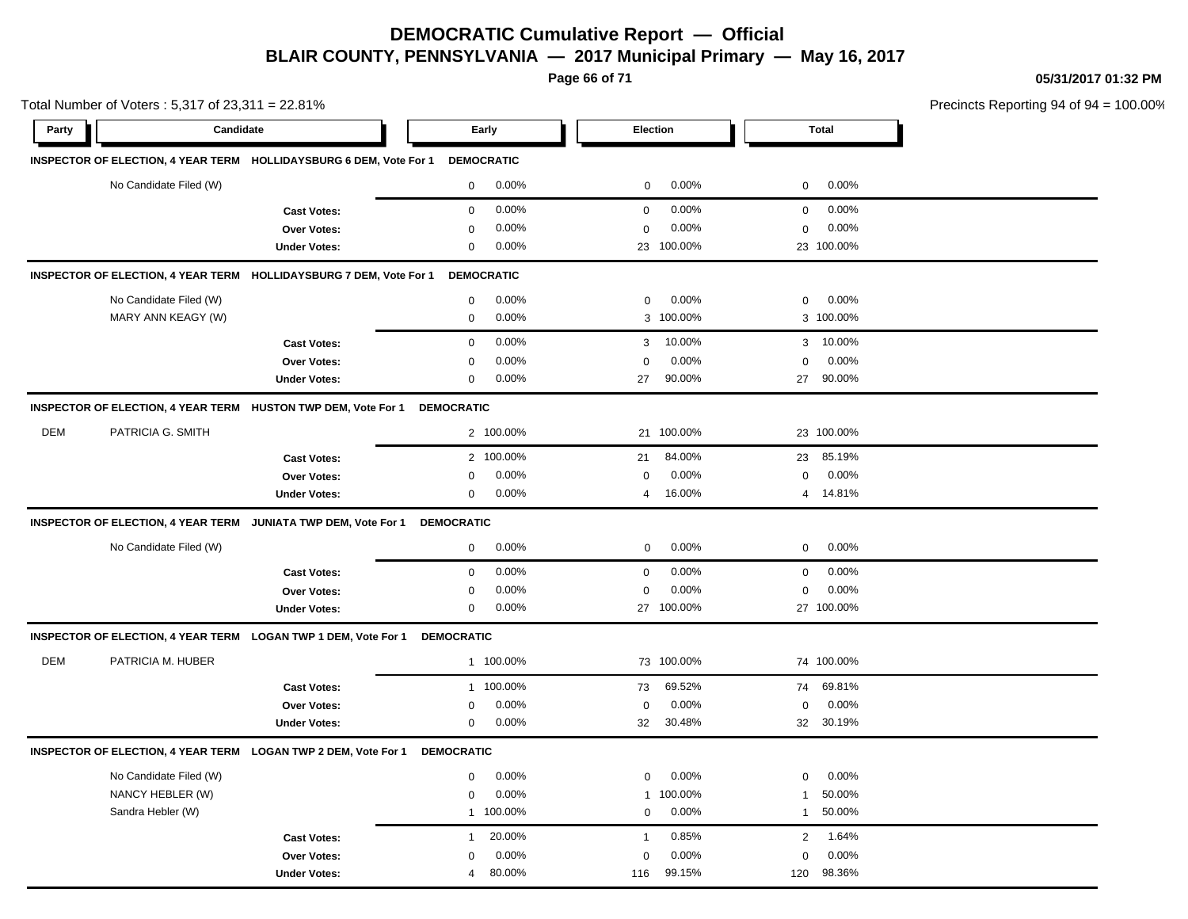**Page 66 of 71**

**05/31/2017 01:32 PM**

|            | Total Number of Voters: 5,317 of 23,311 = 22.81% |                                                                    |                   |                   |                  |                 |                |            | Precincts Reporting 94 of 9 |
|------------|--------------------------------------------------|--------------------------------------------------------------------|-------------------|-------------------|------------------|-----------------|----------------|------------|-----------------------------|
| Party      | Candidate                                        |                                                                    |                   | Early             |                  | <b>Election</b> |                | Total      |                             |
|            |                                                  | INSPECTOR OF ELECTION, 4 YEAR TERM HOLLIDAYSBURG 6 DEM, Vote For 1 |                   | <b>DEMOCRATIC</b> |                  |                 |                |            |                             |
|            | No Candidate Filed (W)                           |                                                                    | 0                 | 0.00%             | $\boldsymbol{0}$ | 0.00%           | 0              | 0.00%      |                             |
|            |                                                  | <b>Cast Votes:</b>                                                 | $\mathbf 0$       | 0.00%             | $\mathbf 0$      | 0.00%           | $\mathbf 0$    | 0.00%      |                             |
|            |                                                  | Over Votes:                                                        | $\Omega$          | 0.00%             | $\mathbf 0$      | 0.00%           | 0              | 0.00%      |                             |
|            |                                                  | <b>Under Votes:</b>                                                | 0                 | 0.00%             |                  | 23 100.00%      |                | 23 100.00% |                             |
|            |                                                  | INSPECTOR OF ELECTION, 4 YEAR TERM HOLLIDAYSBURG 7 DEM, Vote For 1 |                   | <b>DEMOCRATIC</b> |                  |                 |                |            |                             |
|            | No Candidate Filed (W)                           |                                                                    | $\mathbf 0$       | 0.00%             | $\pmb{0}$        | 0.00%           | 0              | 0.00%      |                             |
|            | MARY ANN KEAGY (W)                               |                                                                    | $\mathbf 0$       | 0.00%             | 3                | 100.00%         |                | 3 100.00%  |                             |
|            |                                                  | <b>Cast Votes:</b>                                                 | $\mathbf 0$       | 0.00%             | 3                | 10.00%          |                | 3 10.00%   |                             |
|            |                                                  | Over Votes:                                                        | $\mathbf 0$       | 0.00%             | $\Omega$         | 0.00%           | $\mathbf 0$    | 0.00%      |                             |
|            |                                                  | <b>Under Votes:</b>                                                | $\mathbf 0$       | 0.00%             | 27               | 90.00%          | 27             | 90.00%     |                             |
|            |                                                  | INSPECTOR OF ELECTION, 4 YEAR TERM HUSTON TWP DEM, Vote For 1      | <b>DEMOCRATIC</b> |                   |                  |                 |                |            |                             |
| <b>DEM</b> | PATRICIA G. SMITH                                |                                                                    |                   | 2 100.00%         | 21               | 100.00%         |                | 23 100.00% |                             |
|            |                                                  | <b>Cast Votes:</b>                                                 |                   | 2 100.00%         | 21               | 84.00%          | 23             | 85.19%     |                             |
|            |                                                  | <b>Over Votes:</b>                                                 | 0                 | 0.00%             | $\mathbf 0$      | 0.00%           | $\mathbf 0$    | 0.00%      |                             |
|            |                                                  | <b>Under Votes:</b>                                                | 0                 | 0.00%             | $\overline{4}$   | 16.00%          |                | 4 14.81%   |                             |
|            |                                                  | INSPECTOR OF ELECTION, 4 YEAR TERM JUNIATA TWP DEM, Vote For 1     | <b>DEMOCRATIC</b> |                   |                  |                 |                |            |                             |
|            | No Candidate Filed (W)                           |                                                                    | $\mathbf 0$       | 0.00%             | $\mathbf 0$      | 0.00%           | $\mathbf 0$    | 0.00%      |                             |
|            |                                                  | <b>Cast Votes:</b>                                                 | $\mathbf 0$       | 0.00%             | $\pmb{0}$        | 0.00%           | $\mathbf 0$    | 0.00%      |                             |
|            |                                                  | Over Votes:                                                        | 0                 | 0.00%             | $\mathbf 0$      | 0.00%           | $\mathbf 0$    | 0.00%      |                             |
|            |                                                  | <b>Under Votes:</b>                                                | 0                 | 0.00%             |                  | 27 100.00%      |                | 27 100.00% |                             |
|            |                                                  | INSPECTOR OF ELECTION, 4 YEAR TERM LOGAN TWP 1 DEM, Vote For 1     | <b>DEMOCRATIC</b> |                   |                  |                 |                |            |                             |
| <b>DEM</b> | PATRICIA M. HUBER                                |                                                                    |                   | 1 100.00%         |                  | 73 100.00%      |                | 74 100.00% |                             |
|            |                                                  | <b>Cast Votes:</b>                                                 |                   | 1 100.00%         | 73               | 69.52%          | 74             | 69.81%     |                             |
|            |                                                  | Over Votes:                                                        | 0                 | 0.00%             | $\mathbf 0$      | 0.00%           | $\mathbf 0$    | 0.00%      |                             |
|            |                                                  | <b>Under Votes:</b>                                                | 0                 | 0.00%             | 32               | 30.48%          | 32             | 30.19%     |                             |
|            |                                                  | INSPECTOR OF ELECTION, 4 YEAR TERM LOGAN TWP 2 DEM, Vote For 1     | <b>DEMOCRATIC</b> |                   |                  |                 |                |            |                             |
|            | No Candidate Filed (W)                           |                                                                    | 0                 | 0.00%             | $\mathbf 0$      | 0.00%           | 0              | 0.00%      |                             |
|            | NANCY HEBLER (W)                                 |                                                                    | 0                 | 0.00%             | $\mathbf{1}$     | 100.00%         | $\mathbf{1}$   | 50.00%     |                             |
|            | Sandra Hebler (W)                                |                                                                    |                   | 1 100.00%         | $\mathbf 0$      | 0.00%           | $\mathbf{1}$   | 50.00%     |                             |
|            |                                                  | <b>Cast Votes:</b>                                                 | $\overline{1}$    | 20.00%            | $\mathbf{1}$     | 0.85%           | $\overline{2}$ | 1.64%      |                             |
|            |                                                  | Over Votes:                                                        | $\Omega$          | 0.00%             | $\Omega$         | 0.00%           | $\Omega$       | 0.00%      |                             |
|            |                                                  | <b>Under Votes:</b>                                                | 4                 | 80.00%            | 116              | 99.15%          | 120            | 98.36%     |                             |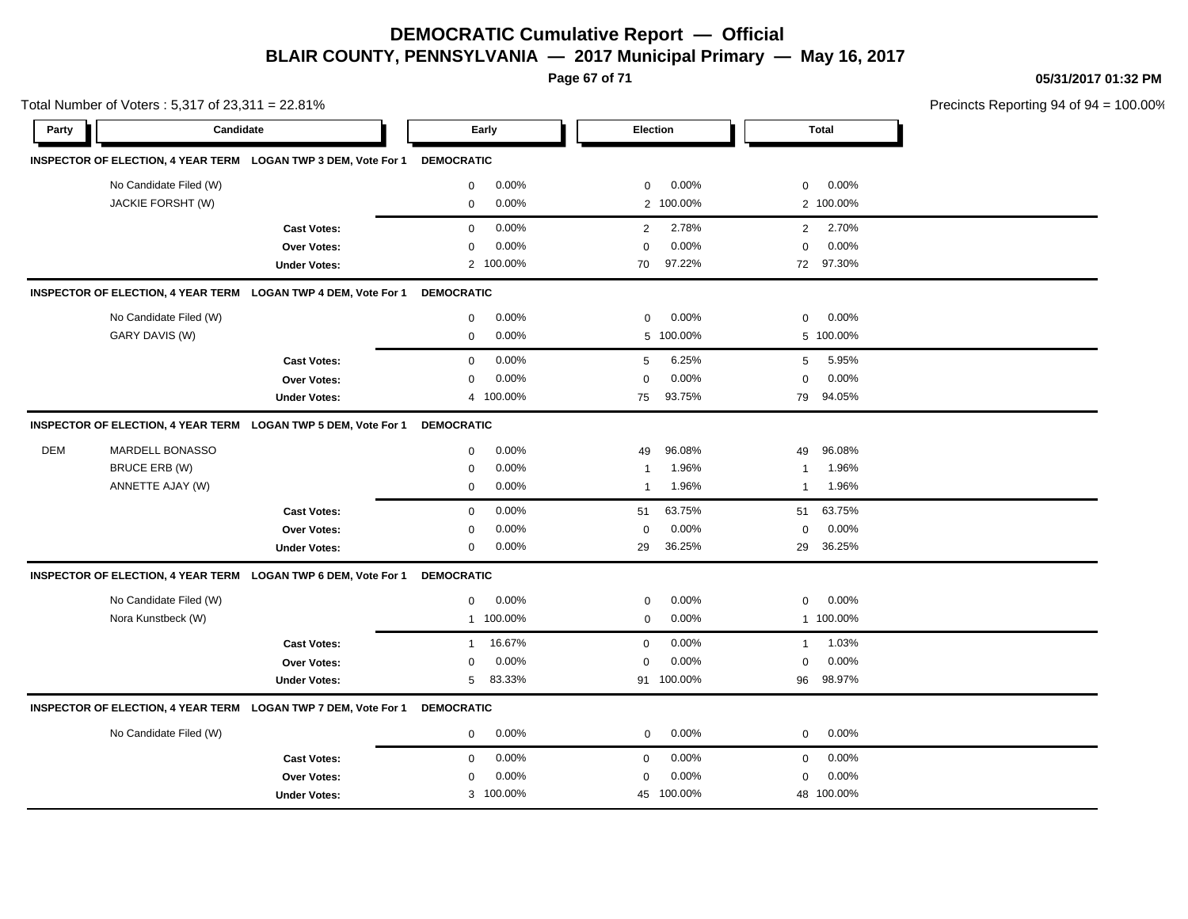**Page 67 of 71**

**05/31/2017 01:32 PM**

|            | Total Number of Voters: 5,317 of 23,311 = 22.81% |                                                                |                   |           |              |            |              |              | Precincts Reporting 94 of 94 |
|------------|--------------------------------------------------|----------------------------------------------------------------|-------------------|-----------|--------------|------------|--------------|--------------|------------------------------|
| Party      | Candidate                                        |                                                                |                   | Early     | Election     |            |              | <b>Total</b> |                              |
|            |                                                  | INSPECTOR OF ELECTION, 4 YEAR TERM LOGAN TWP 3 DEM, Vote For 1 | <b>DEMOCRATIC</b> |           |              |            |              |              |                              |
|            | No Candidate Filed (W)                           |                                                                | 0                 | 0.00%     | 0            | 0.00%      | 0            | 0.00%        |                              |
|            | JACKIE FORSHT (W)                                |                                                                | $\mathsf 0$       | 0.00%     |              | 2 100.00%  |              | 2 100.00%    |                              |
|            |                                                  | <b>Cast Votes:</b>                                             | $\mathbf{0}$      | 0.00%     | 2            | 2.78%      | 2            | 2.70%        |                              |
|            |                                                  | <b>Over Votes:</b>                                             | $\mathbf 0$       | 0.00%     | $\mathbf 0$  | 0.00%      | $\mathbf 0$  | 0.00%        |                              |
|            |                                                  | <b>Under Votes:</b>                                            |                   | 2 100.00% | 70           | 97.22%     |              | 72 97.30%    |                              |
|            |                                                  | INSPECTOR OF ELECTION, 4 YEAR TERM LOGAN TWP 4 DEM, Vote For 1 | <b>DEMOCRATIC</b> |           |              |            |              |              |                              |
|            | No Candidate Filed (W)                           |                                                                | 0                 | 0.00%     | $\mathbf 0$  | 0.00%      | 0            | 0.00%        |                              |
|            | GARY DAVIS (W)                                   |                                                                | $\mathbf 0$       | 0.00%     |              | 5 100.00%  |              | 5 100.00%    |                              |
|            |                                                  | <b>Cast Votes:</b>                                             | 0                 | 0.00%     | 5            | 6.25%      | 5            | 5.95%        |                              |
|            |                                                  | Over Votes:                                                    | $\mathbf 0$       | 0.00%     | $\mathbf 0$  | 0.00%      | $\mathbf 0$  | 0.00%        |                              |
|            |                                                  | <b>Under Votes:</b>                                            | $\overline{4}$    | 100.00%   | 75           | 93.75%     | 79           | 94.05%       |                              |
|            |                                                  | INSPECTOR OF ELECTION, 4 YEAR TERM LOGAN TWP 5 DEM, Vote For 1 | <b>DEMOCRATIC</b> |           |              |            |              |              |                              |
| <b>DEM</b> | MARDELL BONASSO                                  |                                                                | 0                 | 0.00%     | 49           | 96.08%     | 49           | 96.08%       |                              |
|            | BRUCE ERB (W)                                    |                                                                | 0                 | 0.00%     | 1            | 1.96%      | 1            | 1.96%        |                              |
|            | ANNETTE AJAY (W)                                 |                                                                | $\mathbf 0$       | 0.00%     | $\mathbf{1}$ | 1.96%      | 1            | 1.96%        |                              |
|            |                                                  | <b>Cast Votes:</b>                                             | $\mathbf 0$       | 0.00%     | 51           | 63.75%     | 51           | 63.75%       |                              |
|            |                                                  | Over Votes:                                                    | $\mathbf 0$       | 0.00%     | $\mathbf 0$  | 0.00%      | 0            | 0.00%        |                              |
|            |                                                  | <b>Under Votes:</b>                                            | $\mathbf 0$       | 0.00%     | 29           | 36.25%     | 29           | 36.25%       |                              |
|            |                                                  | INSPECTOR OF ELECTION, 4 YEAR TERM LOGAN TWP 6 DEM, Vote For 1 | <b>DEMOCRATIC</b> |           |              |            |              |              |                              |
|            | No Candidate Filed (W)                           |                                                                | $\mathbf 0$       | 0.00%     | $\mathbf 0$  | 0.00%      | 0            | 0.00%        |                              |
|            | Nora Kunstbeck (W)                               |                                                                | $\mathbf{1}$      | 100.00%   | $\mathbf 0$  | 0.00%      |              | 1 100.00%    |                              |
|            |                                                  | <b>Cast Votes:</b>                                             | 1                 | 16.67%    | $\mathbf 0$  | 0.00%      | $\mathbf{1}$ | 1.03%        |                              |
|            |                                                  | Over Votes:                                                    | 0                 | 0.00%     | 0            | 0.00%      | 0            | 0.00%        |                              |
|            |                                                  | <b>Under Votes:</b>                                            | 5                 | 83.33%    |              | 91 100.00% | 96           | 98.97%       |                              |
|            |                                                  | INSPECTOR OF ELECTION, 4 YEAR TERM LOGAN TWP 7 DEM, Vote For 1 | <b>DEMOCRATIC</b> |           |              |            |              |              |                              |
|            | No Candidate Filed (W)                           |                                                                | $\mathbf 0$       | $0.00\%$  | $\mathbf 0$  | 0.00%      | 0            | 0.00%        |                              |
|            |                                                  | <b>Cast Votes:</b>                                             | $\mathbf 0$       | 0.00%     | $\mathbf 0$  | $0.00\%$   | 0            | $0.00\%$     |                              |
|            |                                                  | Over Votes:                                                    | 0                 | 0.00%     | 0            | 0.00%      | 0            | 0.00%        |                              |
|            |                                                  | <b>Under Votes:</b>                                            |                   | 3 100.00% |              | 45 100.00% |              | 48 100.00%   |                              |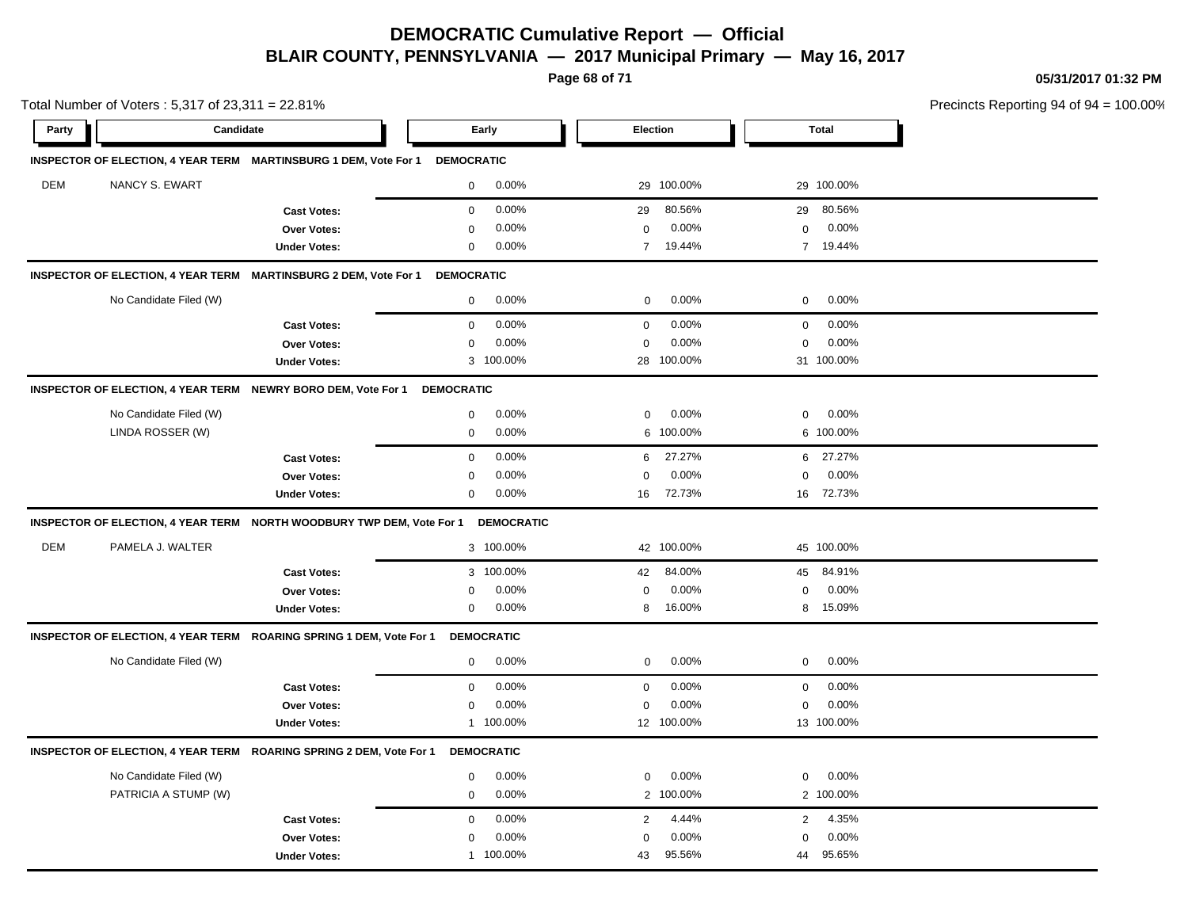**Page 68 of 71**

**05/31/2017 01:32 PM**

| Total Number of Voters: 5,317 of 23,311 = 22.81% |                        |                                                                             |                   |                   |                |            |             |              | Precincts Reporting 94 of 94 |
|--------------------------------------------------|------------------------|-----------------------------------------------------------------------------|-------------------|-------------------|----------------|------------|-------------|--------------|------------------------------|
| Party                                            | Candidate              |                                                                             | Early             |                   |                | Election   |             | <b>Total</b> |                              |
|                                                  |                        | INSPECTOR OF ELECTION, 4 YEAR TERM MARTINSBURG 1 DEM, Vote For 1 DEMOCRATIC |                   |                   |                |            |             |              |                              |
| DEM                                              | NANCY S. EWART         |                                                                             | $\mathbf 0$       | 0.00%             |                | 29 100.00% |             | 29 100.00%   |                              |
|                                                  |                        | <b>Cast Votes:</b>                                                          | $\mathbf 0$       | 0.00%             | 29             | 80.56%     | 29          | 80.56%       |                              |
|                                                  |                        | Over Votes:                                                                 | 0                 | 0.00%             | 0              | 0.00%      | 0           | 0.00%        |                              |
|                                                  |                        | <b>Under Votes:</b>                                                         | $\mathbf 0$       | 0.00%             | $\overline{7}$ | 19.44%     |             | 7 19.44%     |                              |
|                                                  |                        | INSPECTOR OF ELECTION, 4 YEAR TERM MARTINSBURG 2 DEM, Vote For 1            | <b>DEMOCRATIC</b> |                   |                |            |             |              |                              |
|                                                  | No Candidate Filed (W) |                                                                             | $\mathbf 0$       | 0.00%             | $\mathbf 0$    | 0.00%      | $\mathbf 0$ | 0.00%        |                              |
|                                                  |                        | <b>Cast Votes:</b>                                                          | $\mathbf 0$       | 0.00%             | $\mathbf 0$    | 0.00%      | $\mathbf 0$ | 0.00%        |                              |
|                                                  |                        | Over Votes:                                                                 | $\mathbf 0$       | 0.00%             | $\mathbf 0$    | 0.00%      | $\mathbf 0$ | 0.00%        |                              |
|                                                  |                        | <b>Under Votes:</b>                                                         |                   | 3 100.00%         |                | 28 100.00% |             | 31 100.00%   |                              |
|                                                  |                        | INSPECTOR OF ELECTION, 4 YEAR TERM NEWRY BORO DEM, Vote For 1               | <b>DEMOCRATIC</b> |                   |                |            |             |              |                              |
|                                                  | No Candidate Filed (W) |                                                                             | $\mathbf 0$       | 0.00%             | $\mathbf 0$    | 0.00%      | 0           | 0.00%        |                              |
|                                                  | LINDA ROSSER (W)       |                                                                             | $\mathbf 0$       | 0.00%             | 6              | 100.00%    |             | 6 100.00%    |                              |
|                                                  |                        | <b>Cast Votes:</b>                                                          | $\mathbf 0$       | 0.00%             | 6              | 27.27%     | 6           | 27.27%       |                              |
|                                                  |                        | Over Votes:                                                                 | 0                 | 0.00%             | 0              | 0.00%      | $\Omega$    | 0.00%        |                              |
|                                                  |                        | <b>Under Votes:</b>                                                         | $\mathbf 0$       | 0.00%             | 16             | 72.73%     |             | 16 72.73%    |                              |
|                                                  |                        | INSPECTOR OF ELECTION, 4 YEAR TERM NORTH WOODBURY TWP DEM, Vote For 1       |                   | <b>DEMOCRATIC</b> |                |            |             |              |                              |
| DEM                                              | PAMELA J. WALTER       |                                                                             |                   | 3 100.00%         |                | 42 100.00% |             | 45 100.00%   |                              |
|                                                  |                        | <b>Cast Votes:</b>                                                          |                   | 3 100.00%         | 42             | 84.00%     |             | 45 84.91%    |                              |
|                                                  |                        | Over Votes:                                                                 | 0                 | 0.00%             | 0              | 0.00%      | $\mathbf 0$ | 0.00%        |                              |
|                                                  |                        | <b>Under Votes:</b>                                                         | $\mathbf 0$       | 0.00%             | 8              | 16.00%     |             | 8 15.09%     |                              |
|                                                  |                        | INSPECTOR OF ELECTION, 4 YEAR TERM ROARING SPRING 1 DEM, Vote For 1         |                   | <b>DEMOCRATIC</b> |                |            |             |              |                              |
|                                                  | No Candidate Filed (W) |                                                                             | $\mathbf 0$       | 0.00%             | 0              | 0.00%      | 0           | 0.00%        |                              |
|                                                  |                        | <b>Cast Votes:</b>                                                          | $\mathbf 0$       | 0.00%             | $\mathsf 0$    | 0.00%      | $\mathbf 0$ | 0.00%        |                              |
|                                                  |                        | Over Votes:                                                                 | $\mathbf 0$       | 0.00%             | 0              | 0.00%      | $\mathbf 0$ | 0.00%        |                              |
|                                                  |                        | <b>Under Votes:</b>                                                         |                   | 1 100.00%         |                | 12 100.00% |             | 13 100.00%   |                              |
|                                                  |                        | INSPECTOR OF ELECTION, 4 YEAR TERM ROARING SPRING 2 DEM, Vote For 1         |                   | <b>DEMOCRATIC</b> |                |            |             |              |                              |
|                                                  | No Candidate Filed (W) |                                                                             | 0                 | 0.00%             | 0              | 0.00%      | 0           | 0.00%        |                              |
|                                                  | PATRICIA A STUMP (W)   |                                                                             | 0                 | 0.00%             | $\overline{2}$ | 100.00%    |             | 2 100.00%    |                              |
|                                                  |                        | <b>Cast Votes:</b>                                                          | $\mathbf 0$       | 0.00%             | $\mathbf{2}$   | 4.44%      | 2           | 4.35%        |                              |
|                                                  |                        | Over Votes:                                                                 | 0                 | 0.00%             | 0              | 0.00%      | $\mathbf 0$ | 0.00%        |                              |
|                                                  |                        | <b>Under Votes:</b>                                                         |                   | 1 100.00%         | 43             | 95.56%     | 44          | 95.65%       |                              |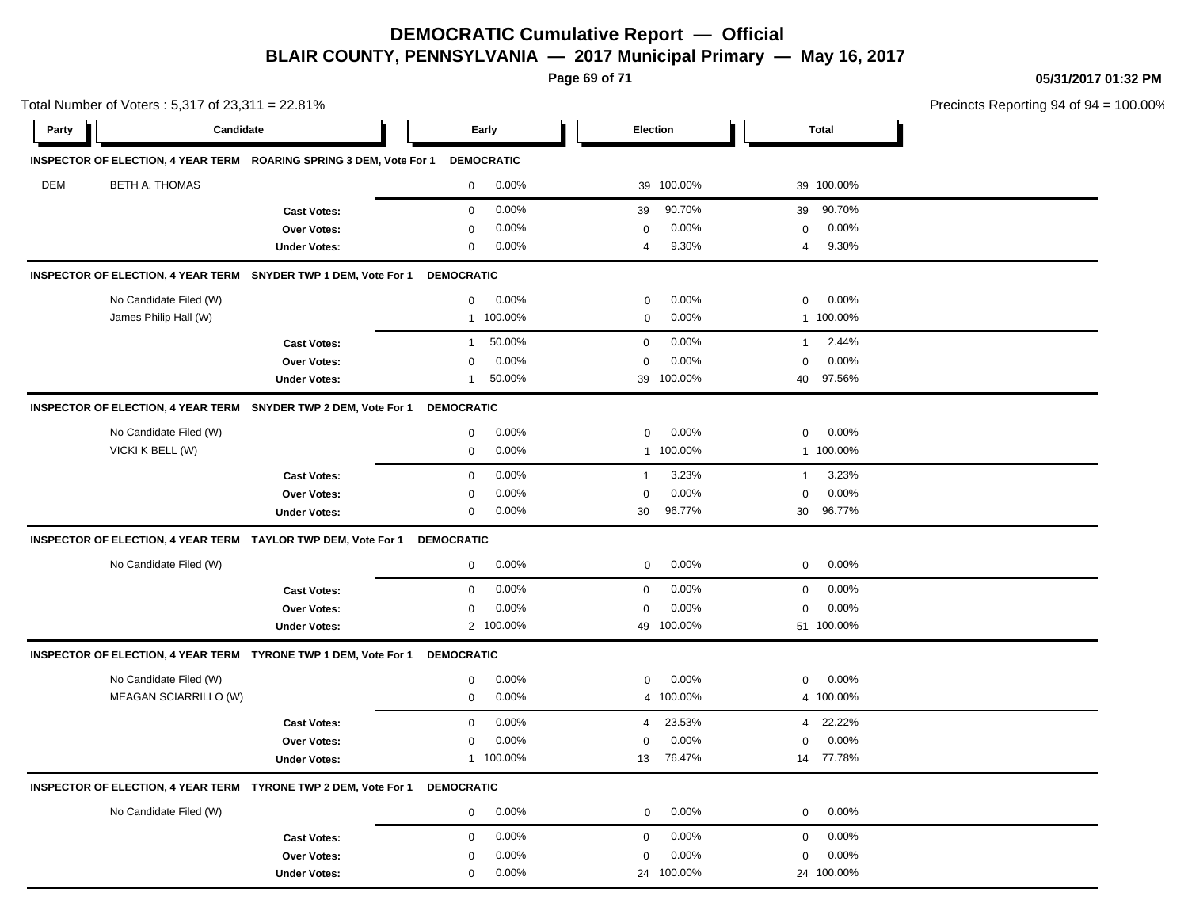**Page 69 of 71**

**05/31/2017 01:32 PM**

|       | Total Number of Voters: 5,317 of 23,311 = 22.81% |                                                                            |                   |                   |                |            |              |              | Precincts Reporting 94 of 94 |
|-------|--------------------------------------------------|----------------------------------------------------------------------------|-------------------|-------------------|----------------|------------|--------------|--------------|------------------------------|
| Party | Candidate                                        |                                                                            | Early             |                   | Election       |            |              | <b>Total</b> |                              |
|       |                                                  | INSPECTOR OF ELECTION, 4 YEAR TERM ROARING SPRING 3 DEM, Vote For 1        |                   | <b>DEMOCRATIC</b> |                |            |              |              |                              |
| DEM   | <b>BETH A. THOMAS</b>                            |                                                                            | $\mathbf 0$       | 0.00%             |                | 39 100.00% |              | 39 100.00%   |                              |
|       |                                                  | <b>Cast Votes:</b>                                                         | $\mathbf 0$       | 0.00%             | 39             | 90.70%     | 39           | 90.70%       |                              |
|       |                                                  | Over Votes:                                                                | $\mathbf 0$       | 0.00%             | 0              | 0.00%      | 0            | 0.00%        |                              |
|       |                                                  | <b>Under Votes:</b>                                                        | $\mathbf 0$       | 0.00%             | $\overline{4}$ | 9.30%      | 4            | 9.30%        |                              |
|       |                                                  | INSPECTOR OF ELECTION, 4 YEAR TERM SNYDER TWP 1 DEM, Vote For 1            | <b>DEMOCRATIC</b> |                   |                |            |              |              |                              |
|       | No Candidate Filed (W)                           |                                                                            | $\mathbf 0$       | $0.00\%$          | 0              | 0.00%      | 0            | 0.00%        |                              |
|       | James Philip Hall (W)                            |                                                                            | $\mathbf{1}$      | 100.00%           | $\mathbf 0$    | 0.00%      |              | 1 100.00%    |                              |
|       |                                                  | <b>Cast Votes:</b>                                                         | $\mathbf{1}$      | 50.00%            | $\mathbf 0$    | 0.00%      | $\mathbf{1}$ | 2.44%        |                              |
|       |                                                  | <b>Over Votes:</b>                                                         | $\mathbf 0$       | 0.00%             | 0              | 0.00%      | $\mathbf 0$  | 0.00%        |                              |
|       |                                                  | <b>Under Votes:</b>                                                        | 1                 | 50.00%            | 39             | 100.00%    | 40           | 97.56%       |                              |
|       |                                                  | INSPECTOR OF ELECTION, 4 YEAR TERM SNYDER TWP 2 DEM, Vote For 1            | <b>DEMOCRATIC</b> |                   |                |            |              |              |                              |
|       | No Candidate Filed (W)                           |                                                                            | 0                 | 0.00%             | $\mathbf 0$    | 0.00%      | $\mathbf 0$  | 0.00%        |                              |
|       | VICKI K BELL (W)                                 |                                                                            | $\mathsf 0$       | 0.00%             |                | 1 100.00%  |              | 1 100.00%    |                              |
|       |                                                  | <b>Cast Votes:</b>                                                         | $\mathbf 0$       | 0.00%             | $\mathbf{1}$   | 3.23%      | $\mathbf{1}$ | 3.23%        |                              |
|       |                                                  | Over Votes:                                                                | $\mathbf 0$       | 0.00%             | $\Omega$       | 0.00%      | $\mathbf 0$  | 0.00%        |                              |
|       |                                                  | <b>Under Votes:</b>                                                        | $\mathbf 0$       | 0.00%             | 30             | 96.77%     |              | 30 96.77%    |                              |
|       |                                                  | INSPECTOR OF ELECTION, 4 YEAR TERM TAYLOR TWP DEM, Vote For 1              | <b>DEMOCRATIC</b> |                   |                |            |              |              |                              |
|       | No Candidate Filed (W)                           |                                                                            | 0                 | 0.00%             | 0              | 0.00%      | 0            | 0.00%        |                              |
|       |                                                  | <b>Cast Votes:</b>                                                         | $\mathbf 0$       | 0.00%             | $\mathbf 0$    | 0.00%      | $\mathbf 0$  | 0.00%        |                              |
|       |                                                  | <b>Over Votes:</b>                                                         | $\mathbf 0$       | 0.00%             | $\mathbf 0$    | 0.00%      | $\Omega$     | 0.00%        |                              |
|       |                                                  | <b>Under Votes:</b>                                                        |                   | 2 100.00%         |                | 49 100.00% |              | 51 100.00%   |                              |
|       |                                                  | INSPECTOR OF ELECTION, 4 YEAR TERM TYRONE TWP 1 DEM, Vote For 1            | <b>DEMOCRATIC</b> |                   |                |            |              |              |                              |
|       | No Candidate Filed (W)                           |                                                                            | $\mathbf 0$       | 0.00%             | $\mathbf 0$    | 0.00%      | 0            | 0.00%        |                              |
|       | MEAGAN SCIARRILLO (W)                            |                                                                            | $\mathbf 0$       | 0.00%             |                | 4 100.00%  |              | 4 100.00%    |                              |
|       |                                                  | <b>Cast Votes:</b>                                                         | $\mathsf 0$       | 0.00%             | 4              | 23.53%     | 4            | 22.22%       |                              |
|       |                                                  | Over Votes:                                                                | $\mathbf 0$       | 0.00%             | $\mathbf 0$    | 0.00%      | $\mathbf 0$  | 0.00%        |                              |
|       |                                                  | <b>Under Votes:</b>                                                        |                   | 1 100.00%         | 13             | 76.47%     |              | 14 77.78%    |                              |
|       |                                                  | INSPECTOR OF ELECTION, 4 YEAR TERM TYRONE TWP 2 DEM, Vote For 1 DEMOCRATIC |                   |                   |                |            |              |              |                              |
|       | No Candidate Filed (W)                           |                                                                            | $\mathbf 0$       | $0.00\%$          | $\mathbf 0$    | 0.00%      | $\mathbf 0$  | 0.00%        |                              |
|       |                                                  | <b>Cast Votes:</b>                                                         | $\mathbf 0$       | 0.00%             | $\mathbf 0$    | 0.00%      | 0            | 0.00%        |                              |
|       |                                                  | <b>Over Votes:</b>                                                         | $\mathbf 0$       | 0.00%             | $\mathbf 0$    | 0.00%      | $\mathbf 0$  | 0.00%        |                              |
|       |                                                  | <b>Under Votes:</b>                                                        | $\mathbf 0$       | 0.00%             |                | 24 100.00% |              | 24 100.00%   |                              |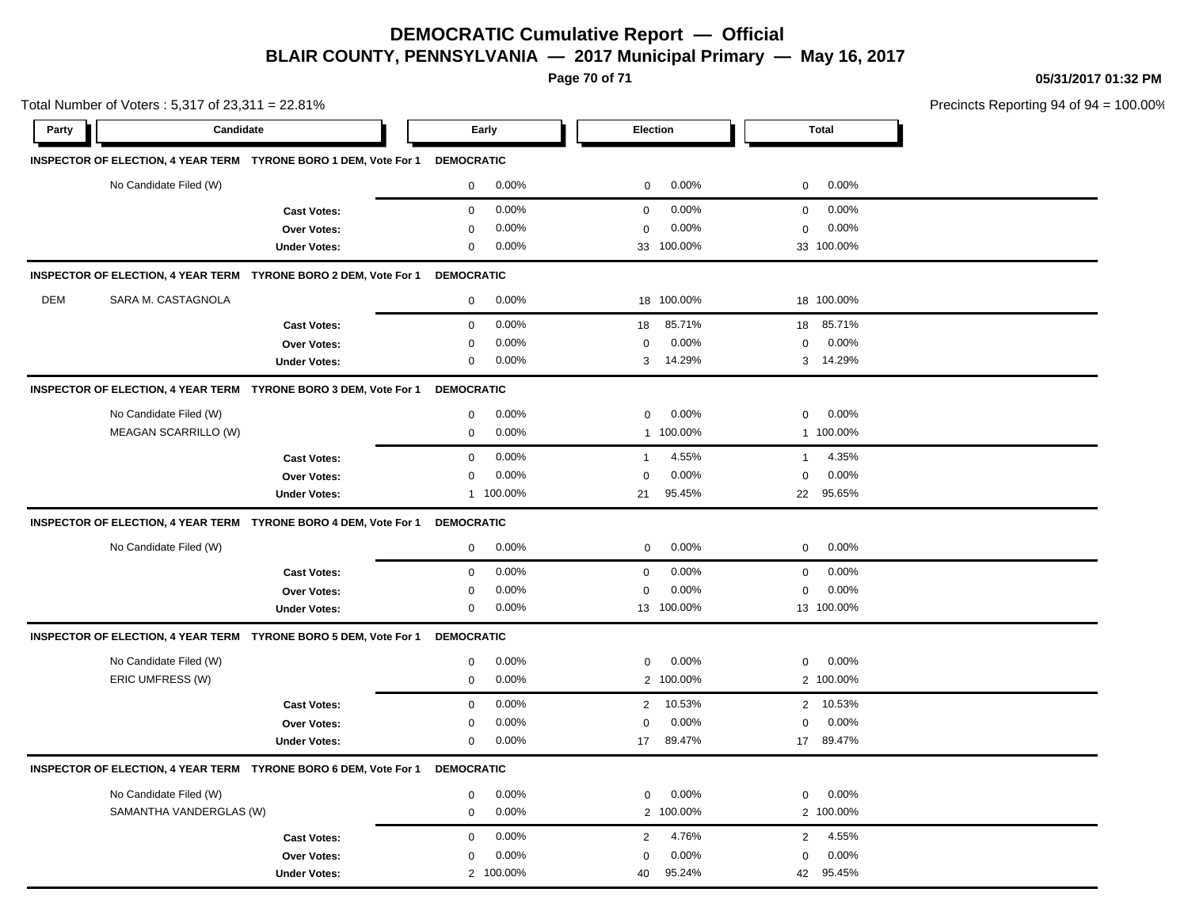**Page 70 of 71**

**05/31/2017 01:32 PM**

| Total Number of Voters: 5,317 of 23,311 = 22.81% |                         |                                                                             |                   |           |                         |            |                |            | Precincts Reporting 94 of 94 |
|--------------------------------------------------|-------------------------|-----------------------------------------------------------------------------|-------------------|-----------|-------------------------|------------|----------------|------------|------------------------------|
| Party                                            | Candidate               |                                                                             | Early             |           |                         | Election   |                | Total      |                              |
|                                                  |                         | INSPECTOR OF ELECTION, 4 YEAR TERM TYRONE BORO 1 DEM, Vote For 1            | <b>DEMOCRATIC</b> |           |                         |            |                |            |                              |
|                                                  | No Candidate Filed (W)  |                                                                             | 0                 | 0.00%     | 0                       | $0.00\%$   | $\overline{0}$ | 0.00%      |                              |
|                                                  |                         | <b>Cast Votes:</b>                                                          | 0                 | 0.00%     | $\mathbf 0$             | $0.00\%$   | 0              | 0.00%      |                              |
|                                                  |                         | <b>Over Votes:</b>                                                          | 0                 | 0.00%     | $\mathbf 0$             | 0.00%      | $\mathbf 0$    | 0.00%      |                              |
|                                                  |                         | <b>Under Votes:</b>                                                         | 0                 | 0.00%     |                         | 33 100.00% |                | 33 100.00% |                              |
|                                                  |                         | INSPECTOR OF ELECTION, 4 YEAR TERM TYRONE BORO 2 DEM, Vote For 1            | <b>DEMOCRATIC</b> |           |                         |            |                |            |                              |
| DEM                                              | SARA M. CASTAGNOLA      |                                                                             | 0                 | 0.00%     |                         | 18 100.00% |                | 18 100.00% |                              |
|                                                  |                         | <b>Cast Votes:</b>                                                          | 0                 | 0.00%     | 18                      | 85.71%     | 18             | 85.71%     |                              |
|                                                  |                         | <b>Over Votes:</b>                                                          | 0                 | 0.00%     | $\mathbf 0$             | $0.00\%$   | $\mathbf 0$    | 0.00%      |                              |
|                                                  |                         | <b>Under Votes:</b>                                                         | 0                 | 0.00%     | 3                       | 14.29%     |                | 3 14.29%   |                              |
|                                                  |                         | INSPECTOR OF ELECTION, 4 YEAR TERM TYRONE BORO 3 DEM, Vote For 1            | <b>DEMOCRATIC</b> |           |                         |            |                |            |                              |
|                                                  | No Candidate Filed (W)  |                                                                             | 0                 | 0.00%     | $\mathbf 0$             | 0.00%      | 0              | 0.00%      |                              |
|                                                  | MEAGAN SCARRILLO (W)    |                                                                             | 0                 | 0.00%     |                         | 1 100.00%  |                | 1 100.00%  |                              |
|                                                  |                         | <b>Cast Votes:</b>                                                          | 0                 | 0.00%     | $\mathbf{1}$            | 4.55%      | $\overline{1}$ | 4.35%      |                              |
|                                                  |                         | <b>Over Votes:</b>                                                          | 0                 | 0.00%     | 0                       | $0.00\%$   | $\mathbf 0$    | 0.00%      |                              |
|                                                  |                         | <b>Under Votes:</b>                                                         |                   | 1 100.00% | 21                      | 95.45%     | 22             | 95.65%     |                              |
|                                                  |                         | INSPECTOR OF ELECTION, 4 YEAR TERM TYRONE BORO 4 DEM, Vote For 1            | <b>DEMOCRATIC</b> |           |                         |            |                |            |                              |
|                                                  | No Candidate Filed (W)  |                                                                             | 0                 | 0.00%     | 0                       | $0.00\%$   | 0              | 0.00%      |                              |
|                                                  |                         | <b>Cast Votes:</b>                                                          | 0                 | 0.00%     | $\mathbf 0$             | 0.00%      | 0              | 0.00%      |                              |
|                                                  |                         | Over Votes:                                                                 | 0                 | 0.00%     | 0                       | 0.00%      | 0              | 0.00%      |                              |
|                                                  |                         | <b>Under Votes:</b>                                                         | 0                 | 0.00%     |                         | 13 100.00% |                | 13 100.00% |                              |
|                                                  |                         | INSPECTOR OF ELECTION, 4 YEAR TERM TYRONE BORO 5 DEM, Vote For 1            | <b>DEMOCRATIC</b> |           |                         |            |                |            |                              |
|                                                  | No Candidate Filed (W)  |                                                                             | 0                 | 0.00%     | 0                       | $0.00\%$   | 0              | 0.00%      |                              |
|                                                  | ERIC UMFRESS (W)        |                                                                             | 0                 | 0.00%     |                         | 2 100.00%  |                | 2 100.00%  |                              |
|                                                  |                         | <b>Cast Votes:</b>                                                          | 0                 | 0.00%     | 2                       | 10.53%     |                | 2 10.53%   |                              |
|                                                  |                         | Over Votes:                                                                 | 0                 | 0.00%     | $\mathbf 0$             | 0.00%      | 0              | 0.00%      |                              |
|                                                  |                         | <b>Under Votes:</b>                                                         | 0                 | 0.00%     | 17                      | 89.47%     |                | 17 89.47%  |                              |
|                                                  |                         | INSPECTOR OF ELECTION, 4 YEAR TERM TYRONE BORO 6 DEM, Vote For 1 DEMOCRATIC |                   |           |                         |            |                |            |                              |
|                                                  | No Candidate Filed (W)  |                                                                             | 0                 | 0.00%     | $\mathbf 0$             | 0.00%      | 0              | 0.00%      |                              |
|                                                  | SAMANTHA VANDERGLAS (W) |                                                                             | 0                 | 0.00%     |                         | 2 100.00%  |                | 2 100.00%  |                              |
|                                                  |                         | <b>Cast Votes:</b>                                                          | 0                 | 0.00%     | $\overline{\mathbf{c}}$ | 4.76%      | $\overline{2}$ | 4.55%      |                              |
|                                                  |                         | Over Votes:                                                                 | 0                 | 0.00%     | $\mathbf 0$             | 0.00%      | $\mathbf 0$    | 0.00%      |                              |
|                                                  |                         | <b>Under Votes:</b>                                                         |                   | 2 100.00% | 40                      | 95.24%     |                | 42 95.45%  |                              |